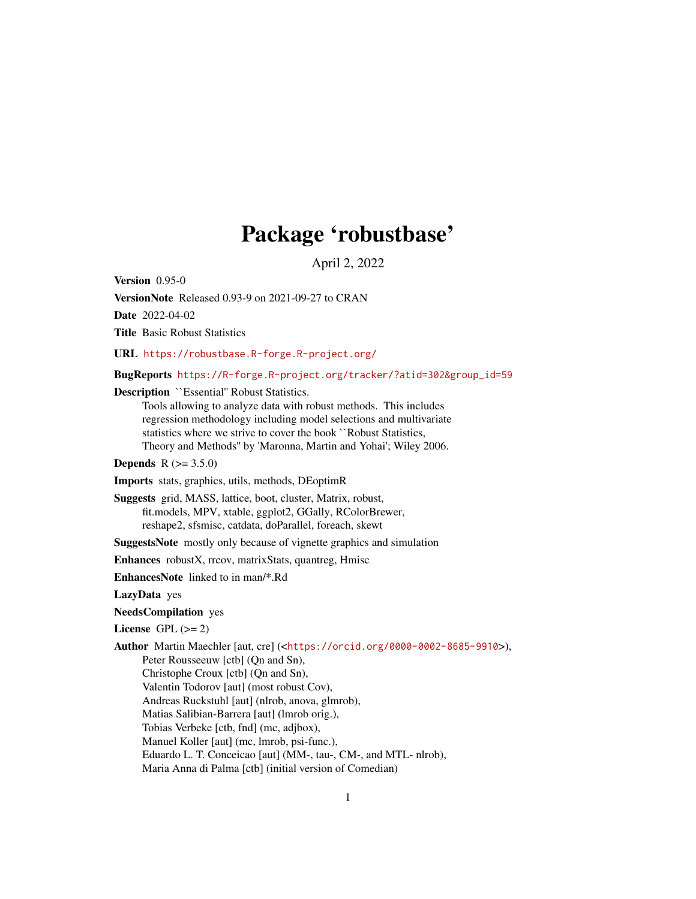# Package 'robustbase'

April 2, 2022

<span id="page-0-0"></span>Version 0.95-0

VersionNote Released 0.93-9 on 2021-09-27 to CRAN

Date 2022-04-02

Title Basic Robust Statistics

URL <https://robustbase.R-forge.R-project.org/>

BugReports [https://R-forge.R-project.org/tracker/?atid=302&group\\_id=59](https://R-forge.R-project.org/tracker/?atid=302&group_id=59)

Description ``Essential'' Robust Statistics.

Tools allowing to analyze data with robust methods. This includes regression methodology including model selections and multivariate statistics where we strive to cover the book ``Robust Statistics, Theory and Methods'' by 'Maronna, Martin and Yohai'; Wiley 2006.

**Depends**  $R (= 3.5.0)$ 

Imports stats, graphics, utils, methods, DEoptimR

Suggests grid, MASS, lattice, boot, cluster, Matrix, robust, fit.models, MPV, xtable, ggplot2, GGally, RColorBrewer, reshape2, sfsmisc, catdata, doParallel, foreach, skewt

SuggestsNote mostly only because of vignette graphics and simulation

Enhances robustX, rrcov, matrixStats, quantreg, Hmisc

EnhancesNote linked to in man/\*.Rd

LazyData yes

NeedsCompilation yes

License GPL  $(>= 2)$ 

Author Martin Maechler [aut, cre] (<<https://orcid.org/0000-0002-8685-9910>>),

Peter Rousseeuw [ctb] (Qn and Sn), Christophe Croux [ctb] (Qn and Sn), Valentin Todorov [aut] (most robust Cov), Andreas Ruckstuhl [aut] (nlrob, anova, glmrob), Matias Salibian-Barrera [aut] (lmrob orig.), Tobias Verbeke [ctb, fnd] (mc, adjbox), Manuel Koller [aut] (mc, lmrob, psi-func.), Eduardo L. T. Conceicao [aut] (MM-, tau-, CM-, and MTL- nlrob), Maria Anna di Palma [ctb] (initial version of Comedian)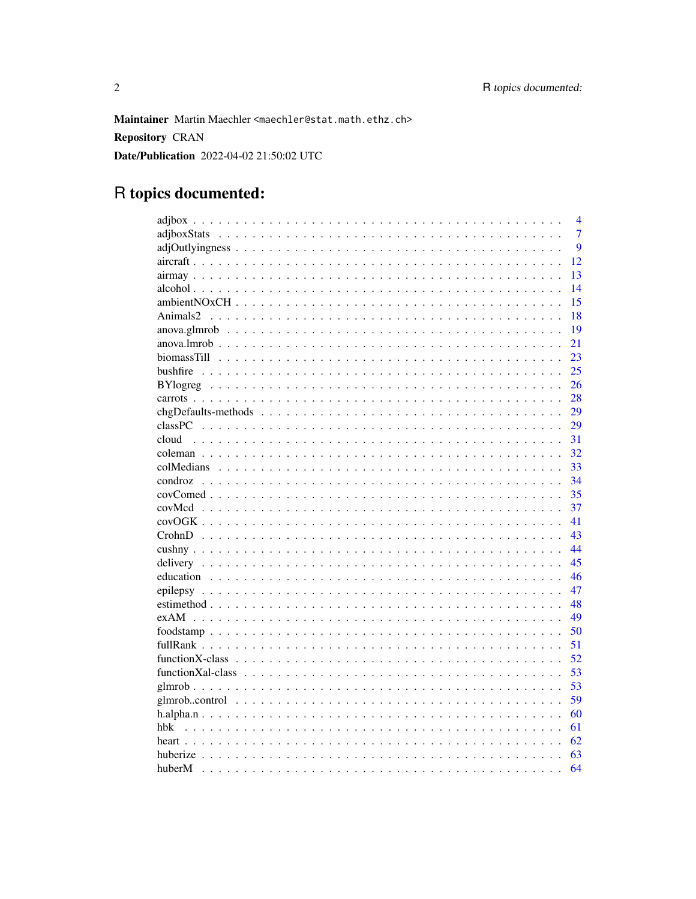Maintainer Martin Maechler <maechler@stat.math.ethz.ch> **Repository CRAN** Date/Publication 2022-04-02 21:50:02 UTC

# R topics documented:

| $\overline{4}$ |
|----------------|
| $\overline{7}$ |
| 9              |
| 12             |
| 13             |
| 14             |
| 15             |
| 18             |
| 19             |
| 21             |
| 23             |
| 25             |
| 26             |
| 28             |
| 29             |
| 29             |
| 31<br>cloud    |
| 32             |
| 33             |
| 34             |
| 35             |
| 37             |
|                |
| 41             |
| 43             |
| 44             |
| 45             |
| 46             |
| 47             |
| 48             |
| 49             |
| 50             |
| 51             |
| 52             |
| 53             |
| 53             |
| 59             |
| 60             |
| 61             |
| 62             |
| 63             |
| 64             |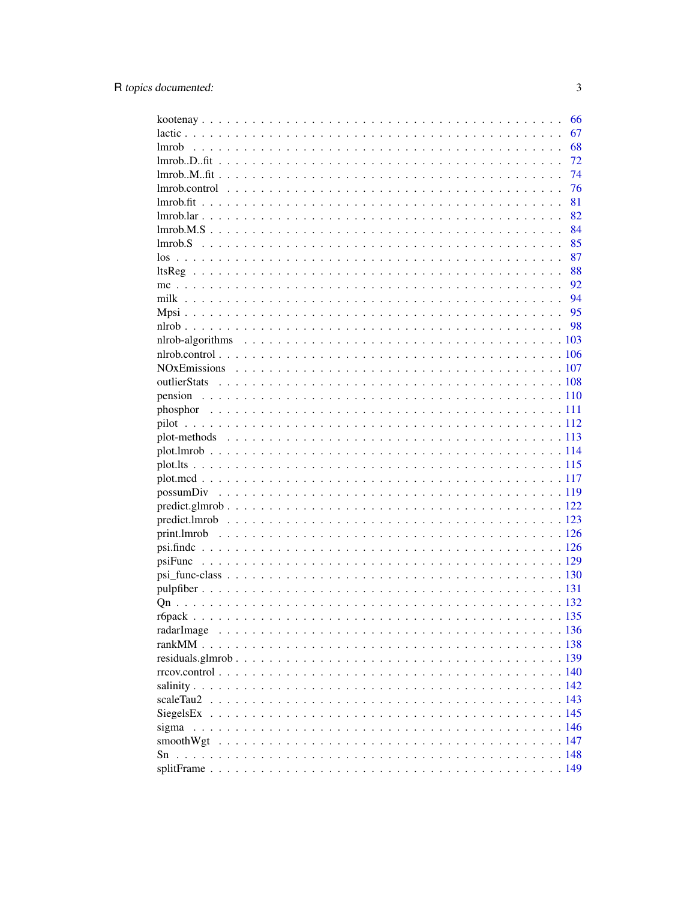|            | 66 |
|------------|----|
|            | 67 |
|            | 68 |
|            | 72 |
|            | 74 |
|            | 76 |
|            | 81 |
|            | 82 |
|            | 84 |
|            | 85 |
|            | 87 |
|            | 88 |
|            | 92 |
|            |    |
|            |    |
|            |    |
|            |    |
|            |    |
|            |    |
|            |    |
|            |    |
|            |    |
|            |    |
|            |    |
|            |    |
|            |    |
|            |    |
|            |    |
|            |    |
|            |    |
|            |    |
|            |    |
|            |    |
|            |    |
|            |    |
|            |    |
|            |    |
| radarImage |    |
|            |    |
|            |    |
|            |    |
|            |    |
|            |    |
|            |    |
|            |    |
|            |    |
| Sn         |    |
|            |    |
|            |    |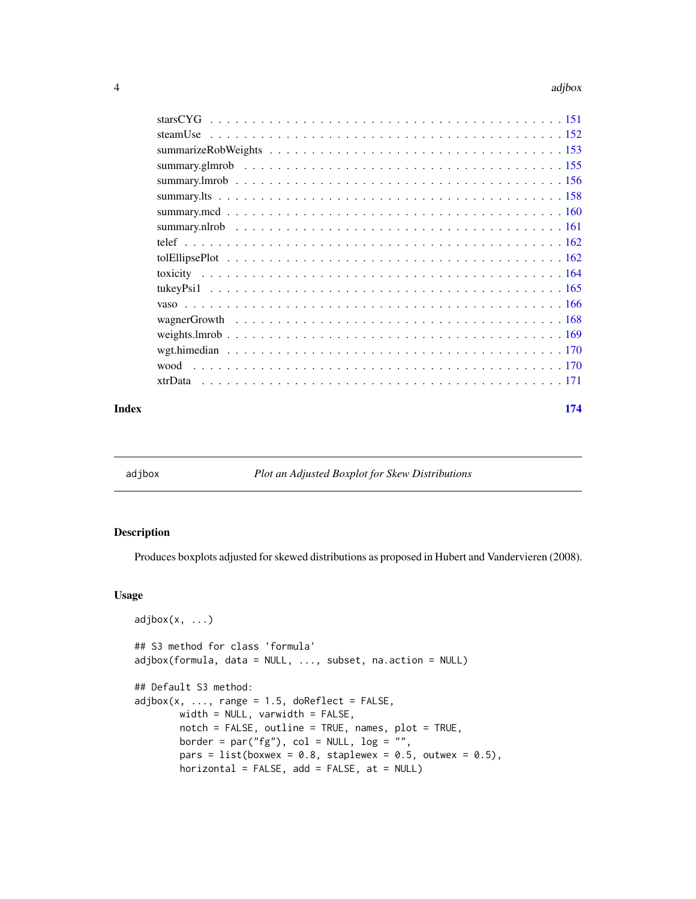<span id="page-3-0"></span>

| wood    |  |
|---------|--|
| xtrData |  |
|         |  |

# **Index** 2008 **Index**

<span id="page-3-1"></span>

# adjbox *Plot an Adjusted Boxplot for Skew Distributions*

# Description

Produces boxplots adjusted for skewed distributions as proposed in Hubert and Vandervieren (2008).

# Usage

```
adjbox(x, ...)## S3 method for class 'formula'
adjbox(formula, data = NULL, ..., subset, na.action = NULL)
## Default S3 method:
adjbox(x, ..., range = 1.5, doReflect = FALSE,width = NULL, varwidth = FALSE,
       notch = FALSE, outline = TRUE, names, plot = TRUE,border = par("fg"), col = NULL, log = "",pars = list(boxwex = 0.8, staplewex = 0.5, outwex = 0.5),
       horizontal = FALSE, add = FALSE, at = NULL)
```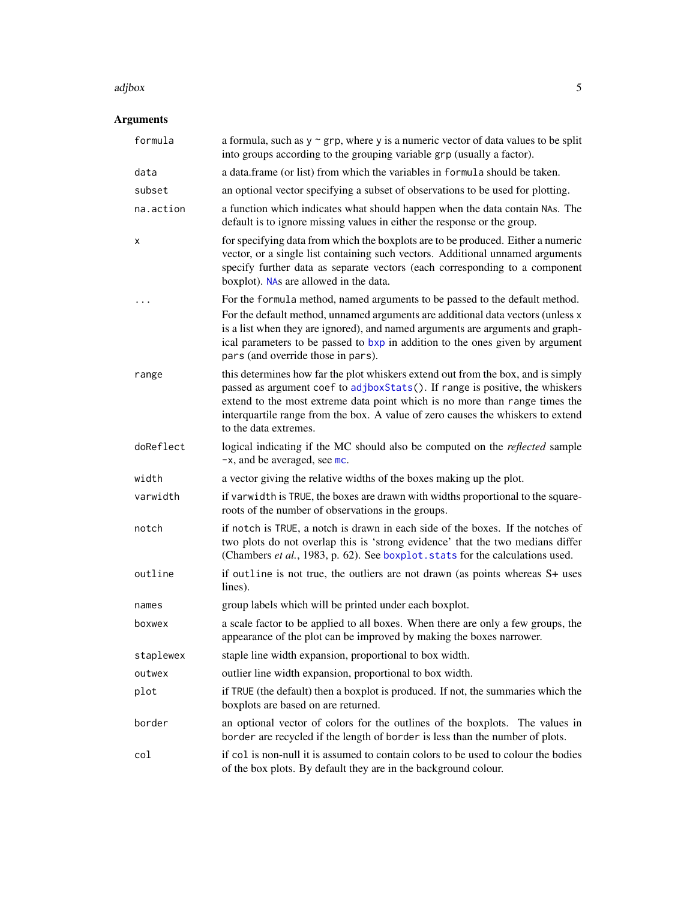#### adjbox 5

| formula   | a formula, such as $y \sim grp$ , where y is a numeric vector of data values to be split<br>into groups according to the grouping variable grp (usually a factor).                                                                                                                                                                                                      |
|-----------|-------------------------------------------------------------------------------------------------------------------------------------------------------------------------------------------------------------------------------------------------------------------------------------------------------------------------------------------------------------------------|
| data      | a data.frame (or list) from which the variables in formula should be taken.                                                                                                                                                                                                                                                                                             |
| subset    | an optional vector specifying a subset of observations to be used for plotting.                                                                                                                                                                                                                                                                                         |
| na.action | a function which indicates what should happen when the data contain NAs. The<br>default is to ignore missing values in either the response or the group.                                                                                                                                                                                                                |
| х         | for specifying data from which the boxplots are to be produced. Either a numeric<br>vector, or a single list containing such vectors. Additional unnamed arguments<br>specify further data as separate vectors (each corresponding to a component<br>boxplot). NAs are allowed in the data.                                                                             |
|           | For the formula method, named arguments to be passed to the default method.<br>For the default method, unnamed arguments are additional data vectors (unless x<br>is a list when they are ignored), and named arguments are arguments and graph-<br>ical parameters to be passed to bxp in addition to the ones given by argument<br>pars (and override those in pars). |
| range     | this determines how far the plot whiskers extend out from the box, and is simply<br>passed as argument coef to adjboxStats(). If range is positive, the whiskers<br>extend to the most extreme data point which is no more than range times the<br>interquartile range from the box. A value of zero causes the whiskers to extend<br>to the data extremes.             |
| doReflect | logical indicating if the MC should also be computed on the <i>reflected</i> sample<br>$-x$ , and be averaged, see mc.                                                                                                                                                                                                                                                  |
| width     | a vector giving the relative widths of the boxes making up the plot.                                                                                                                                                                                                                                                                                                    |
| varwidth  | if varwidth is TRUE, the boxes are drawn with widths proportional to the square-<br>roots of the number of observations in the groups.                                                                                                                                                                                                                                  |
| notch     | if notch is TRUE, a notch is drawn in each side of the boxes. If the notches of<br>two plots do not overlap this is 'strong evidence' that the two medians differ<br>(Chambers et al., 1983, p. 62). See boxplot. stats for the calculations used.                                                                                                                      |
| outline   | if outline is not true, the outliers are not drawn (as points whereas S+ uses<br>lines).                                                                                                                                                                                                                                                                                |
| names     | group labels which will be printed under each boxplot.                                                                                                                                                                                                                                                                                                                  |
| boxwex    | a scale factor to be applied to all boxes. When there are only a few groups, the<br>appearance of the plot can be improved by making the boxes narrower.                                                                                                                                                                                                                |
| staplewex | staple line width expansion, proportional to box width.                                                                                                                                                                                                                                                                                                                 |
| outwex    | outlier line width expansion, proportional to box width.                                                                                                                                                                                                                                                                                                                |
| plot      | if TRUE (the default) then a boxplot is produced. If not, the summaries which the<br>boxplots are based on are returned.                                                                                                                                                                                                                                                |
| border    | an optional vector of colors for the outlines of the boxplots. The values in<br>border are recycled if the length of border is less than the number of plots.                                                                                                                                                                                                           |
| col       | if col is non-null it is assumed to contain colors to be used to colour the bodies<br>of the box plots. By default they are in the background colour.                                                                                                                                                                                                                   |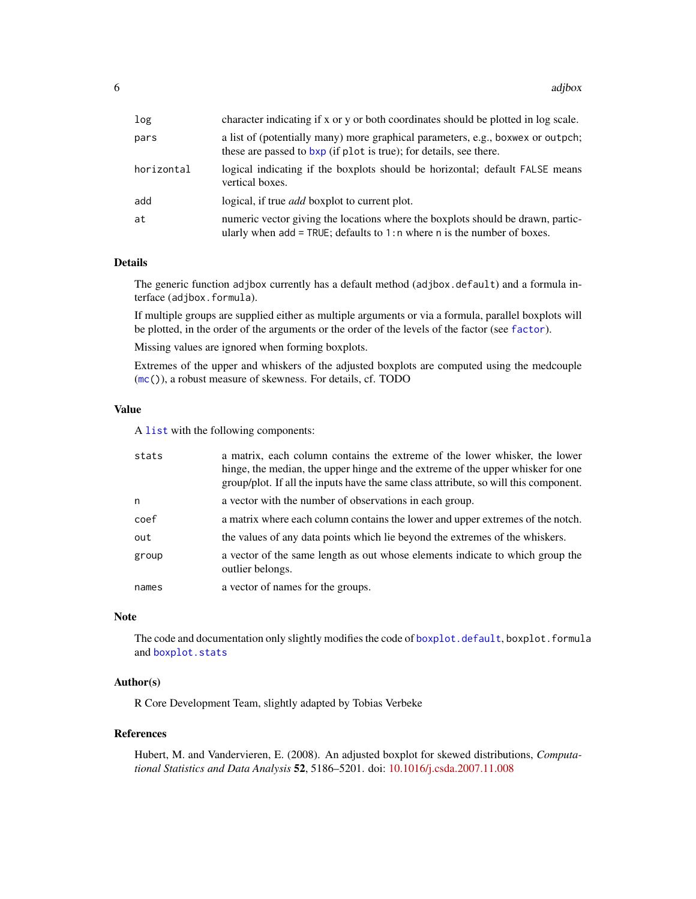| character indicating if x or y or both coordinates should be plotted in log scale.                                                                            |
|---------------------------------------------------------------------------------------------------------------------------------------------------------------|
| a list of (potentially many) more graphical parameters, e.g., boxwex or outpch;<br>these are passed to bxp (if plot is true); for details, see there.         |
| logical indicating if the boxplots should be horizontal; default FALSE means<br>vertical boxes.                                                               |
| logical, if true <i>add</i> boxplot to current plot.                                                                                                          |
| numeric vector giving the locations where the boxplots should be drawn, partic-<br>ularly when $add = TRUE$ ; defaults to 1:n where n is the number of boxes. |
|                                                                                                                                                               |

The generic function adjbox currently has a default method (adjbox.default) and a formula interface (adjbox.formula).

If multiple groups are supplied either as multiple arguments or via a formula, parallel boxplots will be plotted, in the order of the arguments or the order of the levels of the factor (see [factor](#page-0-0)).

Missing values are ignored when forming boxplots.

Extremes of the upper and whiskers of the adjusted boxplots are computed using the medcouple ([mc\(](#page-91-1))), a robust measure of skewness. For details, cf. TODO

#### Value

A [list](#page-0-0) with the following components:

| stats | a matrix, each column contains the extreme of the lower whisker, the lower<br>hinge, the median, the upper hinge and the extreme of the upper whisker for one<br>group/plot. If all the inputs have the same class attribute, so will this component. |
|-------|-------------------------------------------------------------------------------------------------------------------------------------------------------------------------------------------------------------------------------------------------------|
| n     | a vector with the number of observations in each group.                                                                                                                                                                                               |
| coef  | a matrix where each column contains the lower and upper extremes of the notch.                                                                                                                                                                        |
| out   | the values of any data points which lie beyond the extremes of the whiskers.                                                                                                                                                                          |
| group | a vector of the same length as out whose elements indicate to which group the<br>outlier belongs.                                                                                                                                                     |
| names | a vector of names for the groups.                                                                                                                                                                                                                     |

# Note

The code and documentation only slightly modifies the code of [boxplot.default](#page-0-0), boxplot.formula and [boxplot.stats](#page-0-0)

#### Author(s)

R Core Development Team, slightly adapted by Tobias Verbeke

#### References

Hubert, M. and Vandervieren, E. (2008). An adjusted boxplot for skewed distributions, *Computational Statistics and Data Analysis* 52, 5186–5201. doi: [10.1016/j.csda.2007.11.008](https://doi.org/10.1016/j.csda.2007.11.008)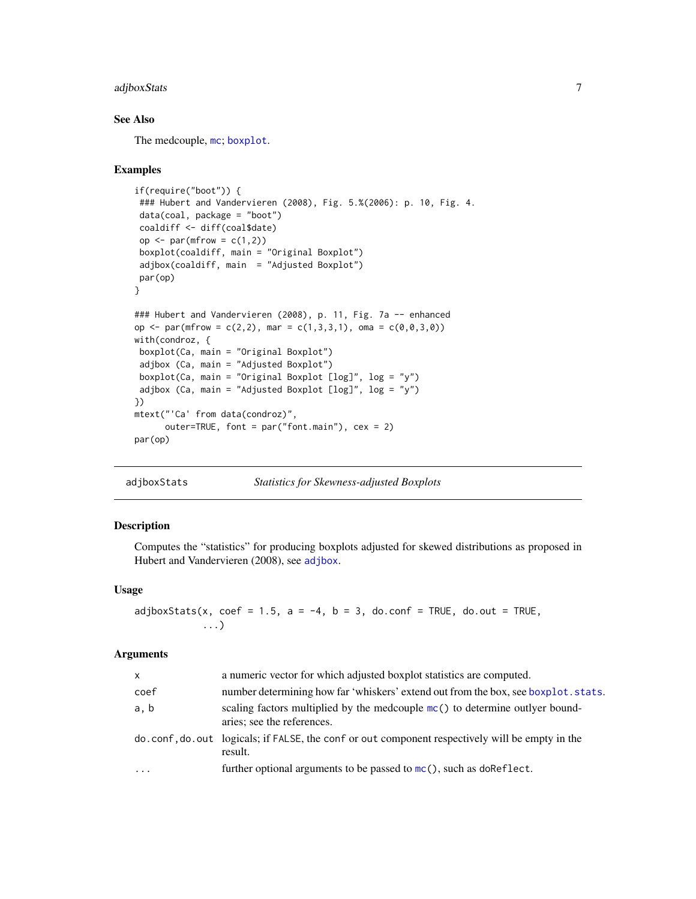# <span id="page-6-0"></span>adjboxStats 7

# See Also

The medcouple, [mc](#page-91-1); [boxplot](#page-0-0).

#### Examples

```
if(require("boot")) {
 ### Hubert and Vandervieren (2008), Fig. 5.%(2006): p. 10, Fig. 4.
 data(coal, package = "boot")
 coaldiff <- diff(coal$date)
 op \leq par(mfrow = c(1,2))
 boxplot(coaldiff, main = "Original Boxplot")
 adjbox(coaldiff, main = "Adjusted Boxplot")
par(op)
}
### Hubert and Vandervieren (2008), p. 11, Fig. 7a -- enhanced
op <- par(mfrow = c(2,2), mar = c(1,3,3,1), oma = c(0,0,3,0))
with(condroz, {
boxplot(Ca, main = "Original Boxplot")
 adjbox (Ca, main = "Adjusted Boxplot")
 boxplot(Ca, main = "Original Boxplot [log]", log = "y")
 adjbox (Ca, main = "Adjusted Boxplot [log]", log = "y")
})
mtext("'Ca' from data(condroz)",
      outer=TRUE, font = par("font.main"), cex = 2)
par(op)
```
<span id="page-6-1"></span>adjboxStats *Statistics for Skewness-adjusted Boxplots*

#### Description

Computes the "statistics" for producing boxplots adjusted for skewed distributions as proposed in Hubert and Vandervieren (2008), see [adjbox](#page-3-1).

#### Usage

```
adjboxStats(x, coef = 1.5, a = -4, b = 3, do.config = TRUE, do.out = TRUE,...)
```

| $\mathsf{x}$ | a numeric vector for which adjusted boxplot statistics are computed.                                         |
|--------------|--------------------------------------------------------------------------------------------------------------|
| coef         | number determining how far 'whiskers' extend out from the box, see boxplot stats.                            |
| a, b         | scaling factors multiplied by the medcouple $mc()$ to determine outlyer bound-<br>aries; see the references. |
|              | do.conf, do.out logicals; if FALSE, the conf or out component respectively will be empty in the<br>result.   |
| $\cdots$     | further optional arguments to be passed to $mc()$ , such as do Reflect.                                      |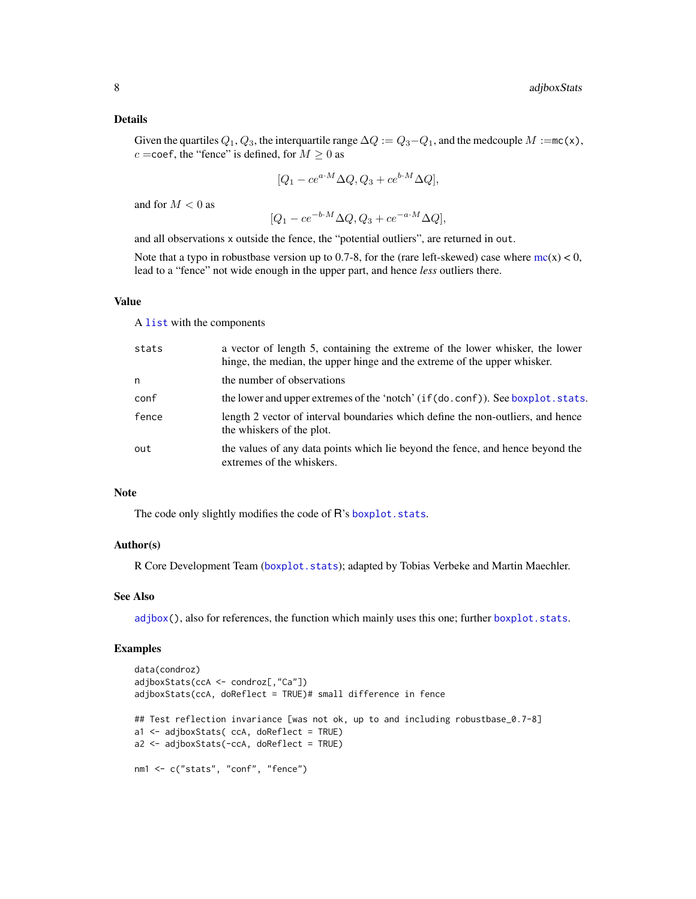Given the quartiles  $Q_1, Q_3$ , the interquartile range  $\Delta Q := Q_3 - Q_1$ , and the medcouple  $M := mc(x)$ ,  $c =$ coef, the "fence" is defined, for  $M \ge 0$  as

$$
[Q_1 - ce^{a \cdot M} \Delta Q, Q_3 + ce^{b \cdot M} \Delta Q],
$$

and for  $M < 0$  as

$$
[Q_1 - ce^{-b \cdot M} \Delta Q, Q_3 + ce^{-a \cdot M} \Delta Q],
$$

and all observations x outside the fence, the "potential outliers", are returned in out.

Note that a typo in robustbase version up to 0.7-8, for the (rare left-skewed) case where  $mc(x) < 0$  $mc(x) < 0$ , lead to a "fence" not wide enough in the upper part, and hence *less* outliers there.

#### Value

A [list](#page-0-0) with the components

| stats | a vector of length 5, containing the extreme of the lower whisker, the lower<br>hinge, the median, the upper hinge and the extreme of the upper whisker. |
|-------|----------------------------------------------------------------------------------------------------------------------------------------------------------|
| n     | the number of observations                                                                                                                               |
| conf  | the lower and upper extremes of the 'notch' (if(do.conf)). See boxplot.stats.                                                                            |
| fence | length 2 vector of interval boundaries which define the non-outliers, and hence<br>the whiskers of the plot.                                             |
| out   | the values of any data points which lie beyond the fence, and hence beyond the<br>extremes of the whiskers.                                              |

# Note

The code only slightly modifies the code of R's [boxplot.stats](#page-0-0).

### Author(s)

R Core Development Team ([boxplot.stats](#page-0-0)); adapted by Tobias Verbeke and Martin Maechler.

#### See Also

[adjbox\(](#page-3-1)), also for references, the function which mainly uses this one; further [boxplot.stats](#page-0-0).

```
data(condroz)
adjboxStats(ccA <- condroz[,"Ca"])
adjboxStats(ccA, doReflect = TRUE)# small difference in fence
## Test reflection invariance [was not ok, up to and including robustbase_0.7-8]
a1 <- adjboxStats( ccA, doReflect = TRUE)
a2 <- adjboxStats(-ccA, doReflect = TRUE)
nm1 <- c("stats", "conf", "fence")
```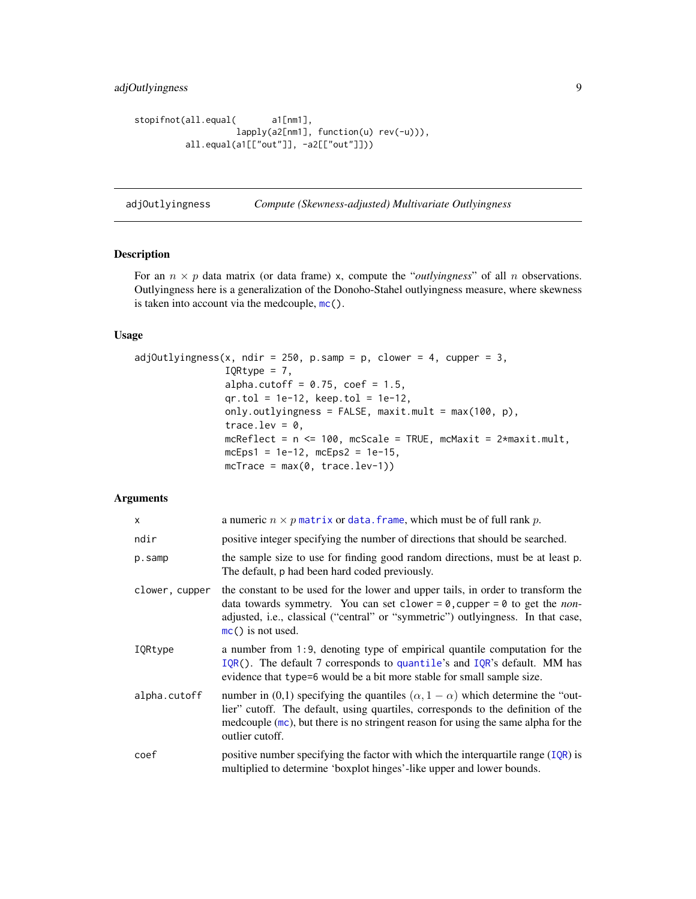# <span id="page-8-0"></span>adjOutlyingness 9

```
stopifnot(all.equal( a1[nm1],
                   lapply(a2[nm1], function(u) rev(-u))),
         all.equal(a1[["out"]], -a2[["out"]]))
```
adjOutlyingness *Compute (Skewness-adjusted) Multivariate Outlyingness*

#### Description

For an  $n \times p$  data matrix (or data frame) x, compute the "*outlyingness*" of all n observations. Outlyingness here is a generalization of the Donoho-Stahel outlyingness measure, where skewness is taken into account via the medcouple, [mc\(](#page-91-1)).

#### Usage

```
adjOutlyingness(x, ndir = 250, p.samp = p, clower = 4, cupper = 3,
                IQRtype = 7,
                alpha.cutoff = 0.75, coef = 1.5,
                qr.tol = 1e-12, keep.tol = 1e-12,
                only.outlyingness = FALSE, maxit.mult = max(100, p),
                trace.lev = 0,
                mcReflect = n \le 100, mcScale = TRUE, mcMaxit = 2*maxit.mult,
                mcEps1 = 1e-12, mcEps2 = 1e-15,
                mcTrace = max(0, trace.lev-1))
```

| X              | a numeric $n \times p$ matrix or data. frame, which must be of full rank p.                                                                                                                                                                                                                     |
|----------------|-------------------------------------------------------------------------------------------------------------------------------------------------------------------------------------------------------------------------------------------------------------------------------------------------|
| ndir           | positive integer specifying the number of directions that should be searched.                                                                                                                                                                                                                   |
| p.samp         | the sample size to use for finding good random directions, must be at least p.<br>The default, p had been hard coded previously.                                                                                                                                                                |
| clower, cupper | the constant to be used for the lower and upper tails, in order to transform the<br>data towards symmetry. You can set clower = $\theta$ , cupper = $\theta$ to get the <i>non</i> -<br>adjusted, i.e., classical ("central" or "symmetric") outlyingness. In that case,<br>$mc()$ is not used. |
| IQRtype        | a number from 1:9, denoting type of empirical quantile computation for the<br>$IQR()$ . The default 7 corresponds to quantile's and $IQR's$ default. MM has<br>evidence that type=6 would be a bit more stable for small sample size.                                                           |
| alpha.cutoff   | number in (0,1) specifying the quantiles $(\alpha, 1 - \alpha)$ which determine the "out-<br>lier" cutoff. The default, using quartiles, corresponds to the definition of the<br>medcouple $(mc)$ , but there is no stringent reason for using the same alpha for the<br>outlier cutoff.        |
| coef           | positive number specifying the factor with which the interquartile range $(IQR)$ is<br>multiplied to determine 'boxplot hinges'-like upper and lower bounds.                                                                                                                                    |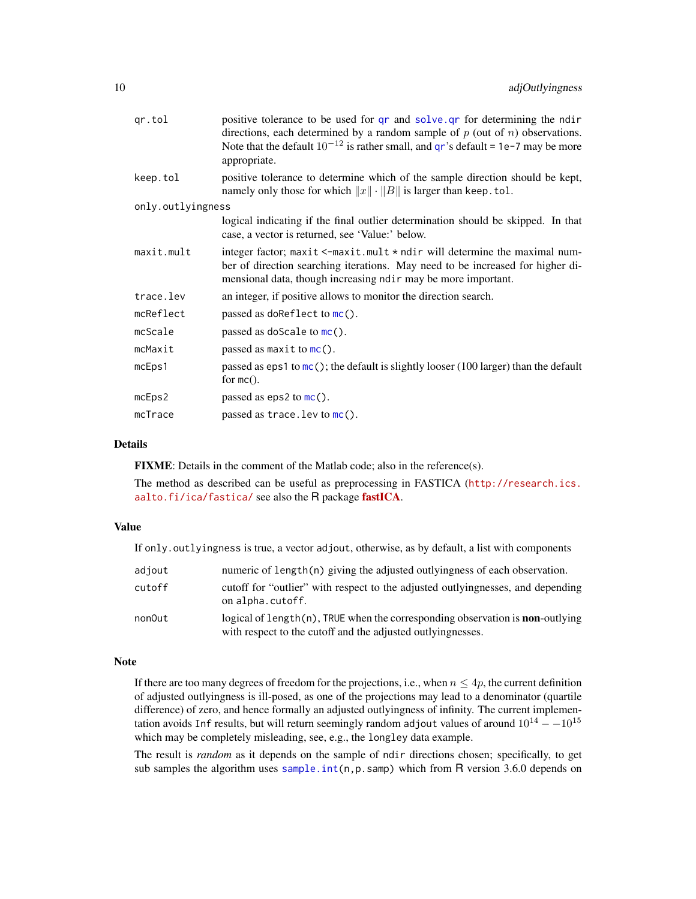| qr.tol            | positive tolerance to be used for qr and solve qr for determining the ndir<br>directions, each determined by a random sample of $p$ (out of $n$ ) observations.<br>Note that the default $10^{-12}$ is rather small, and qr's default = 1e-7 may be more<br>appropriate. |
|-------------------|--------------------------------------------------------------------------------------------------------------------------------------------------------------------------------------------------------------------------------------------------------------------------|
| keep.tol          | positive tolerance to determine which of the sample direction should be kept,<br>namely only those for which $  x   \cdot   B  $ is larger than keep. tol.                                                                                                               |
| only.outlyingness |                                                                                                                                                                                                                                                                          |
|                   | logical indicating if the final outlier determination should be skipped. In that<br>case, a vector is returned, see 'Value:' below.                                                                                                                                      |
| maxit.mult        | integer factor; maxit $\le$ -maxit.mult $\star$ ndir will determine the maximal num-<br>ber of direction searching iterations. May need to be increased for higher di-<br>mensional data, though increasing ndir may be more important.                                  |
| trace.lev         | an integer, if positive allows to monitor the direction search.                                                                                                                                                                                                          |
| mcReflect         | passed as do Reflect to $mc()$ .                                                                                                                                                                                                                                         |
| mcScale           | passed as do Scale to $mc()$ .                                                                                                                                                                                                                                           |
| mcMaxit           | passed as maxit to $mc()$ .                                                                                                                                                                                                                                              |
| mcEps1            | passed as eps1 to $mc()$ ; the default is slightly looser (100 larger) than the default<br>for $mc()$ .                                                                                                                                                                  |
| mcEps2            | passed as eps2 to $mc()$ .                                                                                                                                                                                                                                               |
| mcTrace           | passed as $trace.$ lev to $mc()$ .                                                                                                                                                                                                                                       |

FIXME: Details in the comment of the Matlab code; also in the reference(s).

The method as described can be useful as preprocessing in FASTICA ([http://research.ics.](http://research.ics.aalto.fi/ica/fastica/) [aalto.fi/ica/fastica/](http://research.ics.aalto.fi/ica/fastica/) see also the R package [fastICA](https://CRAN.R-project.org/package=fastICA).

#### Value

If only.outlyingness is true, a vector adjout, otherwise, as by default, a list with components

| adjout | numeric of length $(n)$ giving the adjusted outlyingness of each observation.                                                                            |
|--------|----------------------------------------------------------------------------------------------------------------------------------------------------------|
| cutoff | cutoff for "outlier" with respect to the adjusted outlyingnesses, and depending<br>on alpha.cutoff.                                                      |
| non0ut | logical of length $(n)$ , TRUE when the corresponding observation is <b>non</b> -outlying<br>with respect to the cutoff and the adjusted outlyingnesses. |

#### Note

If there are too many degrees of freedom for the projections, i.e., when  $n \leq 4p$ , the current definition of adjusted outlyingness is ill-posed, as one of the projections may lead to a denominator (quartile difference) of zero, and hence formally an adjusted outlyingness of infinity. The current implementation avoids Inf results, but will return seemingly random adjout values of around  $10^{14} - 10^{15}$ which may be completely misleading, see, e.g., the longley data example.

The result is *random* as it depends on the sample of ndir directions chosen; specifically, to get sub samples the algorithm uses sample.int $(n, p, samp)$  which from R version 3.6.0 depends on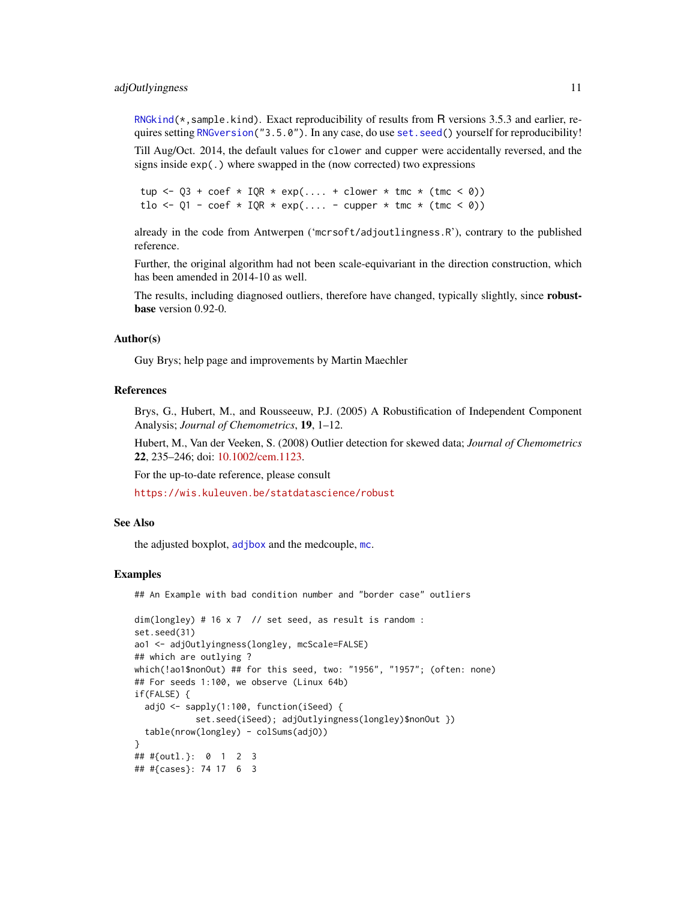#### adjOutlyingness 11

[RNGkind\(](#page-0-0)\*,sample.kind). Exact reproducibility of results from R versions 3.5.3 and earlier, requires setting [RNGversion\(](#page-0-0)"3.5.0"). In any case, do use [set.seed\(](#page-0-0)) yourself for reproducibility!

Till Aug/Oct. 2014, the default values for clower and cupper were accidentally reversed, and the signs inside exp(.) where swapped in the (now corrected) two expressions

tup  $\leq$  Q3 + coef  $\star$  IQR  $\star$  exp(.... + clower  $\star$  tmc  $\star$  (tmc  $\leq$  0)) tlo <- Q1 - coef \* IQR \* exp(.... - cupper \* tmc \* (tmc < 0))

already in the code from Antwerpen ('mcrsoft/adjoutlingness.R'), contrary to the published reference.

Further, the original algorithm had not been scale-equivariant in the direction construction, which has been amended in 2014-10 as well.

The results, including diagnosed outliers, therefore have changed, typically slightly, since **robust**base version 0.92-0.

#### Author(s)

Guy Brys; help page and improvements by Martin Maechler

### References

Brys, G., Hubert, M., and Rousseeuw, P.J. (2005) A Robustification of Independent Component Analysis; *Journal of Chemometrics*, 19, 1–12.

Hubert, M., Van der Veeken, S. (2008) Outlier detection for skewed data; *Journal of Chemometrics* 22, 235–246; doi: [10.1002/cem.1123.](https://doi.org/10.1002/cem.1123)

For the up-to-date reference, please consult

<https://wis.kuleuven.be/statdatascience/robust>

#### See Also

the adjusted boxplot, [adjbox](#page-3-1) and the medcouple, [mc](#page-91-1).

#### Examples

## An Example with bad condition number and "border case" outliers

```
dim(longley) # 16 x 7 // set seed, as result is random :
set.seed(31)
ao1 <- adjOutlyingness(longley, mcScale=FALSE)
## which are outlying ?
which(!ao1$nonOut) ## for this seed, two: "1956", "1957"; (often: none)
## For seeds 1:100, we observe (Linux 64b)
if(FALSE) {
 adjO <- sapply(1:100, function(iSeed) {
           set.seed(iSeed); adjOutlyingness(longley)$nonOut })
 table(nrow(longley) - colSums(adjO))
}
## #{outl.}: 0 1 2 3
## #{cases}: 74 17 6 3
```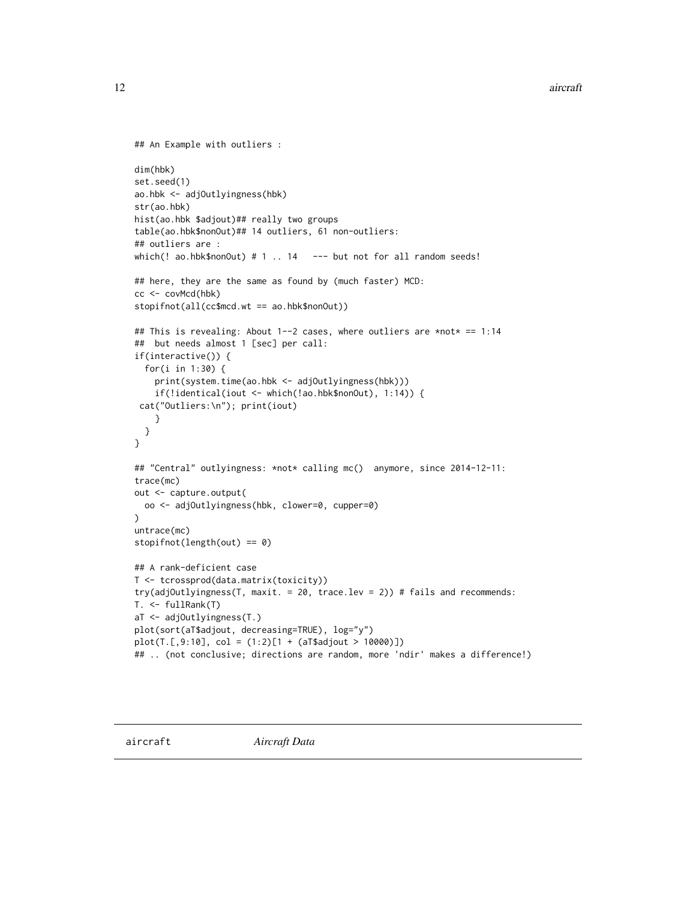```
## An Example with outliers :
dim(hbk)
set.seed(1)
ao.hbk <- adjOutlyingness(hbk)
str(ao.hbk)
hist(ao.hbk $adjout)## really two groups
table(ao.hbk$nonOut)## 14 outliers, 61 non-outliers:
## outliers are :
which(! ao.hbk$nonOut) # 1 .. 14 --- but not for all random seeds!
## here, they are the same as found by (much faster) MCD:
cc <- covMcd(hbk)
stopifnot(all(cc$mcd.wt == ao.hbk$nonOut))
## This is revealing: About 1--2 cases, where outliers are *not* == 1:14
## but needs almost 1 [sec] per call:
if(interactive()) {
  for(i in 1:30) {
   print(system.time(ao.hbk <- adjOutlyingness(hbk)))
    if(!identical(iout <- which(!ao.hbk$nonOut), 1:14)) {
 cat("Outliers:\n"); print(iout)
    }
 }
}
## "Central" outlyingness: *not* calling mc() anymore, since 2014-12-11:
trace(mc)
out <- capture.output(
  oo <- adjOutlyingness(hbk, clower=0, cupper=0)
\lambdauntrace(mc)
stopifnot(length(out) == 0)
## A rank-deficient case
T <- tcrossprod(data.matrix(toxicity))
try(adjOutlyingness(T, maxit. = 20, trace.lev = 2)) # fails and recommends:
T. <- fullRank(T)
aT <- adjOutlyingness(T.)
plot(sort(aT$adjout, decreasing=TRUE), log="y")
plot(T.[,9:10], col = (1:2)[1 + (aT$adjout > 10000)])
## .. (not conclusive; directions are random, more 'ndir' makes a difference!)
```
<span id="page-11-0"></span>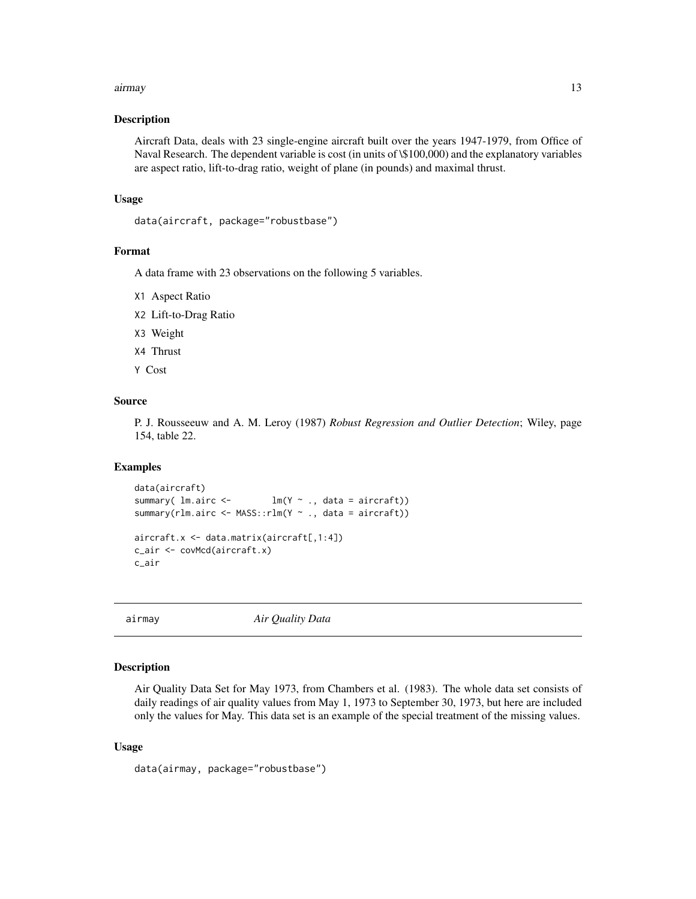#### <span id="page-12-0"></span>airmay and the contract of the contract of the contract of the contract of the contract of the contract of the contract of the contract of the contract of the contract of the contract of the contract of the contract of the

#### Description

Aircraft Data, deals with 23 single-engine aircraft built over the years 1947-1979, from Office of Naval Research. The dependent variable is cost (in units of \\$100,000) and the explanatory variables are aspect ratio, lift-to-drag ratio, weight of plane (in pounds) and maximal thrust.

# Usage

```
data(aircraft, package="robustbase")
```
#### Format

A data frame with 23 observations on the following 5 variables.

- X1 Aspect Ratio
- X2 Lift-to-Drag Ratio
- X3 Weight
- X4 Thrust
- Y Cost

# Source

P. J. Rousseeuw and A. M. Leroy (1987) *Robust Regression and Outlier Detection*; Wiley, page 154, table 22.

#### Examples

```
data(aircraft)
summary( lm.airc <- lm(Y ~ ., data = aircraft))
summary(rlm.airc <- MASS::rlm(Y ~ ., data = aircraft))
aircraft.x <- data.matrix(aircraft[,1:4])
c_air <- covMcd(aircraft.x)
c_air
```
airmay *Air Quality Data*

# Description

Air Quality Data Set for May 1973, from Chambers et al. (1983). The whole data set consists of daily readings of air quality values from May 1, 1973 to September 30, 1973, but here are included only the values for May. This data set is an example of the special treatment of the missing values.

#### Usage

data(airmay, package="robustbase")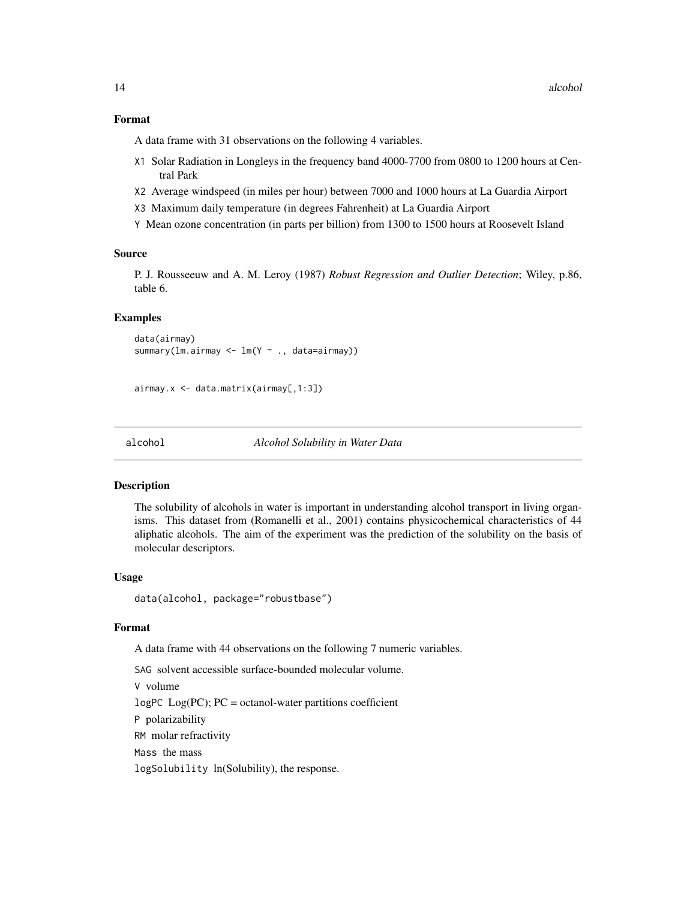#### <span id="page-13-0"></span>Format

A data frame with 31 observations on the following 4 variables.

- X1 Solar Radiation in Longleys in the frequency band 4000-7700 from 0800 to 1200 hours at Central Park
- X2 Average windspeed (in miles per hour) between 7000 and 1000 hours at La Guardia Airport
- X3 Maximum daily temperature (in degrees Fahrenheit) at La Guardia Airport
- Y Mean ozone concentration (in parts per billion) from 1300 to 1500 hours at Roosevelt Island

#### Source

P. J. Rousseeuw and A. M. Leroy (1987) *Robust Regression and Outlier Detection*; Wiley, p.86, table 6.

# Examples

```
data(airmay)
summary(lm.airmay <- lm(Y ~ ., data=airmay))
```

```
airmay.x <- data.matrix(airmay[,1:3])
```
alcohol *Alcohol Solubility in Water Data*

#### **Description**

The solubility of alcohols in water is important in understanding alcohol transport in living organisms. This dataset from (Romanelli et al., 2001) contains physicochemical characteristics of 44 aliphatic alcohols. The aim of the experiment was the prediction of the solubility on the basis of molecular descriptors.

#### Usage

data(alcohol, package="robustbase")

#### Format

A data frame with 44 observations on the following 7 numeric variables.

SAG solvent accessible surface-bounded molecular volume.

V volume

 $logPC$   $Log(PC)$ ;  $PC = octanol-water$  partitions coefficient

P polarizability

RM molar refractivity

Mass the mass

logSolubility ln(Solubility), the response.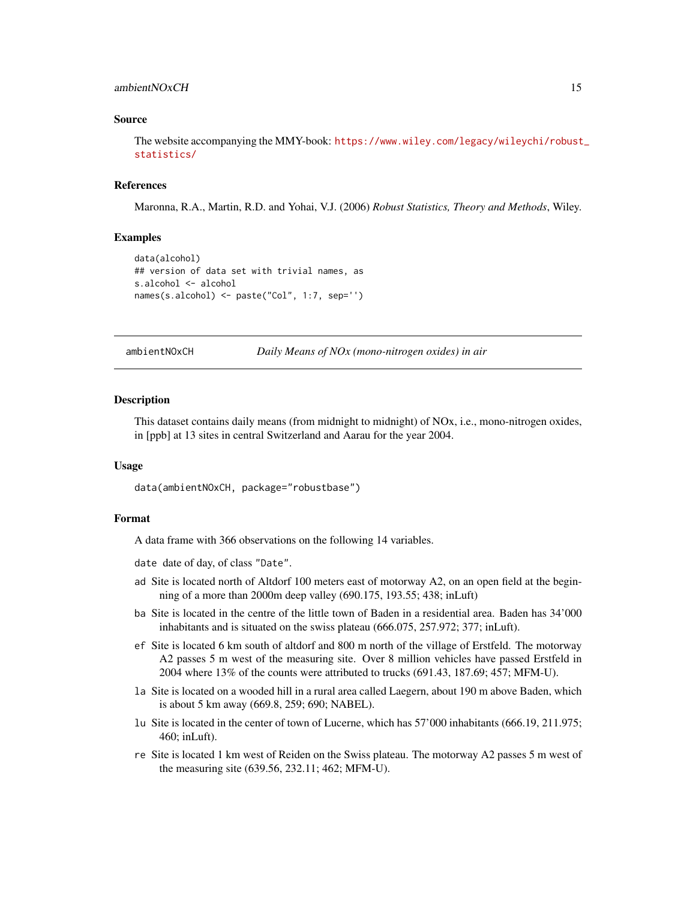# <span id="page-14-0"></span>ambientNOxCH 15

#### Source

The website accompanying the MMY-book: [https://www.wiley.com/legacy/wileychi/robust](https://www.wiley.com/legacy/wileychi/robust_statistics/)\_ [statistics/](https://www.wiley.com/legacy/wileychi/robust_statistics/)

#### References

Maronna, R.A., Martin, R.D. and Yohai, V.J. (2006) *Robust Statistics, Theory and Methods*, Wiley.

# Examples

```
data(alcohol)
## version of data set with trivial names, as
s.alcohol <- alcohol
names(s.alcohol) <- paste("Col", 1:7, sep='')
```
ambientNOxCH *Daily Means of NOx (mono-nitrogen oxides) in air*

#### Description

This dataset contains daily means (from midnight to midnight) of NOx, i.e., mono-nitrogen oxides, in [ppb] at 13 sites in central Switzerland and Aarau for the year 2004.

#### Usage

data(ambientNOxCH, package="robustbase")

#### Format

A data frame with 366 observations on the following 14 variables.

date date of day, of class "Date".

- ad Site is located north of Altdorf 100 meters east of motorway A2, on an open field at the beginning of a more than 2000m deep valley (690.175, 193.55; 438; inLuft)
- ba Site is located in the centre of the little town of Baden in a residential area. Baden has 34'000 inhabitants and is situated on the swiss plateau (666.075, 257.972; 377; inLuft).
- ef Site is located 6 km south of altdorf and 800 m north of the village of Erstfeld. The motorway A2 passes 5 m west of the measuring site. Over 8 million vehicles have passed Erstfeld in 2004 where 13% of the counts were attributed to trucks (691.43, 187.69; 457; MFM-U).
- la Site is located on a wooded hill in a rural area called Laegern, about 190 m above Baden, which is about 5 km away (669.8, 259; 690; NABEL).
- lu Site is located in the center of town of Lucerne, which has 57'000 inhabitants (666.19, 211.975; 460; inLuft).
- re Site is located 1 km west of Reiden on the Swiss plateau. The motorway A2 passes 5 m west of the measuring site (639.56, 232.11; 462; MFM-U).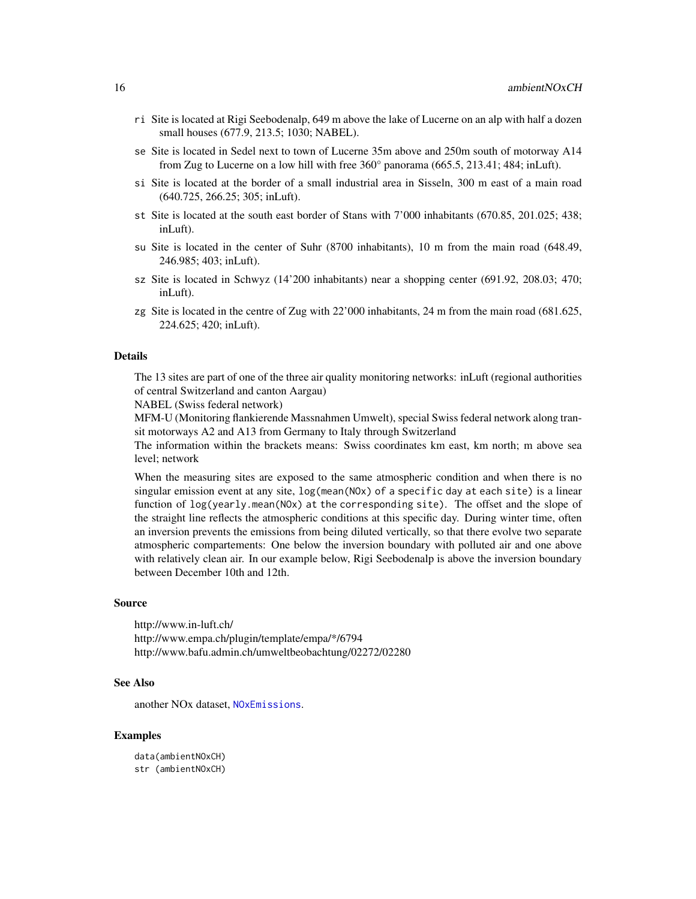- ri Site is located at Rigi Seebodenalp, 649 m above the lake of Lucerne on an alp with half a dozen small houses (677.9, 213.5; 1030; NABEL).
- se Site is located in Sedel next to town of Lucerne 35m above and 250m south of motorway A14 from Zug to Lucerne on a low hill with free 360° panorama (665.5, 213.41; 484; inLuft).
- si Site is located at the border of a small industrial area in Sisseln, 300 m east of a main road (640.725, 266.25; 305; inLuft).
- st Site is located at the south east border of Stans with 7'000 inhabitants (670.85, 201.025; 438; inLuft).
- su Site is located in the center of Suhr (8700 inhabitants), 10 m from the main road (648.49, 246.985; 403; inLuft).
- sz Site is located in Schwyz (14'200 inhabitants) near a shopping center (691.92, 208.03; 470; inLuft).
- zg Site is located in the centre of Zug with 22'000 inhabitants, 24 m from the main road (681.625, 224.625; 420; inLuft).

The 13 sites are part of one of the three air quality monitoring networks: inLuft (regional authorities of central Switzerland and canton Aargau)

NABEL (Swiss federal network)

MFM-U (Monitoring flankierende Massnahmen Umwelt), special Swiss federal network along transit motorways A2 and A13 from Germany to Italy through Switzerland

The information within the brackets means: Swiss coordinates km east, km north; m above sea level; network

When the measuring sites are exposed to the same atmospheric condition and when there is no singular emission event at any site, log(mean(NOx) of a specific day at each site) is a linear function of log(yearly.mean(NOx) at the corresponding site). The offset and the slope of the straight line reflects the atmospheric conditions at this specific day. During winter time, often an inversion prevents the emissions from being diluted vertically, so that there evolve two separate atmospheric compartements: One below the inversion boundary with polluted air and one above with relatively clean air. In our example below, Rigi Seebodenalp is above the inversion boundary between December 10th and 12th.

#### Source

http://www.in-luft.ch/ http://www.empa.ch/plugin/template/empa/\*/6794 http://www.bafu.admin.ch/umweltbeobachtung/02272/02280

#### See Also

another NOx dataset, [NOxEmissions](#page-106-1).

#### Examples

data(ambientNOxCH) str (ambientNOxCH)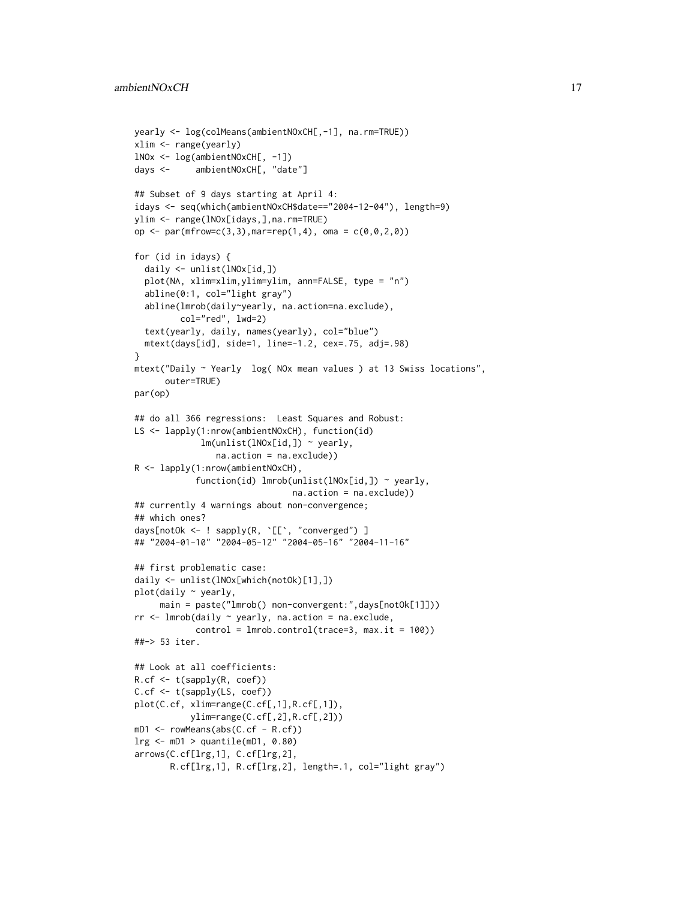```
yearly <- log(colMeans(ambientNOxCH[,-1], na.rm=TRUE))
xlim <- range(yearly)
lNOx <- log(ambientNOxCH[, -1])
days <- ambientNOxCH[, "date"]
## Subset of 9 days starting at April 4:
idays <- seq(which(ambientNOxCH$date=="2004-12-04"), length=9)
ylim <- range(lNOx[idays,],na.rm=TRUE)
op <- par(mfrow=c(3,3),mar=rep(1,4), oma = c(0,0,2,0))
for (id in idays) {
  daily <- unlist(lNOx[id,])
  plot(NA, xlim=xlim,ylim=ylim, ann=FALSE, type = "n")
  abline(0:1, col="light gray")
  abline(lmrob(daily~yearly, na.action=na.exclude),
         col="red", lwd=2)
  text(yearly, daily, names(yearly), col="blue")
  mtext(days[id], side=1, line=-1.2, cex=.75, adj=.98)
}
mtext("Daily ~ Yearly log( NOx mean values ) at 13 Swiss locations",
      outer=TRUE)
par(op)
## do all 366 regressions: Least Squares and Robust:
LS <- lapply(1:nrow(ambientNOxCH), function(id)
             lm(unlist(lNOx[id,]) ~ yearly,
                na.action = na.exclude))
R <- lapply(1:nrow(ambientNOxCH),
            function(id) lmrob(unlist(lNOx[id,]) ~ yearly,
                               na.action = na.exclude))
## currently 4 warnings about non-convergence;
## which ones?
days[notOk <- ! sapply(R, `[[`, "converged") ]
## "2004-01-10" "2004-05-12" "2004-05-16" "2004-11-16"
## first problematic case:
daily <- unlist(lNOx[which(notOk)[1],])
plot(daily ~ yearly,
     main = paste("lmrob() non-convergent:",days[notOk[1]]))
rr <- lmrob(daily ~ yearly, na.action = na.exclude,
            control = lmrob.control(trace=3, max.it = 100))
##-> 53 iter.
## Look at all coefficients:
R.cf <- t(sapply(R, coef))
C.cf <- t(sapply(LS, coef))
plot(C.cf, xlim=range(C.cf[,1],R.cf[,1]),
           ylim=range(C.cf[,2],R.cf[,2]))
mD1 <- rowMeans(abs(C.cf - R.cf))
lrg <- mD1 > quantile(mD1, 0.80)
arrows(C.cf[lrg,1], C.cf[lrg,2],
       R.cf[lrg,1], R.cf[lrg,2], length=.1, col="light gray")
```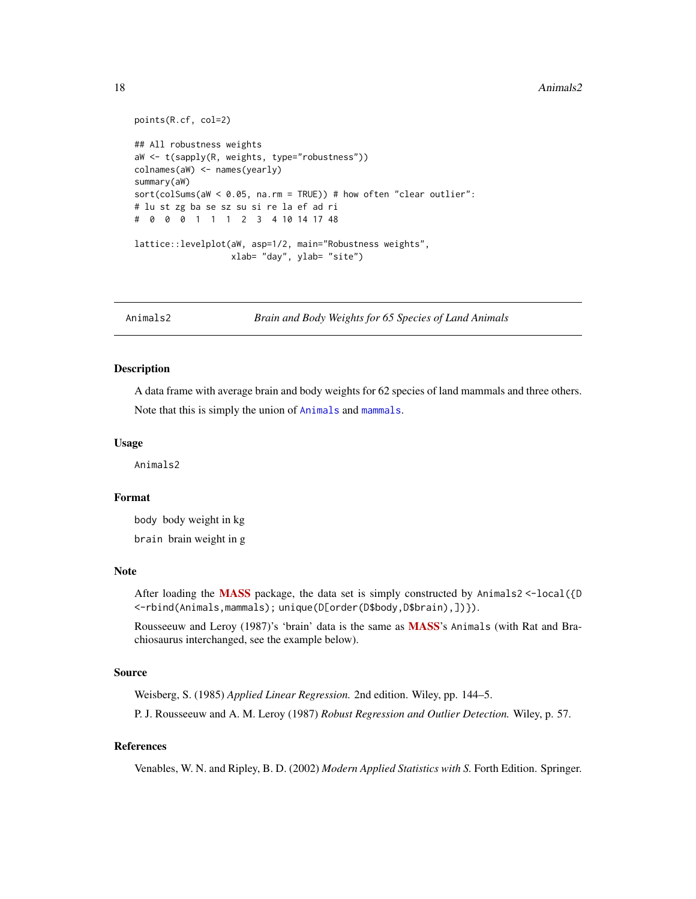#### <span id="page-17-0"></span>18 Animals2

```
points(R.cf, col=2)
## All robustness weights
aW <- t(sapply(R, weights, type="robustness"))
colnames(aW) <- names(yearly)
summary(aW)
sort(colSums(aW < 0.05, na.rm = TRUE)) # how often "clear outlier":
# lu st zg ba se sz su si re la ef ad ri
# 0 0 0 1 1 1 2 3 4 10 14 17 48
lattice::levelplot(aW, asp=1/2, main="Robustness weights",
                  xlab= "day", ylab= "site")
```
Animals2 *Brain and Body Weights for 65 Species of Land Animals*

# Description

A data frame with average brain and body weights for 62 species of land mammals and three others. Note that this is simply the union of [Animals](#page-0-0) and [mammals](#page-0-0).

#### Usage

Animals2

#### Format

body body weight in kg brain brain weight in g

#### Note

After loading the [MASS](https://CRAN.R-project.org/package=MASS) package, the data set is simply constructed by Animals2 <-local({D <-rbind(Animals,mammals); unique(D[order(D\$body,D\$brain),])}).

Rousseeuw and Leroy (1987)'s 'brain' data is the same as **[MASS](https://CRAN.R-project.org/package=MASS)**'s Animals (with Rat and Brachiosaurus interchanged, see the example below).

# Source

Weisberg, S. (1985) *Applied Linear Regression.* 2nd edition. Wiley, pp. 144–5.

P. J. Rousseeuw and A. M. Leroy (1987) *Robust Regression and Outlier Detection.* Wiley, p. 57.

# References

Venables, W. N. and Ripley, B. D. (2002) *Modern Applied Statistics with S.* Forth Edition. Springer.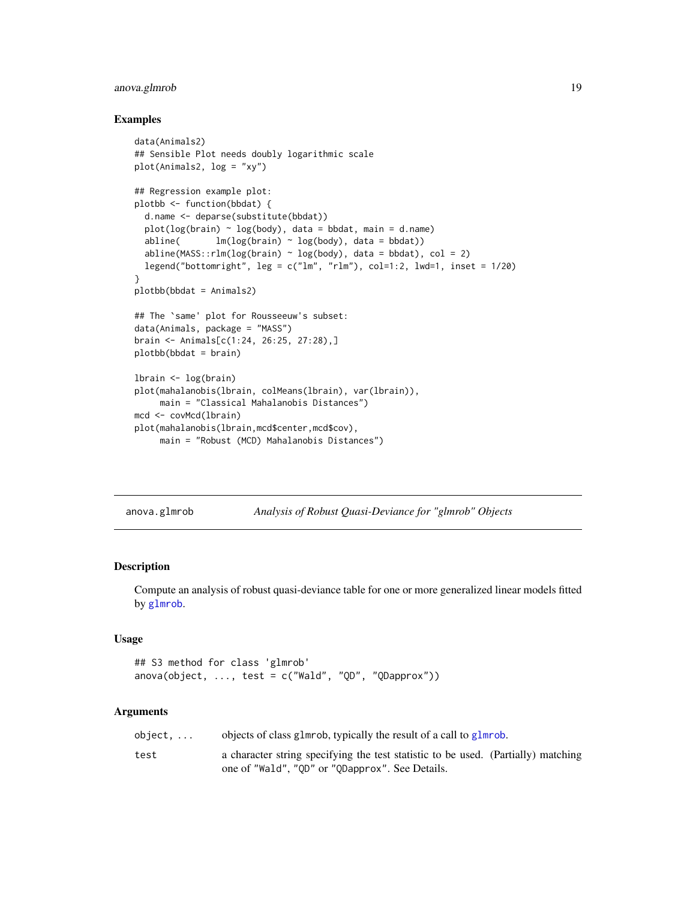# <span id="page-18-0"></span>anova.glmrob 19

#### Examples

```
data(Animals2)
## Sensible Plot needs doubly logarithmic scale
plot(Animals2, log = "xy")
## Regression example plot:
plotbb <- function(bbdat) {
  d.name <- deparse(substitute(bbdat))
  plot(log(brain) ~ log(body), data = bbdat, main = d.name)abline( lm(log(brain) \sim log(body), data = bbdat))
  abline(MASS::rlm(log(brain) ~ log(body), data = bbdat), col = 2)legend("bottomright", leg = c("lm", "rlm"), col=1:2, lwd=1, inset = 1/20)
}
plotbb(bbdat = Animals2)
## The `same' plot for Rousseeuw's subset:
data(Animals, package = "MASS")
brain <- Animals[c(1:24, 26:25, 27:28),]
plotbb(bbdat = brain)
lbrain <- log(brain)
plot(mahalanobis(lbrain, colMeans(lbrain), var(lbrain)),
     main = "Classical Mahalanobis Distances")
mcd <- covMcd(lbrain)
plot(mahalanobis(lbrain,mcd$center,mcd$cov),
    main = "Robust (MCD) Mahalanobis Distances")
```
anova.glmrob *Analysis of Robust Quasi-Deviance for "glmrob" Objects*

# Description

Compute an analysis of robust quasi-deviance table for one or more generalized linear models fitted by [glmrob](#page-52-1).

#### Usage

```
## S3 method for class 'glmrob'
anova(object, ..., test = c("Wald", "QD", "QDapprox"))
```

| object. | objects of class glmrob, typically the result of a call to glmrob.                |
|---------|-----------------------------------------------------------------------------------|
| test    | a character string specifying the test statistic to be used. (Partially) matching |
|         | one of "Wald", "QD" or "QDapprox". See Details.                                   |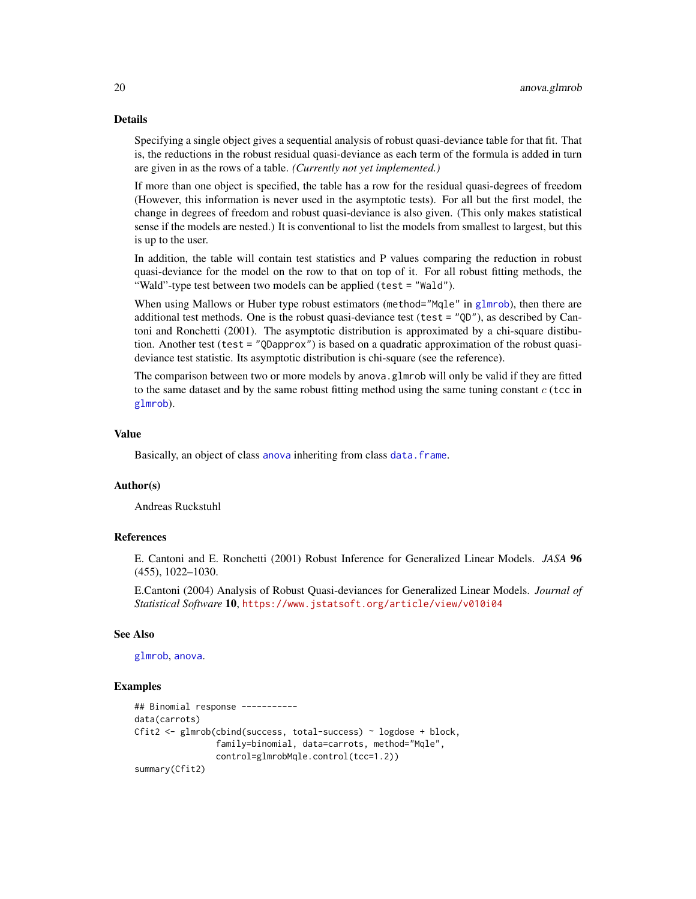Specifying a single object gives a sequential analysis of robust quasi-deviance table for that fit. That is, the reductions in the robust residual quasi-deviance as each term of the formula is added in turn are given in as the rows of a table. *(Currently not yet implemented.)*

If more than one object is specified, the table has a row for the residual quasi-degrees of freedom (However, this information is never used in the asymptotic tests). For all but the first model, the change in degrees of freedom and robust quasi-deviance is also given. (This only makes statistical sense if the models are nested.) It is conventional to list the models from smallest to largest, but this is up to the user.

In addition, the table will contain test statistics and P values comparing the reduction in robust quasi-deviance for the model on the row to that on top of it. For all robust fitting methods, the "Wald"-type test between two models can be applied (test = "Wald").

When using Mallows or Huber type robust estimators (method="Mqle" in [glmrob](#page-52-1)), then there are additional test methods. One is the robust quasi-deviance test (test =  $"QD"$ ), as described by Cantoni and Ronchetti (2001). The asymptotic distribution is approximated by a chi-square distibution. Another test (test = "QDapprox") is based on a quadratic approximation of the robust quasideviance test statistic. Its asymptotic distribution is chi-square (see the reference).

The comparison between two or more models by anova.glmrob will only be valid if they are fitted to the same dataset and by the same robust fitting method using the same tuning constant  $c$  (tcc in [glmrob](#page-52-1)).

#### Value

Basically, an object of class [anova](#page-0-0) inheriting from class [data.frame](#page-0-0).

#### Author(s)

Andreas Ruckstuhl

# References

E. Cantoni and E. Ronchetti (2001) Robust Inference for Generalized Linear Models. *JASA* 96 (455), 1022–1030.

E.Cantoni (2004) Analysis of Robust Quasi-deviances for Generalized Linear Models. *Journal of Statistical Software* 10, <https://www.jstatsoft.org/article/view/v010i04>

#### See Also

[glmrob](#page-52-1), [anova](#page-0-0).

```
## Binomial response -----------
data(carrots)
Cfit2 <- glmrob(cbind(success, total-success) ~ logdose + block,
                family=binomial, data=carrots, method="Mqle",
                control=glmrobMqle.control(tcc=1.2))
summary(Cfit2)
```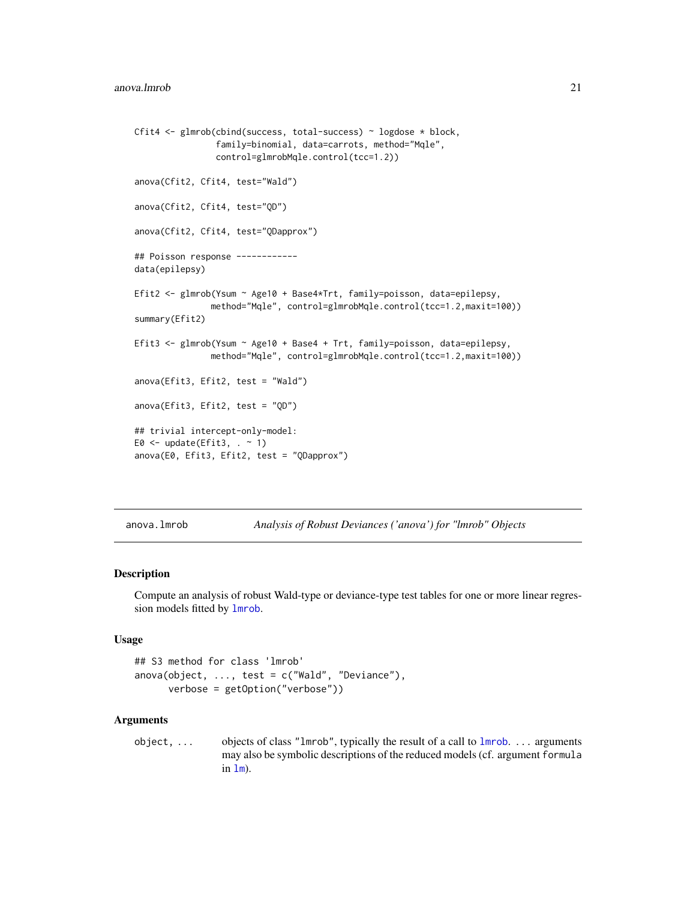```
Cfit4 <- glmrob(cbind(success, total-success) ~ logdose * block,
                family=binomial, data=carrots, method="Mqle",
                control=glmrobMqle.control(tcc=1.2))
anova(Cfit2, Cfit4, test="Wald")
anova(Cfit2, Cfit4, test="QD")
anova(Cfit2, Cfit4, test="QDapprox")
## Poisson response ------------
data(epilepsy)
Efit2 <- glmrob(Ysum ~ Age10 + Base4*Trt, family=poisson, data=epilepsy,
               method="Mqle", control=glmrobMqle.control(tcc=1.2,maxit=100))
summary(Efit2)
Efit3 <- glmrob(Ysum ~ Age10 + Base4 + Trt, family=poisson, data=epilepsy,
               method="Mqle", control=glmrobMqle.control(tcc=1.2,maxit=100))
anova(Efit3, Efit2, test = "Wald")
anova(Efit3, Efit2, test = "QD")
## trivial intercept-only-model:
E0 \leq update(Efit3, \leq 1)
anova(E0, Efit3, Efit2, test = "QDapprox")
```
<span id="page-20-1"></span>anova.lmrob *Analysis of Robust Deviances ('anova') for "lmrob" Objects*

### Description

Compute an analysis of robust Wald-type or deviance-type test tables for one or more linear regression models fitted by [lmrob](#page-67-1).

#### Usage

```
## S3 method for class 'lmrob'
anova(object, \ldots, test = c("Wald", "Deviance"),
      verbose = getOption("verbose"))
```
#### Arguments

object, ... objects of class "lmrob", typically the result of a call to [lmrob](#page-67-1). ... arguments may also be symbolic descriptions of the reduced models (cf. argument formula in  $lm$ ).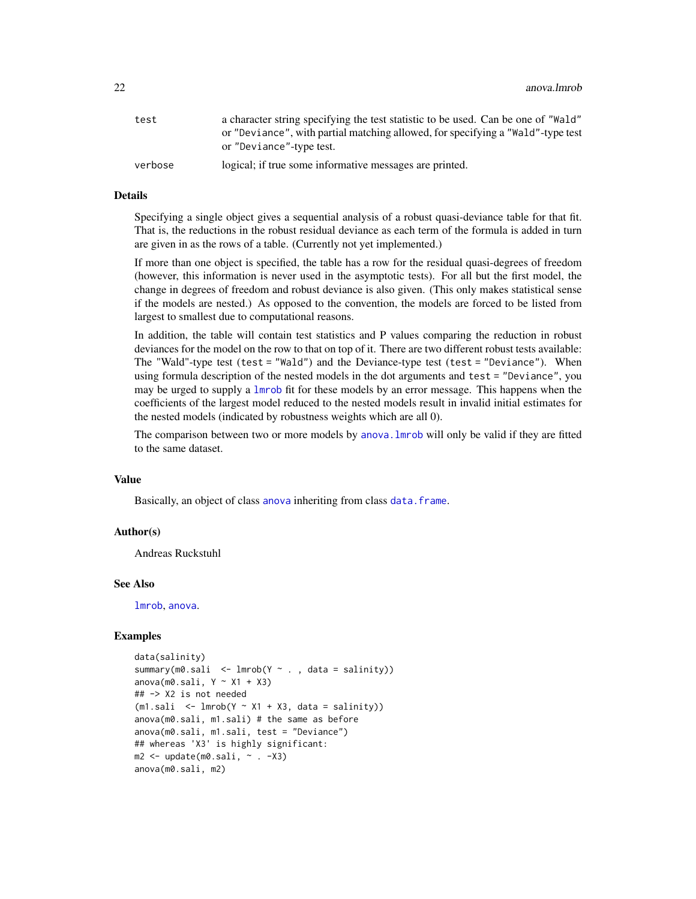| test    | a character string specifying the test statistic to be used. Can be one of "Wald" |
|---------|-----------------------------------------------------------------------------------|
|         | or "Deviance", with partial matching allowed, for specifying a "Wald"-type test   |
|         | or "Deviance"-type test.                                                          |
| verbose | logical; if true some informative messages are printed.                           |

Specifying a single object gives a sequential analysis of a robust quasi-deviance table for that fit. That is, the reductions in the robust residual deviance as each term of the formula is added in turn are given in as the rows of a table. (Currently not yet implemented.)

If more than one object is specified, the table has a row for the residual quasi-degrees of freedom (however, this information is never used in the asymptotic tests). For all but the first model, the change in degrees of freedom and robust deviance is also given. (This only makes statistical sense if the models are nested.) As opposed to the convention, the models are forced to be listed from largest to smallest due to computational reasons.

In addition, the table will contain test statistics and P values comparing the reduction in robust deviances for the model on the row to that on top of it. There are two different robust tests available: The "Wald"-type test (test = "Wald") and the Deviance-type test (test = "Deviance"). When using formula description of the nested models in the dot arguments and test = "Deviance", you may be urged to supply a [lmrob](#page-67-1) fit for these models by an error message. This happens when the coefficients of the largest model reduced to the nested models result in invalid initial estimates for the nested models (indicated by robustness weights which are all 0).

The comparison between two or more models by anova. Lue of will only be valid if they are fitted to the same dataset.

#### Value

Basically, an object of class [anova](#page-0-0) inheriting from class [data.frame](#page-0-0).

#### Author(s)

Andreas Ruckstuhl

#### See Also

[lmrob](#page-67-1), [anova](#page-0-0).

```
data(salinity)
summary(m0.sali \leq lmrob(Y \sim ., data = salinity))
anova(m0.sali, Y \sim X1 + X3)
## -> X2 is not needed
(m1.sali < -lmrob(Y \sim X1 + X3, data = salinity))anova(m0.sali, m1.sali) # the same as before
anova(m0.sali, m1.sali, test = "Deviance")
## whereas 'X3' is highly significant:
m2 \leq update(m0 \text{.} \text{sali}, \sim . -x3)
anova(m0.sali, m2)
```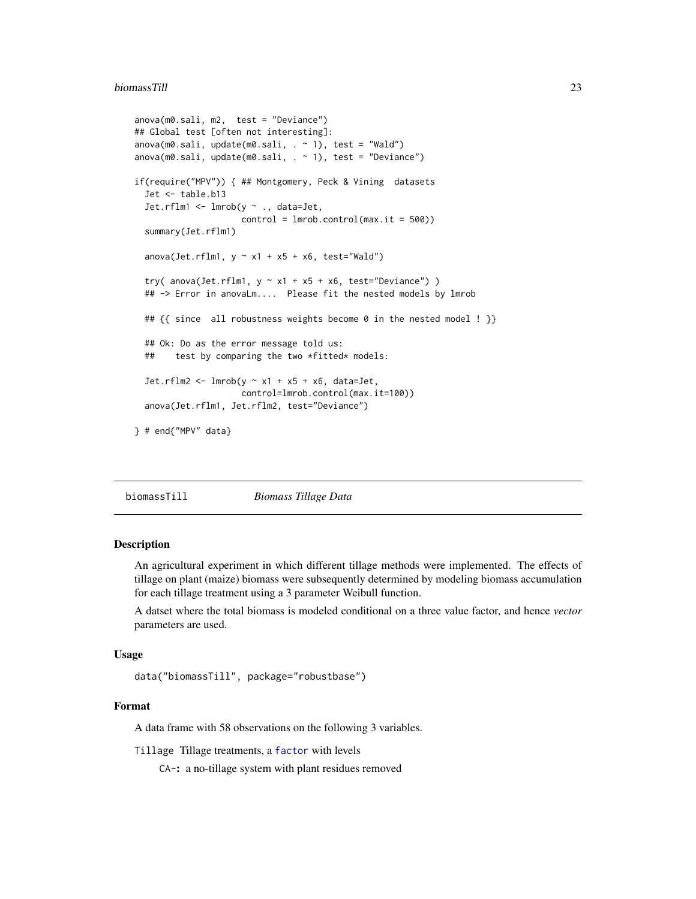#### <span id="page-22-0"></span>biomassTill 23

```
anova(m0.sali, m2, test = "Deviance")
## Global test [often not interesting]:
anova(m0.sali, update(m0.sali, . ~ 1), test = "Wald")
anova(m0.sali, update(m0.sali, . ~ 1), test = "Deviance")if(require("MPV")) { ## Montgomery, Peck & Vining datasets
 Jet <- table.b13
 Jet.rflm1 <- lmrob(y ~ ., data=Jet,
                    control = Imrob.contrib(max.it = 500)summary(Jet.rflm1)
 anova(Jet.rflm1, y \sim x1 + x5 + x6, test="Wald")
 try( anova(Jet.rflm1, y \sim x1 + x5 + x6, test="Deviance") )
 ## -> Error in anovaLm.... Please fit the nested models by lmrob
 ## {{ since all robustness weights become 0 in the nested model ! }}
 ## Ok: Do as the error message told us:
 ## test by comparing the two *fitted* models:
 Jet.rflm2 <- lmrob(y \sim x1 + x5 + x6, data=Jet,control=lmrob.control(max.it=100))
 anova(Jet.rflm1, Jet.rflm2, test="Deviance")
} # end{"MPV" data}
```
biomassTill *Biomass Tillage Data*

#### **Description**

An agricultural experiment in which different tillage methods were implemented. The effects of tillage on plant (maize) biomass were subsequently determined by modeling biomass accumulation for each tillage treatment using a 3 parameter Weibull function.

A datset where the total biomass is modeled conditional on a three value factor, and hence *vector* parameters are used.

# Usage

data("biomassTill", package="robustbase")

#### Format

A data frame with 58 observations on the following 3 variables.

Tillage Tillage treatments, a [factor](#page-0-0) with levels

CA-: a no-tillage system with plant residues removed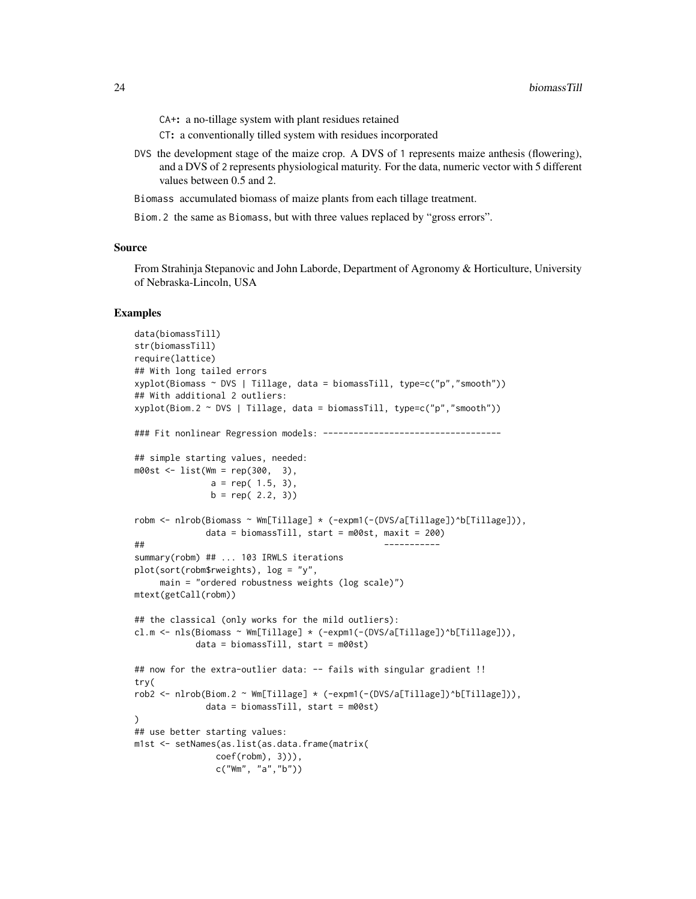CA+: a no-tillage system with plant residues retained

CT: a conventionally tilled system with residues incorporated

DVS the development stage of the maize crop. A DVS of 1 represents maize anthesis (flowering), and a DVS of 2 represents physiological maturity. For the data, numeric vector with 5 different values between 0.5 and 2.

Biomass accumulated biomass of maize plants from each tillage treatment.

Biom.2 the same as Biomass, but with three values replaced by "gross errors".

#### Source

From Strahinja Stepanovic and John Laborde, Department of Agronomy & Horticulture, University of Nebraska-Lincoln, USA

```
data(biomassTill)
str(biomassTill)
require(lattice)
## With long tailed errors
xyplot(Biomass ~ DVS | Tillage, data = biomassTill, type=c("p","smooth"))
## With additional 2 outliers:
xyplot(Biom.2 ~ VSS | Tillage, data = biomassTill, type=c("p", "smooth"))### Fit nonlinear Regression models: -----------------------------------
## simple starting values, needed:
m00st <- list(Wm = rep(300, 3),
              a = rep(1.5, 3),b = rep(2.2, 3)robm <- nlrob(Biomass ~ Wm[Tillage] * (-expm1(-(DVS/a[Tillage])^b[Tillage])),
             data = biomassTill, start = m00st, maxit = 200)
## -----------
summary(robm) ## ... 103 IRWLS iterations
plot(sort(robm$rweights), log = "y",
     main = "ordered robustness weights (log scale)")
mtext(getCall(robm))
## the classical (only works for the mild outliers):
cl.m <- nls(Biomass ~ Wm[Tillage] * (-expm1(-(DVS/a[Tillage])^b[Tillage])),
           data = biomassTill, start = m00st)
## now for the extra-outlier data: -- fails with singular gradient !!
try(
rob2 <- nlrob(Biom.2 ~ Wm[Tillage] * (-expm1(-(DVS/a[Tillage])^b[Tillage])),
             data = biomassTill, start = m00st)
)
## use better starting values:
m1st <- setNames(as.list(as.data.frame(matrix(
               coef(robm), 3))),
               c("Wm", "a","b"))
```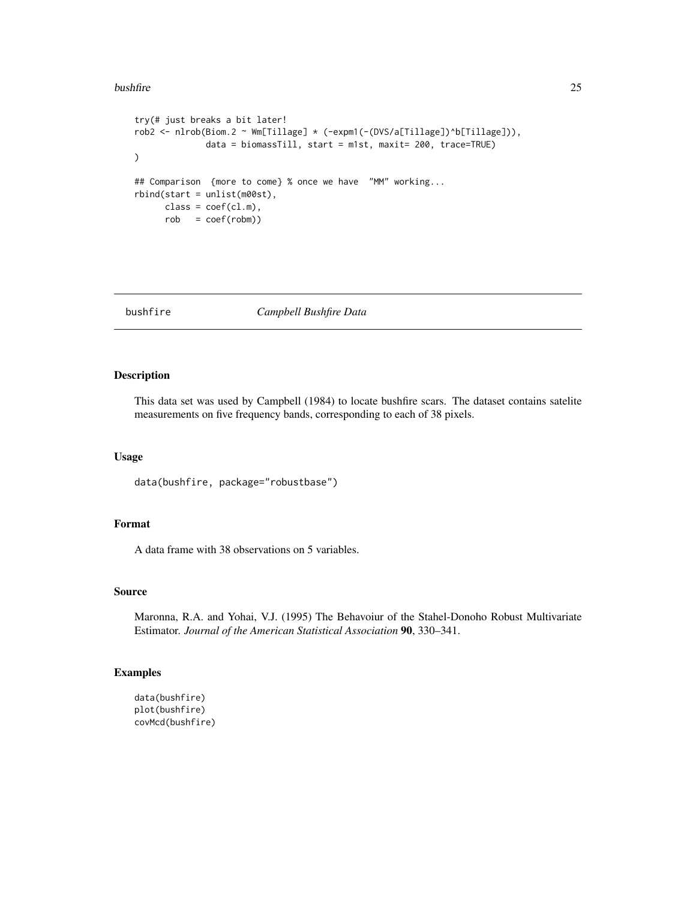#### <span id="page-24-0"></span>bushfire 25

```
try(# just breaks a bit later!
rob2 <- nlrob(Biom.2 ~ Wm[Tillage] * (-expm1(-(DVS/a[Tillage])^b[Tillage])),
             data = biomassTill, start = m1st, maxit= 200, trace=TRUE)
)
## Comparison {more to come} % once we have "MM" working...
rbind(start = unlist(m00st),
     class = coef(cl.m),rob = coef(robm))
```
bushfire *Campbell Bushfire Data*

# Description

This data set was used by Campbell (1984) to locate bushfire scars. The dataset contains satelite measurements on five frequency bands, corresponding to each of 38 pixels.

# Usage

```
data(bushfire, package="robustbase")
```
# Format

A data frame with 38 observations on 5 variables.

#### Source

Maronna, R.A. and Yohai, V.J. (1995) The Behavoiur of the Stahel-Donoho Robust Multivariate Estimator. *Journal of the American Statistical Association* 90, 330–341.

```
data(bushfire)
plot(bushfire)
covMcd(bushfire)
```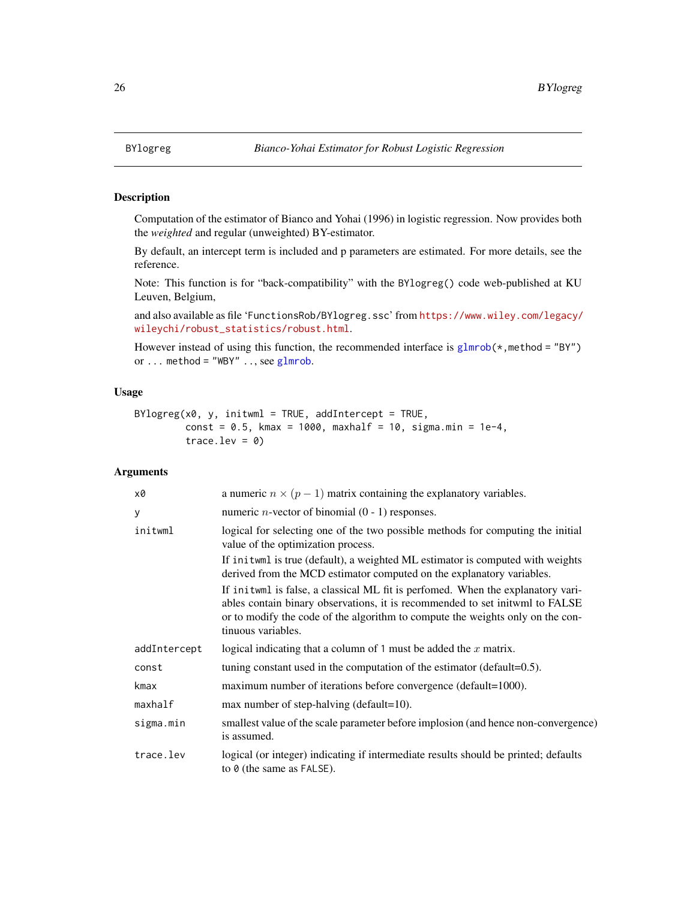<span id="page-25-0"></span>

#### **Description**

Computation of the estimator of Bianco and Yohai (1996) in logistic regression. Now provides both the *weighted* and regular (unweighted) BY-estimator.

By default, an intercept term is included and p parameters are estimated. For more details, see the reference.

Note: This function is for "back-compatibility" with the BYlogreg() code web-published at KU Leuven, Belgium,

and also available as file 'FunctionsRob/BYlogreg.ssc' from [https://www.wiley.com/legacy/](https://www.wiley.com/legacy/wileychi/robust_statistics/robust.html) [wileychi/robust\\_statistics/robust.html](https://www.wiley.com/legacy/wileychi/robust_statistics/robust.html).

However instead of using this function, the recommended interface is  $glmrob(*,method = "BY")$  $glmrob(*,method = "BY")$ or ... method = "WBY" .., see  $glmrob$ .

# Usage

```
BYlogreg(x0, y, initwm1 = TRUE, addIntercept = TRUE,const = 0.5, kmax = 1000, maxhalf = 10, sigma.min = 1e-4,
         trace.lev = 0)
```

| x0           | a numeric $n \times (p-1)$ matrix containing the explanatory variables.                                                                                                                                                                                                 |  |
|--------------|-------------------------------------------------------------------------------------------------------------------------------------------------------------------------------------------------------------------------------------------------------------------------|--|
| У            | numeric <i>n</i> -vector of binomial $(0 - 1)$ responses.                                                                                                                                                                                                               |  |
| initwml      | logical for selecting one of the two possible methods for computing the initial<br>value of the optimization process.                                                                                                                                                   |  |
|              | If inituml is true (default), a weighted ML estimator is computed with weights<br>derived from the MCD estimator computed on the explanatory variables.                                                                                                                 |  |
|              | If inituml is false, a classical ML fit is perfomed. When the explanatory vari-<br>ables contain binary observations, it is recommended to set initwml to FALSE<br>or to modify the code of the algorithm to compute the weights only on the con-<br>tinuous variables. |  |
| addIntercept | logical indicating that a column of 1 must be added the $x$ matrix.                                                                                                                                                                                                     |  |
| const        | tuning constant used in the computation of the estimator (default=0.5).                                                                                                                                                                                                 |  |
| kmax         | maximum number of iterations before convergence (default=1000).                                                                                                                                                                                                         |  |
| maxhalf      | max number of step-halving (default=10).                                                                                                                                                                                                                                |  |
| sigma.min    | smallest value of the scale parameter before implosion (and hence non-convergence)<br>is assumed.                                                                                                                                                                       |  |
| trace.lev    | logical (or integer) indicating if intermediate results should be printed; defaults<br>to $\theta$ (the same as FALSE).                                                                                                                                                 |  |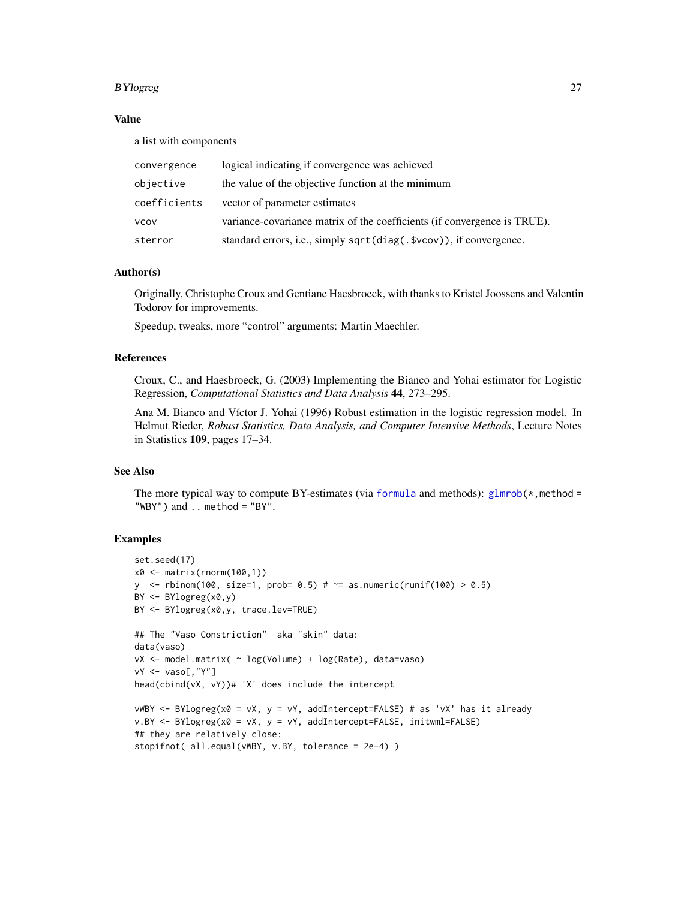#### BYlogreg 27

# Value

a list with components

| convergence  | logical indicating if convergence was achieved                           |
|--------------|--------------------------------------------------------------------------|
| objective    | the value of the objective function at the minimum                       |
| coefficients | vector of parameter estimates                                            |
| VCOV         | variance-covariance matrix of the coefficients (if convergence is TRUE). |
| sterror      | standard errors, i.e., simply sqrt(diag(.\$vcov)), if convergence.       |

#### Author(s)

Originally, Christophe Croux and Gentiane Haesbroeck, with thanks to Kristel Joossens and Valentin Todorov for improvements.

Speedup, tweaks, more "control" arguments: Martin Maechler.

#### References

Croux, C., and Haesbroeck, G. (2003) Implementing the Bianco and Yohai estimator for Logistic Regression, *Computational Statistics and Data Analysis* 44, 273–295.

Ana M. Bianco and Víctor J. Yohai (1996) Robust estimation in the logistic regression model. In Helmut Rieder, *Robust Statistics, Data Analysis, and Computer Intensive Methods*, Lecture Notes in Statistics 109, pages 17–34.

#### See Also

The more typical way to compute BY-estimates (via [formula](#page-0-0) and methods):  $glmrob(*,method =$  $glmrob(*,method =$ "WBY") and  $\ldots$  method = "BY".

```
set.seed(17)
x0 <- matrix(rnorm(100,1))
y <- rbinom(100, size=1, prob= 0.5) # ~= as.numeric(runif(100) > 0.5)
BY <- BYlogreg(x0,y)
BY <- BYlogreg(x0,y, trace.lev=TRUE)
## The "Vaso Constriction" aka "skin" data:
data(vaso)
vX <- model.matrix( ~ log(Volume) + log(Rate), data=vaso)
vY <- vaso[,"Y"]
head(cbind(vX, vY))# 'X' does include the intercept
vWBY < - BY10greg(x0 = vX, y = vY, addIntercept=False) # as 'vx' has it alreadyv.BY \leq BYlogreg(x0 = vX, y = vY, addIntercept=False, initwm1=False)## they are relatively close:
stopifnot( all.equal(vWBY, v.BY, tolerance = 2e-4) )
```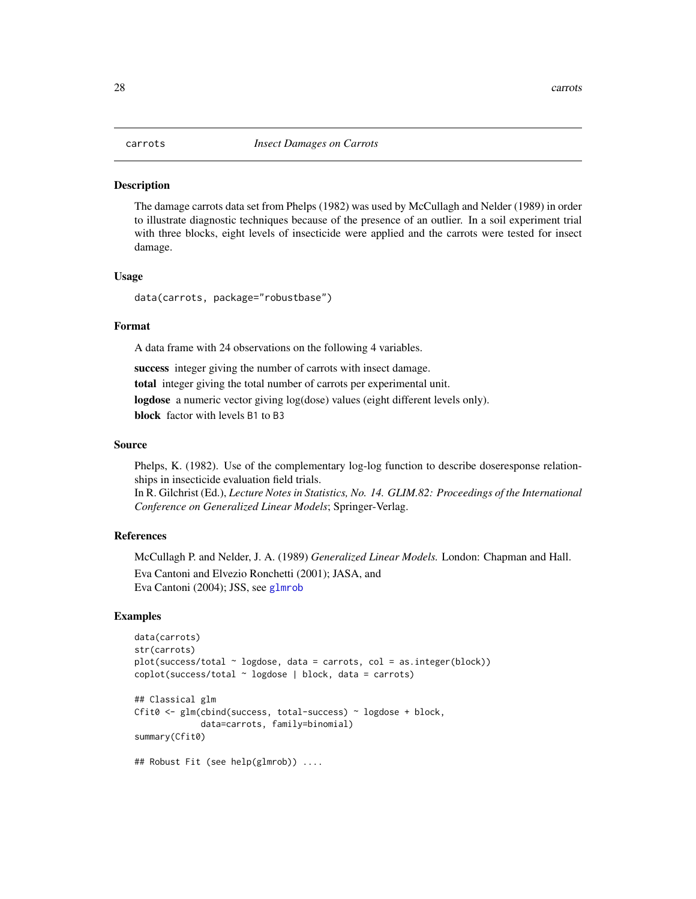#### <span id="page-27-0"></span>**Description**

The damage carrots data set from Phelps (1982) was used by McCullagh and Nelder (1989) in order to illustrate diagnostic techniques because of the presence of an outlier. In a soil experiment trial with three blocks, eight levels of insecticide were applied and the carrots were tested for insect damage.

#### Usage

data(carrots, package="robustbase")

### Format

A data frame with 24 observations on the following 4 variables.

success integer giving the number of carrots with insect damage. total integer giving the total number of carrots per experimental unit. logdose a numeric vector giving log(dose) values (eight different levels only). block factor with levels B1 to B3

#### Source

Phelps, K. (1982). Use of the complementary log-log function to describe doseresponse relationships in insecticide evaluation field trials.

In R. Gilchrist (Ed.), *Lecture Notes in Statistics, No. 14. GLIM.82: Proceedings of the International Conference on Generalized Linear Models*; Springer-Verlag.

# References

McCullagh P. and Nelder, J. A. (1989) *Generalized Linear Models.* London: Chapman and Hall. Eva Cantoni and Elvezio Ronchetti (2001); JASA, and Eva Cantoni (2004); JSS, see [glmrob](#page-52-1)

```
data(carrots)
str(carrots)
plot(success/total ~ logdose, data = carrots, col = as.integer(block))
coplot(success/total ~ logdose | block, data = carrots)
## Classical glm
Cfit0 <- glm(cbind(success, total-success) ~ logdose + block,
             data=carrots, family=binomial)
summary(Cfit0)
## Robust Fit (see help(glmrob)) ....
```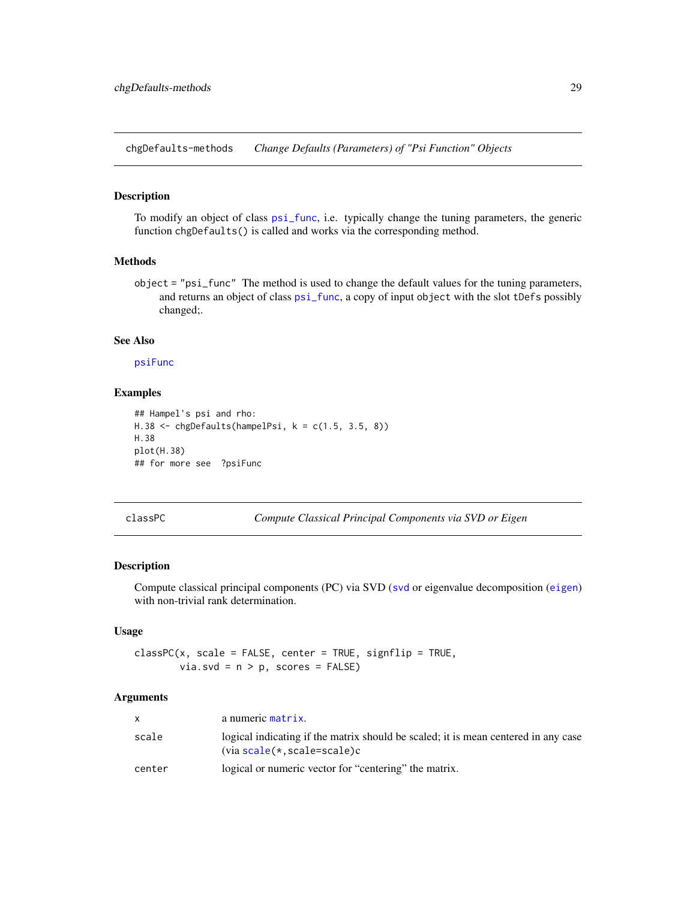<span id="page-28-0"></span>chgDefaults-methods *Change Defaults (Parameters) of "Psi Function" Objects*

#### Description

To modify an object of class [psi\\_func](#page-129-1), i.e. typically change the tuning parameters, the generic function chgDefaults() is called and works via the corresponding method.

# Methods

object = "psi\_func" The method is used to change the default values for the tuning parameters, and returns an object of class [psi\\_func](#page-129-1), a copy of input object with the slot tDefs possibly changed;.

#### See Also

[psiFunc](#page-128-1)

# Examples

```
## Hampel's psi and rho:
H.38 <- chgDefaults(hampelPsi, k = c(1.5, 3.5, 8))
H.38
plot(H.38)
## for more see ?psiFunc
```
classPC *Compute Classical Principal Components via SVD or Eigen*

#### Description

Compute classical principal components (PC) via SVD ([svd](#page-0-0) or eigenvalue decomposition ([eigen](#page-0-0)) with non-trivial rank determination.

# Usage

```
\text{classPC}(x, \text{ scale} = \text{FALSE}, \text{ center} = \text{TRUE}, \text{signflip} = \text{TRUE},via.svd = n > p, scores = FALSE)
```

|        | a numeric matrix.                                                                                                     |
|--------|-----------------------------------------------------------------------------------------------------------------------|
| scale  | logical indicating if the matrix should be scaled; it is mean centered in any case<br>$(via scale(*, scale = scale)c$ |
| center | logical or numeric vector for "centering" the matrix.                                                                 |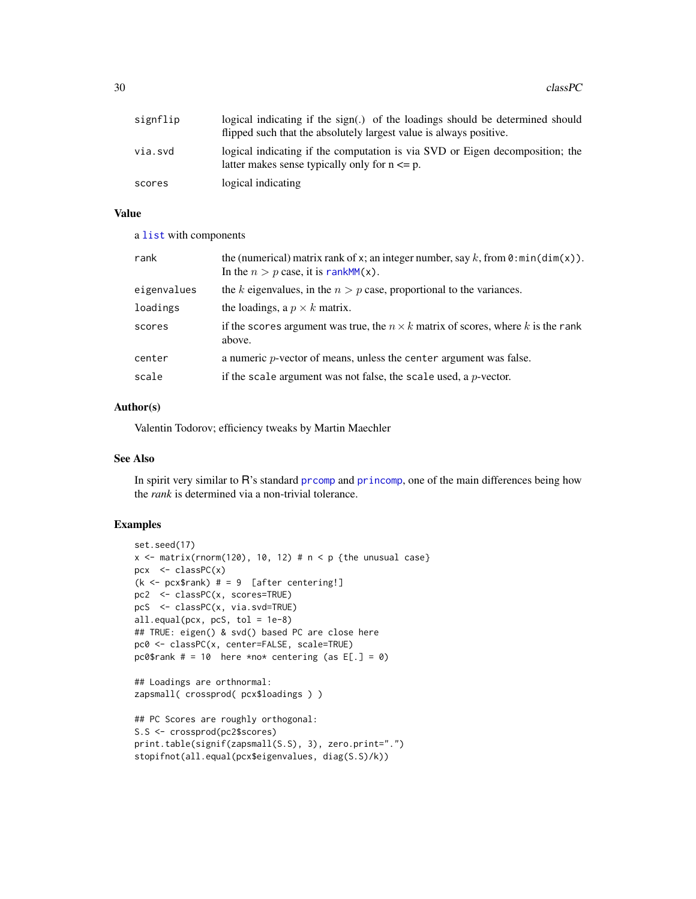30 classPC

| signflip | logical indicating if the $sign(.)$ of the loadings should be determined should<br>flipped such that the absolutely largest value is always positive. |
|----------|-------------------------------------------------------------------------------------------------------------------------------------------------------|
| via.svd  | logical indicating if the computation is via SVD or Eigen decomposition; the<br>latter makes sense typically only for $n \leq p$ .                    |
| scores   | logical indicating                                                                                                                                    |

# Value

a [list](#page-0-0) with components

| rank        | the (numerical) matrix rank of x; an integer number, say k, from $\theta$ : min(dim(x)).<br>In the $n > p$ case, it is rankMM(x). |  |
|-------------|-----------------------------------------------------------------------------------------------------------------------------------|--|
| eigenvalues | the k eigenvalues, in the $n > p$ case, proportional to the variances.                                                            |  |
| loadings    | the loadings, a $p \times k$ matrix.                                                                                              |  |
| scores      | if the scores argument was true, the $n \times k$ matrix of scores, where k is the rank<br>above.                                 |  |
| center      | a numeric $p$ -vector of means, unless the center argument was false.                                                             |  |
| scale       | if the scale argument was not false, the scale used, a $p$ -vector.                                                               |  |

# Author(s)

Valentin Todorov; efficiency tweaks by Martin Maechler

#### See Also

In spirit very similar to R's standard promp and [princomp](#page-0-0), one of the main differences being how the *rank* is determined via a non-trivial tolerance.

```
set.seed(17)
x \le - matrix(rnorm(120), 10, 12) # n \le p {the unusual case}
pcx \leq classPC(x)(k \leq pcx$rank) # = 9 [after centering!]
pc2 <- classPC(x, scores=TRUE)
pcS <- classPC(x, via.svd=TRUE)
all.equals(pcx, pcs, tol = 1e-8)## TRUE: eigen() & svd() based PC are close here
pc0 <- classPC(x, center=FALSE, scale=TRUE)
pc0$rank # = 10 here *no* centering (as E[.] = 0)
## Loadings are orthnormal:
zapsmall( crossprod( pcx$loadings ) )
## PC Scores are roughly orthogonal:
S.S <- crossprod(pc2$scores)
print.table(signif(zapsmall(S.S), 3), zero.print=".")
stopifnot(all.equal(pcx$eigenvalues, diag(S.S)/k))
```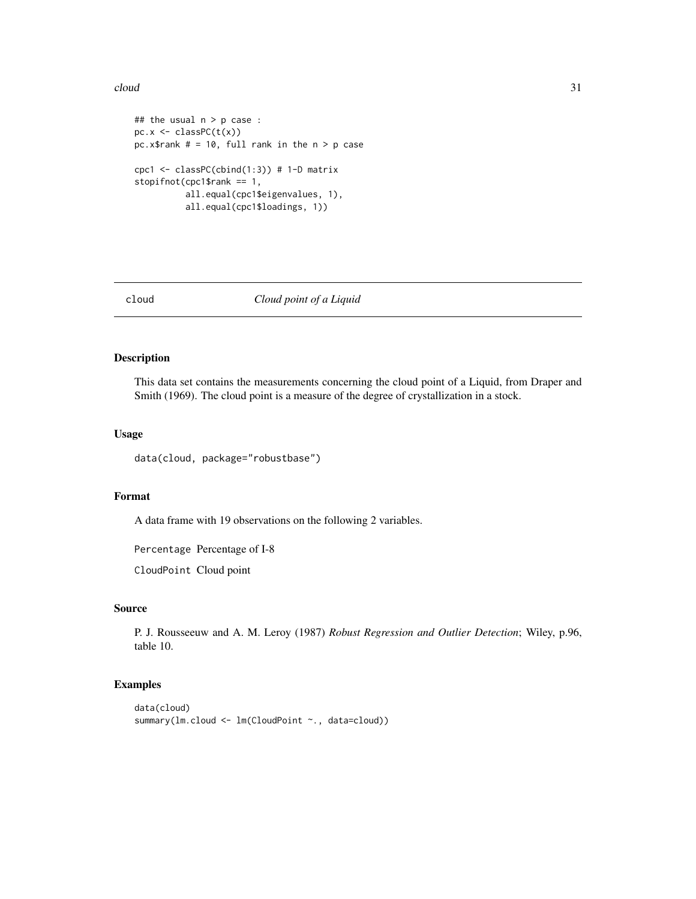#### <span id="page-30-0"></span> $cloud$  31

```
## the usual n > p case :
pc.x \leftarrow classPC(t(x))pc.x$rank # = 10, full rank in the n > p case
cpc1 <- classPC(cbind(1:3)) # 1-D matrix
stopifnot(cpc1$rank == 1,
          all.equal(cpc1$eigenvalues, 1),
          all.equal(cpc1$loadings, 1))
```
# cloud *Cloud point of a Liquid*

#### Description

This data set contains the measurements concerning the cloud point of a Liquid, from Draper and Smith (1969). The cloud point is a measure of the degree of crystallization in a stock.

#### Usage

data(cloud, package="robustbase")

#### Format

A data frame with 19 observations on the following 2 variables.

Percentage Percentage of I-8

CloudPoint Cloud point

#### Source

P. J. Rousseeuw and A. M. Leroy (1987) *Robust Regression and Outlier Detection*; Wiley, p.96, table 10.

```
data(cloud)
summary(lm.cloud <- lm(CloudPoint ~., data=cloud))
```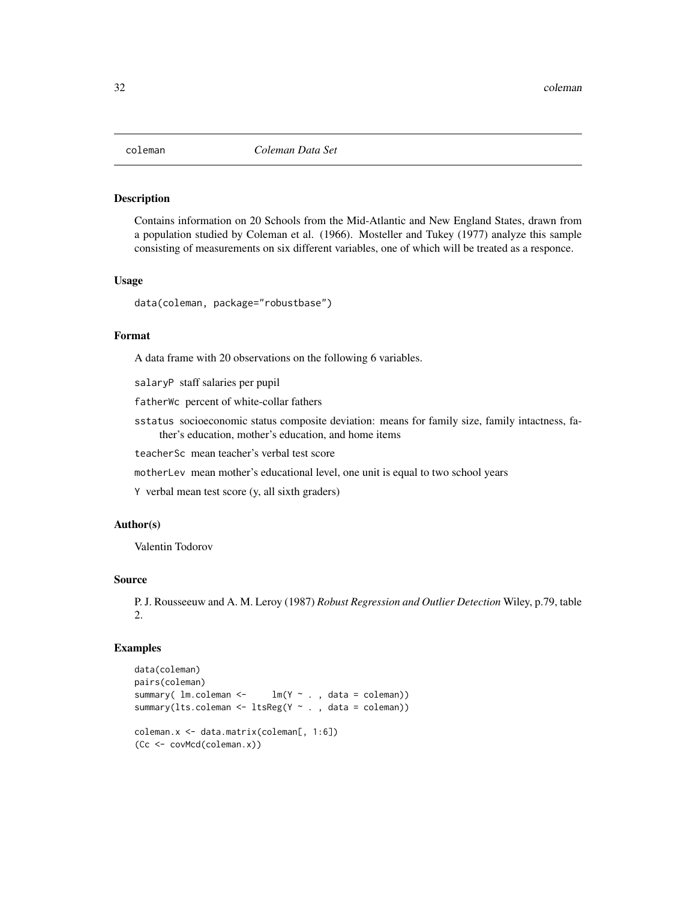<span id="page-31-0"></span>

# Description

Contains information on 20 Schools from the Mid-Atlantic and New England States, drawn from a population studied by Coleman et al. (1966). Mosteller and Tukey (1977) analyze this sample consisting of measurements on six different variables, one of which will be treated as a responce.

#### Usage

data(coleman, package="robustbase")

# Format

A data frame with 20 observations on the following 6 variables.

salaryP staff salaries per pupil

fatherWc percent of white-collar fathers

sstatus socioeconomic status composite deviation: means for family size, family intactness, father's education, mother's education, and home items

teacherSc mean teacher's verbal test score

motherLev mean mother's educational level, one unit is equal to two school years

Y verbal mean test score (y, all sixth graders)

# Author(s)

Valentin Todorov

# Source

P. J. Rousseeuw and A. M. Leroy (1987) *Robust Regression and Outlier Detection* Wiley, p.79, table 2.

```
data(coleman)
pairs(coleman)
summary( lm.coleman < - lm(Y \sim . , data = coleman))
summary(lts.coleman <- ltsReg(Y ~ ., data = coleman))
coleman.x <- data.matrix(coleman[, 1:6])
(Cc <- covMcd(coleman.x))
```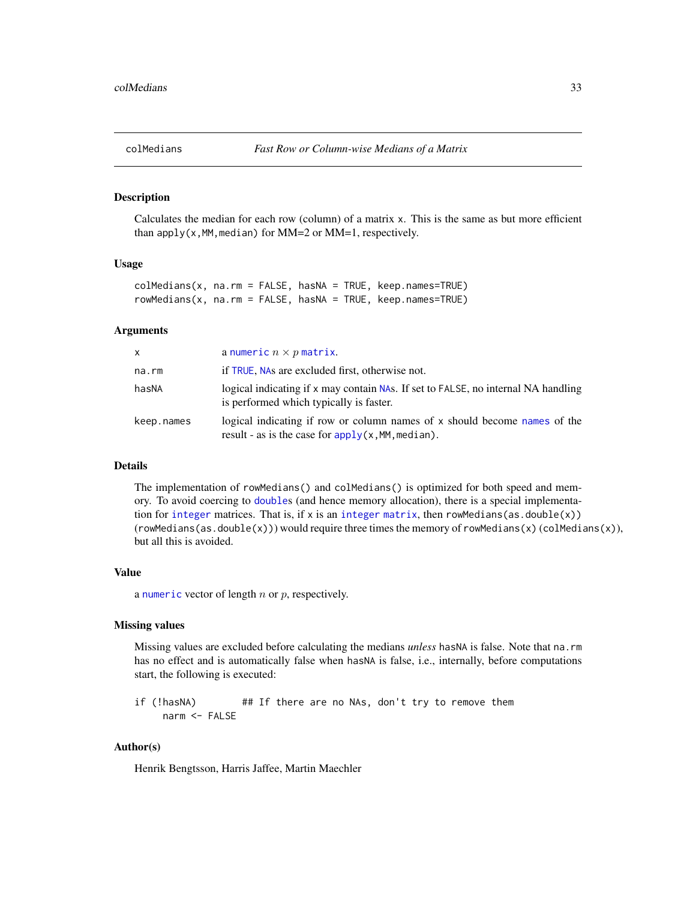<span id="page-32-0"></span>

# Description

Calculates the median for each row (column) of a matrix x. This is the same as but more efficient than apply( $x$ , MM, median) for MM=2 or MM=1, respectively.

#### Usage

```
colMedians(x, na.rm = FALSE, hasNA = TRUE, keep.names=TRUE)
rowMedians(x, na.rm = FALSE, hasNA = TRUE, keep.names=TRUE)
```
# Arguments

| <b>X</b>   | a numeric $n \times p$ matrix.                                                                                                    |
|------------|-----------------------------------------------------------------------------------------------------------------------------------|
| na.rm      | if TRUE, NAs are excluded first, otherwise not.                                                                                   |
| hasNA      | logical indicating if x may contain NAs. If set to FALSE, no internal NA handling<br>is performed which typically is faster.      |
| keep.names | logical indicating if row or column names of x should become names of the<br>result - as is the case for $apply(x, MM, median)$ . |

#### **Details**

The implementation of rowMedians() and colMedians() is optimized for both speed and memory. To avoid coercing to [double](#page-0-0)s (and hence memory allocation), there is a special implementation for [integer](#page-0-0) matrices. That is, if x is an integer [matrix](#page-0-0), then rowMedians(as.double(x))  $(rowMedians(as.double(x)))$  would require three times the memory of rowMedians $(x)$  (colMedians $(x)$ ), but all this is avoided.

#### Value

a [numeric](#page-0-0) vector of length  $n$  or  $p$ , respectively.

#### Missing values

Missing values are excluded before calculating the medians *unless* hasNA is false. Note that na.rm has no effect and is automatically false when hasNA is false, i.e., internally, before computations start, the following is executed:

if (!hasNA) ## If there are no NAs, don't try to remove them narm <- FALSE

# Author(s)

Henrik Bengtsson, Harris Jaffee, Martin Maechler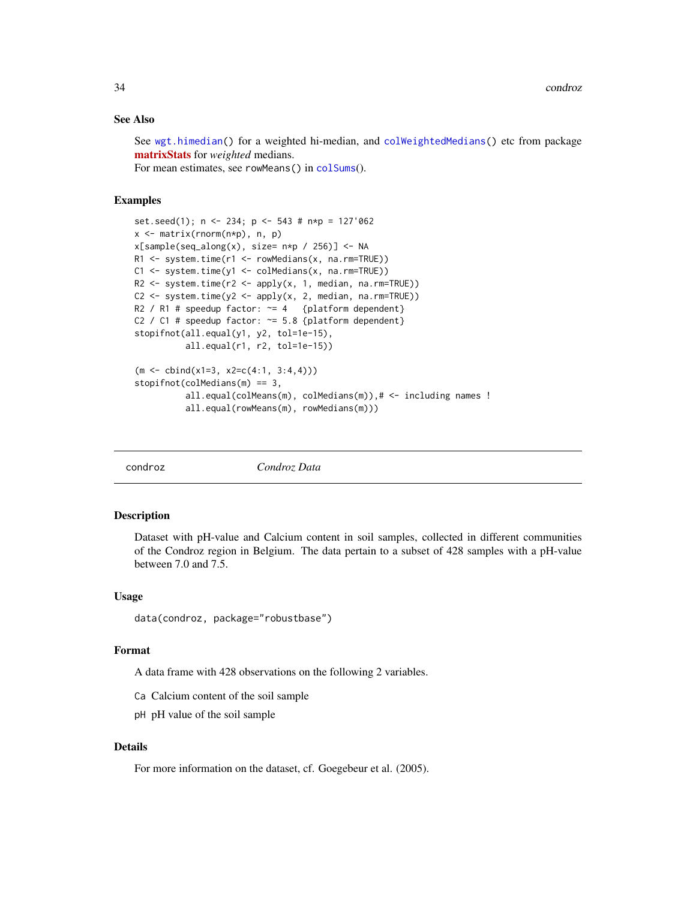# <span id="page-33-0"></span>See Also

See [wgt.himedian\(](#page-169-1)) for a weighted hi-median, and [colWeightedMedians\(](#page-0-0)) etc from package [matrixStats](https://CRAN.R-project.org/package=matrixStats) for *weighted* medians. For mean estimates, see rowMeans() in [colSums](#page-0-0)().

#### Examples

```
set.seed(1); n <- 234; p <- 543 # n*p = 127'062
x <- matrix(rnorm(n*p), n, p)
x[sample(seq_along(x), size=n*p / 256)] <- NA
R1 <- system.time(r1 <- rowMedians(x, na.rm=TRUE))
C1 <- system.time(y1 <- colMedians(x, na.rm=TRUE))
R2 <- system.time(r2 <- apply(x, 1, median, na.rm=TRUE))
C2 \leq - system.time(y2 \leq - apply(x, 2, median, na.rm=TRUE))
R2 / R1 # speedup factor: \approx 4 {platform dependent}
C2 / C1 # speedup factor: \approx 5.8 {platform dependent}
stopifnot(all.equal(y1, y2, tol=1e-15),
          all.equal(r1, r2, tol=1e-15))
(m <- cbind(x1=3, x2=c(4:1, 3:4,4)))
stopifnot(colMedians(m) == 3,
          all.equal(colMeans(m), colMedians(m)),# <- including names !
          all.equal(rowMeans(m), rowMedians(m)))
```
condroz *Condroz Data*

#### Description

Dataset with pH-value and Calcium content in soil samples, collected in different communities of the Condroz region in Belgium. The data pertain to a subset of 428 samples with a pH-value between 7.0 and 7.5.

#### Usage

```
data(condroz, package="robustbase")
```
#### Format

A data frame with 428 observations on the following 2 variables.

- Ca Calcium content of the soil sample
- pH pH value of the soil sample

#### Details

For more information on the dataset, cf. Goegebeur et al. (2005).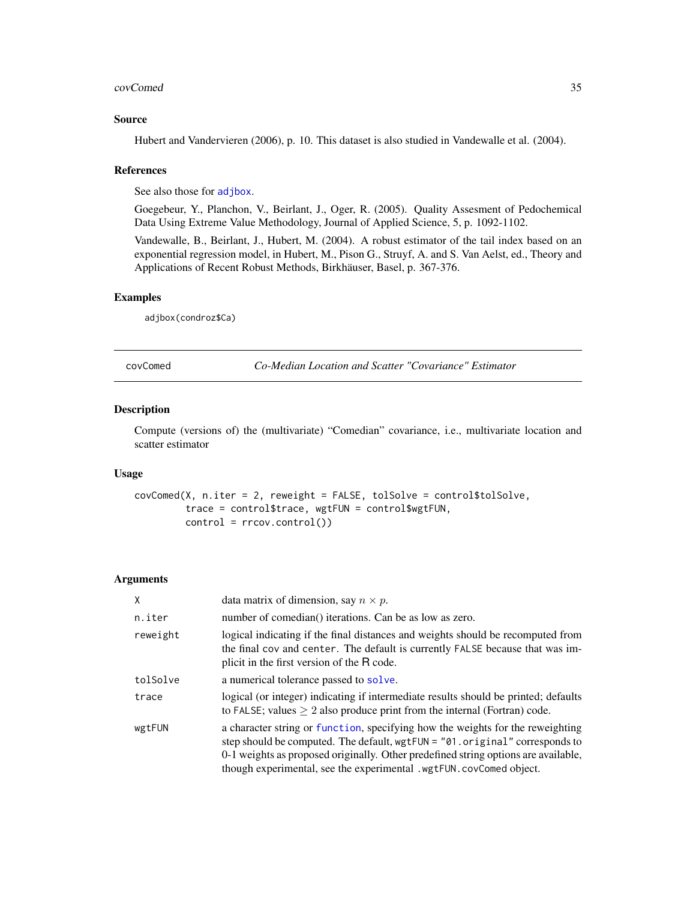#### <span id="page-34-0"></span>covComed 35

#### Source

Hubert and Vandervieren (2006), p. 10. This dataset is also studied in Vandewalle et al. (2004).

#### References

See also those for [adjbox](#page-3-1).

Goegebeur, Y., Planchon, V., Beirlant, J., Oger, R. (2005). Quality Assesment of Pedochemical Data Using Extreme Value Methodology, Journal of Applied Science, 5, p. 1092-1102.

Vandewalle, B., Beirlant, J., Hubert, M. (2004). A robust estimator of the tail index based on an exponential regression model, in Hubert, M., Pison G., Struyf, A. and S. Van Aelst, ed., Theory and Applications of Recent Robust Methods, Birkhäuser, Basel, p. 367-376.

# Examples

adjbox(condroz\$Ca)

covComed *Co-Median Location and Scatter "Covariance" Estimator*

#### Description

Compute (versions of) the (multivariate) "Comedian" covariance, i.e., multivariate location and scatter estimator

# Usage

```
covComed(X, n.iter = 2, reweight = FALSE, tolSolve = control$tolSolve,
         trace = control$trace, wgtFUN = control$wgtFUN,
         control = rrcov.control())
```

| X        | data matrix of dimension, say $n \times p$ .                                                                                                                                                                                                                                                                              |  |
|----------|---------------------------------------------------------------------------------------------------------------------------------------------------------------------------------------------------------------------------------------------------------------------------------------------------------------------------|--|
| n.iter   | number of comedian() iterations. Can be as low as zero.                                                                                                                                                                                                                                                                   |  |
| reweight | logical indicating if the final distances and weights should be recomputed from<br>the final cov and center. The default is currently FALSE because that was im-<br>plicit in the first version of the R code.                                                                                                            |  |
| tolSolve | a numerical tolerance passed to solve.                                                                                                                                                                                                                                                                                    |  |
| trace    | logical (or integer) indicating if intermediate results should be printed; defaults<br>to FALSE; values $\geq 2$ also produce print from the internal (Fortran) code.                                                                                                                                                     |  |
| wgtFUN   | a character string or function, specifying how the weights for the reweighting<br>step should be computed. The default, wgtFUN = "01.original" corresponds to<br>0-1 weights as proposed originally. Other predefined string options are available,<br>though experimental, see the experimental .wgtFUN.covComed object. |  |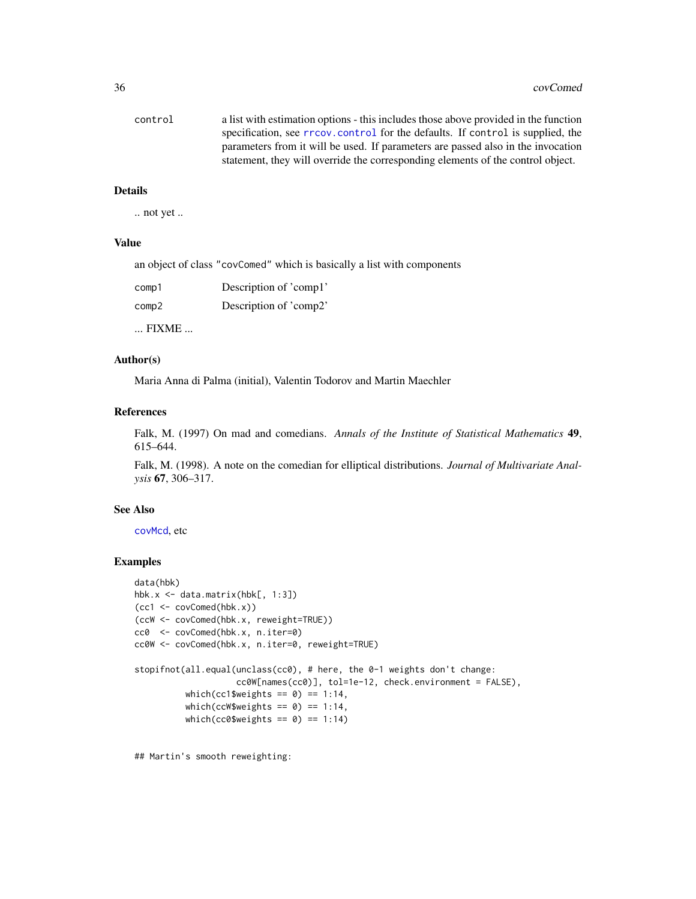| control | a list with estimation options - this includes those above provided in the function |
|---------|-------------------------------------------------------------------------------------|
|         | specification, see rrcov.control for the defaults. If control is supplied, the      |
|         | parameters from it will be used. If parameters are passed also in the invocation    |
|         | statement, they will override the corresponding elements of the control object.     |

.. not yet ..

# Value

an object of class "covComed" which is basically a list with components

| comp1 | Description of 'comp1' |
|-------|------------------------|
| comp2 | Description of 'comp2' |
|       |                        |

... FIXME ...

# Author(s)

Maria Anna di Palma (initial), Valentin Todorov and Martin Maechler

# References

Falk, M. (1997) On mad and comedians. *Annals of the Institute of Statistical Mathematics* 49, 615–644.

Falk, M. (1998). A note on the comedian for elliptical distributions. *Journal of Multivariate Analysis* 67, 306–317.

#### See Also

[covMcd](#page-36-1), etc

# Examples

```
data(hbk)
hbk.x <- data.matrix(hbk[, 1:3])
(cc1 <- covComed(hbk.x))
(ccW <- covComed(hbk.x, reweight=TRUE))
cc0 <- covComed(hbk.x, n.iter=0)
cc0W <- covComed(hbk.x, n.iter=0, reweight=TRUE)
stopifnot(all.equal(unclass(cc0), # here, the 0-1 weights don't change:
                    cc0W[names(cc0)], tol=1e-12, check.environment = FALSE),
          which(cc1$weights == 0) == 1:14,
          which(ccW$weights == 0) == 1:14,
          which(cc0$weights == 0) == 1:14)
```
## Martin's smooth reweighting: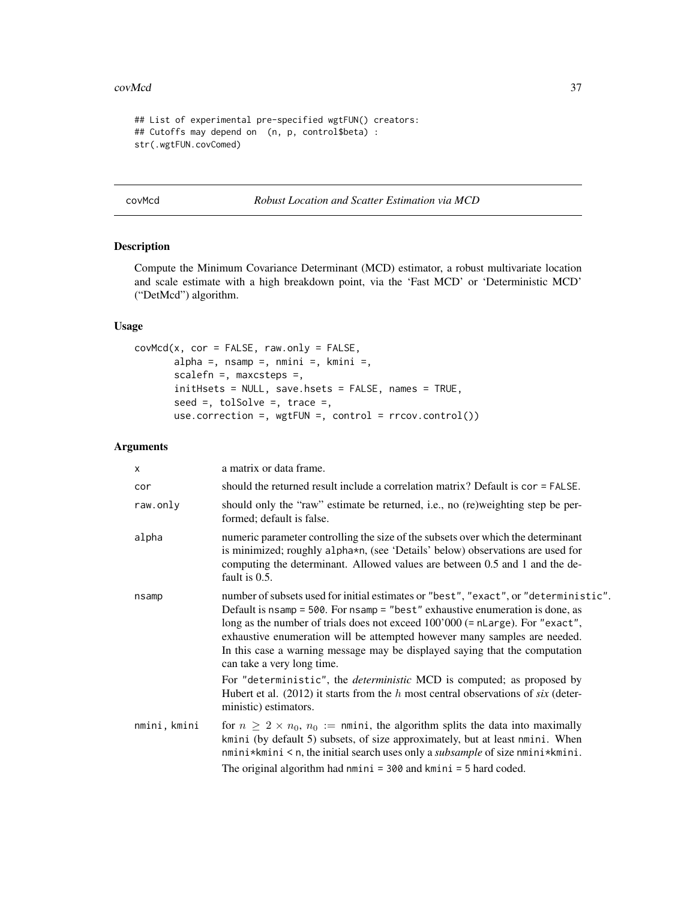### covMcd 37

```
## List of experimental pre-specified wgtFUN() creators:
## Cutoffs may depend on (n, p, control$beta) :
str(.wgtFUN.covComed)
```
# <span id="page-36-0"></span>covMcd *Robust Location and Scatter Estimation via MCD*

# Description

Compute the Minimum Covariance Determinant (MCD) estimator, a robust multivariate location and scale estimate with a high breakdown point, via the 'Fast MCD' or 'Deterministic MCD' ("DetMcd") algorithm.

# Usage

```
covMod(x, cor = FALSE, raw-only = FALSE,alpha =, n\tan p =, n\tan i =, k\tan i =,
       scalefn =, maxcsteps =,
       initHsets = NULL, save.hsets = FALSE, names = TRUE,
       seed =, tolSolve =, trace =,
       use.correction =, wgtFW =, control = rccov.control()
```
## Arguments

| $\mathsf{x}$ | a matrix or data frame.                                                                                                                                                                                                                                                                                                                                                                                                                          |
|--------------|--------------------------------------------------------------------------------------------------------------------------------------------------------------------------------------------------------------------------------------------------------------------------------------------------------------------------------------------------------------------------------------------------------------------------------------------------|
| cor          | should the returned result include a correlation matrix? Default is $cor = FALSE$ .                                                                                                                                                                                                                                                                                                                                                              |
| raw.only     | should only the "raw" estimate be returned, i.e., no (re)weighting step be per-<br>formed; default is false.                                                                                                                                                                                                                                                                                                                                     |
| alpha        | numeric parameter controlling the size of the subsets over which the determinant<br>is minimized; roughly alpha*n, (see 'Details' below) observations are used for<br>computing the determinant. Allowed values are between 0.5 and 1 and the de-<br>fault is 0.5.                                                                                                                                                                               |
| nsamp        | number of subsets used for initial estimates or "best", "exact", or "deterministic".<br>Default is nsamp = 500. For nsamp = "best" exhaustive enumeration is done, as<br>long as the number of trials does not exceed 100'000 (= nLarge). For "exact",<br>exhaustive enumeration will be attempted however many samples are needed.<br>In this case a warning message may be displayed saying that the computation<br>can take a very long time. |
|              | For "deterministic", the <i>deterministic</i> MCD is computed; as proposed by<br>Hubert et al. (2012) it starts from the $h$ most central observations of six (deter-<br>ministic) estimators.                                                                                                                                                                                                                                                   |
| nmini, kmini | for $n \geq 2 \times n_0$ , $n_0 := \text{mini}$ , the algorithm splits the data into maximally<br>kmini (by default 5) subsets, of size approximately, but at least nmini. When<br>$nmini*kmini < n$ , the initial search uses only a <i>subsample</i> of size $nmini*kmini$ .<br>The original algorithm had $nmini = 300$ and $kmini = 5$ hard coded.                                                                                          |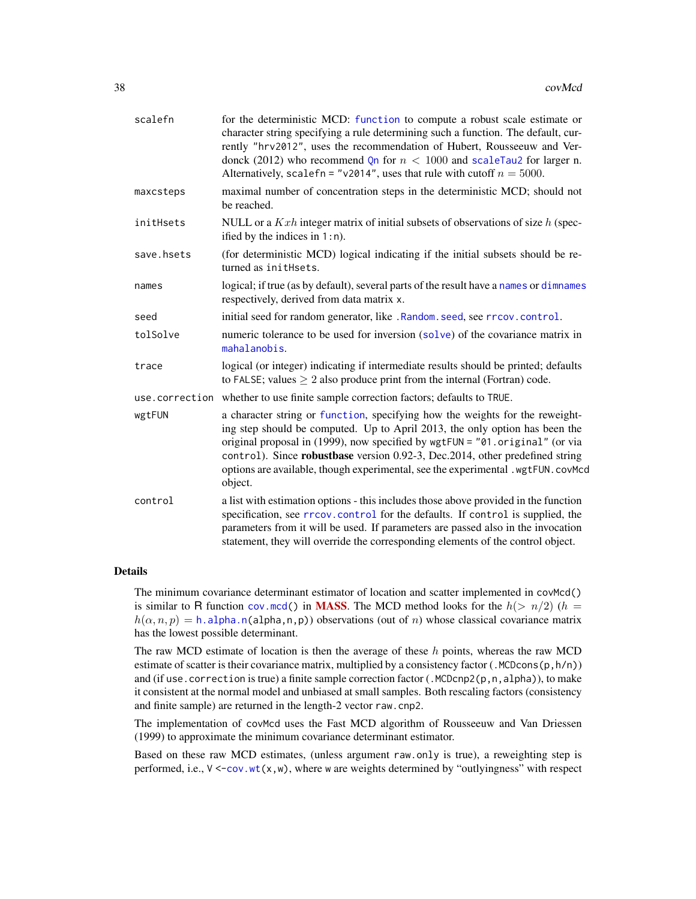| scalefn        | for the deterministic MCD: function to compute a robust scale estimate or<br>character string specifying a rule determining such a function. The default, cur-<br>rently "hrv2012", uses the recommendation of Hubert, Rousseeuw and Ver-<br>donck (2012) who recommend Qn for $n < 1000$ and scaleTau2 for larger n.<br>Alternatively, scale fn = "v2014", uses that rule with cutoff $n = 5000$ .                       |
|----------------|---------------------------------------------------------------------------------------------------------------------------------------------------------------------------------------------------------------------------------------------------------------------------------------------------------------------------------------------------------------------------------------------------------------------------|
| maxcsteps      | maximal number of concentration steps in the deterministic MCD; should not<br>be reached.                                                                                                                                                                                                                                                                                                                                 |
| initHsets      | NULL or a $Kxh$ integer matrix of initial subsets of observations of size $h$ (spec-<br>ified by the indices in $1:n$ .                                                                                                                                                                                                                                                                                                   |
| save.hsets     | (for deterministic MCD) logical indicating if the initial subsets should be re-<br>turned as initHsets.                                                                                                                                                                                                                                                                                                                   |
| names          | logical; if true (as by default), several parts of the result have a names or dimnames<br>respectively, derived from data matrix x.                                                                                                                                                                                                                                                                                       |
| seed           | initial seed for random generator, like . Random. seed, see rrcov. control.                                                                                                                                                                                                                                                                                                                                               |
| tolSolve       | numeric tolerance to be used for inversion (solve) of the covariance matrix in<br>mahalanobis.                                                                                                                                                                                                                                                                                                                            |
| trace          | logical (or integer) indicating if intermediate results should be printed; defaults<br>to FALSE; values $\geq 2$ also produce print from the internal (Fortran) code.                                                                                                                                                                                                                                                     |
| use.correction | whether to use finite sample correction factors; defaults to TRUE.                                                                                                                                                                                                                                                                                                                                                        |
| wgtFUN         | a character string or function, specifying how the weights for the reweight-<br>ing step should be computed. Up to April 2013, the only option has been the<br>original proposal in (1999), now specified by wgtFUN = "01.original" (or via<br>control). Since robustbase version 0.92-3, Dec.2014, other predefined string<br>options are available, though experimental, see the experimental .wgtFUN.covMcd<br>object. |
| control        | a list with estimation options - this includes those above provided in the function<br>specification, see rrcov.control for the defaults. If control is supplied, the<br>parameters from it will be used. If parameters are passed also in the invocation<br>statement, they will override the corresponding elements of the control object.                                                                              |

## Details

The minimum covariance determinant estimator of location and scatter implemented in covMcd() is similar to R function [cov.mcd\(](#page-0-0)) in **[MASS](https://CRAN.R-project.org/package=MASS)**. The MCD method looks for the  $h(> n/2)$  (h =  $h(\alpha, n, p) = h$ . alpha. n(alpha, n, p)) observations (out of n) whose classical covariance matrix has the lowest possible determinant.

The raw MCD estimate of location is then the average of these  $h$  points, whereas the raw MCD estimate of scatter is their covariance matrix, multiplied by a consistency factor (.MCDcons( $p, h/n$ )) and (if use. correction is true) a finite sample correction factor (.MCDcnp2( $p, n, alpha$ )), to make it consistent at the normal model and unbiased at small samples. Both rescaling factors (consistency and finite sample) are returned in the length-2 vector raw.cnp2.

The implementation of covMcd uses the Fast MCD algorithm of Rousseeuw and Van Driessen (1999) to approximate the minimum covariance determinant estimator.

Based on these raw MCD estimates, (unless argument raw.only is true), a reweighting step is performed, i.e.,  $V \leq -\text{cov.wt}(x, w)$ , where w are weights determined by "outlyingness" with respect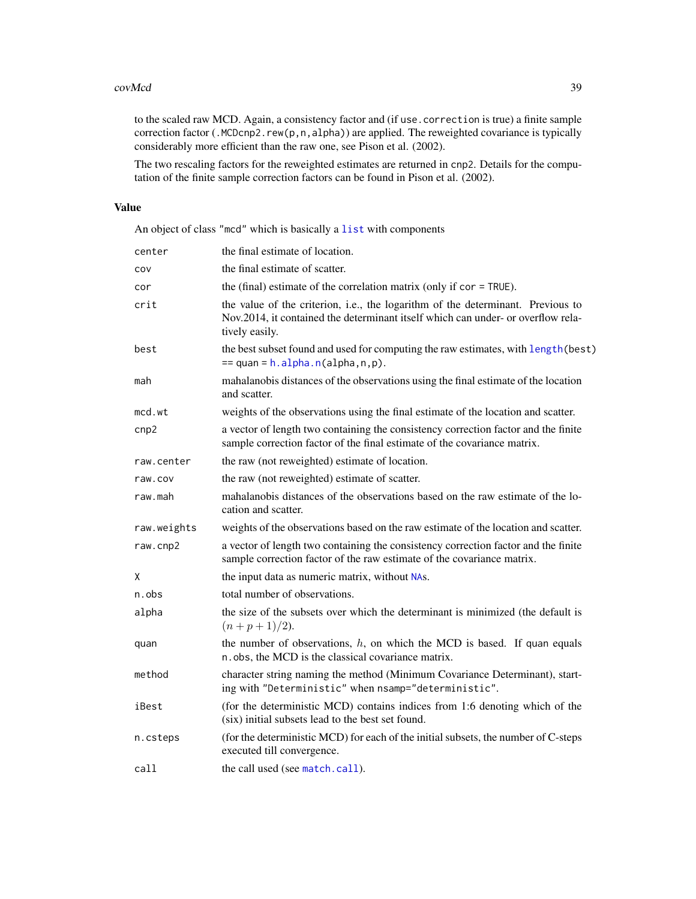### covMcd 39

to the scaled raw MCD. Again, a consistency factor and (if use.correction is true) a finite sample correction factor (.MCDcnp2.rew(p,n,alpha)) are applied. The reweighted covariance is typically considerably more efficient than the raw one, see Pison et al. (2002).

The two rescaling factors for the reweighted estimates are returned in cnp2. Details for the computation of the finite sample correction factors can be found in Pison et al. (2002).

# Value

An object of class "mcd" which is basically a [list](#page-0-0) with components

| center      | the final estimate of location.                                                                                                                                                       |
|-------------|---------------------------------------------------------------------------------------------------------------------------------------------------------------------------------------|
| cov         | the final estimate of scatter.                                                                                                                                                        |
| cor         | the (final) estimate of the correlation matrix (only if $cor = TRUE$ ).                                                                                                               |
| crit        | the value of the criterion, i.e., the logarithm of the determinant. Previous to<br>Nov.2014, it contained the determinant itself which can under- or overflow rela-<br>tively easily. |
| best        | the best subset found and used for computing the raw estimates, with length (best)<br>$==$ quan = h.alpha.n(alpha,n,p).                                                               |
| mah         | mahalanobis distances of the observations using the final estimate of the location<br>and scatter.                                                                                    |
| mcd.wt      | weights of the observations using the final estimate of the location and scatter.                                                                                                     |
| cnp2        | a vector of length two containing the consistency correction factor and the finite<br>sample correction factor of the final estimate of the covariance matrix.                        |
| raw.center  | the raw (not reweighted) estimate of location.                                                                                                                                        |
| raw.cov     | the raw (not reweighted) estimate of scatter.                                                                                                                                         |
| raw.mah     | mahalanobis distances of the observations based on the raw estimate of the lo-<br>cation and scatter.                                                                                 |
| raw.weights | weights of the observations based on the raw estimate of the location and scatter.                                                                                                    |
| raw.cnp2    | a vector of length two containing the consistency correction factor and the finite<br>sample correction factor of the raw estimate of the covariance matrix.                          |
| χ           | the input data as numeric matrix, without NAs.                                                                                                                                        |
| n.obs       | total number of observations.                                                                                                                                                         |
| alpha       | the size of the subsets over which the determinant is minimized (the default is<br>$(n+p+1)/2$ ).                                                                                     |
| quan        | the number of observations, $h$ , on which the MCD is based. If quan equals<br>n.obs, the MCD is the classical covariance matrix.                                                     |
| method      | character string naming the method (Minimum Covariance Determinant), start-<br>ing with "Deterministic" when nsamp="deterministic".                                                   |
| iBest       | (for the deterministic MCD) contains indices from 1:6 denoting which of the<br>(six) initial subsets lead to the best set found.                                                      |
| n.csteps    | (for the deterministic MCD) for each of the initial subsets, the number of C-steps<br>executed till convergence.                                                                      |
| call        | the call used (see match.call).                                                                                                                                                       |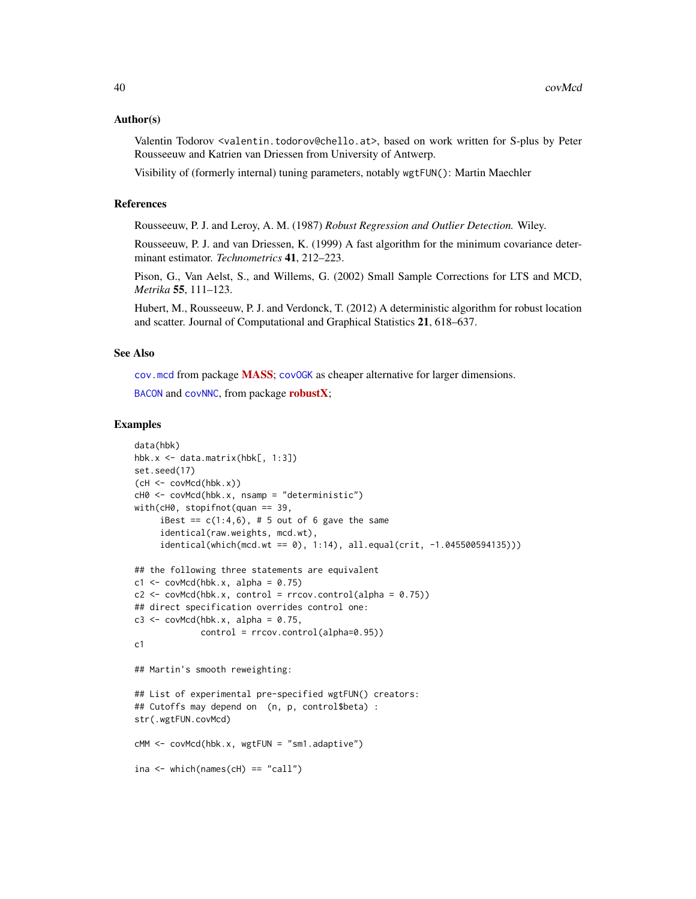#### Author(s)

Valentin Todorov <valentin.todorov@chello.at>, based on work written for S-plus by Peter Rousseeuw and Katrien van Driessen from University of Antwerp.

Visibility of (formerly internal) tuning parameters, notably wgtFUN(): Martin Maechler

# References

Rousseeuw, P. J. and Leroy, A. M. (1987) *Robust Regression and Outlier Detection.* Wiley.

Rousseeuw, P. J. and van Driessen, K. (1999) A fast algorithm for the minimum covariance determinant estimator. *Technometrics* 41, 212–223.

Pison, G., Van Aelst, S., and Willems, G. (2002) Small Sample Corrections for LTS and MCD, *Metrika* 55, 111–123.

Hubert, M., Rousseeuw, P. J. and Verdonck, T. (2012) A deterministic algorithm for robust location and scatter. Journal of Computational and Graphical Statistics 21, 618–637.

#### See Also

[cov.mcd](#page-0-0) from package [MASS](https://CRAN.R-project.org/package=MASS); [covOGK](#page-40-0) as cheaper alternative for larger dimensions.

[BACON](#page-0-0) and [covNNC](#page-0-0), from package **[robustX](https://CRAN.R-project.org/package=robustX)**;

```
data(hbk)
hbk.x \leq data.matrix(hbk[, 1:3])
set.seed(17)
(cl \leftarrow \text{covMod}(\text{hbk.x})cH0 <- covMcd(hbk.x, nsamp = "deterministic")
with(cH0, stopifnot(quan == 39,
     iBest == c(1:4,6), # 5 out of 6 gave the same
     identical(raw.weights, mcd.wt),
     identical(which (mod.wt == 0), 1:14), all.equals(crit, -1.045500594135)))## the following three statements are equivalent
c1 \leq -\text{covMed}(\text{hbk.x}, \text{ alpha} = 0.75)c2 \le covMcd(hbk.x, control = rrcov.control(alpha = 0.75))
## direct specification overrides control one:
c3 \leq covMcd(hbk.x, alpha = 0.75,
              control = rrcov.control(alpha=0.95))
c1
## Martin's smooth reweighting:
## List of experimental pre-specified wgtFUN() creators:
## Cutoffs may depend on (n, p, control$beta) :
str(.wgtFUN.covMcd)
cMM <- covMcd(hbk.x, wgtFUN = "sm1.adaptive")
ina \leq which(names(cH) == "call")
```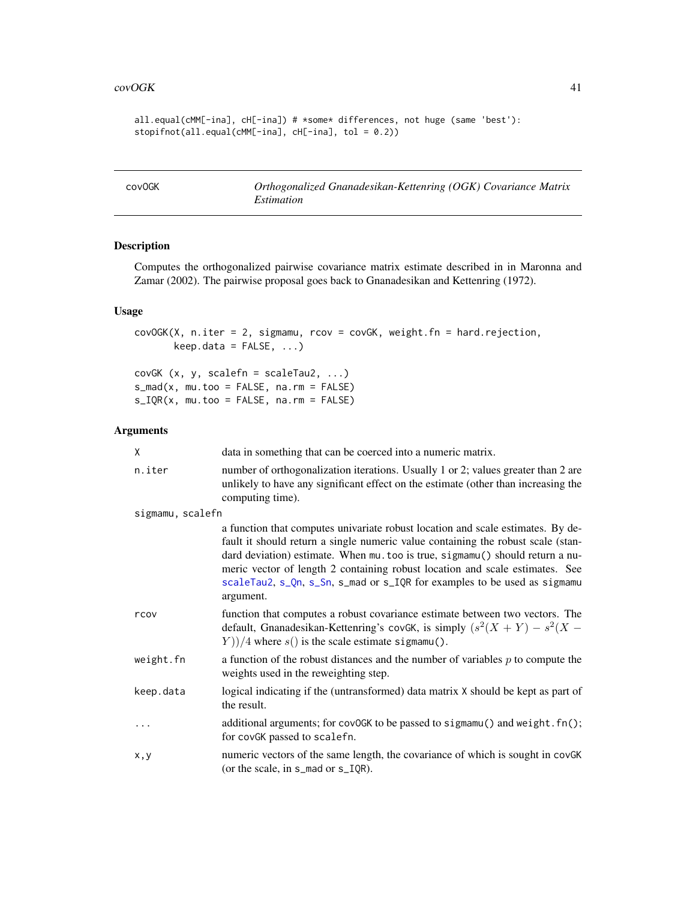```
all.equal(cMM[-ina], cH[-ina]) # *some* differences, not huge (same 'best'):
stopifnot(all.equal(cMM[-ina], cH[-ina], tol = 0.2))
```
<span id="page-40-0"></span>

| cov0GK | Orthogonalized Gnanadesikan-Kettenring (OGK) Covariance Matrix |
|--------|----------------------------------------------------------------|
|        | Estimation                                                     |

Computes the orthogonalized pairwise covariance matrix estimate described in in Maronna and Zamar (2002). The pairwise proposal goes back to Gnanadesikan and Kettenring (1972).

# Usage

covOGK(X, n.iter = 2, sigmamu, rcov = covGK, weight.fn = hard.rejection,  $keep.data = FALSE, ...)$ 

covGK (x, y, scalefn = scaleTau2, ...)  $s_m = (x, mu.too = FALSE, na.rm = FALSE)$  $s_IQR(x, mu.too = FALSE, na.rm = FALSE)$ 

# Arguments

| X                | data in something that can be coerced into a numeric matrix.                                                                                                                                                                                                                                                                                                                                                                  |
|------------------|-------------------------------------------------------------------------------------------------------------------------------------------------------------------------------------------------------------------------------------------------------------------------------------------------------------------------------------------------------------------------------------------------------------------------------|
| n.iter           | number of orthogonalization iterations. Usually 1 or 2; values greater than 2 are<br>unlikely to have any significant effect on the estimate (other than increasing the<br>computing time).                                                                                                                                                                                                                                   |
| sigmamu, scalefn |                                                                                                                                                                                                                                                                                                                                                                                                                               |
|                  | a function that computes univariate robust location and scale estimates. By de-<br>fault it should return a single numeric value containing the robust scale (stan-<br>dard deviation) estimate. When mu. too is true, sigmamu() should return a nu-<br>meric vector of length 2 containing robust location and scale estimates. See<br>scaleTau2, s_Qn, s_Sn, s_mad or s_IQR for examples to be used as sigmamu<br>argument. |
| rcov             | function that computes a robust covariance estimate between two vectors. The<br>default, Gnanadesikan-Kettenring's covGK, is simply $(s^2(X + Y) - s^2(X -$<br>$(Y)/4$ where $s()$ is the scale estimate sigmamu().                                                                                                                                                                                                           |
| weight.fn        | a function of the robust distances and the number of variables $p$ to compute the<br>weights used in the reweighting step.                                                                                                                                                                                                                                                                                                    |
| keep.data        | logical indicating if the (untransformed) data matrix X should be kept as part of<br>the result.                                                                                                                                                                                                                                                                                                                              |
| $\ddots$         | additional arguments; for covOGK to be passed to sigmamu() and weight. fn();<br>for covGK passed to scalefn.                                                                                                                                                                                                                                                                                                                  |
| x, y             | numeric vectors of the same length, the covariance of which is sought in covGK<br>(or the scale, in $s$ _mad or $s$ _IQR).                                                                                                                                                                                                                                                                                                    |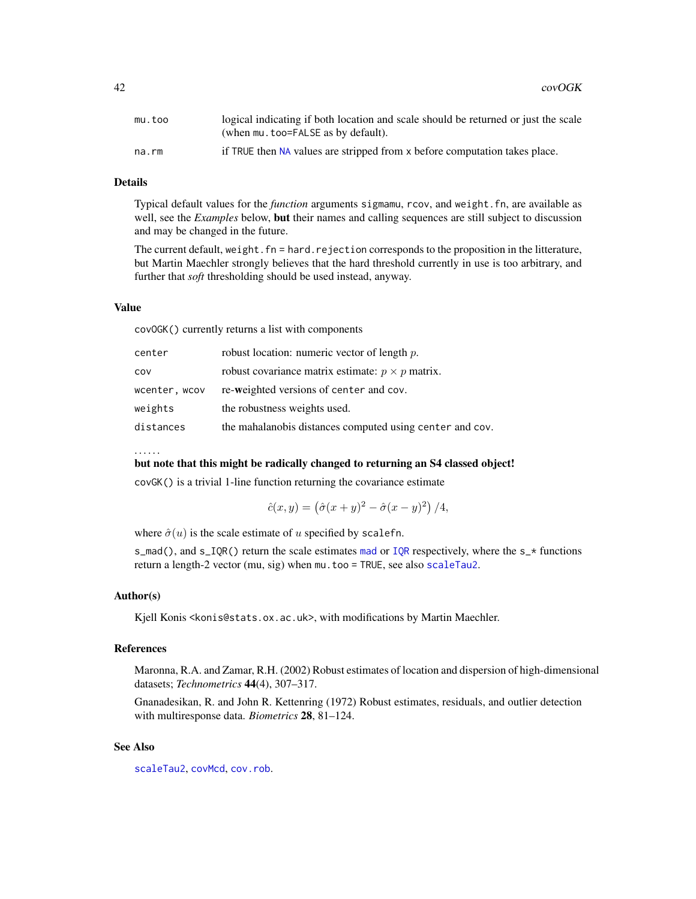| mu.too | logical indicating if both location and scale should be returned or just the scale |
|--------|------------------------------------------------------------------------------------|
|        | (when mu. too=FALSE as by default).                                                |
| na.rm  | if TRUE then NA values are stripped from x before computation takes place.         |

# Details

Typical default values for the *function* arguments sigmamu, rcov, and weight.fn, are available as well, see the *Examples* below, but their names and calling sequences are still subject to discussion and may be changed in the future.

The current default, weight.fn = hard.rejection corresponds to the proposition in the litterature, but Martin Maechler strongly believes that the hard threshold currently in use is too arbitrary, and further that *soft* thresholding should be used instead, anyway.

#### Value

covOGK() currently returns a list with components

| center        | robust location: numeric vector of length $p$ .          |
|---------------|----------------------------------------------------------|
| COV           | robust covariance matrix estimate: $p \times p$ matrix.  |
| wcenter, wcov | re-weighted versions of center and cov.                  |
| weights       | the robustness weights used.                             |
| distances     | the mahalanobis distances computed using center and cov. |

#### . . . . . .

#### but note that this might be radically changed to returning an S4 classed object!

covGK() is a trivial 1-line function returning the covariance estimate

$$
\hat{c}(x, y) = (\hat{\sigma}(x + y)^2 - \hat{\sigma}(x - y)^2) / 4,
$$

where  $\hat{\sigma}(u)$  is the scale estimate of u specified by scalefn.

s\_[mad](#page-0-0)(), and s\_[IQR](#page-0-0)() return the scale estimates mad or IQR respectively, where the s\_ $\star$  functions return a length-2 vector (mu, sig) when mu.too = TRUE, see also [scaleTau2](#page-142-0).

#### Author(s)

Kjell Konis <konis@stats.ox.ac.uk>, with modifications by Martin Maechler.

# References

Maronna, R.A. and Zamar, R.H. (2002) Robust estimates of location and dispersion of high-dimensional datasets; *Technometrics* 44(4), 307–317.

Gnanadesikan, R. and John R. Kettenring (1972) Robust estimates, residuals, and outlier detection with multiresponse data. *Biometrics* 28, 81–124.

# See Also

[scaleTau2](#page-142-0), [covMcd](#page-36-0), [cov.rob](#page-0-0).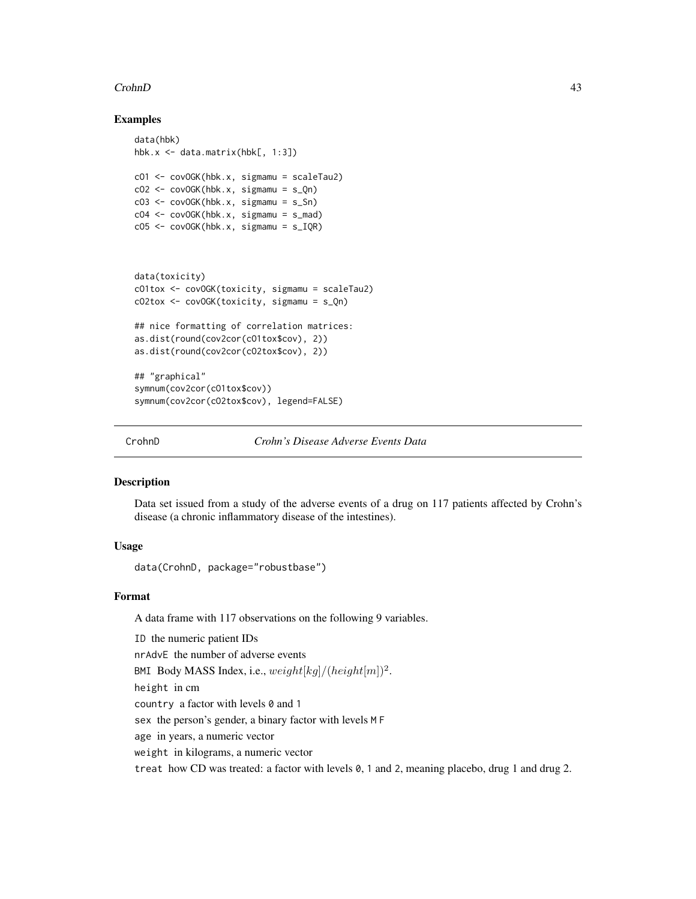## CrohnD 43

# Examples

```
data(hbk)
hbk.x <- data.matrix(hbk[, 1:3])
cO1 <- covOGK(hbk.x, sigmamu = scaleTau2)
cO2 \leq -\text{covOGK(hbk.x, sigmamu = s_0n)}cO3 <- covOGK(hbk.x, sigmamu = s_Sn)
cO4 <- covOGK(hbk.x, sigmamu = s_mad)
cO5 \leq covOGK(hbk.x, sigmamu = s_IQR)
data(toxicity)
cO1tox <- covOGK(toxicity, sigmamu = scaleTau2)
cO2tox <- covOGK(toxicity, sigmamu = s_Qn)
## nice formatting of correlation matrices:
as.dist(round(cov2cor(cO1tox$cov), 2))
as.dist(round(cov2cor(cO2tox$cov), 2))
## "graphical"
symnum(cov2cor(cO1tox$cov))
```
symnum(cov2cor(cO2tox\$cov), legend=FALSE)

```
CrohnD Crohn's Disease Adverse Events Data
```
# Description

Data set issued from a study of the adverse events of a drug on 117 patients affected by Crohn's disease (a chronic inflammatory disease of the intestines).

# Usage

data(CrohnD, package="robustbase")

## Format

A data frame with 117 observations on the following 9 variables.

ID the numeric patient IDs nrAdvE the number of adverse events BMI Body MASS Index, i.e.,  $weight[kg]/(height[m])^2$ . height in cm country a factor with levels 0 and 1 sex the person's gender, a binary factor with levels M F age in years, a numeric vector weight in kilograms, a numeric vector treat how CD was treated: a factor with levels 0, 1 and 2, meaning placebo, drug 1 and drug 2.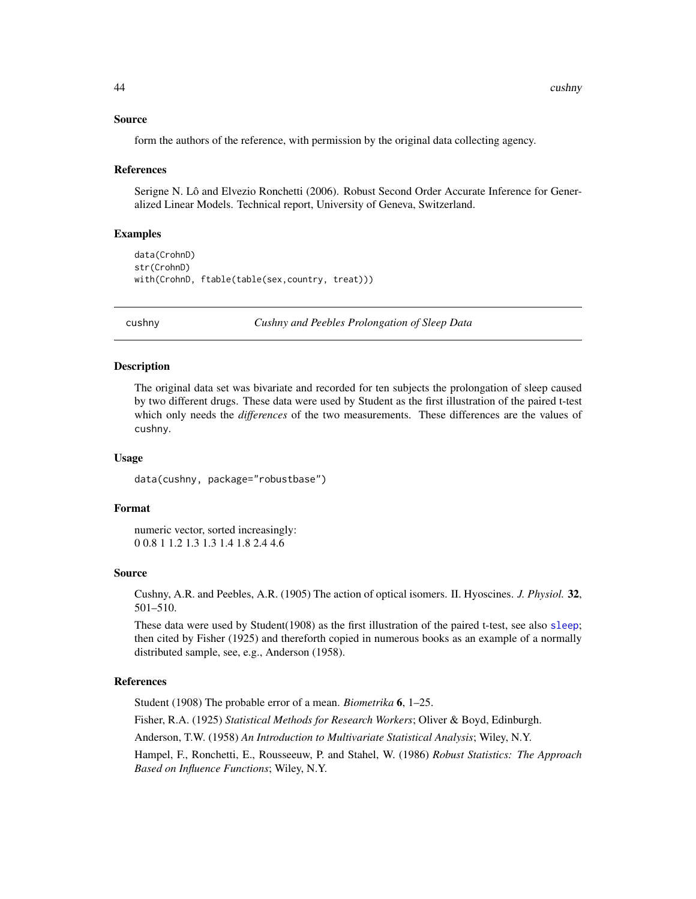## Source

form the authors of the reference, with permission by the original data collecting agency.

#### References

Serigne N. Lô and Elvezio Ronchetti (2006). Robust Second Order Accurate Inference for Generalized Linear Models. Technical report, University of Geneva, Switzerland.

## Examples

```
data(CrohnD)
str(CrohnD)
with(CrohnD, ftable(table(sex,country, treat)))
```
cushny *Cushny and Peebles Prolongation of Sleep Data*

# **Description**

The original data set was bivariate and recorded for ten subjects the prolongation of sleep caused by two different drugs. These data were used by Student as the first illustration of the paired t-test which only needs the *differences* of the two measurements. These differences are the values of cushny.

#### Usage

data(cushny, package="robustbase")

## Format

numeric vector, sorted increasingly: 0 0.8 1 1.2 1.3 1.3 1.4 1.8 2.4 4.6

## Source

Cushny, A.R. and Peebles, A.R. (1905) The action of optical isomers. II. Hyoscines. *J. Physiol.* 32, 501–510.

These data were used by Student(1908) as the first illustration of the paired t-test, see also [sleep](#page-0-0); then cited by Fisher (1925) and thereforth copied in numerous books as an example of a normally distributed sample, see, e.g., Anderson (1958).

# References

Student (1908) The probable error of a mean. *Biometrika* 6, 1–25. Fisher, R.A. (1925) *Statistical Methods for Research Workers*; Oliver & Boyd, Edinburgh. Anderson, T.W. (1958) *An Introduction to Multivariate Statistical Analysis*; Wiley, N.Y. Hampel, F., Ronchetti, E., Rousseeuw, P. and Stahel, W. (1986) *Robust Statistics: The Approach Based on Influence Functions*; Wiley, N.Y.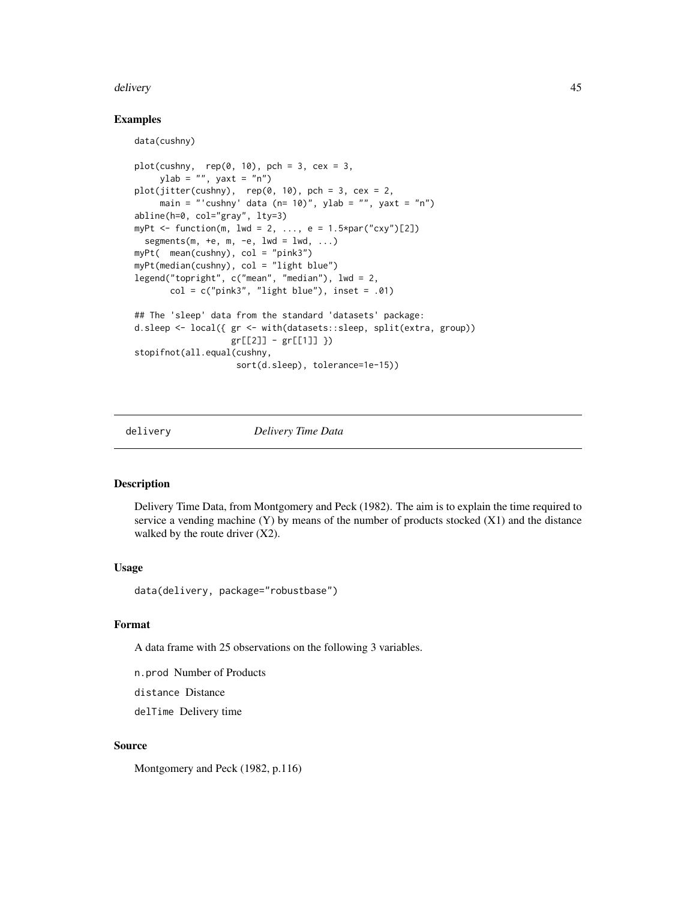## delivery and the delivery of the set of the set of the set of the set of the set of the set of the set of the set of the set of the set of the set of the set of the set of the set of the set of the set of the set of the se

# Examples

data(cushny)

```
plot(cushny, rep(0, 10), pch = 3, cex = 3,ylab = ", yaxt = "n")
plot(jitter(cushny), rep(0, 10), pch = 3, cex = 2,main = "'cushny' data (n= 10)", ylab = "", yaxt = "n")
abline(h=0, col="gray", lty=3)
myPt \le function(m, lwd = 2, ..., e = 1.5*par("cxy")[2])
  segments(m, +e, m, -e, lwd = lwd, ...)
myPt( mean(cushny), col = "pink3")
myPt(median(cushny), col = "light blue")
legend("topright", c("mean", "median"), lwd = 2,
       col = c("pink3", "light blue"), insert = .01)## The 'sleep' data from the standard 'datasets' package:
d.sleep <- local({ gr <- with(datasets::sleep, split(extra, group))
                   gr[[2]] - gr[[1]] })
stopifnot(all.equal(cushny,
                    sort(d.sleep), tolerance=1e-15))
```
delivery *Delivery Time Data*

# **Description**

Delivery Time Data, from Montgomery and Peck (1982). The aim is to explain the time required to service a vending machine  $(Y)$  by means of the number of products stocked  $(X1)$  and the distance walked by the route driver (X2).

# Usage

data(delivery, package="robustbase")

# Format

A data frame with 25 observations on the following 3 variables.

n.prod Number of Products

distance Distance

delTime Delivery time

## Source

Montgomery and Peck (1982, p.116)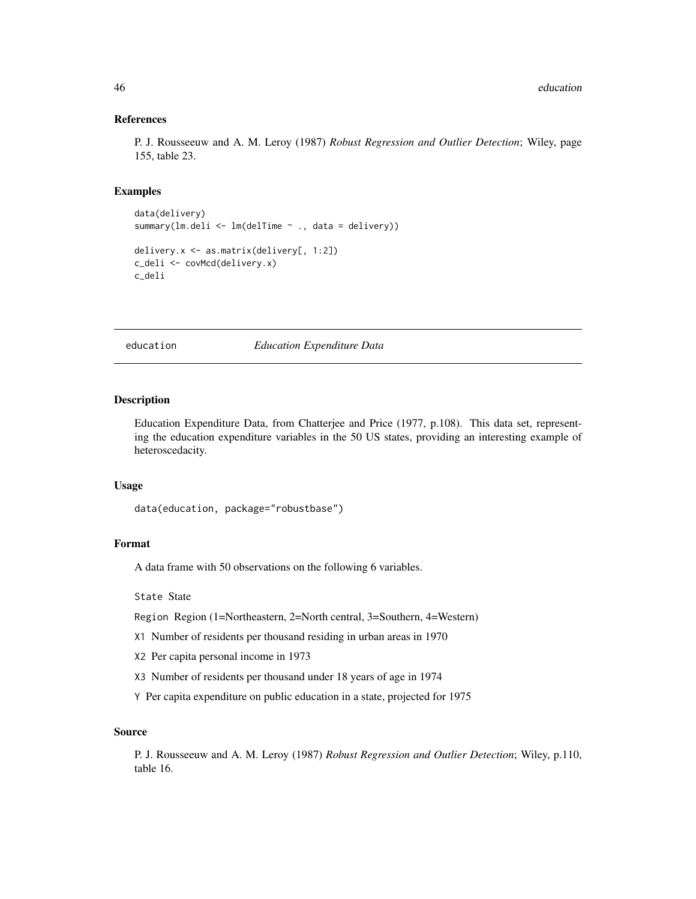## References

P. J. Rousseeuw and A. M. Leroy (1987) *Robust Regression and Outlier Detection*; Wiley, page 155, table 23.

# Examples

```
data(delivery)
summary(lm.deli <- lm(delTime ~ ., data = delivery))
delivery.x <- as.matrix(delivery[, 1:2])
c_deli <- covMcd(delivery.x)
c_deli
```
education *Education Expenditure Data*

# Description

Education Expenditure Data, from Chatterjee and Price (1977, p.108). This data set, representing the education expenditure variables in the 50 US states, providing an interesting example of heteroscedacity.

# Usage

```
data(education, package="robustbase")
```
# Format

A data frame with 50 observations on the following 6 variables.

#### State State

Region Region (1=Northeastern, 2=North central, 3=Southern, 4=Western)

- X1 Number of residents per thousand residing in urban areas in 1970
- X2 Per capita personal income in 1973
- X3 Number of residents per thousand under 18 years of age in 1974

Y Per capita expenditure on public education in a state, projected for 1975

## Source

P. J. Rousseeuw and A. M. Leroy (1987) *Robust Regression and Outlier Detection*; Wiley, p.110, table 16.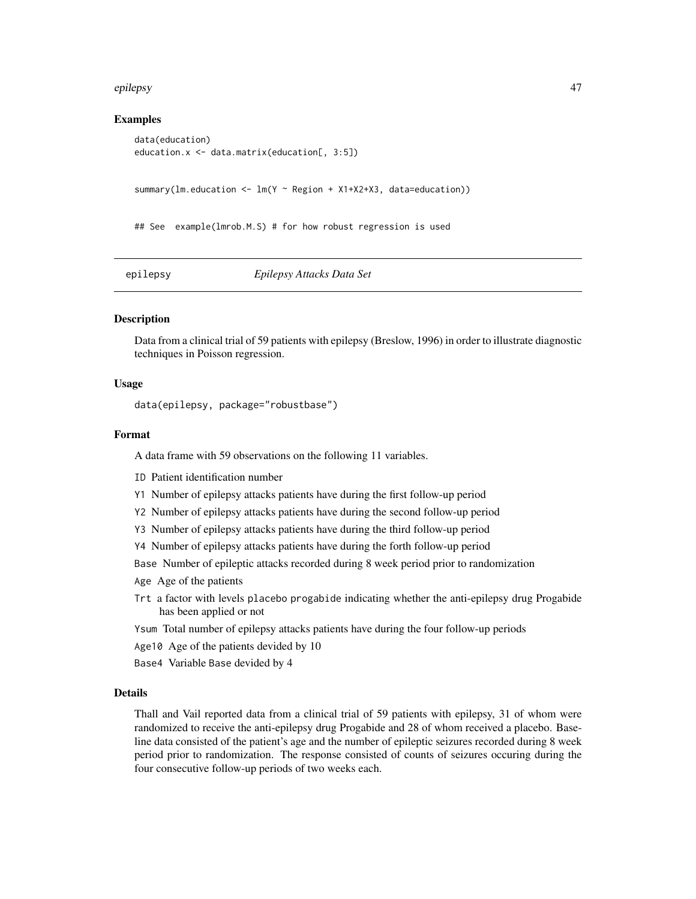### epilepsy and the set of the set of the set of the set of the set of the set of the set of the set of the set of the set of the set of the set of the set of the set of the set of the set of the set of the set of the set of

## Examples

```
data(education)
education.x <- data.matrix(education[, 3:5])
summary(lm.education \leq lm(T \sim \text{Region } + X1+X2+X3), data=education))
## See example(lmrob.M.S) # for how robust regression is used
```
epilepsy *Epilepsy Attacks Data Set*

# Description

Data from a clinical trial of 59 patients with epilepsy (Breslow, 1996) in order to illustrate diagnostic techniques in Poisson regression.

# Usage

data(epilepsy, package="robustbase")

# Format

A data frame with 59 observations on the following 11 variables.

- ID Patient identification number
- Y1 Number of epilepsy attacks patients have during the first follow-up period
- Y2 Number of epilepsy attacks patients have during the second follow-up period
- Y3 Number of epilepsy attacks patients have during the third follow-up period
- Y4 Number of epilepsy attacks patients have during the forth follow-up period
- Base Number of epileptic attacks recorded during 8 week period prior to randomization
- Age Age of the patients
- Trt a factor with levels placebo progabide indicating whether the anti-epilepsy drug Progabide has been applied or not
- Ysum Total number of epilepsy attacks patients have during the four follow-up periods
- Age10 Age of the patients devided by 10
- Base4 Variable Base devided by 4

# Details

Thall and Vail reported data from a clinical trial of 59 patients with epilepsy, 31 of whom were randomized to receive the anti-epilepsy drug Progabide and 28 of whom received a placebo. Baseline data consisted of the patient's age and the number of epileptic seizures recorded during 8 week period prior to randomization. The response consisted of counts of seizures occuring during the four consecutive follow-up periods of two weeks each.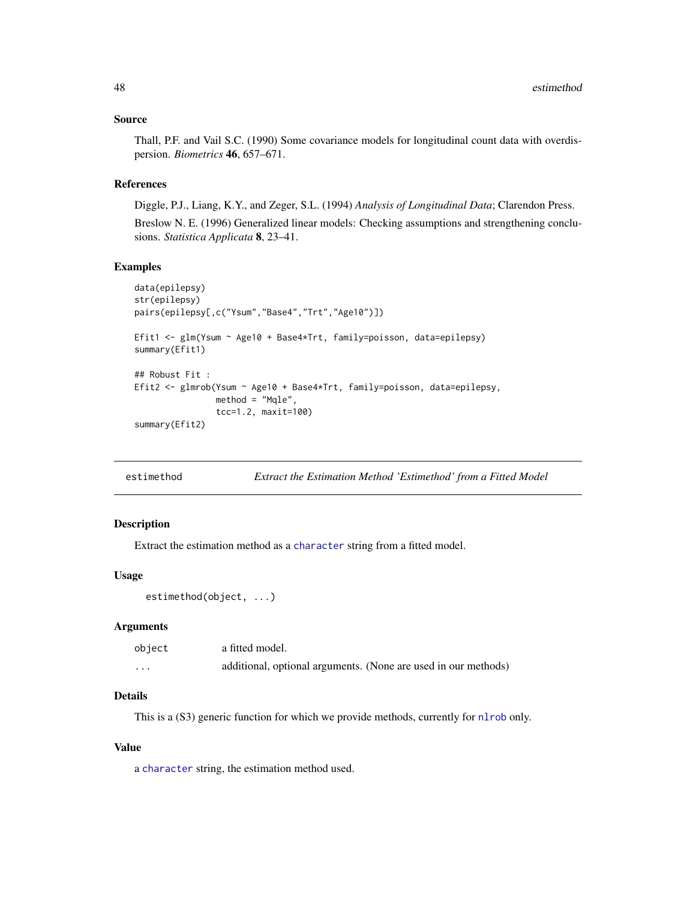## Source

Thall, P.F. and Vail S.C. (1990) Some covariance models for longitudinal count data with overdispersion. *Biometrics* 46, 657–671.

# References

Diggle, P.J., Liang, K.Y., and Zeger, S.L. (1994) *Analysis of Longitudinal Data*; Clarendon Press.

Breslow N. E. (1996) Generalized linear models: Checking assumptions and strengthening conclusions. *Statistica Applicata* 8, 23–41.

# Examples

```
data(epilepsy)
str(epilepsy)
pairs(epilepsy[,c("Ysum","Base4","Trt","Age10")])
Efit1 <- glm(Ysum ~ Age10 + Base4*Trt, family=poisson, data=epilepsy)
summary(Efit1)
## Robust Fit :
Efit2 <- glmrob(Ysum ~ Age10 + Base4*Trt, family=poisson, data=epilepsy,
                method = "Mqle",
                tcc=1.2, maxit=100)
summary(Efit2)
```

| estimethod |  | Extract the Estimation Method 'Estimethod' from a Fitted Model |
|------------|--|----------------------------------------------------------------|
|------------|--|----------------------------------------------------------------|

# Description

Extract the estimation method as a [character](#page-0-0) string from a fitted model.

## Usage

```
estimethod(object, ...)
```
# Arguments

| object   | a fitted model.                                                |
|----------|----------------------------------------------------------------|
| $\cdots$ | additional, optional arguments. (None are used in our methods) |

# Details

This is a (S3) generic function for which we provide methods, currently for [nlrob](#page-97-0) only.

# Value

a [character](#page-0-0) string, the estimation method used.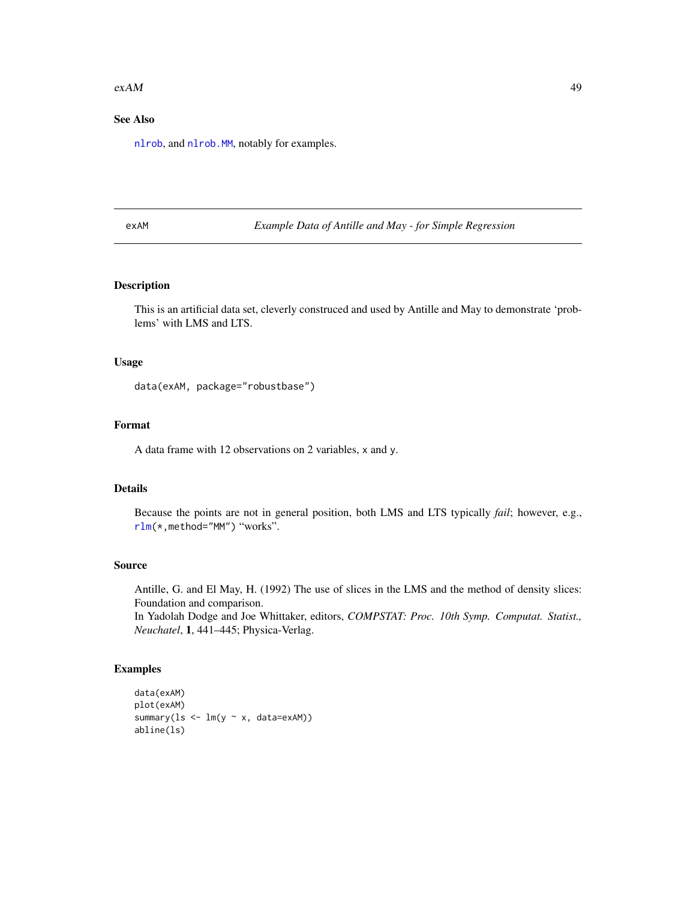### $exAM$  49

# See Also

[nlrob](#page-97-0), and [nlrob.MM](#page-102-0), notably for examples.

exAM *Example Data of Antille and May - for Simple Regression*

# Description

This is an artificial data set, cleverly construced and used by Antille and May to demonstrate 'problems' with LMS and LTS.

## Usage

```
data(exAM, package="robustbase")
```
# Format

A data frame with 12 observations on 2 variables, x and y.

# Details

Because the points are not in general position, both LMS and LTS typically *fail*; however, e.g., [rlm\(](#page-0-0)\*,method="MM") "works".

#### Source

Antille, G. and El May, H. (1992) The use of slices in the LMS and the method of density slices: Foundation and comparison.

In Yadolah Dodge and Joe Whittaker, editors, *COMPSTAT: Proc. 10th Symp. Computat. Statist., Neuchatel*, 1, 441–445; Physica-Verlag.

```
data(exAM)
plot(exAM)
summary(ls <- lm(y ~ x, data=exAM))
abline(ls)
```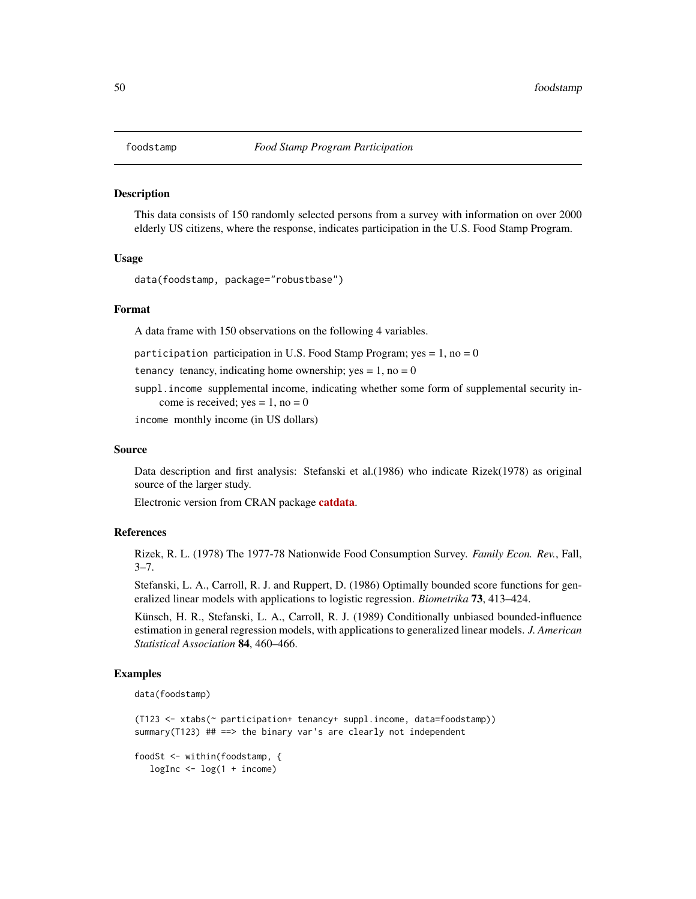This data consists of 150 randomly selected persons from a survey with information on over 2000 elderly US citizens, where the response, indicates participation in the U.S. Food Stamp Program.

# Usage

data(foodstamp, package="robustbase")

## Format

A data frame with 150 observations on the following 4 variables.

participation participation in U.S. Food Stamp Program; yes  $= 1$ , no  $= 0$ 

tenancy tenancy, indicating home ownership;  $yes = 1$ , no = 0

suppl.income supplemental income, indicating whether some form of supplemental security income is received; yes =  $1$ , no = 0

income monthly income (in US dollars)

## Source

Data description and first analysis: Stefanski et al.(1986) who indicate Rizek(1978) as original source of the larger study.

Electronic version from CRAN package [catdata](https://CRAN.R-project.org/package=catdata).

#### References

Rizek, R. L. (1978) The 1977-78 Nationwide Food Consumption Survey. *Family Econ. Rev.*, Fall,  $3 - 7$ .

Stefanski, L. A., Carroll, R. J. and Ruppert, D. (1986) Optimally bounded score functions for generalized linear models with applications to logistic regression. *Biometrika* 73, 413–424.

Künsch, H. R., Stefanski, L. A., Carroll, R. J. (1989) Conditionally unbiased bounded-influence estimation in general regression models, with applications to generalized linear models. *J. American Statistical Association* 84, 460–466.

```
data(foodstamp)
```

```
(T123 <- xtabs(~ participation+ tenancy+ suppl.income, data=foodstamp))
summary(T123) ## ==> the binary var's are clearly not independent
```

```
foodSt <- within(foodstamp, {
  logInc < - log(1 + income)
```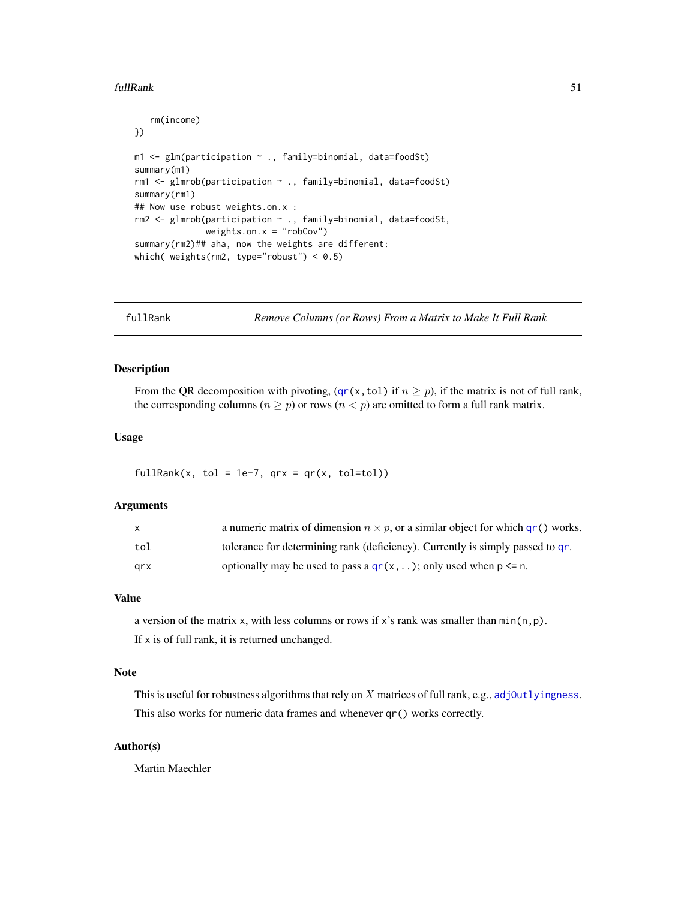### fullRank 51

```
rm(income)
})
m1 <- glm(participation ~ ., family=binomial, data=foodSt)
summary(m1)
rm1 <- glmrob(participation ~ ., family=binomial, data=foodSt)
summary(rm1)
## Now use robust weights.on.x :
rm2 <- glmrob(participation ~ ., family=binomial, data=foodSt,
              weights.on.x = "robCov")
summary(rm2)## aha, now the weights are different:
which( weights(rm2, type="robust") < 0.5)
```
fullRank *Remove Columns (or Rows) From a Matrix to Make It Full Rank*

# Description

From the QR decomposition with pivoting, ([qr\(](#page-0-0)x, tol) if  $n \ge p$ ), if the matrix is not of full rank, the corresponding columns ( $n \geq p$ ) or rows ( $n < p$ ) are omitted to form a full rank matrix.

# Usage

fullRank(x, tol = 1e-7,  $qrx = qr(x, tol=tol)$ )

# Arguments

|     | a numeric matrix of dimension $n \times p$ , or a similar object for which gr() works. |
|-----|----------------------------------------------------------------------------------------|
| tol | tolerance for determining rank (deficiency). Currently is simply passed to gr.         |
| arx | optionally may be used to pass a $qr(x, )$ ; only used when $p \le n$ .                |

# Value

a version of the matrix x, with less columns or rows if x's rank was smaller than  $min(n, p)$ . If x is of full rank, it is returned unchanged.

## **Note**

This is useful for robustness algorithms that rely on  $X$  matrices of full rank, e.g., adj0utlyingness. This also works for numeric data frames and whenever qr() works correctly.

# Author(s)

Martin Maechler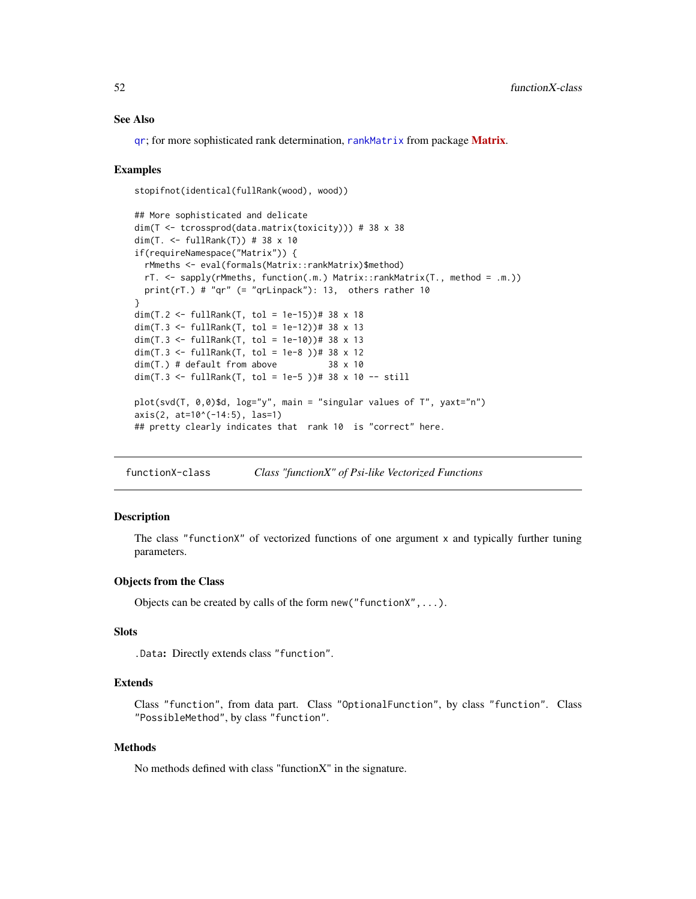# See Also

gr; for more sophisticated rank determination, [rankMatrix](#page-0-0) from package **[Matrix](https://CRAN.R-project.org/package=Matrix)**.

# Examples

```
stopifnot(identical(fullRank(wood), wood))
```

```
## More sophisticated and delicate
dim(T <- tcrossprod(data.matrix(toxicity))) # 38 x 38
dim(T. <- fullRank(T)) # 38 x 10
if(requireNamespace("Matrix")) {
  rMmeths <- eval(formals(Matrix::rankMatrix)$method)
  rT. <- sapply(rMmeths, function(.m.) Matrix::rankMatrix(T., method = .m.))
  print(rT.) # "qr" ( = "qrLinpack"): 13, others rather 10
}
dim(T.2 <- fullRank(T, tol = 1e-15))# 38 x 18
dim(T.3 <- fullRank(T, tol = 1e-12))# 38 x 13
dim(T.3 <- fullRank(T, tol = 1e-10))# 38 x 13
dim(T.3 <- fullRank(T, tol = 1e-8 ))# 38 x 12
dim(T.) # default from above 38 x 10
dim(T.3 <- fullRank(T, tol = 1e-5 ))# 38 x 10 -- still
plot(svd(T, 0,0)$d, log="y", main = "singular values of T", yaxt="n")
axis(2, at=10^(-14:5), las=1)
## pretty clearly indicates that rank 10 is "correct" here.
```
<span id="page-51-0"></span>functionX-class *Class "functionX" of Psi-like Vectorized Functions*

## Description

The class "functionX" of vectorized functions of one argument x and typically further tuning parameters.

## Objects from the Class

Objects can be created by calls of the form new("functionX",...).

#### Slots

.Data: Directly extends class "function".

## Extends

Class "function", from data part. Class "OptionalFunction", by class "function". Class "PossibleMethod", by class "function".

### Methods

No methods defined with class "functionX" in the signature.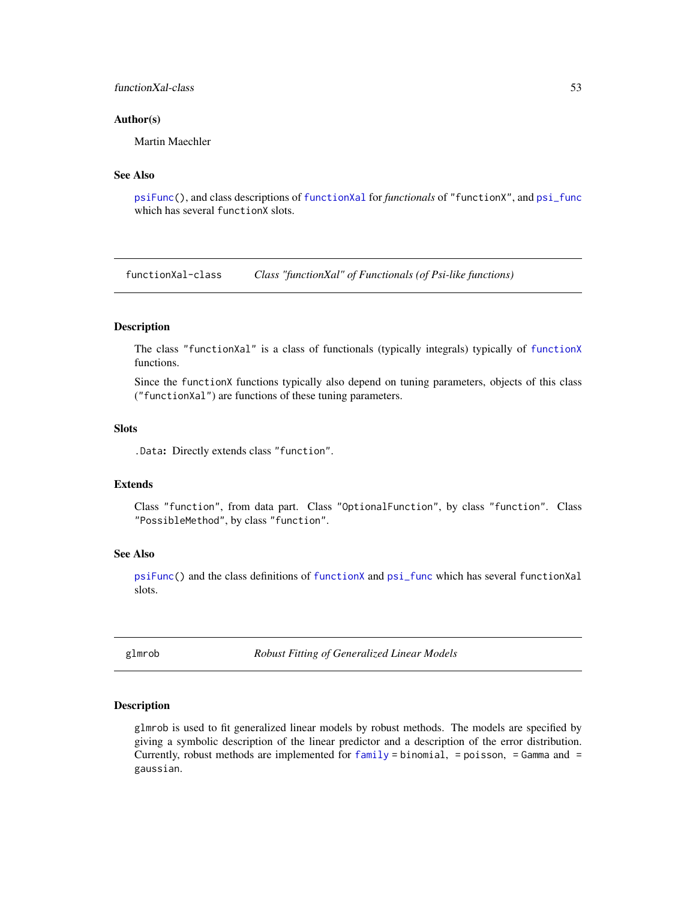# functionXal-class 53

## Author(s)

Martin Maechler

# See Also

[psiFunc\(](#page-128-0)), and class descriptions of [functionXal](#page-52-0) for *functionals* of "functionX", and [psi\\_func](#page-129-0) which has several functionX slots.

<span id="page-52-0"></span>functionXal-class *Class "functionXal" of Functionals (of Psi-like functions)*

# Description

The class "functionXal" is a class of functionals (typically integrals) typically of [functionX](#page-51-0) functions.

Since the functionX functions typically also depend on tuning parameters, objects of this class ("functionXal") are functions of these tuning parameters.

## **Slots**

.Data: Directly extends class "function".

# Extends

Class "function", from data part. Class "OptionalFunction", by class "function". Class "PossibleMethod", by class "function".

## See Also

[psiFunc\(](#page-128-0)) and the class definitions of [functionX](#page-51-0) and [psi\\_func](#page-129-0) which has several functionXal slots.

<span id="page-52-1"></span>glmrob *Robust Fitting of Generalized Linear Models*

# **Description**

glmrob is used to fit generalized linear models by robust methods. The models are specified by giving a symbolic description of the linear predictor and a description of the error distribution. Currently, robust methods are implemented for  $family = binomial$  $family = binomial$ , = poisson, = Gamma and = gaussian.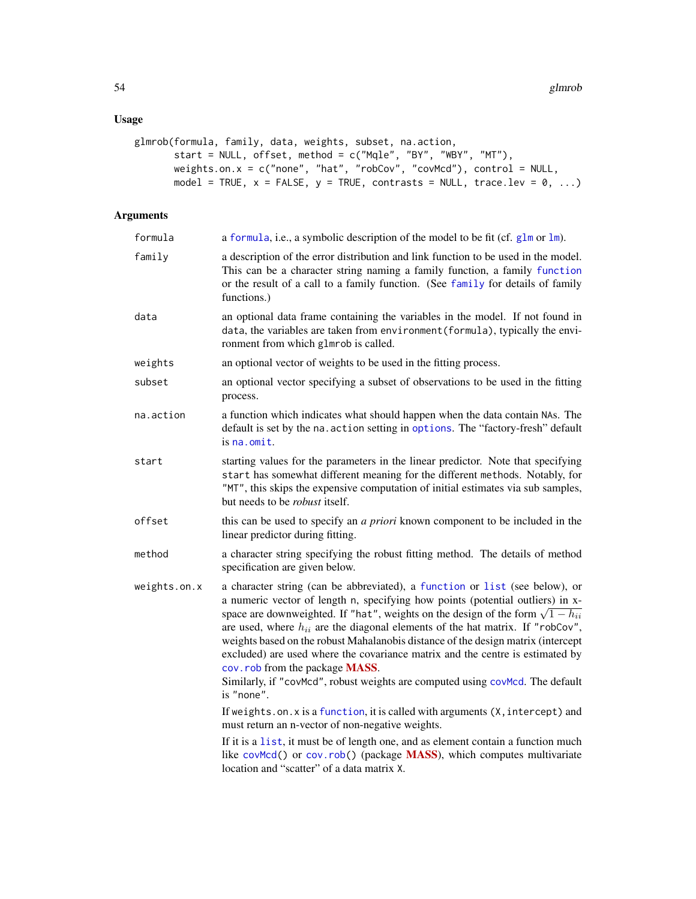# Usage

```
glmrob(formula, family, data, weights, subset, na.action,
       start = NULL, offset, method = c("Mqle", "BY", "WBY", "MT"),
       weights.on.x = c("none", "hat", "robCov", "covMcd"), control = NULL,
      model = TRUE, x = FALSE, y = TRUE, contrasts = NULL, trace.lev = 0, ...)
```
# Arguments

| formula      | a formula, i.e., a symbolic description of the model to be fit (cf. $glm$ or $lm$ ).                                                                                                                                                                                                                                                                                                                                                                                                                                                                                                                                                                  |
|--------------|-------------------------------------------------------------------------------------------------------------------------------------------------------------------------------------------------------------------------------------------------------------------------------------------------------------------------------------------------------------------------------------------------------------------------------------------------------------------------------------------------------------------------------------------------------------------------------------------------------------------------------------------------------|
| family       | a description of the error distribution and link function to be used in the model.<br>This can be a character string naming a family function, a family function<br>or the result of a call to a family function. (See family for details of family<br>functions.)                                                                                                                                                                                                                                                                                                                                                                                    |
| data         | an optional data frame containing the variables in the model. If not found in<br>data, the variables are taken from environment (formula), typically the envi-<br>ronment from which glmrob is called.                                                                                                                                                                                                                                                                                                                                                                                                                                                |
| weights      | an optional vector of weights to be used in the fitting process.                                                                                                                                                                                                                                                                                                                                                                                                                                                                                                                                                                                      |
| subset       | an optional vector specifying a subset of observations to be used in the fitting<br>process.                                                                                                                                                                                                                                                                                                                                                                                                                                                                                                                                                          |
| na.action    | a function which indicates what should happen when the data contain NAs. The<br>default is set by the na. action setting in options. The "factory-fresh" default<br>is na.omit.                                                                                                                                                                                                                                                                                                                                                                                                                                                                       |
| start        | starting values for the parameters in the linear predictor. Note that specifying<br>start has somewhat different meaning for the different methods. Notably, for<br>"MT", this skips the expensive computation of initial estimates via sub samples,<br>but needs to be <i>robust</i> itself.                                                                                                                                                                                                                                                                                                                                                         |
| offset       | this can be used to specify an a priori known component to be included in the<br>linear predictor during fitting.                                                                                                                                                                                                                                                                                                                                                                                                                                                                                                                                     |
| method       | a character string specifying the robust fitting method. The details of method<br>specification are given below.                                                                                                                                                                                                                                                                                                                                                                                                                                                                                                                                      |
| weights.on.x | a character string (can be abbreviated), a function or list (see below), or<br>a numeric vector of length n, specifying how points (potential outliers) in x-<br>space are downweighted. If "hat", weights on the design of the form $\sqrt{1 - h_{ii}}$<br>are used, where $h_{ii}$ are the diagonal elements of the hat matrix. If "robCov",<br>weights based on the robust Mahalanobis distance of the design matrix (intercept<br>excluded) are used where the covariance matrix and the centre is estimated by<br>cov. rob from the package MASS.<br>Similarly, if "covMcd", robust weights are computed using covMcd. The default<br>is "none". |
|              | If weights.on.x is a function, it is called with arguments (X, intercept) and<br>must return an n-vector of non-negative weights.                                                                                                                                                                                                                                                                                                                                                                                                                                                                                                                     |
|              | If it is a list, it must be of length one, and as element contain a function much<br>like covMcd() or cov.rob() (package MASS), which computes multivariate<br>location and "scatter" of a data matrix X.                                                                                                                                                                                                                                                                                                                                                                                                                                             |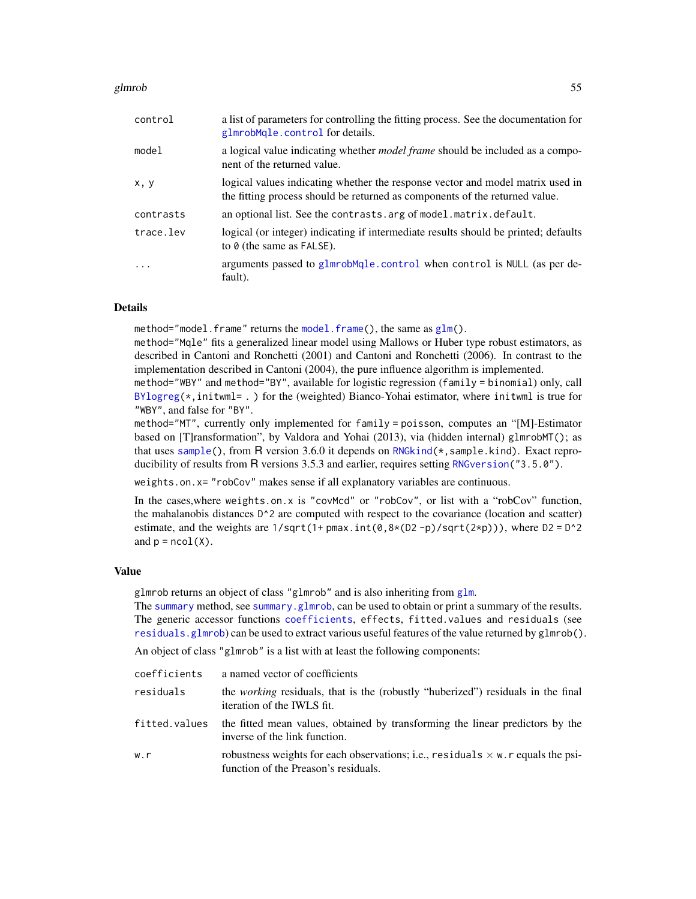### glmrob 55

| control   | a list of parameters for controlling the fitting process. See the documentation for<br>glmrobMqle.control for details.                                        |
|-----------|---------------------------------------------------------------------------------------------------------------------------------------------------------------|
| model     | a logical value indicating whether <i>model frame</i> should be included as a compo-<br>nent of the returned value.                                           |
| x, y      | logical values indicating whether the response vector and model matrix used in<br>the fitting process should be returned as components of the returned value. |
| contrasts | an optional list. See the contrasts arg of model matrix default.                                                                                              |
| trace.lev | logical (or integer) indicating if intermediate results should be printed; defaults<br>to $\theta$ (the same as FALSE).                                       |
| $\cdots$  | arguments passed to glmrobMqle.control when control is NULL (as per de-<br>fault).                                                                            |

# Details

method="model.frame" returns the [model.frame\(](#page-0-0)), the same as  $glm($ ).

method="Mqle" fits a generalized linear model using Mallows or Huber type robust estimators, as described in Cantoni and Ronchetti (2001) and Cantoni and Ronchetti (2006). In contrast to the implementation described in Cantoni (2004), the pure influence algorithm is implemented.

method="WBY" and method="BY", available for logistic regression (family = binomial) only, call  $BYlogreg(*,initwell = .)$  $BYlogreg(*,initwell = .)$  for the (weighted) Bianco-Yohai estimator, where inituml is true for "WBY", and false for "BY".

method="MT", currently only implemented for family = poisson, computes an "[M]-Estimator based on [T]ransformation", by Valdora and Yohai (2013), via (hidden internal) glmrobMT(); as that uses [sample\(](#page-0-0)), from R version 3.6.0 it depends on [RNGkind\(](#page-0-0)\*,sample.kind). Exact reproducibility of results from R versions 3.5.3 and earlier, requires setting RNGversion ("3.5.0").

weights.on.x= "robCov" makes sense if all explanatory variables are continuous.

In the cases,where weights.on.x is "covMcd" or "robCov", or list with a "robCov" function, the mahalanobis distances D^2 are computed with respect to the covariance (location and scatter) estimate, and the weights are  $1/\sqrt{1 + p\pi}$ ,  $int(0, 8 \times (D2 - p)/\sqrt{1 + (2 \times p)})$ , where  $D2 = D^2$ and  $p = ncol(X)$ .

## Value

glmrob returns an object of class "glmrob" and is also inheriting from [glm](#page-0-0).

The [summary](#page-0-0) method, see [summary.glmrob](#page-154-0), can be used to obtain or print a summary of the results. The generic accessor functions [coefficients](#page-0-0), effects, fitted.values and residuals (see [residuals.glmrob](#page-138-0)) can be used to extract various useful features of the value returned by glmrob().

An object of class "glmrob" is a list with at least the following components:

| coefficients  | a named vector of coefficients                                                                                                  |
|---------------|---------------------------------------------------------------------------------------------------------------------------------|
| residuals     | the <i>working</i> residuals, that is the (robustly "huberized") residuals in the final<br>iteration of the IWLS fit.           |
| fitted.values | the fitted mean values, obtained by transforming the linear predictors by the<br>inverse of the link function.                  |
| w.r           | robustness weights for each observations; i.e., residuals $\times$ w. r equals the psi-<br>function of the Preason's residuals. |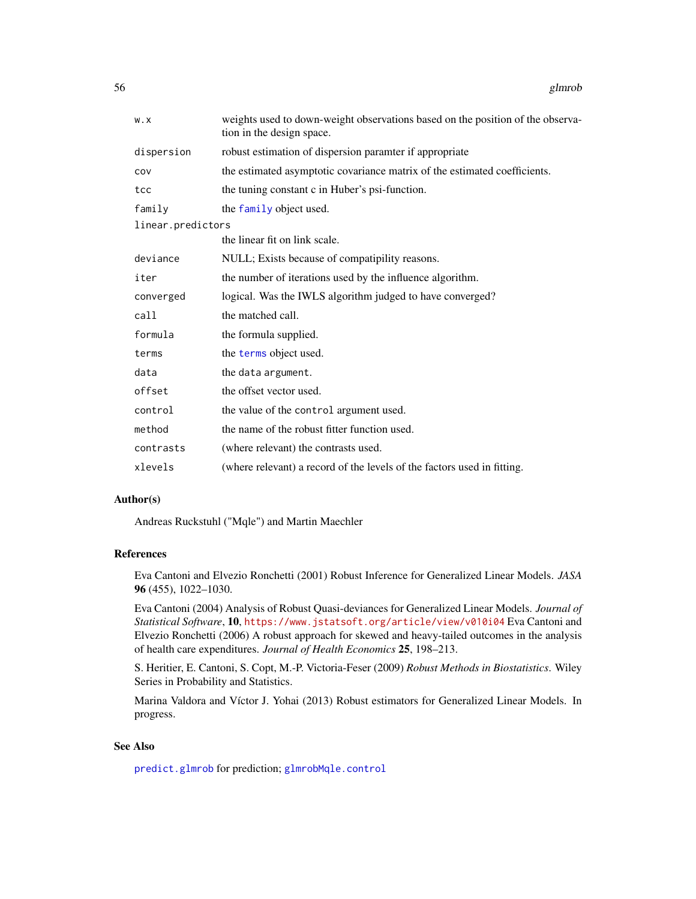| W.X               | weights used to down-weight observations based on the position of the observa-<br>tion in the design space. |
|-------------------|-------------------------------------------------------------------------------------------------------------|
| dispersion        | robust estimation of dispersion paramter if appropriate                                                     |
| COV               | the estimated asymptotic covariance matrix of the estimated coefficients.                                   |
| tcc               | the tuning constant c in Huber's psi-function.                                                              |
| family            | the family object used.                                                                                     |
| linear.predictors |                                                                                                             |
|                   | the linear fit on link scale.                                                                               |
| deviance          | NULL; Exists because of compatipility reasons.                                                              |
| iter              | the number of iterations used by the influence algorithm.                                                   |
| converged         | logical. Was the IWLS algorithm judged to have converged?                                                   |
| call              | the matched call.                                                                                           |
| formula           | the formula supplied.                                                                                       |
| terms             | the terms object used.                                                                                      |
| data              | the data argument.                                                                                          |
| offset            | the offset vector used.                                                                                     |
| control           | the value of the control argument used.                                                                     |
| method            | the name of the robust fitter function used.                                                                |
| contrasts         | (where relevant) the contrasts used.                                                                        |
| xlevels           | (where relevant) a record of the levels of the factors used in fitting.                                     |

# Author(s)

Andreas Ruckstuhl ("Mqle") and Martin Maechler

# References

Eva Cantoni and Elvezio Ronchetti (2001) Robust Inference for Generalized Linear Models. *JASA* 96 (455), 1022–1030.

Eva Cantoni (2004) Analysis of Robust Quasi-deviances for Generalized Linear Models. *Journal of Statistical Software*, 10, <https://www.jstatsoft.org/article/view/v010i04> Eva Cantoni and Elvezio Ronchetti (2006) A robust approach for skewed and heavy-tailed outcomes in the analysis of health care expenditures. *Journal of Health Economics* 25, 198–213.

S. Heritier, E. Cantoni, S. Copt, M.-P. Victoria-Feser (2009) *Robust Methods in Biostatistics*. Wiley Series in Probability and Statistics.

Marina Valdora and Víctor J. Yohai (2013) Robust estimators for Generalized Linear Models. In progress.

## See Also

[predict.glmrob](#page-121-0) for prediction; [glmrobMqle.control](#page-58-0)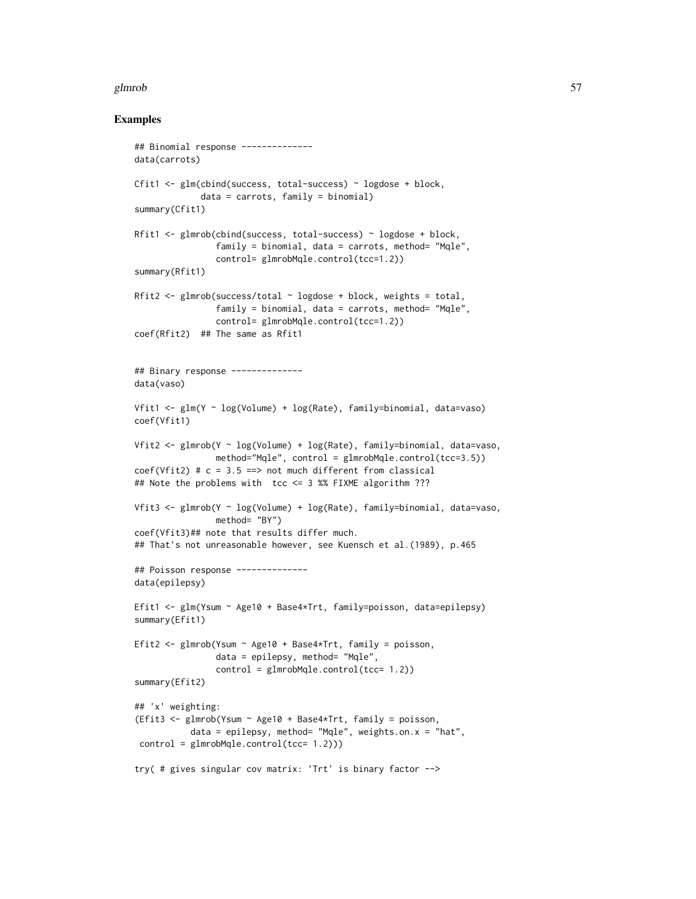### glmrob 57

```
## Binomial response --------------
data(carrots)
Cfit1 <- glm(cbind(success, total-success) ~ logdose + block,
             data = carrots, family = binomial)
summary(Cfit1)
Rfit1 <- glmrob(cbind(success, total-success) ~ logdose + block,
                family = binomial, data = carrots, method= "Mqle",
                control= glmrobMqle.control(tcc=1.2))
summary(Rfit1)
Rfit2 <- glmrob(success/total \sim logdose + block, weights = total,
                family = binomial, data = carrots, method= "Mgle",
                control= glmrobMqle.control(tcc=1.2))
coef(Rfit2) ## The same as Rfit1
## Binary response --------------
data(vaso)
Vfit1 <- glm(Y \sim log(Volume) + log(Rate), family=binomial, data=vaso)
coef(Vfit1)
Vfit2 <- glmrob(Y ~ log(Volume) + log(Rate), family=binomial, data=vaso,
                method="Mqle", control = glmrobMqle.control(tcc=3.5))
coef(Vfit2) # c = 3.5 ==> not much different from classical
## Note the problems with tcc <= 3 %% FIXME algorithm ???
Vfit3 <- glmrob(Y ~ log(Volume) + log(Rate), family=binomial, data=vaso,
                method= "BY")
coef(Vfit3)## note that results differ much.
## That's not unreasonable however, see Kuensch et al.(1989), p.465
## Poisson response --------------
data(epilepsy)
Efit1 <- glm(Ysum ~ Age10 + Base4*Trt, family=poisson, data=epilepsy)
summary(Efit1)
Efit2 <- glmrob(Ysum ~ Age10 + Base4*Trt, family = poisson,
                data = epilepsy, method= "Mqle",
                control = glmrobMqle.control(tcc= 1.2))
summary(Efit2)
## 'x' weighting:
(Efit3 <- glmrob(Ysum ~ Age10 + Base4*Trt, family = poisson,
           data = epilepsy, method= "Mqle", weights.on.x = "hat",
 control = glmrobMqle.control(tcc= 1.2)))
try( # gives singular cov matrix: 'Trt' is binary factor -->
```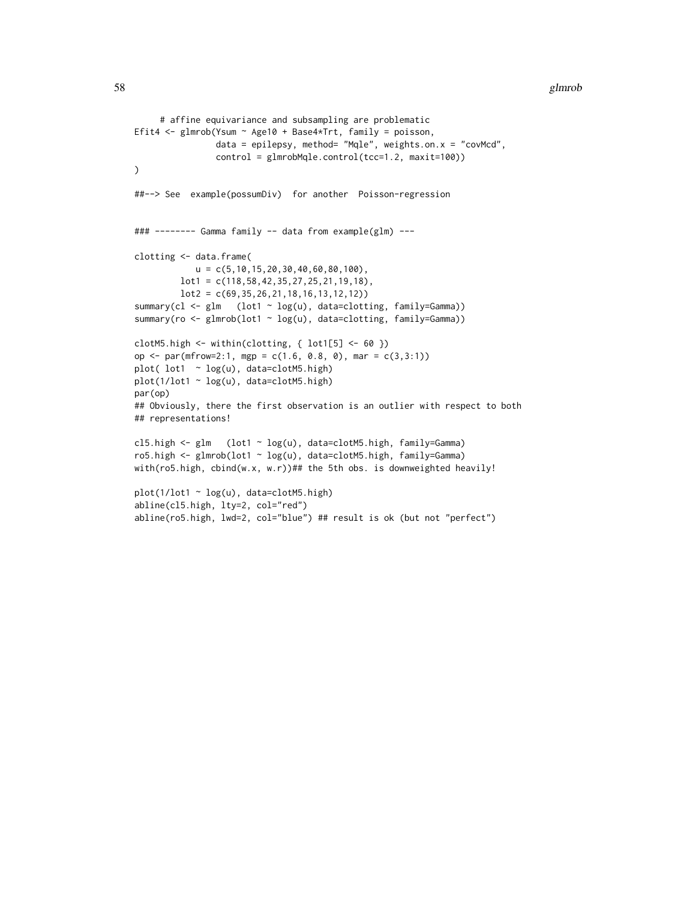```
# affine equivariance and subsampling are problematic
Efit4 <- glmrob(Ysum ~ Age10 + Base4*Trt, family = poisson,
                data = epilepsy, method= "Mqle", weights.on.x = "covMcd",
                control = glmrobMqle.control(tcc=1.2, maxit=100))
)
##--> See example(possumDiv) for another Poisson-regression
### -------- Gamma family -- data from example(glm) ---
clotting <- data.frame(
            u = c(5, 10, 15, 20, 30, 40, 60, 80, 100),
         lot1 = c(118, 58, 42, 35, 27, 25, 21, 19, 18),lot2 = c(69,35,26,21,18,16,13,12,12))
summary(cl <- glm (lot1 ~ log(u), data=clotting, family=Gamma))
summary(ro <- glmrob(lot1 ~ log(u), data=clotting, family=Gamma))
clotM5.high \leftarrow within(clotting, { lot1[5] \leftarrow 60 })
op <- par(mfrow=2:1, mgp = c(1.6, 0.8, 0), mar = c(3,3:1))
plot( lot1 ~ log(u), data=clotM5.high)
plot(1/lot1 ~ log(u), data=clotM5.high)
par(op)
## Obviously, there the first observation is an outlier with respect to both
## representations!
cl5.high <- glm (lot1 ~ log(u), data=clotM5.high, family=Gamma)
ro5.high <- glmrob(lot1 ~ log(u), data=clotM5.high, family=Gamma)
with(ro5.high, cbind(w.x, w.r))## the 5th obs. is downweighted heavily!
plot(1/lot1 ~ log(u), data=clotM5.high)
abline(cl5.high, lty=2, col="red")
abline(ro5.high, lwd=2, col="blue") ## result is ok (but not "perfect")
```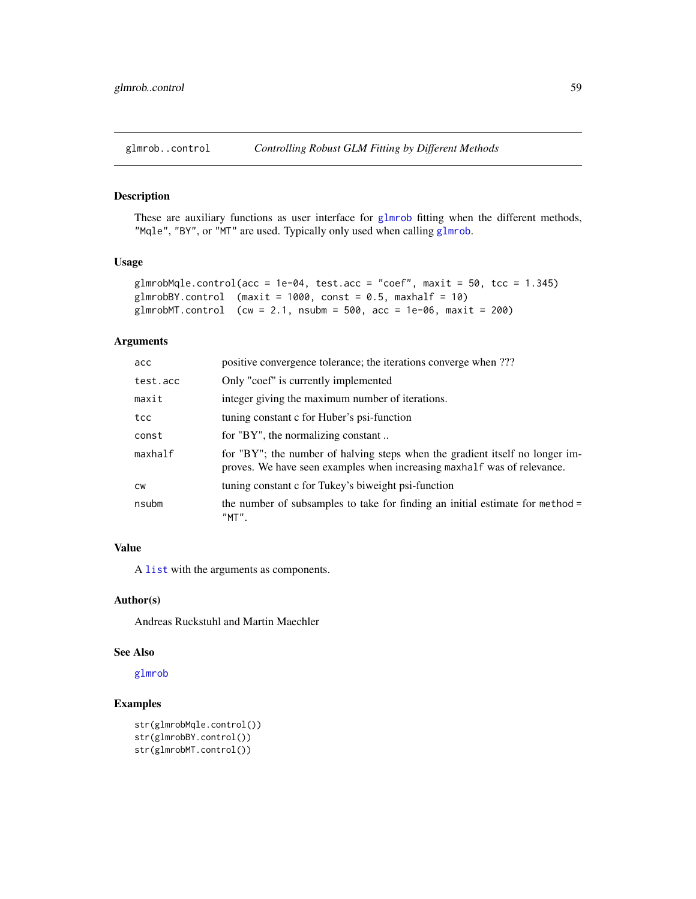<span id="page-58-0"></span>

These are auxiliary functions as user interface for [glmrob](#page-52-1) fitting when the different methods, "Mqle", "BY", or "MT" are used. Typically only used when calling [glmrob](#page-52-1).

# Usage

```
glmrobMqle.control(acc = 1e-04, test.acc = "coef", maxit = 50, tcc = 1.345)
glmrobBY.control (maxit = 1000, const = 0.5, maxhalf = 10)
glmrobMT.control (cw = 2.1, nsubm = 500, acc = 1e-06, maxit = 200)
```
# Arguments

| acc       | positive convergence tolerance; the iterations converge when ???                                                                                        |
|-----------|---------------------------------------------------------------------------------------------------------------------------------------------------------|
| test.acc  | Only "coef" is currently implemented                                                                                                                    |
| maxit     | integer giving the maximum number of iterations.                                                                                                        |
| tcc       | tuning constant c for Huber's psi-function                                                                                                              |
| const     | for "BY", the normalizing constant                                                                                                                      |
| maxhalf   | for "BY"; the number of halving steps when the gradient itself no longer im-<br>proves. We have seen examples when increasing maxhalf was of relevance. |
| <b>CW</b> | tuning constant c for Tukey's biweight psi-function                                                                                                     |
| nsubm     | the number of subsamples to take for finding an initial estimate for method =<br>"MT".                                                                  |

# Value

A [list](#page-0-0) with the arguments as components.

# Author(s)

Andreas Ruckstuhl and Martin Maechler

# See Also

[glmrob](#page-52-1)

```
str(glmrobMqle.control())
str(glmrobBY.control())
str(glmrobMT.control())
```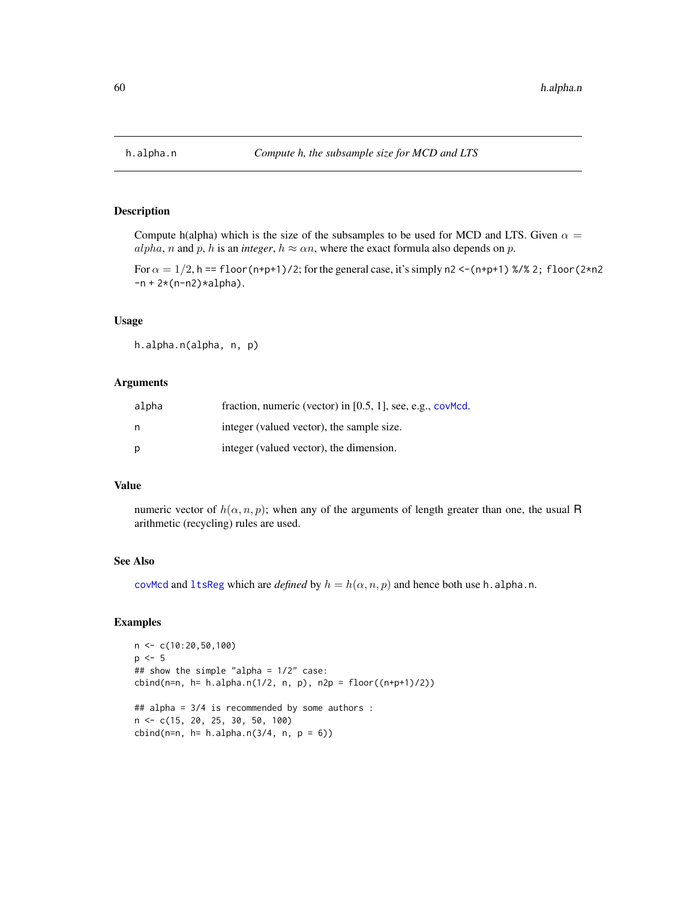<span id="page-59-0"></span>

Compute h(alpha) which is the size of the subsamples to be used for MCD and LTS. Given  $\alpha =$ alpha, n and p, h is an *integer*,  $h \approx \alpha n$ , where the exact formula also depends on p.

For  $\alpha = 1/2$ , h == floor (n+p+1)/2; for the general case, it's simply n2 <- (n+p+1) %/% 2; floor (2\*n2)  $-n + 2*(n-n2)*alpha$ .

# Usage

h.alpha.n(alpha, n, p)

## Arguments

| alpha | fraction, numeric (vector) in $[0.5, 1]$ , see, e.g., cov $Med$ . |
|-------|-------------------------------------------------------------------|
| n     | integer (valued vector), the sample size.                         |
| p     | integer (valued vector), the dimension.                           |

# Value

numeric vector of  $h(\alpha, n, p)$ ; when any of the arguments of length greater than one, the usual R arithmetic (recycling) rules are used.

# See Also

[covMcd](#page-36-0) and [ltsReg](#page-87-0) which are *defined* by  $h = h(\alpha, n, p)$  and hence both use h.alpha.n.

```
n <- c(10:20,50,100)
p \le -5## show the simple "alpha = 1/2" case:
cbind(n=n, h= h.alpha.n(1/2, n, p), n2p = floor((n+p+1)/2))
## alpha = 3/4 is recommended by some authors :
n <- c(15, 20, 25, 30, 50, 100)
cbind(n=n, h= h.alpha.n(3/4, n, p = 6))
```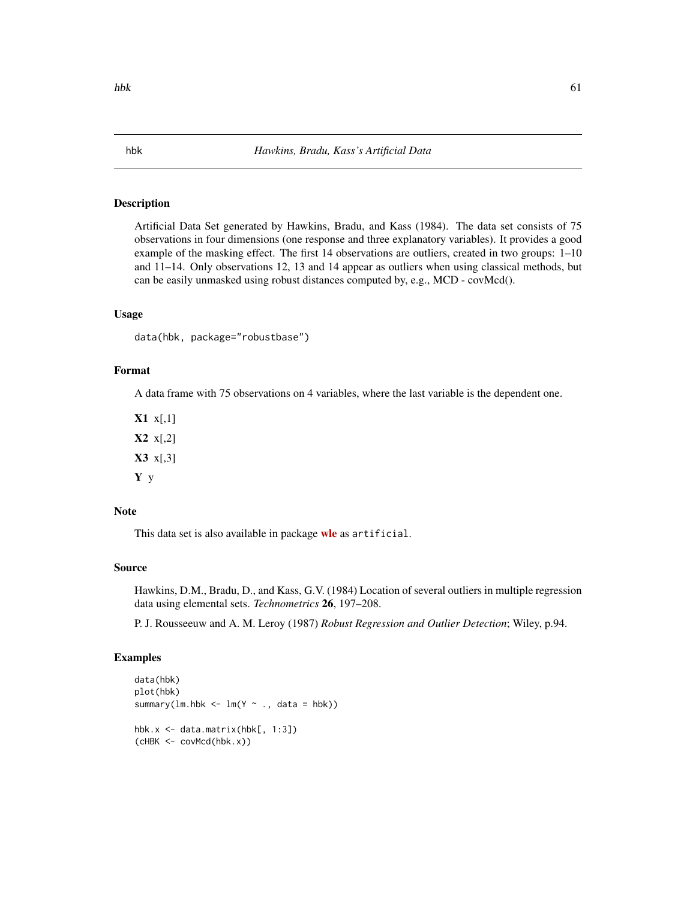Artificial Data Set generated by Hawkins, Bradu, and Kass (1984). The data set consists of 75 observations in four dimensions (one response and three explanatory variables). It provides a good example of the masking effect. The first 14 observations are outliers, created in two groups: 1–10 and 11–14. Only observations 12, 13 and 14 appear as outliers when using classical methods, but can be easily unmasked using robust distances computed by, e.g., MCD - covMcd().

# Usage

```
data(hbk, package="robustbase")
```
# Format

A data frame with 75 observations on 4 variables, where the last variable is the dependent one.

 $X1 x[,1]$ X2 x[,2]  $X3 \times 3$ ] Y y

# Note

This data set is also available in package [wle](https://CRAN.R-project.org/package=wle) as artificial.

# Source

Hawkins, D.M., Bradu, D., and Kass, G.V. (1984) Location of several outliers in multiple regression data using elemental sets. *Technometrics* 26, 197–208.

P. J. Rousseeuw and A. M. Leroy (1987) *Robust Regression and Outlier Detection*; Wiley, p.94.

```
data(hbk)
plot(hbk)
summary(lm.hbk < - lm(Y ~ ~ ., data = hbk))
hbk.x <- data.matrix(hbk[, 1:3])
(cHBK <- covMcd(hbk.x))
```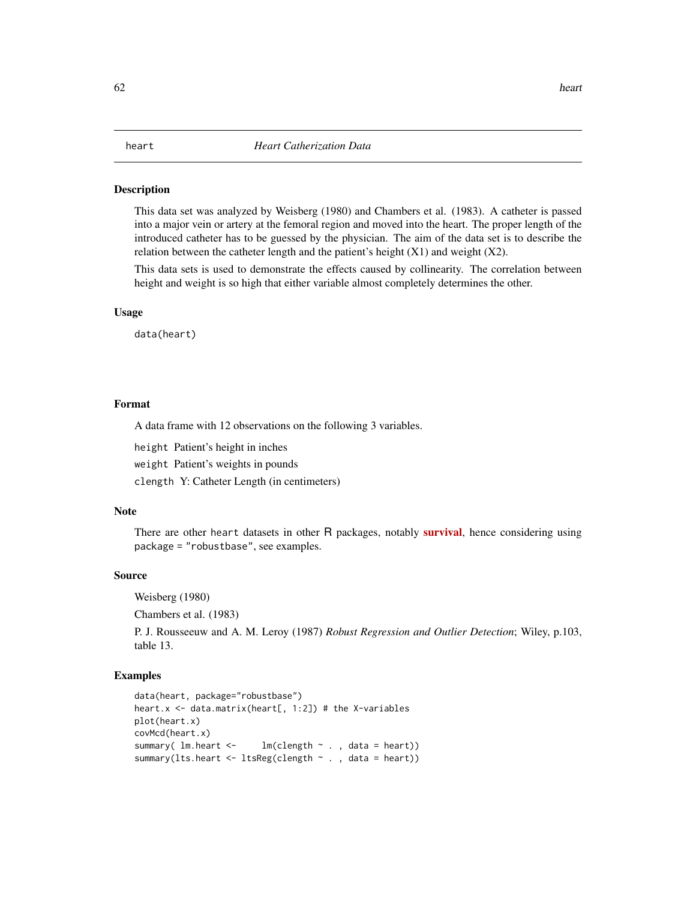This data set was analyzed by Weisberg (1980) and Chambers et al. (1983). A catheter is passed into a major vein or artery at the femoral region and moved into the heart. The proper length of the introduced catheter has to be guessed by the physician. The aim of the data set is to describe the relation between the catheter length and the patient's height  $(X1)$  and weight  $(X2)$ .

This data sets is used to demonstrate the effects caused by collinearity. The correlation between height and weight is so high that either variable almost completely determines the other.

#### Usage

data(heart)

## Format

A data frame with 12 observations on the following 3 variables.

height Patient's height in inches

weight Patient's weights in pounds

clength Y: Catheter Length (in centimeters)

# Note

There are other heart datasets in other R packages, notably **[survival](https://CRAN.R-project.org/package=survival)**, hence considering using package = "robustbase", see examples.

## Source

Weisberg (1980)

Chambers et al. (1983)

P. J. Rousseeuw and A. M. Leroy (1987) *Robust Regression and Outlier Detection*; Wiley, p.103, table 13.

```
data(heart, package="robustbase")
heart.x \leq data.matrix(heart[, 1:2]) # the X-variables
plot(heart.x)
covMcd(heart.x)
summary( lm.heart < - lm(clear) , data = heart))
summary(lts.heart \leq ltsReg(clength \sim ., data = heart))
```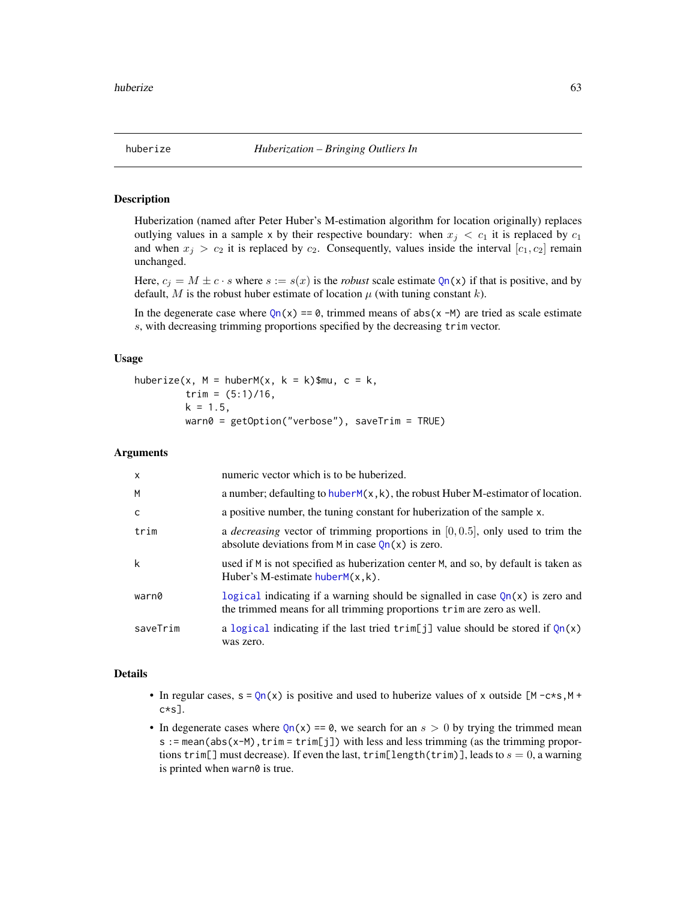Huberization (named after Peter Huber's M-estimation algorithm for location originally) replaces outlying values in a sample x by their respective boundary: when  $x_j < c_1$  it is replaced by  $c_1$ and when  $x_j > c_2$  it is replaced by  $c_2$ . Consequently, values inside the interval  $[c_1, c_2]$  remain unchanged.

Here,  $c_j = M \pm c \cdot s$  where  $s := s(x)$  is the *robust* scale estimate  $Qn(x)$  $Qn(x)$  if that is positive, and by default, M is the robust huber estimate of location  $\mu$  (with tuning constant k).

In the degenerate case where  $Qn(x) = 0$  $Qn(x) = 0$ , trimmed means of abs(x -M) are tried as scale estimate s, with decreasing trimming proportions specified by the decreasing trim vector.

# Usage

huberize(x,  $M = \text{huberM}(x, k = k)$ \$mu, c = k, trim =  $(5:1)/16$ ,  $k = 1.5$ , warn0 = getOption("verbose"), saveTrim = TRUE)

## Arguments

| $\mathsf{x}$ | numeric vector which is to be huberized.                                                                                                                 |
|--------------|----------------------------------------------------------------------------------------------------------------------------------------------------------|
| M            | a number; defaulting to $huberM(x, k)$ , the robust Huber M-estimator of location.                                                                       |
| $\mathsf{C}$ | a positive number, the tuning constant for huberization of the sample x.                                                                                 |
| trim         | a <i>decreasing</i> vector of trimming proportions in $[0, 0.5]$ , only used to trim the<br>absolute deviations from M in case $Qn(x)$ is zero.          |
| k            | used if M is not specified as huberization center M, and so, by default is taken as<br>Huber's M-estimate $huberM(x, k)$ .                               |
| warn0        | logical indicating if a warning should be signalled in case $Qn(x)$ is zero and<br>the trimmed means for all trimming proportions trim are zero as well. |
| saveTrim     | a logical indicating if the last tried $\text{trim}[j]$ value should be stored if $Qn(x)$<br>was zero.                                                   |

## Details

- In regular cases,  $s = Qn(x)$  $s = Qn(x)$  $s = Qn(x)$  is positive and used to huberize values of x outside  $[M c \star s, M + c \star s]$ c\*s].
- In degenerate cases where  $Qn(x) = 0$  $Qn(x) = 0$ , we search for an  $s > 0$  by trying the trimmed mean s := mean(abs(x-M),trim = trim[j]) with less and less trimming (as the trimming proportions trim[] must decrease). If even the last, trim[length(trim)], leads to  $s = 0$ , a warning is printed when warn0 is true.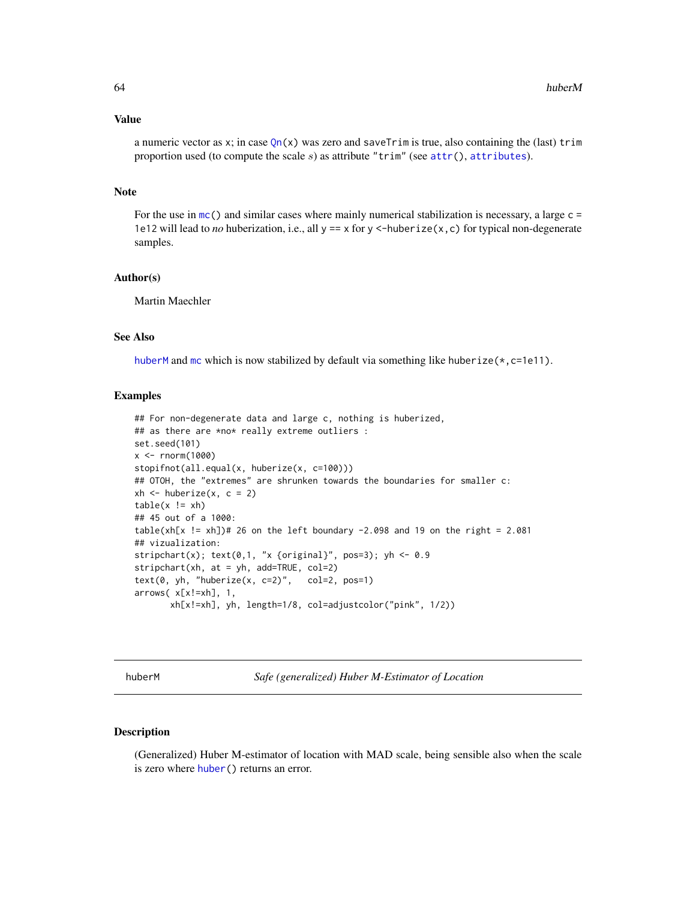#### Value

a numeric vector as x; in case  $Qn(x)$  $Qn(x)$  was zero and saveTrim is true, also containing the (last) trim proportion used (to compute the scale  $s$ ) as attribute "trim" (see  $attr()$  $attr()$ , [attributes](#page-0-0)).

## Note

For the use in  $mc()$  $mc()$  and similar cases where mainly numerical stabilization is necessary, a large  $c =$ 1e12 will lead to *no* huberization, i.e., all  $y = x$  for  $y < -$ huberize $(x, c)$  for typical non-degenerate samples.

#### Author(s)

Martin Maechler

# See Also

[huberM](#page-63-0) and [mc](#page-91-0) which is now stabilized by default via something like huberize $(*,c=1e11)$ .

### Examples

```
## For non-degenerate data and large c, nothing is huberized,
## as there are *no* really extreme outliers :
set.seed(101)
x < - rnorm(1000)
stopifnot(all.equal(x, huberize(x, c=100)))
## OTOH, the "extremes" are shrunken towards the boundaries for smaller c:
xh \leq -huberize(x, c = 2)table(x := xh)## 45 out of a 1000:
table(xh[x != xh])# 26 on the left boundary -2.098 and 19 on the right = 2.081
## vizualization:
stripchart(x); text(0,1, "x {original}", pos=3); yh <- 0.9
stripchart(xh, at = yh, add=TRUE, col=2)
text(0, yh, "huberize(x, c=2)", col=2, pos=1)
arrows( x[x!=xh], 1,
       xh[x!=xh], yh, length=1/8, col=adjustcolor("pink", 1/2))
```
<span id="page-63-0"></span>

huberM *Safe (generalized) Huber M-Estimator of Location*

## Description

(Generalized) Huber M-estimator of location with MAD scale, being sensible also when the scale is zero where [huber\(](#page-0-0)) returns an error.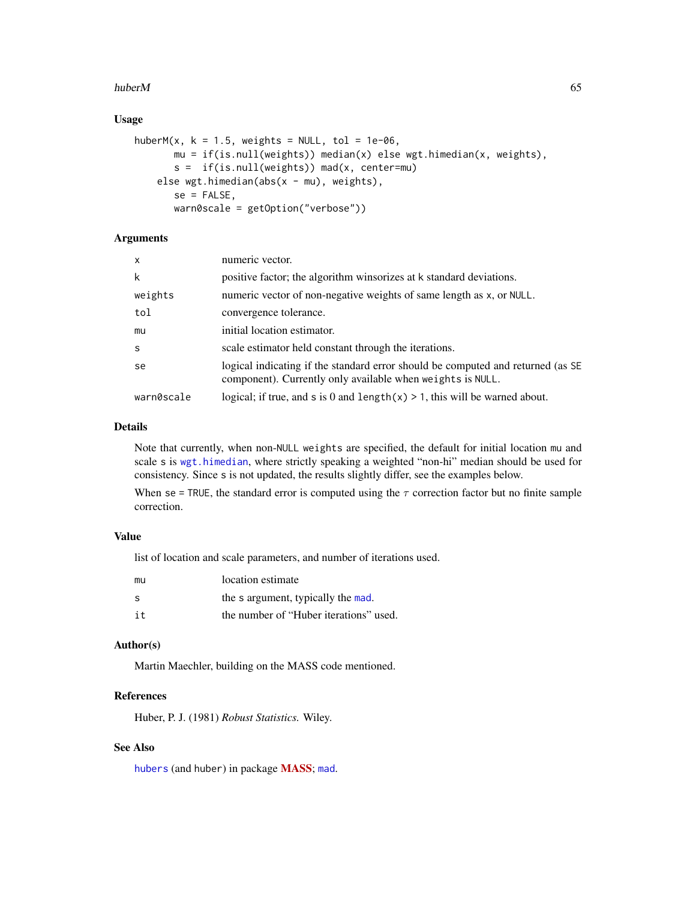### huberM 65

# Usage

```
huberM(x, k = 1.5, weights = NULL, tol = 1e-06,
      mu = if(is.null(weights)) median(x) else wgt.himedian(x, weights),
      s = if(is.null(weights)) mad(x, center=mu)
   else wgt.himedian(abs(x - mu), weights),
      se = FALSE,warn0scale = getOption("verbose"))
```
# Arguments

| X          | numeric vector.                                                                                                                               |
|------------|-----------------------------------------------------------------------------------------------------------------------------------------------|
| k          | positive factor; the algorithm winsorizes at k standard deviations.                                                                           |
| weights    | numeric vector of non-negative weights of same length as x, or NULL.                                                                          |
| tol        | convergence tolerance.                                                                                                                        |
| mu         | initial location estimator.                                                                                                                   |
| S          | scale estimator held constant through the iterations.                                                                                         |
| se         | logical indicating if the standard error should be computed and returned (as SE<br>component). Currently only available when weights is NULL. |
| warn0scale | logical; if true, and s is 0 and length $(x) > 1$ , this will be warned about.                                                                |

# Details

Note that currently, when non-NULL weights are specified, the default for initial location mu and scale s is [wgt.himedian](#page-169-0), where strictly speaking a weighted "non-hi" median should be used for consistency. Since s is not updated, the results slightly differ, see the examples below.

When se = TRUE, the standard error is computed using the  $\tau$  correction factor but no finite sample correction.

# Value

list of location and scale parameters, and number of iterations used.

| mu  | location estimate                      |
|-----|----------------------------------------|
| S   | the s argument, typically the mad.     |
| i t | the number of "Huber iterations" used. |

## Author(s)

Martin Maechler, building on the MASS code mentioned.

# References

Huber, P. J. (1981) *Robust Statistics.* Wiley.

# See Also

[hubers](#page-0-0) (and huber) in package **[MASS](https://CRAN.R-project.org/package=MASS)**; [mad](#page-0-0).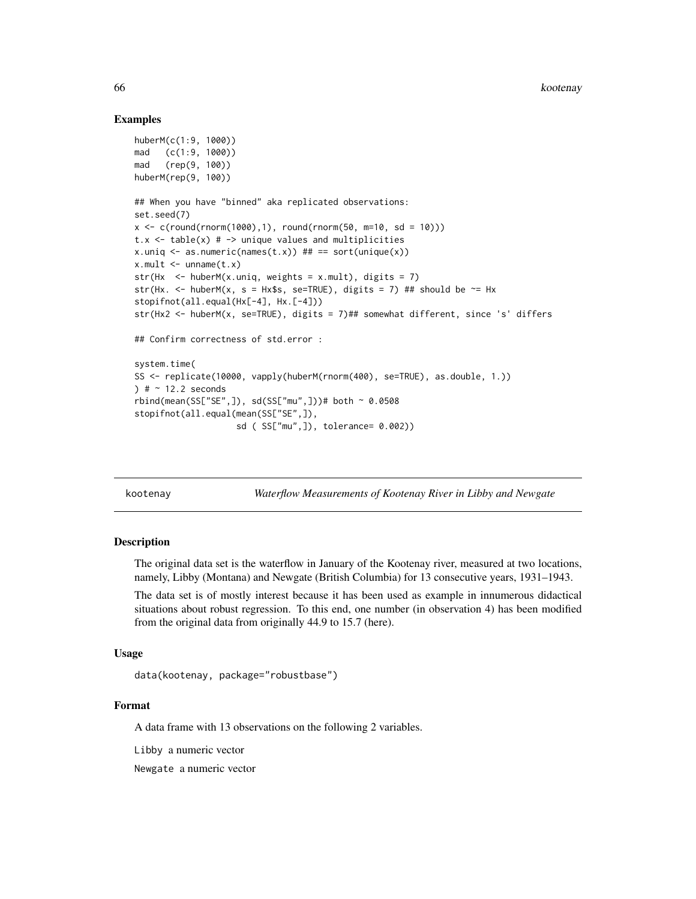## Examples

```
huberM(c(1:9, 1000))
mad (c(1:9, 1000))
mad (rep(9, 100))
huberM(rep(9, 100))
## When you have "binned" aka replicated observations:
set.seed(7)
x \leq c (round(rnorm(1000),1), round(rnorm(50, m=10, sd = 10)))
t.x \le table(x) # \rightarrow unique values and multiplicities
x.uniq \leq as.numeric(names(t.x)) ## == sort(unique(x))
x.mult \le unname(t.x)str(Hx \le - \text{huberM}(x.\text{uniq}, \text{weights} = x.\text{mult}), \text{ digits} = 7)str(Hx. <- huberM(x, s = Hx$s, se=TRUE), digits = 7) ## should be \sim= Hx
stopifnot(all.equal(Hx[-4], Hx.[-4]))
str(Hx2 <- huberM(x, se=TRUE), digits = 7)## somewhat different, since 's' differs
## Confirm correctness of std.error :
system.time(
SS <- replicate(10000, vapply(huberM(rnorm(400), se=TRUE), as.double, 1.))
) # 2.2 seconds
rbind(mean(SS["SE",]), sd(SS["mu",]))# both ~ 0.0508
stopifnot(all.equal(mean(SS["SE",]),
                     sd ( SS["mu",]), tolerance= 0.002))
```
kootenay *Waterflow Measurements of Kootenay River in Libby and Newgate*

#### Description

The original data set is the waterflow in January of the Kootenay river, measured at two locations, namely, Libby (Montana) and Newgate (British Columbia) for 13 consecutive years, 1931–1943.

The data set is of mostly interest because it has been used as example in innumerous didactical situations about robust regression. To this end, one number (in observation 4) has been modified from the original data from originally 44.9 to 15.7 (here).

# Usage

```
data(kootenay, package="robustbase")
```
# Format

A data frame with 13 observations on the following 2 variables.

Libby a numeric vector

Newgate a numeric vector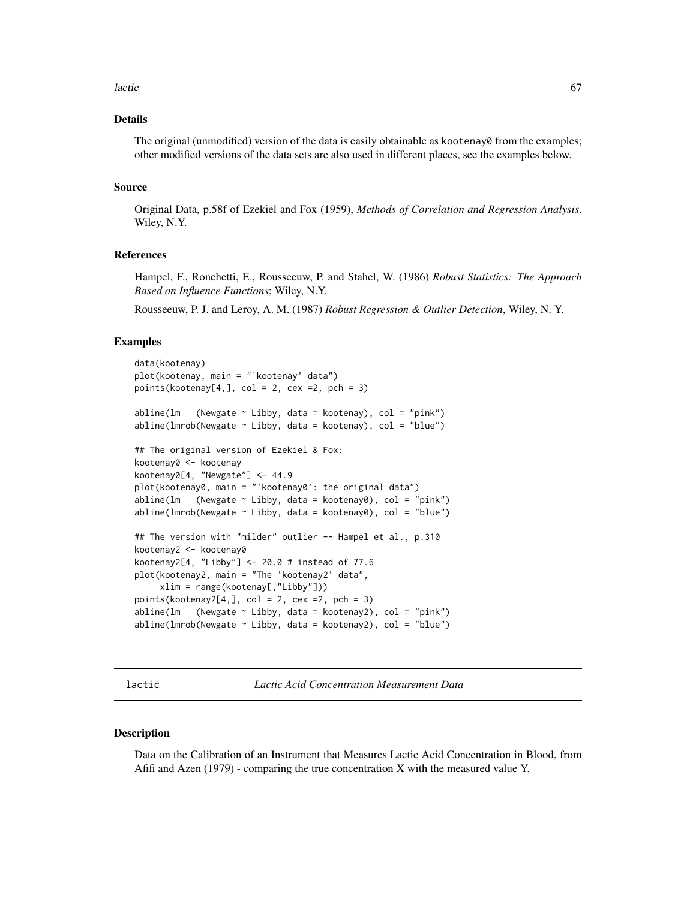### lactic to the contract of the contract of the contract of the contract of the contract of the contract of the contract of the contract of the contract of the contract of the contract of the contract of the contract of the

# Details

The original (unmodified) version of the data is easily obtainable as kootenay0 from the examples; other modified versions of the data sets are also used in different places, see the examples below.

## Source

Original Data, p.58f of Ezekiel and Fox (1959), *Methods of Correlation and Regression Analysis*. Wiley, N.Y.

# References

Hampel, F., Ronchetti, E., Rousseeuw, P. and Stahel, W. (1986) *Robust Statistics: The Approach Based on Influence Functions*; Wiley, N.Y.

Rousseeuw, P. J. and Leroy, A. M. (1987) *Robust Regression & Outlier Detection*, Wiley, N. Y.

## Examples

```
data(kootenay)
plot(kootenay, main = "'kootenay' data")
points(kootenay[4,], col = 2, cex =2, pch = 3)
abline(lm (Newgate \sim Libby, data = kootenay), col = "pink")
abline(lmrob(Newgate \sim Libby, data = kootenay), col = "blue")## The original version of Ezekiel & Fox:
kootenay0 <- kootenay
kootenay0[4, "Newgate"] <- 44.9
plot(kootenay0, main = "'kootenay0': the original data")
abline(lm (Newgate \sim Libby, data = kootenay0), col = "pink")
abline(lmrob(Newgate \sim Libby, data = kootenay0), col = "blue")## The version with "milder" outlier -- Hampel et al., p.310
kootenay2 <- kootenay0
kootenay2[4, "Libby"] <- 20.0 # instead of 77.6
plot(kootenay2, main = "The 'kootenay2' data",
     xlim = range(kootenay[,"Libby"]))
points(kootenay2[4,], col = 2, cex =2, pch = 3)abline(lm (Newgate \sim Libby, data = kootenay2), col = "pink")
abline(lmrob(Newgate ~ Libby, data = kootenay2), col = "blue")
```
lactic *Lactic Acid Concentration Measurement Data*

### Description

Data on the Calibration of an Instrument that Measures Lactic Acid Concentration in Blood, from Afifi and Azen (1979) - comparing the true concentration X with the measured value Y.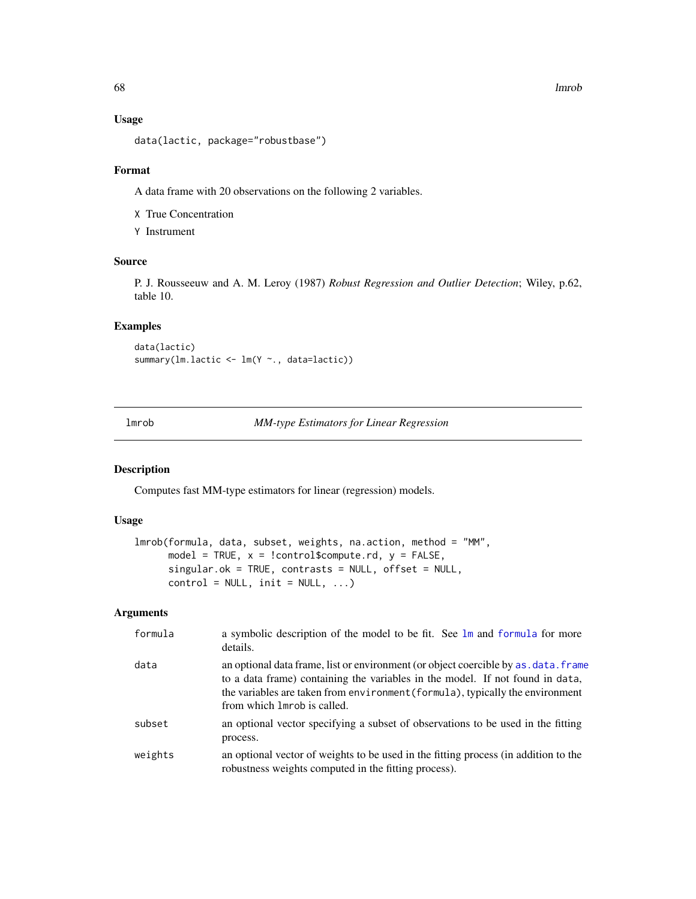# Usage

data(lactic, package="robustbase")

# Format

A data frame with 20 observations on the following 2 variables.

X True Concentration

Y Instrument

# Source

P. J. Rousseeuw and A. M. Leroy (1987) *Robust Regression and Outlier Detection*; Wiley, p.62, table 10.

# Examples

data(lactic) summary(lm.lactic <- lm(Y ~., data=lactic))

lmrob *MM-type Estimators for Linear Regression*

# Description

Computes fast MM-type estimators for linear (regression) models.

## Usage

```
lmrob(formula, data, subset, weights, na.action, method = "MM",
     model = TRUE, x = !control$compute.rd, y = FALSE,
     singular.ok = TRUE, contrasts = NULL, offset = NULL,
     control = NULL, init = NULL, ...)
```
# Arguments

| formula | a symbolic description of the model to be fit. See 1m and formula for more<br>details.                                                                                                                                                                                               |
|---------|--------------------------------------------------------------------------------------------------------------------------------------------------------------------------------------------------------------------------------------------------------------------------------------|
| data    | an optional data frame, list or environment (or object coercible by as, data, frame<br>to a data frame) containing the variables in the model. If not found in data,<br>the variables are taken from environment (formula), typically the environment<br>from which lmrob is called. |
| subset  | an optional vector specifying a subset of observations to be used in the fitting<br>process.                                                                                                                                                                                         |
| weights | an optional vector of weights to be used in the fitting process (in addition to the<br>robustness weights computed in the fitting process).                                                                                                                                          |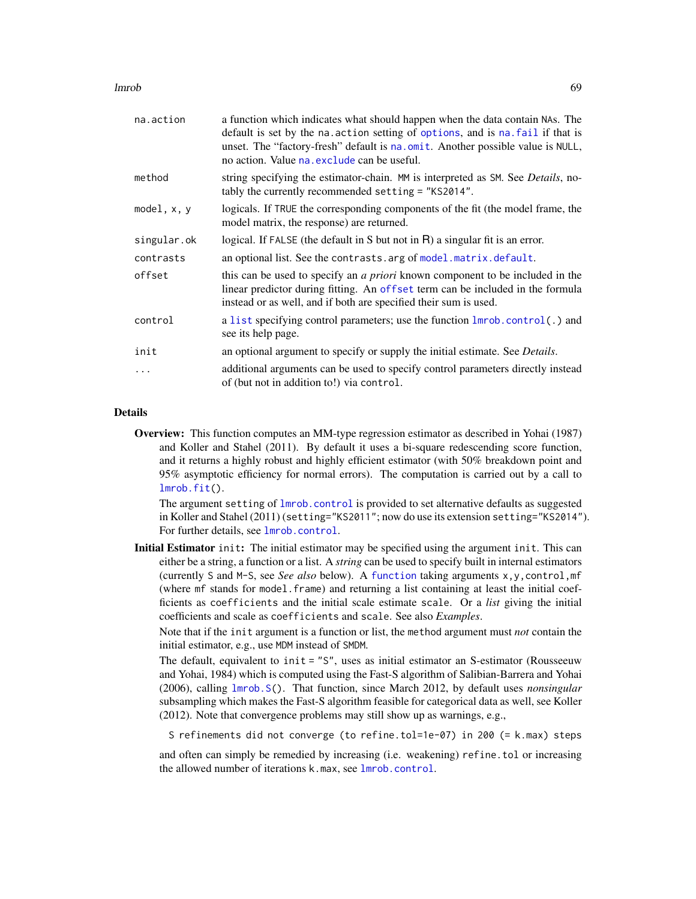lmrob 69

| na.action   | a function which indicates what should happen when the data contain NAs. The<br>default is set by the na. action setting of options, and is na. fail if that is<br>unset. The "factory-fresh" default is na.omit. Another possible value is NULL,<br>no action. Value na. exclude can be useful. |
|-------------|--------------------------------------------------------------------------------------------------------------------------------------------------------------------------------------------------------------------------------------------------------------------------------------------------|
| method      | string specifying the estimator-chain. MM is interpreted as SM. See Details, no-<br>tably the currently recommended setting = "KS2014".                                                                                                                                                          |
| model, x, y | logicals. If TRUE the corresponding components of the fit (the model frame, the<br>model matrix, the response) are returned.                                                                                                                                                                     |
| singular.ok | logical. If FALSE (the default in S but not in R) a singular fit is an error.                                                                                                                                                                                                                    |
| contrasts   | an optional list. See the contrasts arg of model matrix default.                                                                                                                                                                                                                                 |
| offset      | this can be used to specify an <i>a priori</i> known component to be included in the<br>linear predictor during fitting. An offset term can be included in the formula<br>instead or as well, and if both are specified their sum is used.                                                       |
| control     | a list specifying control parameters; use the function lmrob.control(.) and<br>see its help page.                                                                                                                                                                                                |
| init        | an optional argument to specify or supply the initial estimate. See <i>Details</i> .                                                                                                                                                                                                             |
| $\ddots$    | additional arguments can be used to specify control parameters directly instead<br>of (but not in addition to!) via control.                                                                                                                                                                     |
|             |                                                                                                                                                                                                                                                                                                  |

# Details

Overview: This function computes an MM-type regression estimator as described in Yohai (1987) and Koller and Stahel (2011). By default it uses a bi-square redescending score function, and it returns a highly robust and highly efficient estimator (with 50% breakdown point and 95% asymptotic efficiency for normal errors). The computation is carried out by a call to [lmrob.fit\(](#page-80-0)).

The argument setting of [lmrob.control](#page-75-0) is provided to set alternative defaults as suggested in Koller and Stahel (2011) (setting="KS2011"; now do use its extension setting="KS2014"). For further details, see [lmrob.control](#page-75-0).

Initial Estimator init: The initial estimator may be specified using the argument init. This can either be a string, a function or a list. A *string* can be used to specify built in internal estimators (currently S and M-S, see *See also* below). A [function](#page-0-0) taking arguments x,y,control,mf (where mf stands for model.frame) and returning a list containing at least the initial coefficients as coefficients and the initial scale estimate scale. Or a *list* giving the initial coefficients and scale as coefficients and scale. See also *Examples*.

Note that if the init argument is a function or list, the method argument must *not* contain the initial estimator, e.g., use MDM instead of SMDM.

The default, equivalent to init = "S", uses as initial estimator an S-estimator (Rousseeuw and Yohai, 1984) which is computed using the Fast-S algorithm of Salibian-Barrera and Yohai (2006), calling [lmrob.S\(](#page-84-0)). That function, since March 2012, by default uses *nonsingular* subsampling which makes the Fast-S algorithm feasible for categorical data as well, see Koller (2012). Note that convergence problems may still show up as warnings, e.g.,

S refinements did not converge (to refine.tol=1e-07) in 200 (= k.max) steps

and often can simply be remedied by increasing (i.e. weakening) refine.tol or increasing the allowed number of iterations k.max, see [lmrob.control](#page-75-0).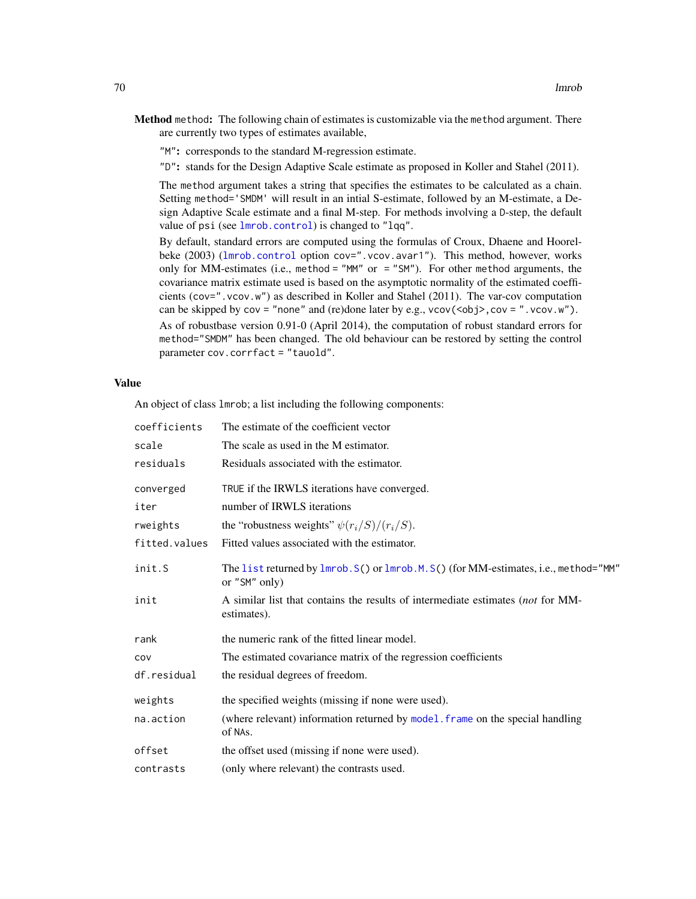- Method method: The following chain of estimates is customizable via the method argument. There are currently two types of estimates available,
	- "M": corresponds to the standard M-regression estimate.

"D": stands for the Design Adaptive Scale estimate as proposed in Koller and Stahel (2011).

The method argument takes a string that specifies the estimates to be calculated as a chain. Setting method='SMDM' will result in an intial S-estimate, followed by an M-estimate, a Design Adaptive Scale estimate and a final M-step. For methods involving a D-step, the default value of psi (see [lmrob.control](#page-75-0)) is changed to "lqq".

By default, standard errors are computed using the formulas of Croux, Dhaene and Hoorelbeke (2003) ([lmrob.control](#page-75-0) option cov=".vcov.avar1"). This method, however, works only for MM-estimates (i.e., method = "MM" or = "SM"). For other method arguments, the covariance matrix estimate used is based on the asymptotic normality of the estimated coefficients (cov=".vcov.w") as described in Koller and Stahel (2011). The var-cov computation can be skipped by  $cov = "none"$  and (re)done later by e.g.,  $vcov(<sub>obj</sub>)$ ,  $cov = ".vcov.w"$ ).

As of robustbase version 0.91-0 (April 2014), the computation of robust standard errors for method="SMDM" has been changed. The old behaviour can be restored by setting the control parameter cov.corrfact = "tauold".

## Value

An object of class lmrob; a list including the following components:

| coefficients  | The estimate of the coefficient vector                                                                 |
|---------------|--------------------------------------------------------------------------------------------------------|
| scale         | The scale as used in the M estimator.                                                                  |
| residuals     | Residuals associated with the estimator.                                                               |
| converged     | TRUE if the IRWLS iterations have converged.                                                           |
| iter          | number of IRWLS iterations                                                                             |
| rweights      | the "robustness weights" $\psi(r_i/S)/(r_i/S)$ .                                                       |
| fitted.values | Fitted values associated with the estimator.                                                           |
| init.S        | The list returned by lmrob. S() or lmrob. M. S() (for MM-estimates, i.e., method="MM"<br>or "SM" only) |
| init          | A similar list that contains the results of intermediate estimates (not for MM-<br>estimates).         |
| rank          | the numeric rank of the fitted linear model.                                                           |
| COV           | The estimated covariance matrix of the regression coefficients                                         |
| df.residual   | the residual degrees of freedom.                                                                       |
| weights       | the specified weights (missing if none were used).                                                     |
| na.action     | (where relevant) information returned by model. frame on the special handling<br>of NAs.               |
| offset        | the offset used (missing if none were used).                                                           |
| contrasts     | (only where relevant) the contrasts used.                                                              |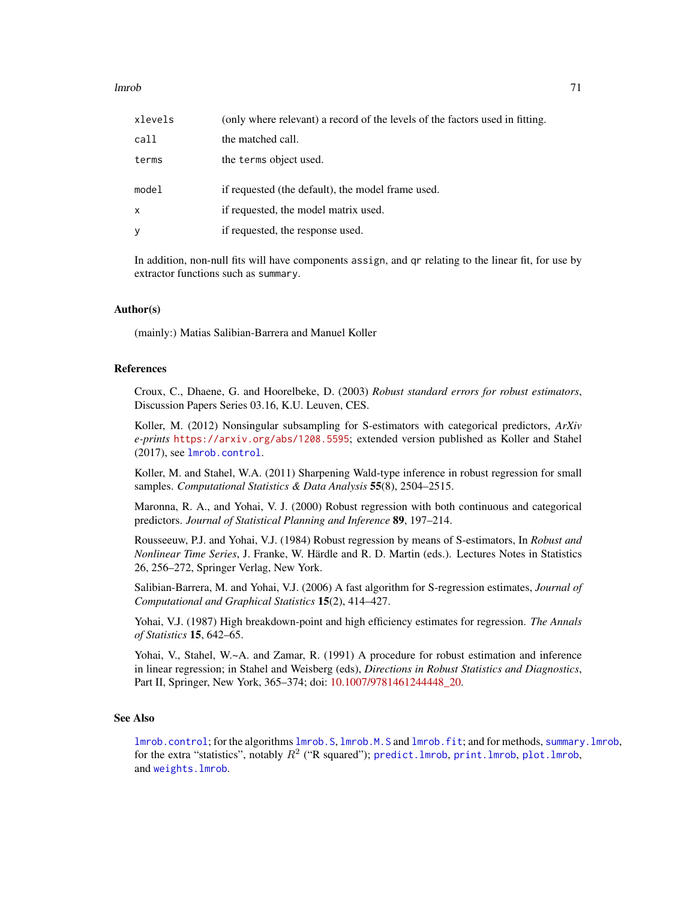## lmrob 71

| xlevels      | (only where relevant) a record of the levels of the factors used in fitting. |
|--------------|------------------------------------------------------------------------------|
| call         | the matched call.                                                            |
| terms        | the terms object used.                                                       |
| model        | if requested (the default), the model frame used.                            |
| $\mathsf{x}$ | if requested, the model matrix used.                                         |
|              |                                                                              |

In addition, non-null fits will have components assign, and qr relating to the linear fit, for use by extractor functions such as summary.

# Author(s)

(mainly:) Matias Salibian-Barrera and Manuel Koller

## References

Croux, C., Dhaene, G. and Hoorelbeke, D. (2003) *Robust standard errors for robust estimators*, Discussion Papers Series 03.16, K.U. Leuven, CES.

Koller, M. (2012) Nonsingular subsampling for S-estimators with categorical predictors, *ArXiv e-prints* <https://arxiv.org/abs/1208.5595>; extended version published as Koller and Stahel (2017), see [lmrob.control](#page-75-0).

Koller, M. and Stahel, W.A. (2011) Sharpening Wald-type inference in robust regression for small samples. *Computational Statistics & Data Analysis* 55(8), 2504–2515.

Maronna, R. A., and Yohai, V. J. (2000) Robust regression with both continuous and categorical predictors. *Journal of Statistical Planning and Inference* 89, 197–214.

Rousseeuw, P.J. and Yohai, V.J. (1984) Robust regression by means of S-estimators, In *Robust and Nonlinear Time Series*, J. Franke, W. Härdle and R. D. Martin (eds.). Lectures Notes in Statistics 26, 256–272, Springer Verlag, New York.

Salibian-Barrera, M. and Yohai, V.J. (2006) A fast algorithm for S-regression estimates, *Journal of Computational and Graphical Statistics* 15(2), 414–427.

Yohai, V.J. (1987) High breakdown-point and high efficiency estimates for regression. *The Annals of Statistics* 15, 642–65.

Yohai, V., Stahel, W.~A. and Zamar, R. (1991) A procedure for robust estimation and inference in linear regression; in Stahel and Weisberg (eds), *Directions in Robust Statistics and Diagnostics*, Part II, Springer, New York, 365–374; doi: 10.1007/9781461244448 20.

#### See Also

[lmrob.control](#page-75-0); for the algorithms [lmrob.S](#page-84-0), [lmrob.M.S](#page-83-0) and [lmrob.fit](#page-80-0); and for methods, [summary.lmrob](#page-155-0), for the extra "statistics", notably  $R^2$  ("R squared"); predict. lmrob, print. lmrob, plot. lmrob, and [weights.lmrob](#page-168-0).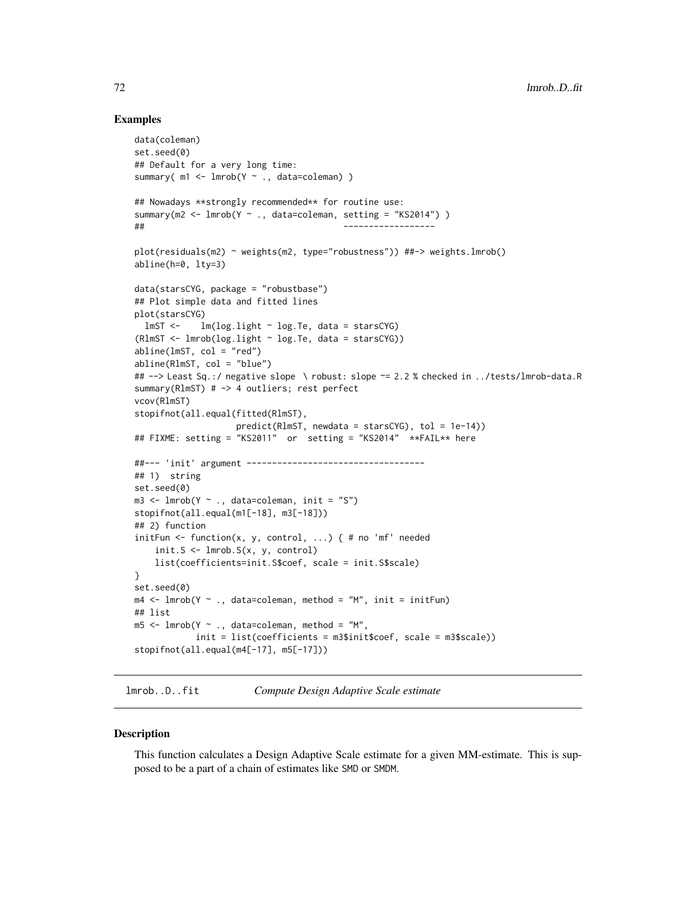# Examples

```
data(coleman)
set.seed(0)
## Default for a very long time:
summary( m1 <- lmrob(Y ~ ., data=coleman) )
## Nowadays **strongly recommended** for routine use:
summary(m2 <- lmrob(Y ~ ., data=coleman, setting = "KS2014") )
## ------------------
plot(residuals(m2) ~ weights(m2, type="robustness")) ##-> weights.lmrob()
abline(h=0, lty=3)
data(starsCYG, package = "robustbase")
## Plot simple data and fitted lines
plot(starsCYG)
  lmST < - lm(log.light ~ log.Te, data = starsCYG)(RlmST <- lmrob(log.light ~ log.Te, data = starsCYG))
abline(lmST, col = "red")abline(RlmST, col = "blue")
## --> Least Sq.:/ negative slope \ robust: slope ~= 2.2 % checked in ../tests/lmrob-data.R
summary(RlmST) # -> 4 outliers; rest perfect
vcov(RlmST)
stopifnot(all.equal(fitted(RlmST),
                    predict(RlmST, newdata = starsCYG), tol = 1e-14))
## FIXME: setting = "KS2011" or setting = "KS2014" **FAIL** here
##--- 'init' argument -----------------------------------
## 1) string
set.seed(0)
m3 \leq \text{Imrob}(Y \sim ., \text{ data=coleman}, \text{init} = "S")stopifnot(all.equal(m1[-18], m3[-18]))
## 2) function
initFun <- function(x, y, control, \ldots) { # no 'mf' needed
    init.S <- lmrob.S(x, y, control)
    list(coefficients=init.S$coef, scale = init.S$scale)
}
set.seed(0)
m4 \leq -1mrob(Y \sim ., data=coleman, method = "M", init = initFun)
## list
m5 < -1mrob(Y \sim ., data=coleman, method = "M",
            init = list(coefficients = m3$init$coef, scale = m3$scale))
stopifnot(all.equal(m4[-17], m5[-17]))
```
lmrob..D..fit *Compute Design Adaptive Scale estimate*

## **Description**

This function calculates a Design Adaptive Scale estimate for a given MM-estimate. This is supposed to be a part of a chain of estimates like SMD or SMDM.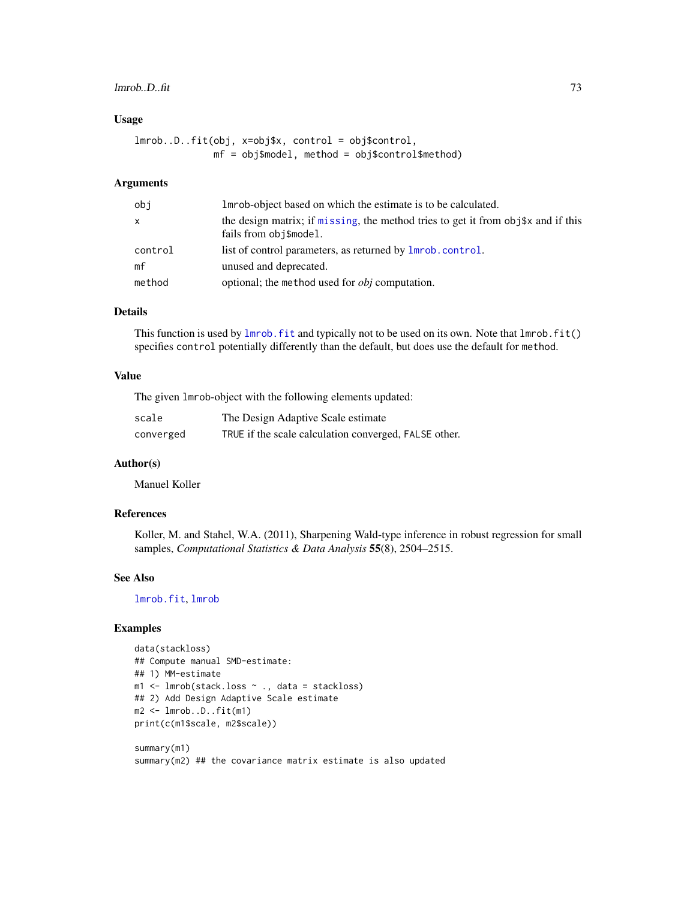## lmrob..D..fit 73

### Usage

```
lmrob..D..fit(obj, x=obj$x, control = obj$control,
              mf = obj$model, method = obj$control$method)
```
## Arguments

| obj     | Imrob-object based on which the estimate is to be calculated.                                                  |
|---------|----------------------------------------------------------------------------------------------------------------|
| x       | the design matrix; if missing, the method tries to get it from $obj$ \$x and if this<br>fails from obj\$model. |
| control | list of control parameters, as returned by lmrob.control.                                                      |
| mf      | unused and deprecated.                                                                                         |
| method  | optional; the method used for <i>obj</i> computation.                                                          |

## Details

This function is used by  $lmrob.fit$  and typically not to be used on its own. Note that  $lmrob.fit()$ specifies control potentially differently than the default, but does use the default for method.

## Value

The given lmrob-object with the following elements updated:

| scale     | The Design Adaptive Scale estimate                    |
|-----------|-------------------------------------------------------|
| converged | TRUE if the scale calculation converged, FALSE other. |

## Author(s)

Manuel Koller

## References

Koller, M. and Stahel, W.A. (2011), Sharpening Wald-type inference in robust regression for small samples, *Computational Statistics & Data Analysis* 55(8), 2504–2515.

## See Also

[lmrob.fit](#page-80-0), [lmrob](#page-67-0)

#### Examples

```
data(stackloss)
## Compute manual SMD-estimate:
## 1) MM-estimate
m1 <- lmrob(stack.loss ~ ., data = stackloss)
## 2) Add Design Adaptive Scale estimate
m2 <- lmrob..D..fit(m1)
print(c(m1$scale, m2$scale))
```
summary(m1) summary(m2) ## the covariance matrix estimate is also updated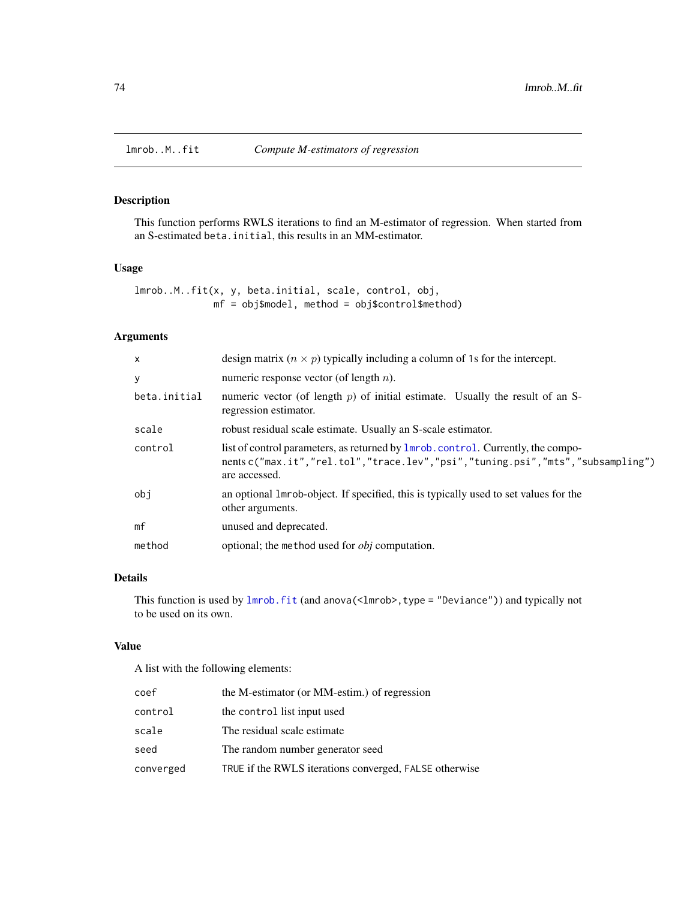<span id="page-73-0"></span>

## Description

This function performs RWLS iterations to find an M-estimator of regression. When started from an S-estimated beta.initial, this results in an MM-estimator.

## Usage

lmrob..M..fit(x, y, beta.initial, scale, control, obj, mf = obj\$model, method = obj\$control\$method)

# Arguments

| $\times$     | design matrix $(n \times p)$ typically including a column of 1s for the intercept.                                                                                                         |  |  |
|--------------|--------------------------------------------------------------------------------------------------------------------------------------------------------------------------------------------|--|--|
| y            | numeric response vector (of length $n$ ).                                                                                                                                                  |  |  |
| beta.initial | numeric vector (of length $p$ ) of initial estimate. Usually the result of an S-<br>regression estimator.                                                                                  |  |  |
| scale        | robust residual scale estimate. Usually an S-scale estimator.                                                                                                                              |  |  |
| control      | list of control parameters, as returned by <b>lmrob</b> .control. Currently, the compo-<br>nents c("max.it","rel.tol","trace.lev","psi","tuning.psi","mts","subsampling")<br>are accessed. |  |  |
| obi          | an optional lmrob-object. If specified, this is typically used to set values for the<br>other arguments.                                                                                   |  |  |
| mf           | unused and deprecated.                                                                                                                                                                     |  |  |
| method       | optional; the method used for <i>obj</i> computation.                                                                                                                                      |  |  |

## Details

This function is used by [lmrob.fit](#page-80-0) (and anova(<lmrob>,type = "Deviance")) and typically not to be used on its own.

## Value

A list with the following elements:

| coef      | the M-estimator (or MM-estim.) of regression           |  |  |
|-----------|--------------------------------------------------------|--|--|
| control   | the control list input used                            |  |  |
| scale     | The residual scale estimate                            |  |  |
| seed      | The random number generator seed                       |  |  |
| converged | TRUE if the RWLS iterations converged, FALSE otherwise |  |  |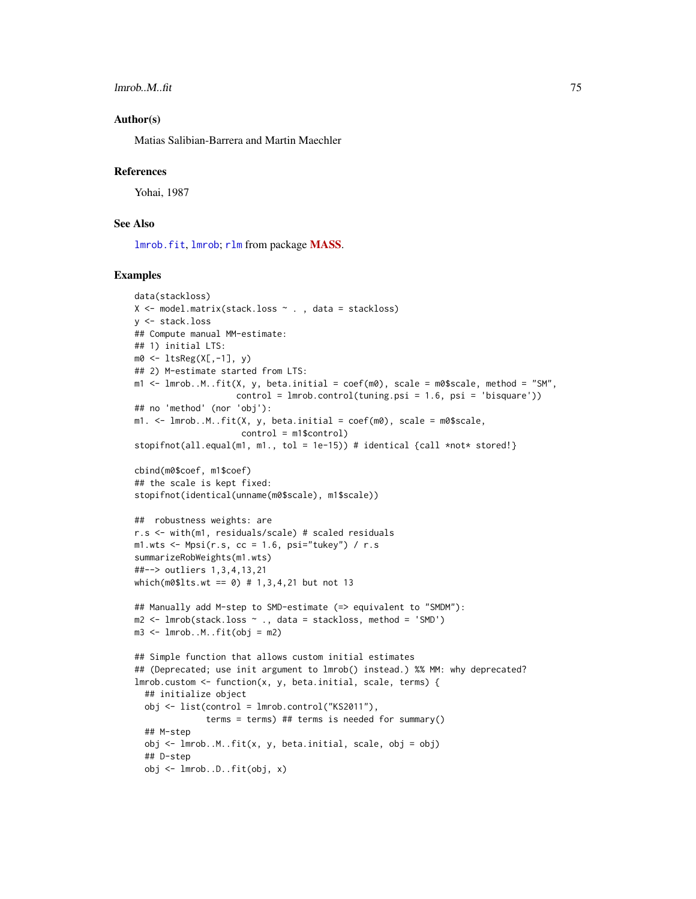lmrob..M..fit 75

### Author(s)

Matias Salibian-Barrera and Martin Maechler

#### References

Yohai, 1987

## See Also

[lmrob.fit](#page-80-0), [lmrob](#page-67-0); [rlm](#page-0-0) from package [MASS](https://CRAN.R-project.org/package=MASS).

#### Examples

```
data(stackloss)
X \leq model.matrix(stack.loss \sim ., data = stackloss)
y <- stack.loss
## Compute manual MM-estimate:
## 1) initial LTS:
m0 <- ltsReg(X[,-1], y)
## 2) M-estimate started from LTS:
m1 <- lmrob..M..fit(X, y, beta.initial = coef(m0), scale = m0$scale, method = "SM",
                    control = Imrob.contrib(tuning.psi = 1.6, psi = 'bisquare'))## no 'method' (nor 'obj'):
m1. < - lmrob..M..fit(X, y, beta.initial = coef(m0), scale = m0$scale,
                     control = m1$control)
stopifnot(all.equal(m1, m1., tol = 1e-15)) # identical {call *not* stored!}
cbind(m0$coef, m1$coef)
## the scale is kept fixed:
stopifnot(identical(unname(m0$scale), m1$scale))
## robustness weights: are
r.s <- with(m1, residuals/scale) # scaled residuals
m1.wts \leq Mpsi(r.s, cc = 1.6, psi="tukey") / r.s
summarizeRobWeights(m1.wts)
##--> outliers 1,3,4,13,21
which(m0$lts.wt == 0) # 1,3,4,21 but not 13
## Manually add M-step to SMD-estimate (=> equivalent to "SMDM"):
m2 \leq -1mrob(stack.loss \sim ., data = stackloss, method = 'SMD')
m3 \leq -1mrob..M..fit(obj = m2)
## Simple function that allows custom initial estimates
## (Deprecated; use init argument to lmrob() instead.) %% MM: why deprecated?
lmrob.custom <- function(x, y, beta.initial, scale, terms) {
  ## initialize object
  obj <- list(control = lmrob.control("KS2011"),
              terms = terms) ## terms is needed for summary()
  ## M-step
  obj <- lmrob..M..fit(x, y, beta.initial, scale, obj = obj)
  ## D-step
  obj <- lmrob..D..fit(obj, x)
```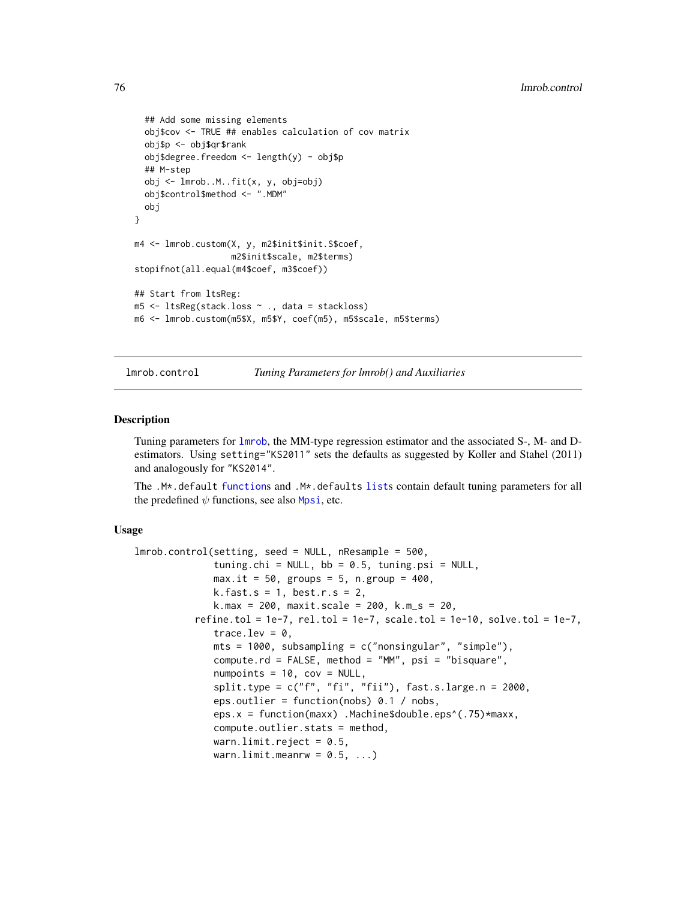```
## Add some missing elements
  obj$cov <- TRUE ## enables calculation of cov matrix
  obj$p <- obj$qr$rank
  obj$degree.freedom <- length(y) - obj$p
  ## M-step
  obj <- lmrob..M..fit(x, y, obj=obj)
  obj$control$method <- ".MDM"
  obj
}
m4 <- lmrob.custom(X, y, m2$init$init.S$coef,
                   m2$init$scale, m2$terms)
stopifnot(all.equal(m4$coef, m3$coef))
## Start from ltsReg:
m5 <- ltsReg(stack.loss ~ ., data = stackloss)
m6 <- lmrob.custom(m5$X, m5$Y, coef(m5), m5$scale, m5$terms)
```
<span id="page-75-0"></span>lmrob.control *Tuning Parameters for lmrob() and Auxiliaries*

#### <span id="page-75-1"></span>**Description**

Tuning parameters for [lmrob](#page-67-0), the MM-type regression estimator and the associated S-, M- and Destimators. Using setting="KS2011" sets the defaults as suggested by Koller and Stahel (2011) and analogously for "KS2014".

The .M\*.default [function](#page-0-0)s and .M\*.defaults [list](#page-0-0)s contain default tuning parameters for all the predefined  $\psi$  functions, see also [Mpsi](#page-94-0), etc.

### Usage

```
lmrob.control(setting, seed = NULL, nResample = 500,
              tuning.chi = NULL, bb = 0.5, tuning.psi = NULL,
              max.it = 50, groups = 5, n.group = 400,
              k.fast.s = 1, best.r.s = 2,
              k.max = 200, maxit.scale = 200, k.m_s = 20,
          refine.tol = 1e-7, rel.tol = 1e-7, scale.tol = 1e-10, solve.tol = 1e-7,
              trace.lev = 0,
              mts = 1000, subsampling = c("nonsingular", "simple"),
              compute.rd = FALSE, method = "MM", psi = "bisquare",
              numpoints = 10, cov = NULL,
              split.type = c("f", "fi", "fii"), fast.s.large.n = 2000,
              eps.outlier = function(nobs) 0.1 / nobs,
              eps.x = function(maxx) .Machine$double.eps^(.75)*maxx,
              compute.outlier.stats = method,
              warn.limit.reject = 0.5,
              warn.limit.meanrw = 0.5, ...)
```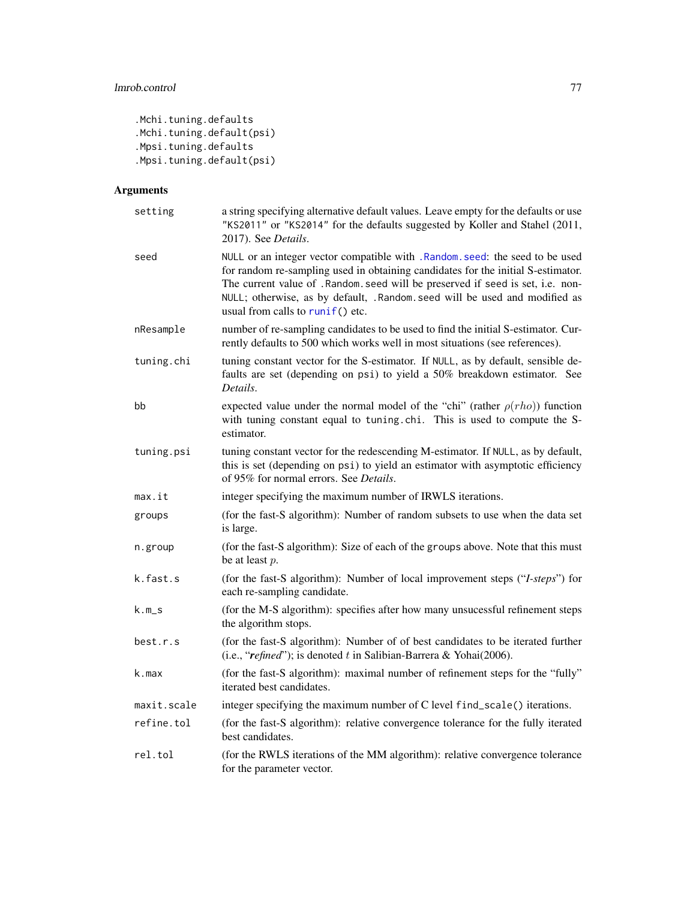```
.Mchi.tuning.defaults
.Mchi.tuning.default(psi)
.Mpsi.tuning.defaults
.Mpsi.tuning.default(psi)
```
# Arguments

| setting     | a string specifying alternative default values. Leave empty for the defaults or use<br>"KS2011" or "KS2014" for the defaults suggested by Koller and Stahel (2011,<br>2017). See Details.                                                                                                                                                                         |  |
|-------------|-------------------------------------------------------------------------------------------------------------------------------------------------------------------------------------------------------------------------------------------------------------------------------------------------------------------------------------------------------------------|--|
| seed        | NULL or an integer vector compatible with .Random.seed: the seed to be used<br>for random re-sampling used in obtaining candidates for the initial S-estimator.<br>The current value of .Random.seed will be preserved if seed is set, i.e. non-<br>NULL; otherwise, as by default, .Random.seed will be used and modified as<br>usual from calls to runif() etc. |  |
| nResample   | number of re-sampling candidates to be used to find the initial S-estimator. Cur-<br>rently defaults to 500 which works well in most situations (see references).                                                                                                                                                                                                 |  |
| tuning.chi  | tuning constant vector for the S-estimator. If NULL, as by default, sensible de-<br>faults are set (depending on psi) to yield a 50% breakdown estimator. See<br>Details.                                                                                                                                                                                         |  |
| bb          | expected value under the normal model of the "chi" (rather $\rho(rho)$ ) function<br>with tuning constant equal to tuning chi. This is used to compute the S-<br>estimator.                                                                                                                                                                                       |  |
| tuning.psi  | tuning constant vector for the redescending M-estimator. If NULL, as by default,<br>this is set (depending on psi) to yield an estimator with asymptotic efficiency<br>of 95% for normal errors. See <i>Details</i> .                                                                                                                                             |  |
| max.it      | integer specifying the maximum number of IRWLS iterations.                                                                                                                                                                                                                                                                                                        |  |
| groups      | (for the fast-S algorithm): Number of random subsets to use when the data set<br>is large.                                                                                                                                                                                                                                                                        |  |
| n.group     | (for the fast-S algorithm): Size of each of the groups above. Note that this must<br>be at least $p$ .                                                                                                                                                                                                                                                            |  |
| k.fast.s    | (for the fast-S algorithm): Number of local improvement steps ("I-steps") for<br>each re-sampling candidate.                                                                                                                                                                                                                                                      |  |
| k.m_s       | (for the M-S algorithm): specifies after how many unsucessful refinement steps<br>the algorithm stops.                                                                                                                                                                                                                                                            |  |
| best.r.s    | (for the fast-S algorithm): Number of of best candidates to be iterated further<br>(i.e., "refined"); is denoted t in Salibian-Barrera & Yohai(2006).                                                                                                                                                                                                             |  |
| k.max       | (for the fast-S algorithm): maximal number of refinement steps for the "fully"<br>iterated best candidates.                                                                                                                                                                                                                                                       |  |
| maxit.scale | integer specifying the maximum number of C level find_scale() iterations.                                                                                                                                                                                                                                                                                         |  |
| refine.tol  | (for the fast-S algorithm): relative convergence tolerance for the fully iterated<br>best candidates.                                                                                                                                                                                                                                                             |  |
| rel.tol     | (for the RWLS iterations of the MM algorithm): relative convergence tolerance<br>for the parameter vector.                                                                                                                                                                                                                                                        |  |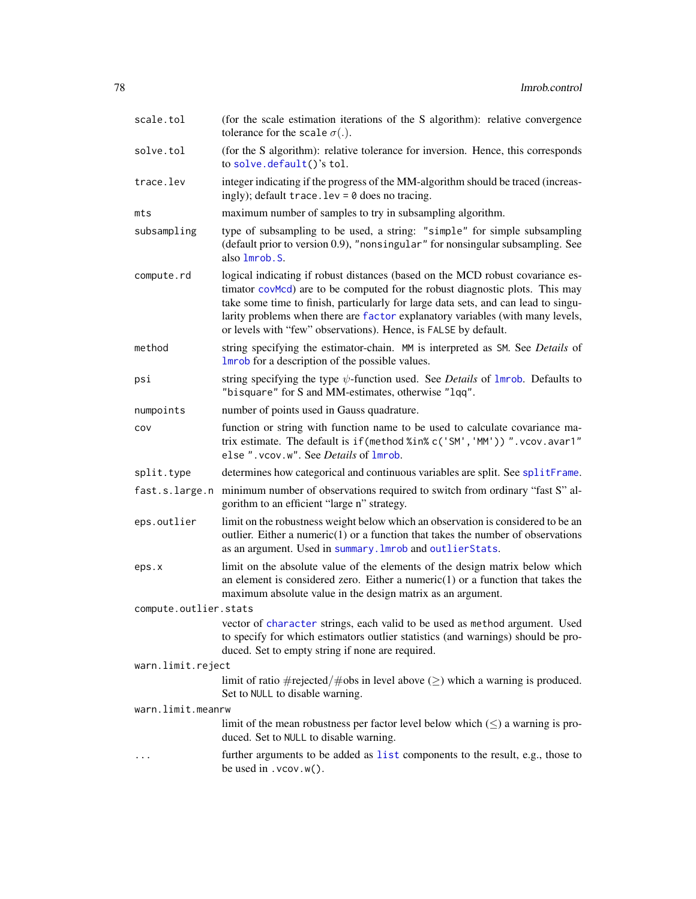| scale.tol             | (for the scale estimation iterations of the S algorithm): relative convergence<br>tolerance for the scale $\sigma(.)$ .                                                                                                                                                                                                                                                                                   |  |  |
|-----------------------|-----------------------------------------------------------------------------------------------------------------------------------------------------------------------------------------------------------------------------------------------------------------------------------------------------------------------------------------------------------------------------------------------------------|--|--|
| solve.tol             | (for the S algorithm): relative tolerance for inversion. Hence, this corresponds<br>to solve.default()'s tol.                                                                                                                                                                                                                                                                                             |  |  |
| trace.lev             | integer indicating if the progress of the MM-algorithm should be traced (increas-<br>ingly); default trace. lev = $0$ does no tracing.                                                                                                                                                                                                                                                                    |  |  |
| mts                   | maximum number of samples to try in subsampling algorithm.                                                                                                                                                                                                                                                                                                                                                |  |  |
| subsampling           | type of subsampling to be used, a string: "simple" for simple subsampling<br>(default prior to version 0.9), "nonsingular" for nonsingular subsampling. See<br>also 1mrob.S.                                                                                                                                                                                                                              |  |  |
| compute.rd            | logical indicating if robust distances (based on the MCD robust covariance es-<br>timator covMcd) are to be computed for the robust diagnostic plots. This may<br>take some time to finish, particularly for large data sets, and can lead to singu-<br>larity problems when there are factor explanatory variables (with many levels,<br>or levels with "few" observations). Hence, is FALSE by default. |  |  |
| method                | string specifying the estimator-chain. MM is interpreted as SM. See Details of<br>Imrob for a description of the possible values.                                                                                                                                                                                                                                                                         |  |  |
| psi                   | string specifying the type $\psi$ -function used. See <i>Details</i> of $lmrob$ . Defaults to<br>"bisquare" for S and MM-estimates, otherwise "lqq".                                                                                                                                                                                                                                                      |  |  |
| numpoints             | number of points used in Gauss quadrature.                                                                                                                                                                                                                                                                                                                                                                |  |  |
| COV                   | function or string with function name to be used to calculate covariance ma-<br>trix estimate. The default is if (method %in% c('SM', 'MM')) ". vcov. avar1"<br>else ". vcov.w". See Details of Imrob.                                                                                                                                                                                                    |  |  |
| split.type            | determines how categorical and continuous variables are split. See splitFrame.                                                                                                                                                                                                                                                                                                                            |  |  |
| fast.s.large.n        | minimum number of observations required to switch from ordinary "fast S" al-<br>gorithm to an efficient "large n" strategy.                                                                                                                                                                                                                                                                               |  |  |
| eps.outlier           | limit on the robustness weight below which an observation is considered to be an<br>outlier. Either a numeric $(1)$ or a function that takes the number of observations<br>as an argument. Used in summary. Imrob and outlierStats.                                                                                                                                                                       |  |  |
| eps.x                 | limit on the absolute value of the elements of the design matrix below which<br>an element is considered zero. Either a numeric $(1)$ or a function that takes the<br>maximum absolute value in the design matrix as an argument.                                                                                                                                                                         |  |  |
| compute.outlier.stats |                                                                                                                                                                                                                                                                                                                                                                                                           |  |  |
|                       | vector of character strings, each valid to be used as method argument. Used<br>to specify for which estimators outlier statistics (and warnings) should be pro-<br>duced. Set to empty string if none are required.                                                                                                                                                                                       |  |  |
| warn.limit.reject     |                                                                                                                                                                                                                                                                                                                                                                                                           |  |  |
|                       | limit of ratio $\#$ rejected/ $\#$ obs in level above ( $\geq$ ) which a warning is produced.<br>Set to NULL to disable warning.                                                                                                                                                                                                                                                                          |  |  |
| warn.limit.meanrw     |                                                                                                                                                                                                                                                                                                                                                                                                           |  |  |
|                       | limit of the mean robustness per factor level below which $(\le)$ a warning is pro-<br>duced. Set to NULL to disable warning.                                                                                                                                                                                                                                                                             |  |  |
| $\cdots$              | further arguments to be added as list components to the result, e.g., those to<br>be used in $vcov.w()$ .                                                                                                                                                                                                                                                                                                 |  |  |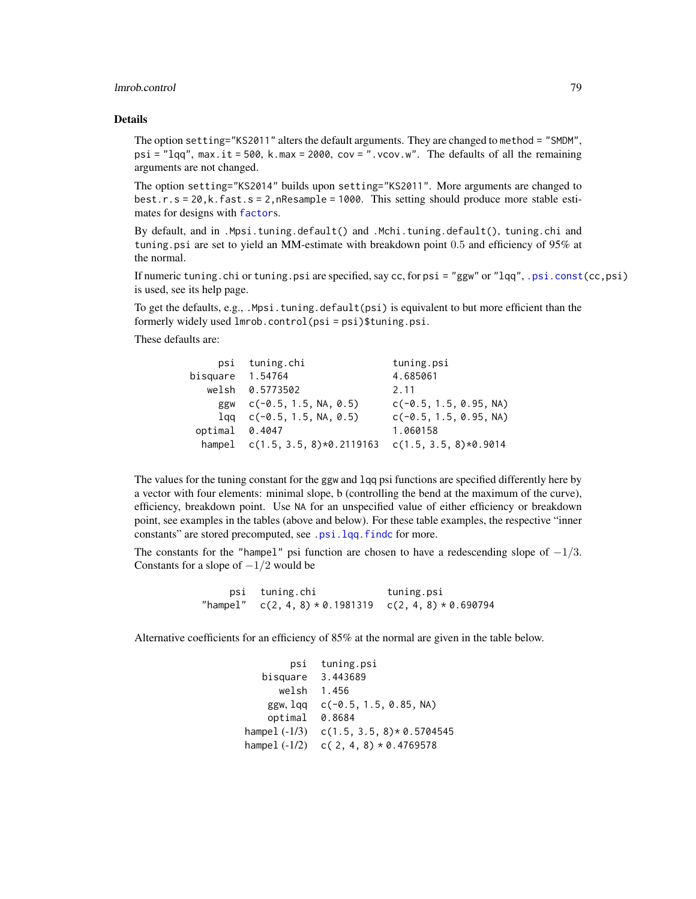## lmrob.control 79

## Details

The option setting="KS2011" alters the default arguments. They are changed to method = "SMDM", psi = "lqq", max.it = 500, k.max = 2000, cov = ".vcov.w". The defaults of all the remaining arguments are not changed.

The option setting="KS2014" builds upon setting="KS2011". More arguments are changed to best.r.s = 20,k.fast.s = 2,nResample = 1000. This setting should produce more stable estimates for designs with [factor](#page-0-0)s.

By default, and in .Mpsi.tuning.default() and .Mchi.tuning.default(), tuning.chi and tuning.psi are set to yield an MM-estimate with breakdown point 0.5 and efficiency of 95% at the normal.

If numeric tuning.chi or tuning.psi are specified, say cc, for psi = "ggw" or "lqq", [.psi.const\(](#page-125-0)cc,psi) is used, see its help page.

To get the defaults, e.g., .Mpsi.tuning.default(psi) is equivalent to but more efficient than the formerly widely used lmrob.control(psi = psi)\$tuning.psi.

These defaults are:

| psi                | tuning.chi                                                | tuning.psi               |
|--------------------|-----------------------------------------------------------|--------------------------|
| bisquare $1.54764$ |                                                           | 4.685061                 |
|                    | welsh 0.5773502                                           | 2.11                     |
|                    | ggw $c(-0.5, 1.5, NA, 0.5)$                               | $c(-0.5, 1.5, 0.95, NA)$ |
|                    | $1$ qq c(-0.5, 1.5, NA, 0.5)                              | $c(-0.5, 1.5, 0.95, NA)$ |
| optimal 0.4047     |                                                           | 1.060158                 |
|                    | hampel $c(1.5, 3.5, 8)*0.2119163$ $c(1.5, 3.5, 8)*0.9014$ |                          |

The values for the tuning constant for the ggw and lqq psi functions are specified differently here by a vector with four elements: minimal slope, b (controlling the bend at the maximum of the curve), efficiency, breakdown point. Use NA for an unspecified value of either efficiency or breakdown point, see examples in the tables (above and below). For these table examples, the respective "inner constants" are stored precomputed, see [.psi.lqq.findc](#page-125-0) for more.

The constants for the "hampel" psi function are chosen to have a redescending slope of  $-1/3$ . Constants for a slope of  $-1/2$  would be

psi tuning.chi tuning.psi "hampel" c(2, 4, 8) \* 0.1981319 c(2, 4, 8) \* 0.690794

Alternative coefficients for an efficiency of 85% at the normal are given in the table below.

| psi             | tuning.psi                   |
|-----------------|------------------------------|
| bisquare        | 3.443689                     |
| welsh           | 1.456                        |
| ggw, lag        | $c(-0.5, 1.5, 0.85, NA)$     |
| optimal         | 0.8684                       |
| hampel (-1/3)   | $c(1.5, 3.5, 8) * 0.5704545$ |
| hampel $(-1/2)$ | $c(2, 4, 8) * 0.4769578$     |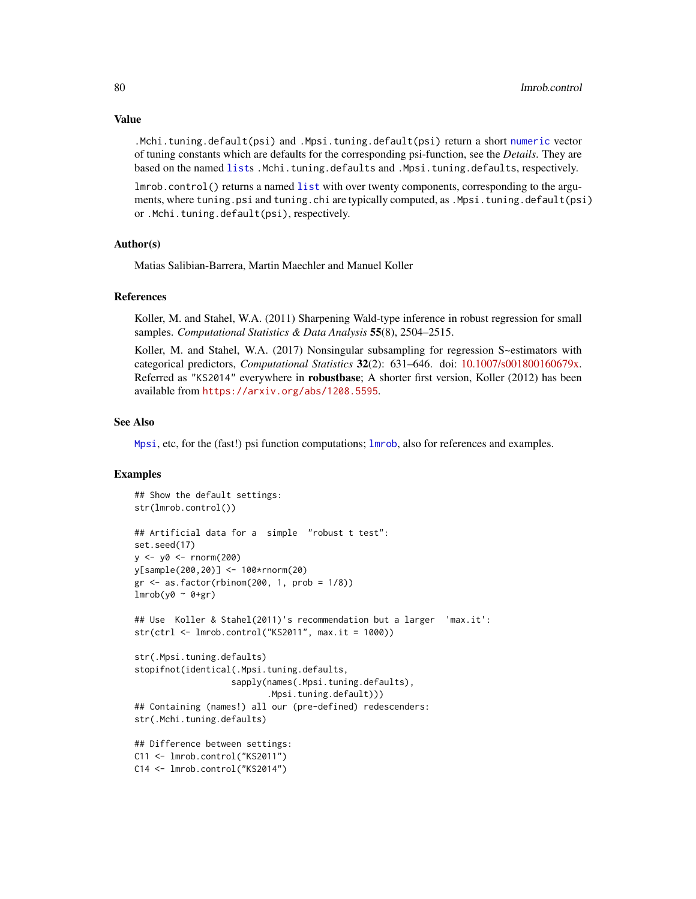Value

.Mchi.tuning.default(psi) and .Mpsi.tuning.default(psi) return a short [numeric](#page-0-0) vector of tuning constants which are defaults for the corresponding psi-function, see the *Details*. They are based on the named [list](#page-0-0)s .Mchi.tuning.defaults and .Mpsi.tuning.defaults, respectively.

lmrob.control() returns a named [list](#page-0-0) with over twenty components, corresponding to the arguments, where tuning.psi and tuning.chi are typically computed, as .Mpsi.tuning.default(psi) or .Mchi.tuning.default(psi), respectively.

### Author(s)

Matias Salibian-Barrera, Martin Maechler and Manuel Koller

## References

Koller, M. and Stahel, W.A. (2011) Sharpening Wald-type inference in robust regression for small samples. *Computational Statistics & Data Analysis* 55(8), 2504–2515.

Koller, M. and Stahel, W.A. (2017) Nonsingular subsampling for regression S~estimators with categorical predictors, *Computational Statistics* 32(2): 631–646. doi: [10.1007/s001800160679x.](https://doi.org/10.1007/s00180-016-0679-x) Referred as "KS2014" everywhere in **robustbase**; A shorter first version, Koller (2012) has been available from <https://arxiv.org/abs/1208.5595>.

#### See Also

[Mpsi](#page-94-0), etc, for the (fast!) psi function computations; [lmrob](#page-67-0), also for references and examples.

### Examples

```
## Show the default settings:
str(lmrob.control())
## Artificial data for a simple "robust t test":
set.seed(17)
y \le -y0 \le -\text{norm}(200)y[sample(200,20)] <- 100*rnorm(20)
gr \leftarrow as.factor(rbinom(200, 1, prob = 1/8))lmrob(y0 ~ ~ o+gr)## Use Koller & Stahel(2011)'s recommendation but a larger 'max.it':
str(ctr1 \leftarrow Imrob.control("KS2011", max.it = 1000))str(.Mpsi.tuning.defaults)
stopifnot(identical(.Mpsi.tuning.defaults,
                   sapply(names(.Mpsi.tuning.defaults),
                           .Mpsi.tuning.default)))
## Containing (names!) all our (pre-defined) redescenders:
str(.Mchi.tuning.defaults)
## Difference between settings:
C11 <- lmrob.control("KS2011")
C14 <- lmrob.control("KS2014")
```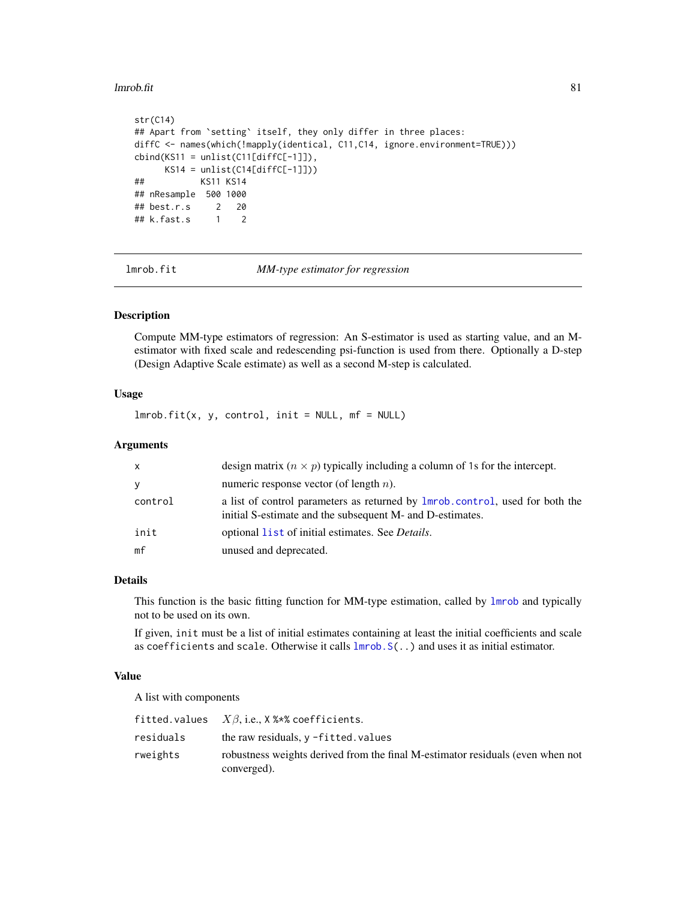#### lmrob.fit 81

```
str(C14)
## Apart from 'setting' itself, they only differ in three places:
diffC <- names(which(!mapply(identical, C11,C14, ignore.environment=TRUE)))
cbind(KS11 = unlist(Cl1[diffC[-1]]),KS14 = unlist(Cl4[diffC[-1]]))## KS11 KS14
## nResample 500 1000
## best.r.s 2 20
## k.fast.s 1 2
```
<span id="page-80-0"></span>lmrob.fit *MM-type estimator for regression*

### Description

Compute MM-type estimators of regression: An S-estimator is used as starting value, and an Mestimator with fixed scale and redescending psi-function is used from there. Optionally a D-step (Design Adaptive Scale estimate) as well as a second M-step is calculated.

## Usage

 $lmrob.fit(x, y, control, init = NULL, mf = NULL)$ 

#### Arguments

| x       | design matrix $(n \times p)$ typically including a column of 1s for the intercept.                                                        |
|---------|-------------------------------------------------------------------------------------------------------------------------------------------|
| y       | numeric response vector (of length $n$ ).                                                                                                 |
| control | a list of control parameters as returned by 1mrob.control, used for both the<br>initial S-estimate and the subsequent M- and D-estimates. |
| init    | optional list of initial estimates. See <i>Details</i> .                                                                                  |
| mf      | unused and deprecated.                                                                                                                    |

## Details

This function is the basic fitting function for MM-type estimation, called by [lmrob](#page-67-0) and typically not to be used on its own.

If given, init must be a list of initial estimates containing at least the initial coefficients and scale as coefficients and scale. Otherwise it calls [lmrob.S\(](#page-84-0)..) and uses it as initial estimator.

### Value

A list with components

|           | <code>fitted.values <math>X\beta</math>,i.e., X %*%</code> coefficients.                      |
|-----------|-----------------------------------------------------------------------------------------------|
| residuals | the raw residuals, $v$ -fitted. values                                                        |
| rweights  | robustness weights derived from the final M-estimator residuals (even when not<br>converged). |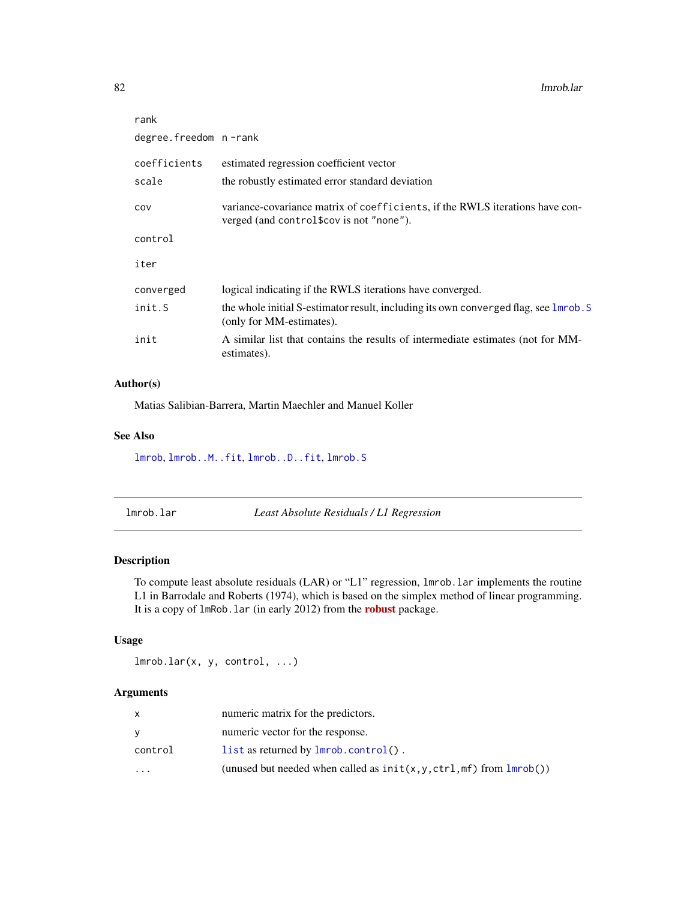| rank                  |                                                                                                                          |  |  |
|-----------------------|--------------------------------------------------------------------------------------------------------------------------|--|--|
| degree.freedom n-rank |                                                                                                                          |  |  |
| coefficients          | estimated regression coefficient vector                                                                                  |  |  |
| scale                 | the robustly estimated error standard deviation                                                                          |  |  |
| COV                   | variance-covariance matrix of coefficients, if the RWLS iterations have con-<br>verged (and control\$cov is not "none"). |  |  |
| control               |                                                                                                                          |  |  |
| iter                  |                                                                                                                          |  |  |
| converged             | logical indicating if the RWLS iterations have converged.                                                                |  |  |
| init.S                | the whole initial S-estimator result, including its own converged flag, see lmrob. S<br>(only for MM-estimates).         |  |  |
| init                  | A similar list that contains the results of intermediate estimates (not for MM-<br>estimates).                           |  |  |
|                       |                                                                                                                          |  |  |

## Author(s)

Matias Salibian-Barrera, Martin Maechler and Manuel Koller

## See Also

[lmrob](#page-67-0), [lmrob..M..fit](#page-73-0), [lmrob..D..fit](#page-71-0), [lmrob.S](#page-84-0)

| lmrob.lar |  |  |
|-----------|--|--|
|           |  |  |

Least Absolute Residuals / L1 Regression

## Description

To compute least absolute residuals (LAR) or "L1" regression, lmrob.lar implements the routine L1 in Barrodale and Roberts (1974), which is based on the simplex method of linear programming. It is a copy of lmRob.lar (in early 2012) from the [robust](https://CRAN.R-project.org/package=robust) package.

## Usage

 $lmrob.lar(x, y, control, ...)$ 

## Arguments

|           | numeric matrix for the predictors.                                        |
|-----------|---------------------------------------------------------------------------|
| v         | numeric vector for the response.                                          |
| control   | list as returned by $lmrob.control()$ .                                   |
| $\ddotsc$ | (unused but needed when called as $init(x, y, ctrl, mf)$ from $lmrob()$ ) |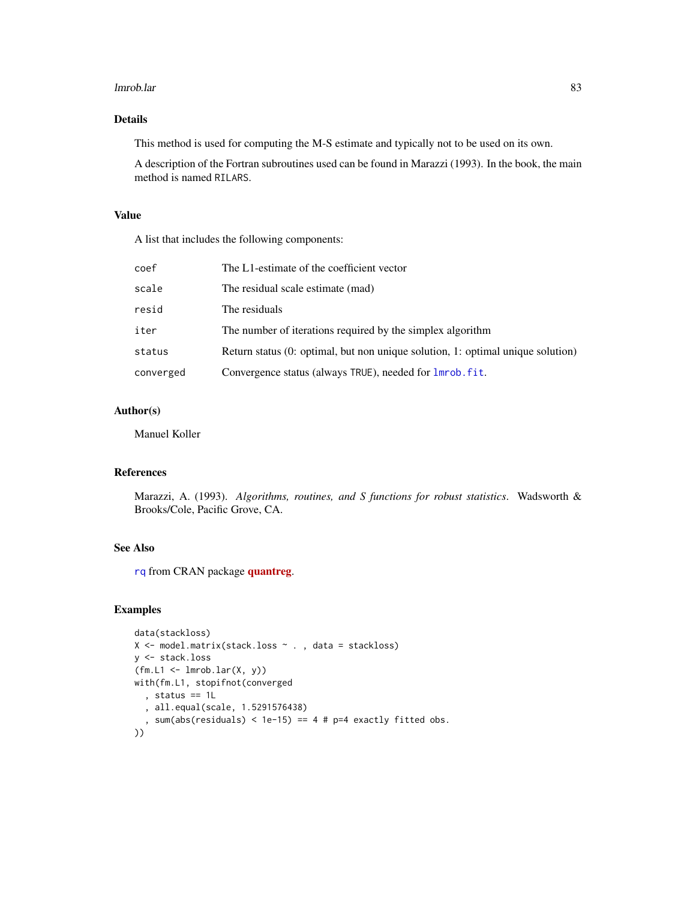#### lmrob.lar 83

## Details

This method is used for computing the M-S estimate and typically not to be used on its own.

A description of the Fortran subroutines used can be found in Marazzi (1993). In the book, the main method is named RILARS.

#### Value

A list that includes the following components:

| coef      | The L1-estimate of the coefficient vector                                         |
|-----------|-----------------------------------------------------------------------------------|
| scale     | The residual scale estimate (mad)                                                 |
| resid     | The residuals                                                                     |
| iter      | The number of iterations required by the simplex algorithm                        |
| status    | Return status $(0;$ optimal, but non unique solution, 1: optimal unique solution) |
| converged | Convergence status (always TRUE), needed for <b>lmrob</b> . fit.                  |
|           |                                                                                   |

## Author(s)

Manuel Koller

## References

Marazzi, A. (1993). *Algorithms, routines, and S functions for robust statistics*. Wadsworth & Brooks/Cole, Pacific Grove, CA.

### See Also

[rq](#page-0-0) from CRAN package [quantreg](https://CRAN.R-project.org/package=quantreg).

## Examples

```
data(stackloss)
X <- model.matrix(stack.loss ~ . , data = stackloss)
y <- stack.loss
(fm.L1 \leftarrow Imrob.Lar(X, y))with(fm.L1, stopifnot(converged
  , status == 1L
  , all.equal(scale, 1.5291576438)
  , sum(abs(residuals) < 1e-15) == 4 # p=4 exactly fitted obs.
))
```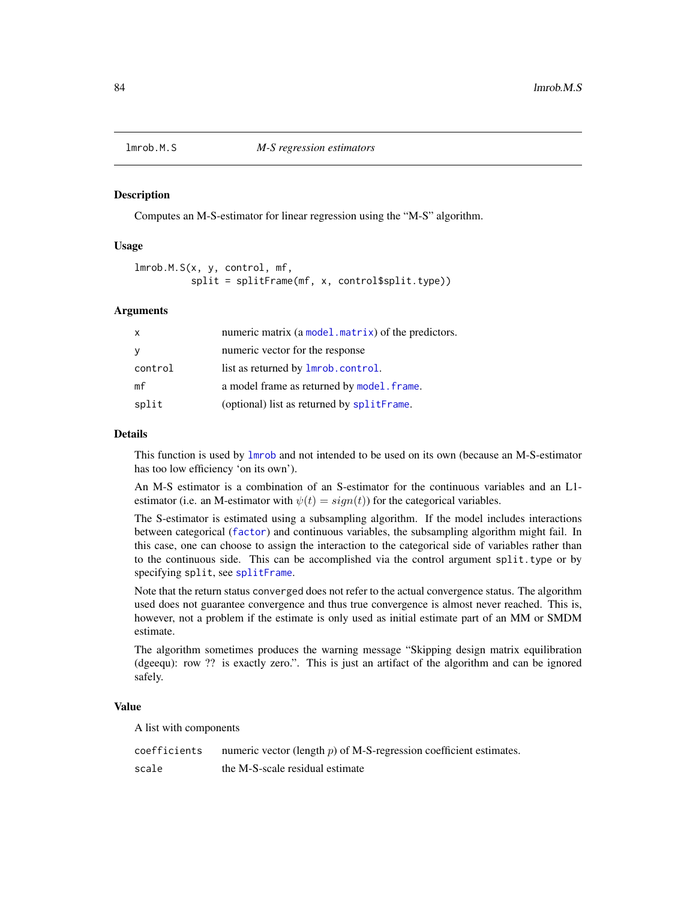### **Description**

Computes an M-S-estimator for linear regression using the "M-S" algorithm.

### Usage

```
lmrob.M.S(x, y, control, mf,
          split = splitFrame(mf, x, control$split.type))
```
### Arguments

| numeric matrix (a model matrix) of the predictors. |
|----------------------------------------------------|
| numeric vector for the response                    |
| list as returned by <b>lmrob</b> .control.         |
| a model frame as returned by model. frame.         |
| (optional) list as returned by splitFrame.         |
|                                                    |

### Details

This function is used by [lmrob](#page-67-0) and not intended to be used on its own (because an M-S-estimator has too low efficiency 'on its own').

An M-S estimator is a combination of an S-estimator for the continuous variables and an L1 estimator (i.e. an M-estimator with  $\psi(t) = sign(t)$ ) for the categorical variables.

The S-estimator is estimated using a subsampling algorithm. If the model includes interactions between categorical ([factor](#page-0-0)) and continuous variables, the subsampling algorithm might fail. In this case, one can choose to assign the interaction to the categorical side of variables rather than to the continuous side. This can be accomplished via the control argument split.type or by specifying split, see [splitFrame](#page-148-0).

Note that the return status converged does not refer to the actual convergence status. The algorithm used does not guarantee convergence and thus true convergence is almost never reached. This is, however, not a problem if the estimate is only used as initial estimate part of an MM or SMDM estimate.

The algorithm sometimes produces the warning message "Skipping design matrix equilibration (dgeequ): row ?? is exactly zero.". This is just an artifact of the algorithm and can be ignored safely.

#### Value

A list with components

| coefficients | numeric vector (length $p$ ) of M-S-regression coefficient estimates. |
|--------------|-----------------------------------------------------------------------|
| scale        | the M-S-scale residual estimate                                       |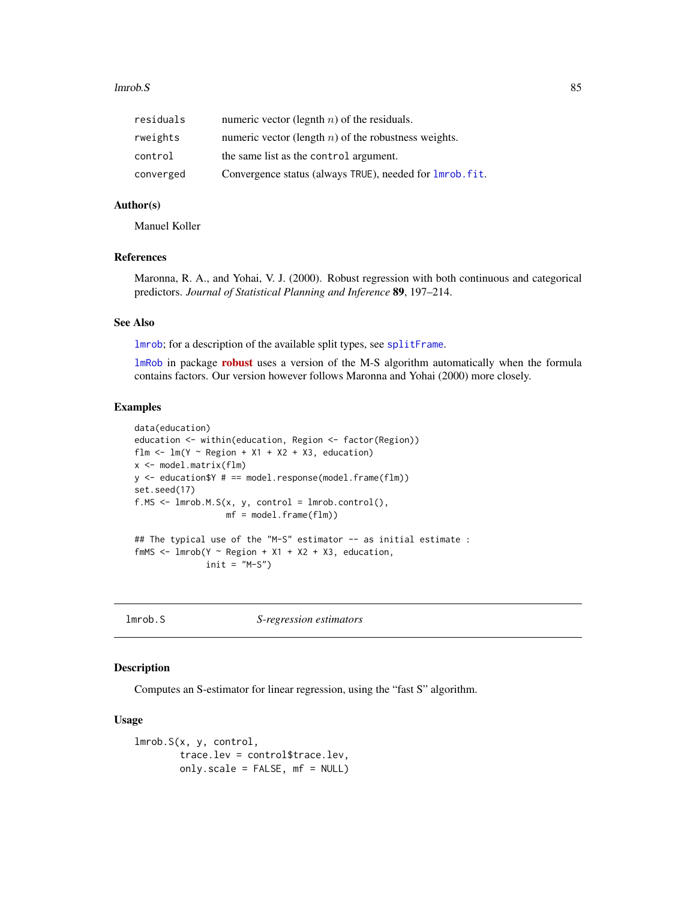#### lmrob.S 85

| residuals | numeric vector (legnth $n$ ) of the residuals.                   |
|-----------|------------------------------------------------------------------|
| rweights  | numeric vector (length $n$ ) of the robustness weights.          |
| control   | the same list as the control argument.                           |
| converged | Convergence status (always TRUE), needed for <b>lmrob</b> . fit. |

## Author(s)

Manuel Koller

### References

Maronna, R. A., and Yohai, V. J. (2000). Robust regression with both continuous and categorical predictors. *Journal of Statistical Planning and Inference* 89, 197–214.

### See Also

[lmrob](#page-67-0); for a description of the available split types, see [splitFrame](#page-148-0).

[lmRob](#page-0-0) in package **[robust](https://CRAN.R-project.org/package=robust)** uses a version of the M-S algorithm automatically when the formula contains factors. Our version however follows Maronna and Yohai (2000) more closely.

#### Examples

```
data(education)
education <- within(education, Region <- factor(Region))
flm \leftarrow lm(Y \sim Region + X1 + X2 + X3, education)
x <- model.matrix(flm)
y \le - education$Y # == model.response(model.frame(flm))
set.seed(17)
f.MS \leftarrow \text{lmrob.M.S}(x, y, \text{control} = \text{lmrob.control}(),mf = model.frame(flm))
## The typical use of the "M-S" estimator -- as initial estimate :
fmMS <- lmrob(Y \sim Region + X1 + X2 + X3, education,
```

```
init = "M-S")
```
<span id="page-84-0"></span>lmrob.S *S-regression estimators*

#### Description

Computes an S-estimator for linear regression, using the "fast S" algorithm.

#### Usage

```
lmrob.S(x, y, control,
       trace.lev = control$trace.lev,
       only.scale = FALSE, mf = NULL)
```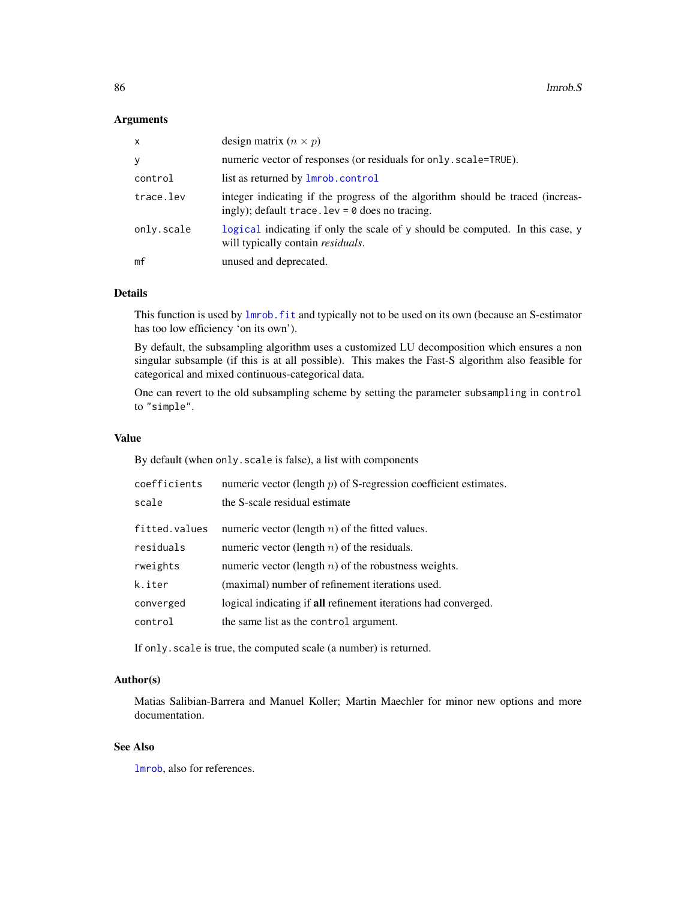## Arguments

| X          | design matrix $(n \times p)$                                                                                                        |
|------------|-------------------------------------------------------------------------------------------------------------------------------------|
| y          | numeric vector of responses (or residuals for only . scale=TRUE).                                                                   |
| control    | list as returned by <b>lmrob</b> .control                                                                                           |
| trace.lev  | integer indicating if the progress of the algorithm should be traced (increas-<br>ingly); default trace. $lev = 0$ does no tracing. |
| only.scale | logical indicating if only the scale of y should be computed. In this case, y<br>will typically contain residuals.                  |
| mf         | unused and deprecated.                                                                                                              |

## Details

This function is used by [lmrob.fit](#page-80-0) and typically not to be used on its own (because an S-estimator has too low efficiency 'on its own').

By default, the subsampling algorithm uses a customized LU decomposition which ensures a non singular subsample (if this is at all possible). This makes the Fast-S algorithm also feasible for categorical and mixed continuous-categorical data.

One can revert to the old subsampling scheme by setting the parameter subsampling in control to "simple".

## Value

By default (when only.scale is false), a list with components

| coefficients  | numeric vector (length $p$ ) of S-regression coefficient estimates. |
|---------------|---------------------------------------------------------------------|
| scale         | the S-scale residual estimate                                       |
| fitted.values | numeric vector (length $n$ ) of the fitted values.                  |
| residuals     | numeric vector (length $n$ ) of the residuals.                      |
| rweights      | numeric vector (length $n$ ) of the robustness weights.             |
| k.iter        | (maximal) number of refinement iterations used.                     |
| converged     | logical indicating if all refinement iterations had converged.      |
| control       | the same list as the control argument.                              |

If only.scale is true, the computed scale (a number) is returned.

## Author(s)

Matias Salibian-Barrera and Manuel Koller; Martin Maechler for minor new options and more documentation.

## See Also

[lmrob](#page-67-0), also for references.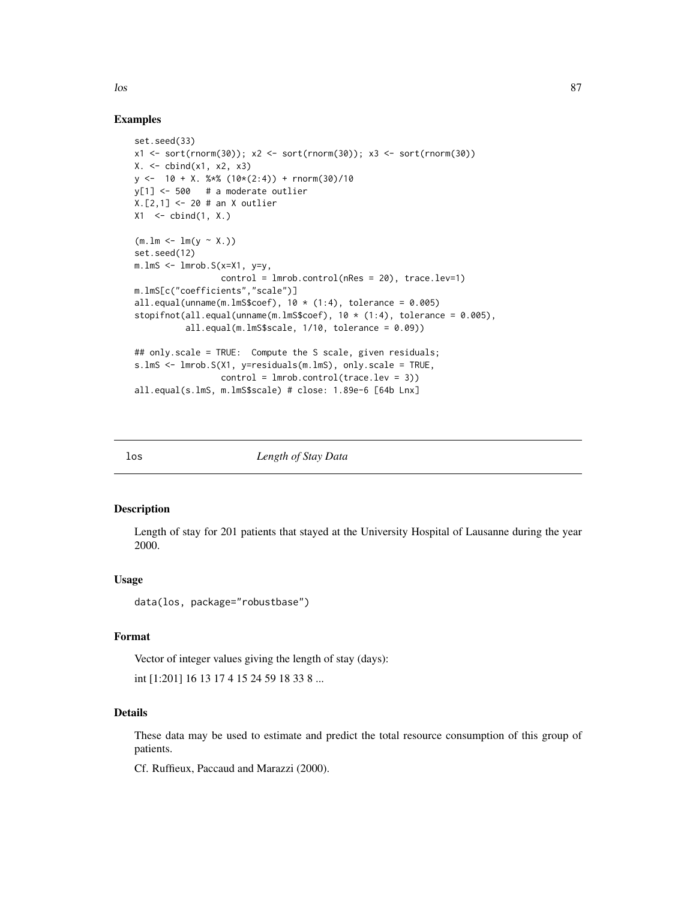Examples

```
set.seed(33)
x1 <- sort(rnorm(30)); x2 <- sort(rnorm(30)); x3 <- sort(rnorm(30))
X. \leq cbind(X1, X2, X3)y \le -10 + X. %*% (10*(2:4)) + rnorm(30)/10
y[1] <- 500 # a moderate outlier
X.[2,1] <- 20 # an X outlier
X1 \leftarrow \text{cbind}(1, X.)(m.lm < -1m(y \sim X.))set.seed(12)
m.lmS <- lmrob.S(x=X1, y=y,
                 control = Imrob.contrib(nRes = 20), traceњ = 1)m.lmS[c("coefficients","scale")]
all.equal(unname(m.lmS$coef), 10 * (1:4), tolerance = 0.005)
stopifnot(all.equal(unname(m.lmS$coef), 10 * (1:4), tolerance = 0.005),
          all.equal(m.lmS$scale, 1/10, tolerance = 0.09))
## only.scale = TRUE: Compute the S scale, given residuals;
s.lmS <- lmrob.S(X1, y=residuals(m.lmS), only.scale = TRUE,
                 control = Imrob.contrib(trace.lev = 3))all.equal(s.lmS, m.lmS$scale) # close: 1.89e-6 [64b Lnx]
```
los *Length of Stay Data*

#### Description

Length of stay for 201 patients that stayed at the University Hospital of Lausanne during the year 2000.

## Usage

```
data(los, package="robustbase")
```
## Format

Vector of integer values giving the length of stay (days):

int [1:201] 16 13 17 4 15 24 59 18 33 8 ...

#### Details

These data may be used to estimate and predict the total resource consumption of this group of patients.

Cf. Ruffieux, Paccaud and Marazzi (2000).

 $\log$  87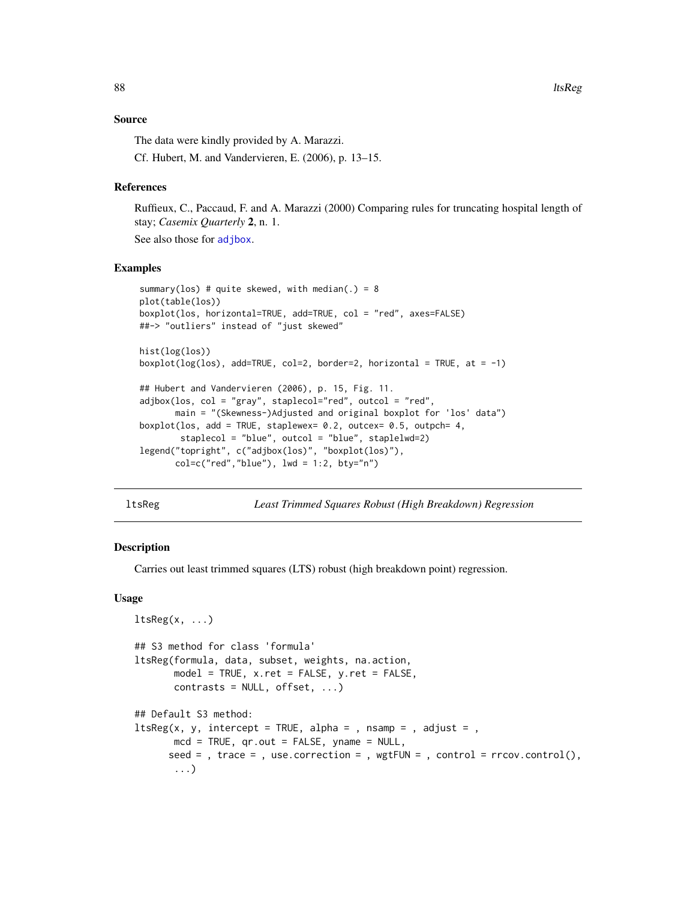### Source

The data were kindly provided by A. Marazzi.

Cf. Hubert, M. and Vandervieren, E. (2006), p. 13–15.

## References

Ruffieux, C., Paccaud, F. and A. Marazzi (2000) Comparing rules for truncating hospital length of stay; *Casemix Quarterly* 2, n. 1.

See also those for [adjbox](#page-3-0).

## Examples

```
summary(los) # quite skewed, with median(.) = 8
plot(table(los))
boxplot(los, horizontal=TRUE, add=TRUE, col = "red", axes=FALSE)
##-> "outliers" instead of "just skewed"
hist(log(los))
boxplot(log(los), add=TRUE, col=2, border=2, horizontal = TRUE, at = -1)
## Hubert and Vandervieren (2006), p. 15, Fig. 11.
adjbox(los, col = "gray", staplecol="red", outcol = "red",
       main = "(Skewness-)Adjusted and original boxplot for 'los' data")
boxplot(los, add = TRUE, staplewex= 0.2, outcex= 0.5, outpch= 4,
        staplecol = "blue", outcol = "blue", staplelwd=2)
legend("topright", c("adjbox(los)", "boxplot(los)"),
      col=c("red", "blue"), lwd = 1:2, bty="n")
```
ltsReg *Least Trimmed Squares Robust (High Breakdown) Regression*

## Description

Carries out least trimmed squares (LTS) robust (high breakdown point) regression.

#### Usage

```
ltsReg(x, \ldots)## S3 method for class 'formula'
ltsReg(formula, data, subset, weights, na.action,
       model = TRUE, x.ret = FALSE, y.ret = FALSE,
      contrast = NULL, offset, ...)## Default S3 method:
ltsReg(x, y, intercept = TRUE, alpha = , nsamp = , adjust = ,
      mcd = TRUE, qr.out = FALSE, yname = NULL,
      seed = , trace = , use.correction = , wgtFUN = , control = rrow.control(),...)
```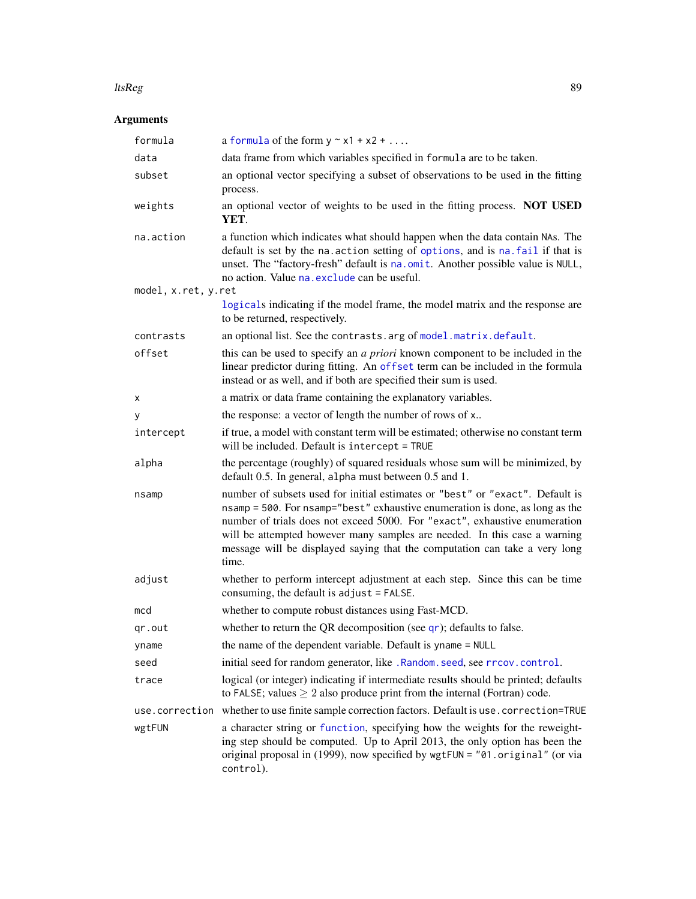#### ltsReg 89

# Arguments

| formula             | a formula of the form $y \sim x1 + x2 + $                                                                                                                                                                                                                                                                                                                                                                       |
|---------------------|-----------------------------------------------------------------------------------------------------------------------------------------------------------------------------------------------------------------------------------------------------------------------------------------------------------------------------------------------------------------------------------------------------------------|
| data                | data frame from which variables specified in formula are to be taken.                                                                                                                                                                                                                                                                                                                                           |
| subset              | an optional vector specifying a subset of observations to be used in the fitting<br>process.                                                                                                                                                                                                                                                                                                                    |
| weights             | an optional vector of weights to be used in the fitting process. NOT USED<br>YET.                                                                                                                                                                                                                                                                                                                               |
| na.action           | a function which indicates what should happen when the data contain NAs. The<br>default is set by the na. action setting of options, and is na. fail if that is<br>unset. The "factory-fresh" default is na.omit. Another possible value is NULL,<br>no action. Value na. exclude can be useful.                                                                                                                |
| model, x.ret, y.ret |                                                                                                                                                                                                                                                                                                                                                                                                                 |
|                     | logicals indicating if the model frame, the model matrix and the response are<br>to be returned, respectively.                                                                                                                                                                                                                                                                                                  |
| contrasts           | an optional list. See the contrasts. arg of model. matrix. default.                                                                                                                                                                                                                                                                                                                                             |
| offset              | this can be used to specify an <i>a priori</i> known component to be included in the<br>linear predictor during fitting. An offset term can be included in the formula<br>instead or as well, and if both are specified their sum is used.                                                                                                                                                                      |
| х                   | a matrix or data frame containing the explanatory variables.                                                                                                                                                                                                                                                                                                                                                    |
| у                   | the response: a vector of length the number of rows of x                                                                                                                                                                                                                                                                                                                                                        |
| intercept           | if true, a model with constant term will be estimated; otherwise no constant term<br>will be included. Default is intercept = TRUE                                                                                                                                                                                                                                                                              |
| alpha               | the percentage (roughly) of squared residuals whose sum will be minimized, by<br>default 0.5. In general, alpha must between 0.5 and 1.                                                                                                                                                                                                                                                                         |
| nsamp               | number of subsets used for initial estimates or "best" or "exact". Default is<br>nsamp = 500. For nsamp="best" exhaustive enumeration is done, as long as the<br>number of trials does not exceed 5000. For "exact", exhaustive enumeration<br>will be attempted however many samples are needed. In this case a warning<br>message will be displayed saying that the computation can take a very long<br>time. |
| adjust              | whether to perform intercept adjustment at each step. Since this can be time<br>consuming, the default is adjust = FALSE.                                                                                                                                                                                                                                                                                       |
| mcd                 | whether to compute robust distances using Fast-MCD.                                                                                                                                                                                                                                                                                                                                                             |
| qr.out              | whether to return the QR decomposition (see $qr$ ); defaults to false.                                                                                                                                                                                                                                                                                                                                          |
| yname               | the name of the dependent variable. Default is yname = NULL                                                                                                                                                                                                                                                                                                                                                     |
| seed                | initial seed for random generator, like . Random. seed, see rrcov. control.                                                                                                                                                                                                                                                                                                                                     |
| trace               | logical (or integer) indicating if intermediate results should be printed; defaults<br>to FALSE; values $\geq 2$ also produce print from the internal (Fortran) code.                                                                                                                                                                                                                                           |
|                     | use.correction whether to use finite sample correction factors. Default is use.correction=TRUE                                                                                                                                                                                                                                                                                                                  |
| wgtFUN              | a character string or function, specifying how the weights for the reweight-<br>ing step should be computed. Up to April 2013, the only option has been the<br>original proposal in (1999), now specified by wgtFUN = "01.original" (or via<br>control).                                                                                                                                                        |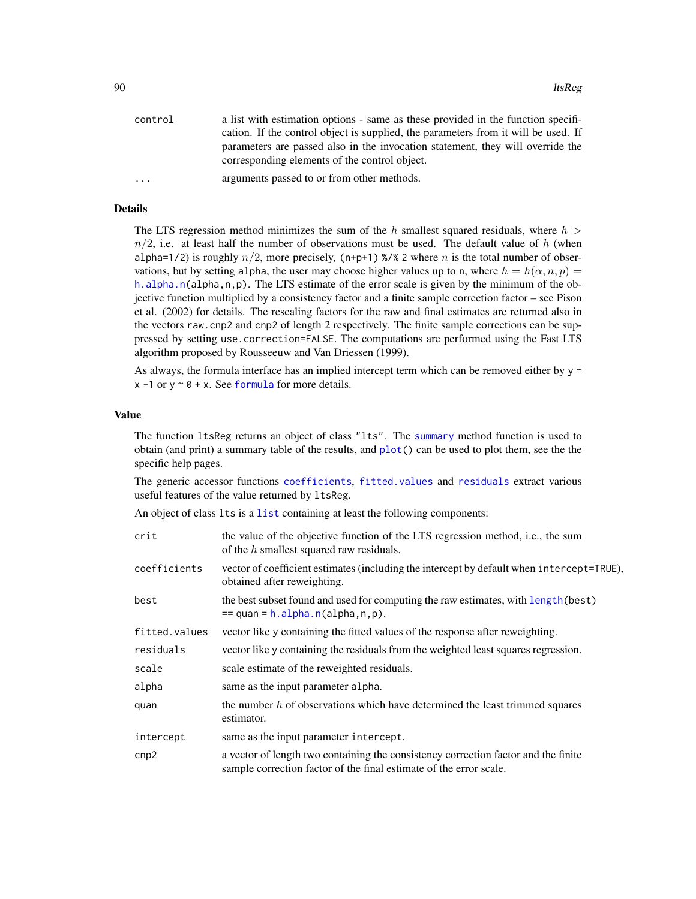| control  | a list with estimation options - same as these provided in the function specifi-   |
|----------|------------------------------------------------------------------------------------|
|          | cation. If the control object is supplied, the parameters from it will be used. If |
|          | parameters are passed also in the invocation statement, they will override the     |
|          | corresponding elements of the control object.                                      |
| $\ddots$ | arguments passed to or from other methods.                                         |
|          |                                                                                    |

## Details

The LTS regression method minimizes the sum of the h smallest squared residuals, where  $h >$  $n/2$ , i.e. at least half the number of observations must be used. The default value of h (when alpha=1/2) is roughly  $n/2$ , more precisely, (n+p+1) %/% 2 where n is the total number of observations, but by setting alpha, the user may choose higher values up to n, where  $h = h(\alpha, n, p)$ [h.alpha.n\(](#page-59-0)alpha,n,p). The LTS estimate of the error scale is given by the minimum of the objective function multiplied by a consistency factor and a finite sample correction factor – see Pison et al. (2002) for details. The rescaling factors for the raw and final estimates are returned also in the vectors raw.cnp2 and cnp2 of length 2 respectively. The finite sample corrections can be suppressed by setting use.correction=FALSE. The computations are performed using the Fast LTS algorithm proposed by Rousseeuw and Van Driessen (1999).

As always, the formula interface has an implied intercept term which can be removed either by  $y \sim$  $x - 1$  or  $y \sim 0 + x$ . See [formula](#page-0-0) for more details.

## Value

The function ltsReg returns an object of class "lts". The [summary](#page-0-0) method function is used to obtain (and print) a summary table of the results, and [plot\(](#page-114-0)) can be used to plot them, see the the specific help pages.

The generic accessor functions [coefficients](#page-0-0), [fitted.values](#page-0-0) and [residuals](#page-0-0) extract various useful features of the value returned by ltsReg.

An object of class lts is a [list](#page-0-0) containing at least the following components:

| crit          | the value of the objective function of the LTS regression method, i.e., the sum<br>of the $h$ smallest squared raw residuals.                            |
|---------------|----------------------------------------------------------------------------------------------------------------------------------------------------------|
| coefficients  | vector of coefficient estimates (including the intercept by default when intercept=TRUE),<br>obtained after reweighting.                                 |
| best          | the best subset found and used for computing the raw estimates, with length (best)<br>$==$ quan = h.alpha.n(alpha,n,p).                                  |
| fitted.values | vector like y containing the fitted values of the response after reweighting.                                                                            |
| residuals     | vector like y containing the residuals from the weighted least squares regression.                                                                       |
| scale         | scale estimate of the reweighted residuals.                                                                                                              |
| alpha         | same as the input parameter alpha.                                                                                                                       |
| quan          | the number $h$ of observations which have determined the least trimmed squares<br>estimator.                                                             |
| intercept     | same as the input parameter intercept.                                                                                                                   |
| cnp2          | a vector of length two containing the consistency correction factor and the finite<br>sample correction factor of the final estimate of the error scale. |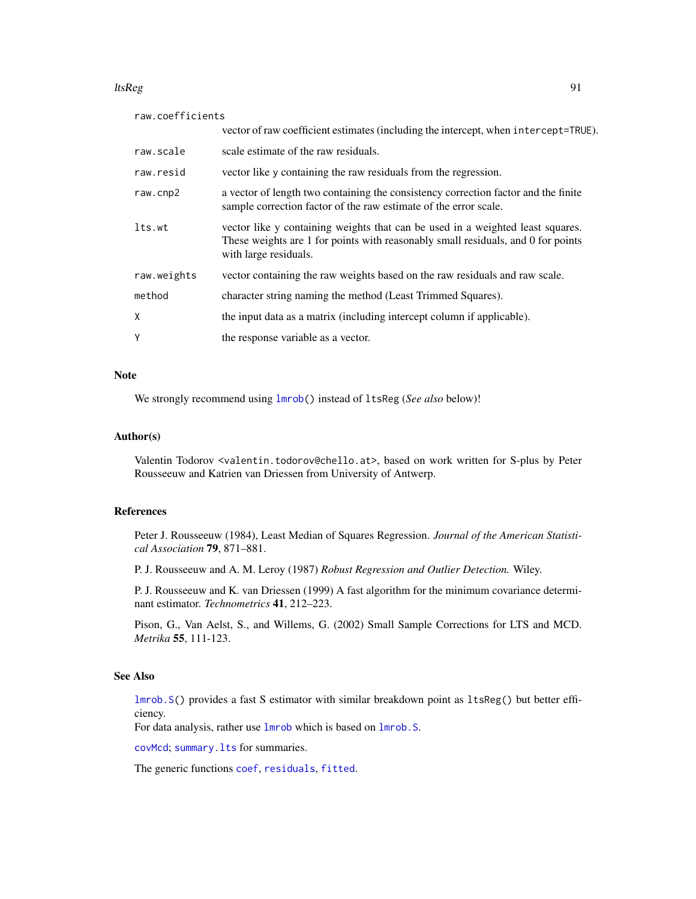#### ltsReg 91

| raw.coefficients |                                                                                                                                                                                             |
|------------------|---------------------------------------------------------------------------------------------------------------------------------------------------------------------------------------------|
|                  | vector of raw coefficient estimates (including the intercept, when intercept=TRUE).                                                                                                         |
| raw.scale        | scale estimate of the raw residuals.                                                                                                                                                        |
| raw.resid        | vector like y containing the raw residuals from the regression.                                                                                                                             |
| raw.cnp2         | a vector of length two containing the consistency correction factor and the finite<br>sample correction factor of the raw estimate of the error scale.                                      |
| lts.wt           | vector like y containing weights that can be used in a weighted least squares.<br>These weights are 1 for points with reasonably small residuals, and 0 for points<br>with large residuals. |
| raw.weights      | vector containing the raw weights based on the raw residuals and raw scale.                                                                                                                 |
| method           | character string naming the method (Least Trimmed Squares).                                                                                                                                 |
| X                | the input data as a matrix (including intercept column if applicable).                                                                                                                      |
| Υ                | the response variable as a vector.                                                                                                                                                          |

## Note

We strongly recommend using [lmrob\(](#page-67-0)) instead of ltsReg (*See also* below)!

#### Author(s)

Valentin Todorov <valentin.todorov@chello.at>, based on work written for S-plus by Peter Rousseeuw and Katrien van Driessen from University of Antwerp.

## References

Peter J. Rousseeuw (1984), Least Median of Squares Regression. *Journal of the American Statistical Association* 79, 871–881.

P. J. Rousseeuw and A. M. Leroy (1987) *Robust Regression and Outlier Detection.* Wiley.

P. J. Rousseeuw and K. van Driessen (1999) A fast algorithm for the minimum covariance determinant estimator. *Technometrics* 41, 212–223.

Pison, G., Van Aelst, S., and Willems, G. (2002) Small Sample Corrections for LTS and MCD. *Metrika* 55, 111-123.

## See Also

[lmrob.S\(](#page-84-0)) provides a fast S estimator with similar breakdown point as ltsReg() but better efficiency.

For data analysis, rather use  $lmrob$  which is based on  $lmrob$ . S.

[covMcd](#page-36-0); [summary.lts](#page-157-0) for summaries.

The generic functions [coef](#page-0-0), [residuals](#page-0-0), [fitted](#page-0-0).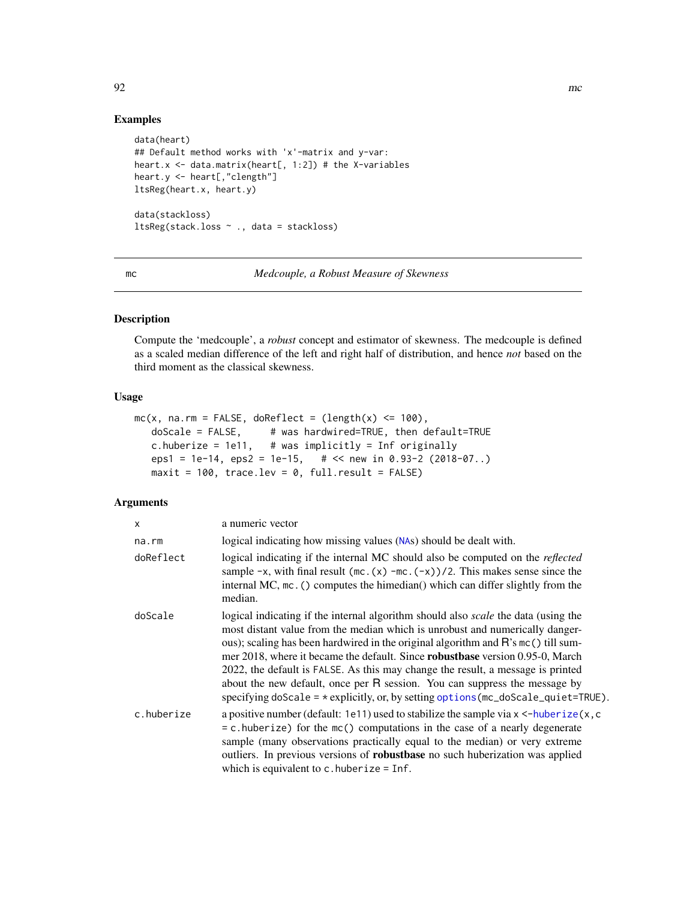# Examples

```
data(heart)
## Default method works with 'x'-matrix and y-var:
heart.x \leq data.matrix(heart[, 1:2]) # the X-variables
heart.y <- heart[,"clength"]
ltsReg(heart.x, heart.y)
data(stackloss)
ltsReg(stack.loss ~ ., data = stackloss)
```
mc *Medcouple, a Robust Measure of Skewness*

## Description

Compute the 'medcouple', a *robust* concept and estimator of skewness. The medcouple is defined as a scaled median difference of the left and right half of distribution, and hence *not* based on the third moment as the classical skewness.

### Usage

```
mc(x, na.rm = FALSE, doReflect = (length(x) < = 100),doScale = FALSE, # was hardwired=TRUE, then default=TRUE
  c.huberize = 1e11, \# was implicitly = Inf originally
  eps1 = 1e-14, eps2 = 1e-15, \# << new in 0.93-2 (2018-07..)
  maxit = 100, trace.lev = 0, full.result = FALSE)
```
## Arguments

| $\mathsf{x}$ | a numeric vector                                                                                                                                                                                                                                                                                                                                                                                                                                                                                                                                                                                                |
|--------------|-----------------------------------------------------------------------------------------------------------------------------------------------------------------------------------------------------------------------------------------------------------------------------------------------------------------------------------------------------------------------------------------------------------------------------------------------------------------------------------------------------------------------------------------------------------------------------------------------------------------|
| na.rm        | logical indicating how missing values (NAs) should be dealt with.                                                                                                                                                                                                                                                                                                                                                                                                                                                                                                                                               |
| doReflect    | logical indicating if the internal MC should also be computed on the <i>reflected</i><br>sample $-x$ , with final result (mc. (x) $-mc.$ (-x))/2. This makes sense since the<br>internal MC, mc. () computes the himedian() which can differ slightly from the<br>median.                                                                                                                                                                                                                                                                                                                                       |
| doScale      | logical indicating if the internal algorithm should also <i>scale</i> the data (using the<br>most distant value from the median which is unrobust and numerically danger-<br>ous); scaling has been hardwired in the original algorithm and R's mc() till sum-<br>mer 2018, where it became the default. Since <b>robustbase</b> version 0.95-0, March<br>2022, the default is FALSE. As this may change the result, a message is printed<br>about the new default, once per R session. You can suppress the message by<br>specifying doScale = $*$ explicitly, or, by setting options (mc_doScale_quiet=TRUE). |
| c.huberize   | a positive number (default: 1e11) used to stabilize the sample via $x < -huberize(x, c$<br>$= c$ . huberize) for the $mc()$ computations in the case of a nearly degenerate<br>sample (many observations practically equal to the median) or very extreme<br>outliers. In previous versions of <b>robustbase</b> no such huberization was applied<br>which is equivalent to c. huberize $=$ Inf.                                                                                                                                                                                                                |

92 mc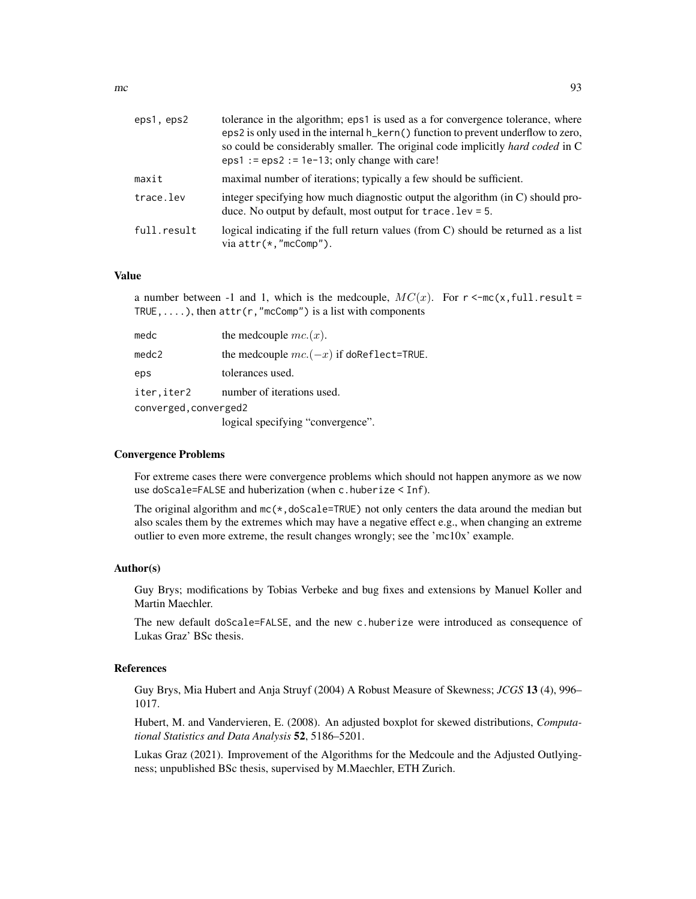| eps1, eps2  | tolerance in the algorithm; eps1 is used as a for convergence tolerance, where<br>eps2 is only used in the internal h_kern() function to prevent underflow to zero,<br>so could be considerably smaller. The original code implicitly hard coded in C<br>$eps1 :=eps2 := 1e-13$ ; only change with care! |
|-------------|----------------------------------------------------------------------------------------------------------------------------------------------------------------------------------------------------------------------------------------------------------------------------------------------------------|
| maxit       | maximal number of iterations; typically a few should be sufficient.                                                                                                                                                                                                                                      |
| trace.lev   | integer specifying how much diagnostic output the algorithm (in C) should pro-<br>duce. No output by default, most output for $trace. \text{lev} = 5$ .                                                                                                                                                  |
| full.result | logical indicating if the full return values (from C) should be returned as a list<br>via $attr(*, "mcComp").$                                                                                                                                                                                           |

#### Value

a number between -1 and 1, which is the medcouple,  $MC(x)$ . For  $r < mc(x, full. result =$ TRUE, ....), then  $attr(r, "mcComp")$  is a list with components

| medc                  | the medcouple $mc(x)$ .                     |
|-----------------------|---------------------------------------------|
| medc2                 | the medcouple $mc.(-x)$ if do Reflect=TRUE. |
| eps                   | tolerances used.                            |
| iter,iter2            | number of iterations used.                  |
| converged, converged2 |                                             |
|                       | logical specifying "convergence".           |

#### Convergence Problems

For extreme cases there were convergence problems which should not happen anymore as we now use doScale=FALSE and huberization (when c.huberize < Inf).

The original algorithm and  $mc(*,doScale=TRUE)$  not only centers the data around the median but also scales them by the extremes which may have a negative effect e.g., when changing an extreme outlier to even more extreme, the result changes wrongly; see the 'mc10x' example.

### Author(s)

Guy Brys; modifications by Tobias Verbeke and bug fixes and extensions by Manuel Koller and Martin Maechler.

The new default doScale=FALSE, and the new c.huberize were introduced as consequence of Lukas Graz' BSc thesis.

### References

Guy Brys, Mia Hubert and Anja Struyf (2004) A Robust Measure of Skewness; *JCGS* 13 (4), 996– 1017.

Hubert, M. and Vandervieren, E. (2008). An adjusted boxplot for skewed distributions, *Computational Statistics and Data Analysis* 52, 5186–5201.

Lukas Graz (2021). Improvement of the Algorithms for the Medcoule and the Adjusted Outlyingness; unpublished BSc thesis, supervised by M.Maechler, ETH Zurich.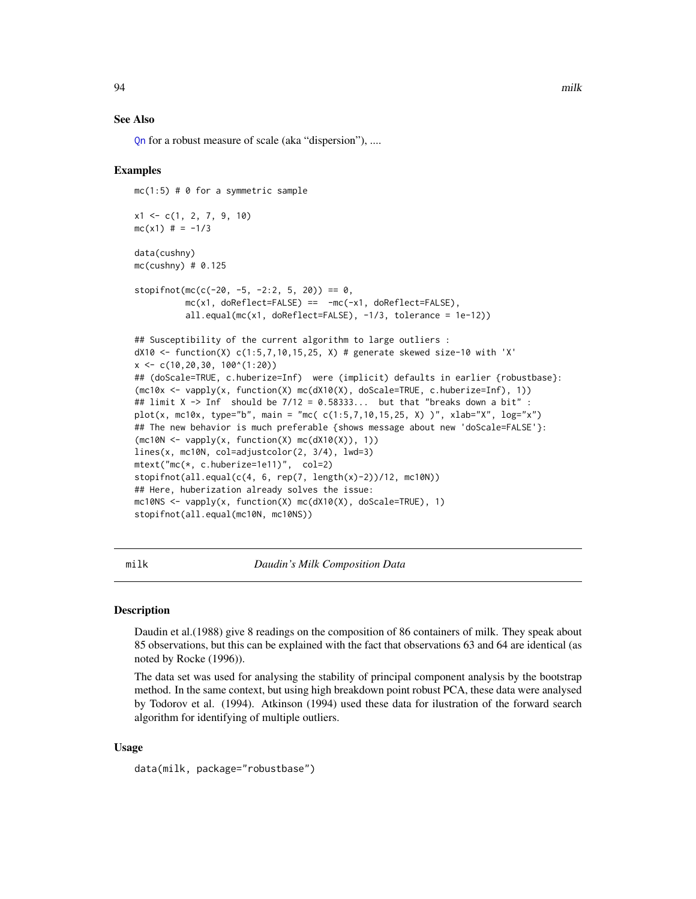#### See Also

[Qn](#page-131-0) for a robust measure of scale (aka "dispersion"), ....

### Examples

 $mc(1:5)$  # 0 for a symmetric sample

```
x1 \leftarrow c(1, 2, 7, 9, 10)mc(x1) # = -1/3data(cushny)
mc(cushny) # 0.125
stopifnot(mc(c(-20, -5, -2:2, 5, 20)) == 0,
          mc(x1, doReflect=FALES) = mc(-x1, doReflect=FALES),all.equal(mc(x1, doReflect=FALSE), -1/3, tolerance = 1e-12))
## Susceptibility of the current algorithm to large outliers :
dX10 <- function(X) c(1:5,7,10,15,25, X) # generate skewed size-10 with 'X'
x <- c(10,20,30, 100^(1:20))
## (doScale=TRUE, c.huberize=Inf) were (implicit) defaults in earlier {robustbase}:
(mc10x <- vapply(x, function(X) mc(dX10(X), doScale=TRUE, c.huberize=Inf), 1))
## limit X -> Inf should be 7/12 = 0.58333... but that "breaks down a bit" :
plot(x, mc10x, type="b", main = "mc( c(1:5,7,10,15,25, X) )", xlab="X", log="x")
## The new behavior is much preferable {shows message about new 'doScale=FALSE'}:
(mc10N \leq\nu) vapply(x, function(X) mc(dX10(X)), 1))
lines(x, mc10N, col=adjustcolor(2, 3/4), lwd=3)
mtext("mc(*, c.huberize=1e11)", col=2)
stopifnot(all.equal(c(4, 6, rep(7, length(x)-2))/12, mc10N))
## Here, huberization already solves the issue:
mc10NS <- vapply(x, function(X) mc(dX10(X), doScale=TRUE), 1)
stopifnot(all.equal(mc10N, mc10NS))
```
milk *Daudin's Milk Composition Data*

#### Description

Daudin et al.(1988) give 8 readings on the composition of 86 containers of milk. They speak about 85 observations, but this can be explained with the fact that observations 63 and 64 are identical (as noted by Rocke (1996)).

The data set was used for analysing the stability of principal component analysis by the bootstrap method. In the same context, but using high breakdown point robust PCA, these data were analysed by Todorov et al. (1994). Atkinson (1994) used these data for ilustration of the forward search algorithm for identifying of multiple outliers.

### Usage

data(milk, package="robustbase")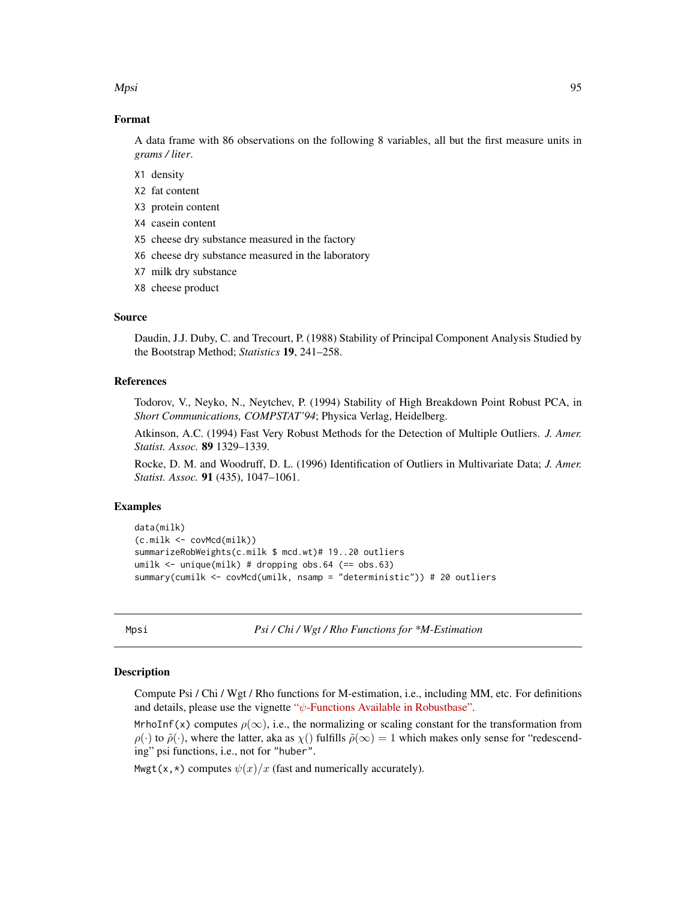Mpsi 1995 - 1996 - 1997 - 1998 - 1999 - 1999 - 1999 - 1999 - 1999 - 1999 - 1999 - 1999 - 1999 - 1999 - 1999 - 1

### Format

A data frame with 86 observations on the following 8 variables, all but the first measure units in *grams / liter*.

- X1 density
- X2 fat content
- X3 protein content
- X4 casein content
- X5 cheese dry substance measured in the factory
- X6 cheese dry substance measured in the laboratory
- X7 milk dry substance
- X8 cheese product

## Source

Daudin, J.J. Duby, C. and Trecourt, P. (1988) Stability of Principal Component Analysis Studied by the Bootstrap Method; *Statistics* 19, 241–258.

## References

Todorov, V., Neyko, N., Neytchev, P. (1994) Stability of High Breakdown Point Robust PCA, in *Short Communications, COMPSTAT'94*; Physica Verlag, Heidelberg.

Atkinson, A.C. (1994) Fast Very Robust Methods for the Detection of Multiple Outliers. *J. Amer. Statist. Assoc.* 89 1329–1339.

Rocke, D. M. and Woodruff, D. L. (1996) Identification of Outliers in Multivariate Data; *J. Amer. Statist. Assoc.* 91 (435), 1047–1061.

### Examples

```
data(milk)
(c.milk <- covMcd(milk))
summarizeRobWeights(c.milk $ mcd.wt)# 19..20 outliers
umilk <- unique(milk) # dropping obs.64 (== obs.63)
summary(cumilk <- covMcd(umilk, nsamp = "deterministic")) # 20 outliers
```
<span id="page-94-0"></span>Mpsi *Psi / Chi / Wgt / Rho Functions for \*M-Estimation*

#### <span id="page-94-1"></span>**Description**

Compute Psi / Chi / Wgt / Rho functions for M-estimation, i.e., including MM, etc. For definitions and details, please use the vignette " $\psi$ [-Functions Available in Robustbase".](https://cran.r-project.org/package=robustbase/vignettes/psi_functions.pdf)

MrhoInf(x) computes  $\rho(\infty)$ , i.e., the normalizing or scaling constant for the transformation from  $\rho(\cdot)$  to  $\tilde{\rho}(\cdot)$ , where the latter, aka as  $\chi(\cdot)$  fulfills  $\tilde{\rho}(\infty) = 1$  which makes only sense for "redescending" psi functions, i.e., not for "huber".

Mwgt(x,  $\star$ ) computes  $\psi(x)/x$  (fast and numerically accurately).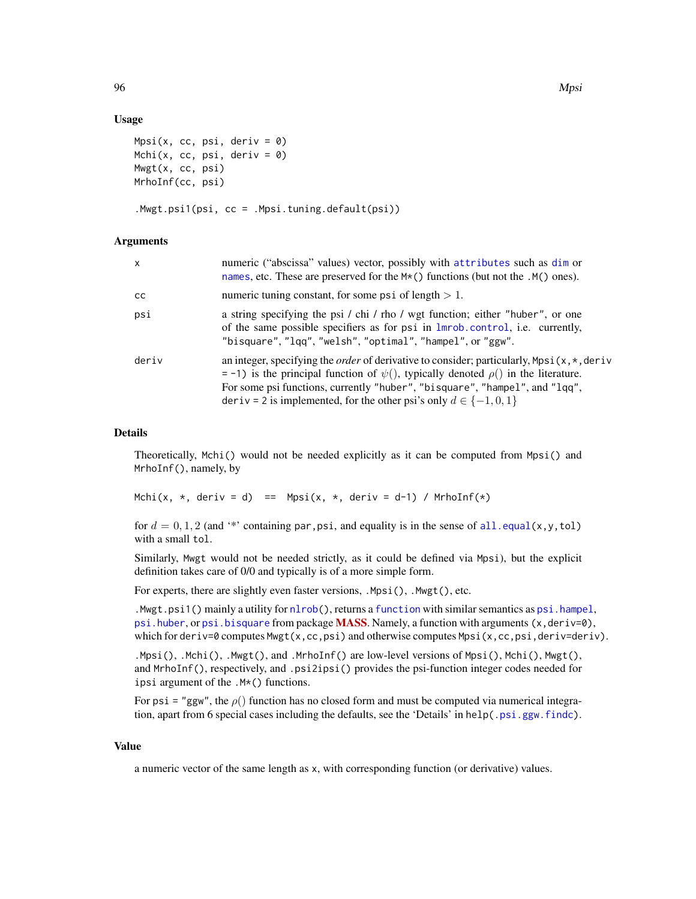### Usage

```
Mpsi(x, cc, psi, deriv = \emptyset)
Mchi(x, cc, psi, deriv = \emptyset)
Mwgt(x, cc, psi)
MrhoInf(cc, psi)
```
.Mwgt.psi1(psi, cc = .Mpsi.tuning.default(psi))

## Arguments

| $\mathsf{x}$  | numeric ("abscissa" values) vector, possibly with attributes such as dim or<br>names, etc. These are preserved for the $M*($ ) functions (but not the $.M()$ ones).                                                                                                                                                                                              |
|---------------|------------------------------------------------------------------------------------------------------------------------------------------------------------------------------------------------------------------------------------------------------------------------------------------------------------------------------------------------------------------|
| <sub>CC</sub> | numeric tuning constant, for some psi of length $> 1$ .                                                                                                                                                                                                                                                                                                          |
| psi           | a string specifying the psi / chi / rho / wgt function; either "huber", or one<br>of the same possible specifiers as for psi in $lmrob$ . control, i.e. currently,<br>"bisquare", "lqq", "welsh", "optimal", "hampel", or "ggw".                                                                                                                                 |
| deriv         | an integer, specifying the <i>order</i> of derivative to consider; particularly, $Mpsi(x, *, deriv)$<br>$=$ -1) is the principal function of $\psi$ (), typically denoted $\rho$ () in the literature.<br>For some psi functions, currently "huber", "bisquare", "hampel", and "lqq",<br>deriv = 2 is implemented, for the other psi's only $d \in \{-1, 0, 1\}$ |

#### Details

Theoretically, Mchi() would not be needed explicitly as it can be computed from Mpsi() and MrhoInf(), namely, by

Mchi(x,  $\star$ , deriv = d) == Mpsi(x,  $\star$ , deriv = d-1) / MrhoInf( $\star$ )

for  $d = 0, 1, 2$  (and '\*' containing par, psi, and equality is in the sense of [all.equal\(](#page-0-0)x,y,tol) with a small tol.

Similarly, Mwgt would not be needed strictly, as it could be defined via Mpsi), but the explicit definition takes care of 0/0 and typically is of a more simple form.

For experts, there are slightly even faster versions, .Mpsi(), .Mwgt(), etc.

.Mwgt.psi1() mainly a utility for [nlrob\(](#page-97-0)), returns a [function](#page-0-0) with similar semantics as [psi.hampel](#page-0-0), [psi.huber](#page-0-0), or [psi.bisquare](#page-0-0) from package [MASS](https://CRAN.R-project.org/package=MASS). Namely, a function with arguments  $(x,$  deriv=0), which for deriv=0 computes Mwgt(x,cc,psi) and otherwise computes Mpsi(x,cc,psi,deriv=deriv).

.Mpsi(), .Mchi(), .Mwgt(), and .MrhoInf() are low-level versions of Mpsi(), Mchi(), Mwgt(), and MrhoInf(), respectively, and .psi2ipsi() provides the psi-function integer codes needed for ipsi argument of the .M\*() functions.

For psi = "ggw", the  $\rho$ () function has no closed form and must be computed via numerical integration, apart from 6 special cases including the defaults, see the 'Details' in help[\(.psi.ggw.findc\)](#page-125-0).

#### Value

a numeric vector of the same length as x, with corresponding function (or derivative) values.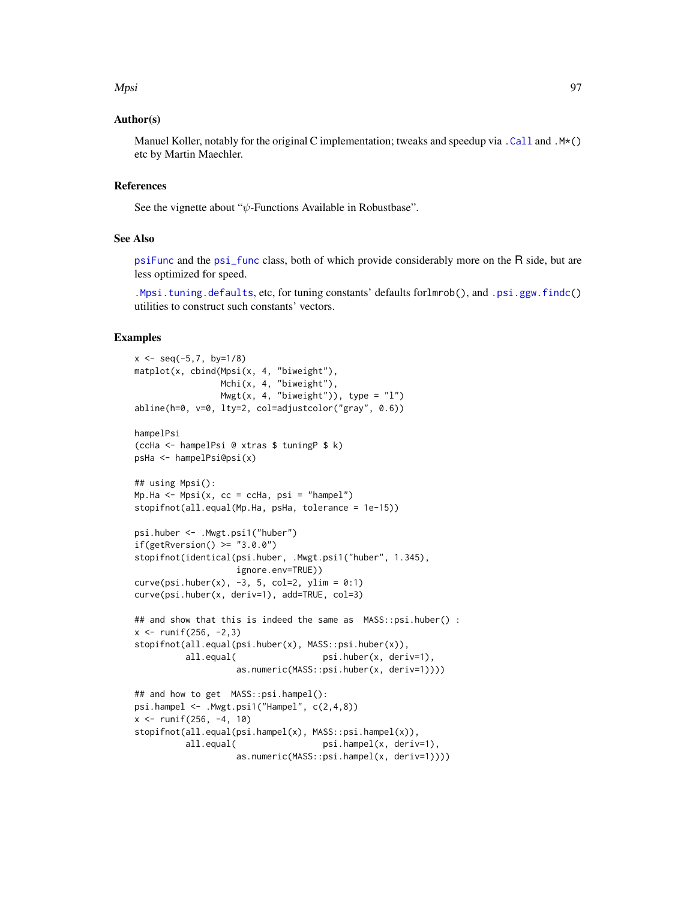#### Mpsi 2008 - 2009 - 2009 - 2009 - 2014 - 2022 - 2022 - 2022 - 2023 - 2023 - 2023 - 2024 - 2022 - 2023 - 2023 - 20

## Author(s)

Manuel Koller, notably for the original C implementation; tweaks and speedup via [.Call](#page-0-0) and .M\*() etc by Martin Maechler.

## References

See the vignette about " $\psi$ -Functions Available in Robustbase".

## See Also

[psiFunc](#page-128-0) and the [psi\\_func](#page-129-0) class, both of which provide considerably more on the R side, but are less optimized for speed.

[.Mpsi.tuning.defaults](#page-75-1), etc, for tuning constants' defaults forlmrob(), and [.psi.ggw.findc\(](#page-125-0)) utilities to construct such constants' vectors.

## Examples

```
x \le - seq(-5, 7, by=1/8)
matplot(x, cbind(Mpsi(x, 4, "biweight"),
                 Mchi(x, 4, "biweight"),
                Mwgt(x, 4, "biweight")), type = "1")
abline(h=0, v=0, lty=2, col=adjustcolor("gray", 0.6))
hampelPsi
(ccHa <- hampelPsi @ xtras $ tuningP $ k)
psHa <- hampelPsi@psi(x)
## using Mpsi():
Mp.Ha \leq Mpsi(x, cc = ccha, psi = "hamped")stopifnot(all.equal(Mp.Ha, psHa, tolerance = 1e-15))
psi.huber <- .Mwgt.psi1("huber")
if(getRversion() \geq "3.0.0")stopifnot(identical(psi.huber, .Mwgt.psi1("huber", 1.345),
                    ignore.env=TRUE))
curve(psi.huber(x), -3, 5, col=2, ylim = 0:1)curve(psi.huber(x, deriv=1), add=TRUE, col=3)
## and show that this is indeed the same as MASS::psi.huber() :
x \le - runif(256, -2, 3)
stopifnot(all.equal(psi.huber(x), MASS::psi.huber(x)),
          all.equal( psi.huber(x, deriv=1),
                    as.numeric(MASS::psi.huber(x, deriv=1))))
## and how to get MASS::psi.hampel():
psi.hampel <- .Mwgt.psi1("Hampel", c(2,4,8))
x \le runif(256, -4, 10)
stopifnot(all.equal(psi.hampel(x), MASS::psi.hampel(x)),
         all.equal( psi.hampel(x, deriv=1),
                   as.numeric(MASS::psi.hampel(x, deriv=1))))
```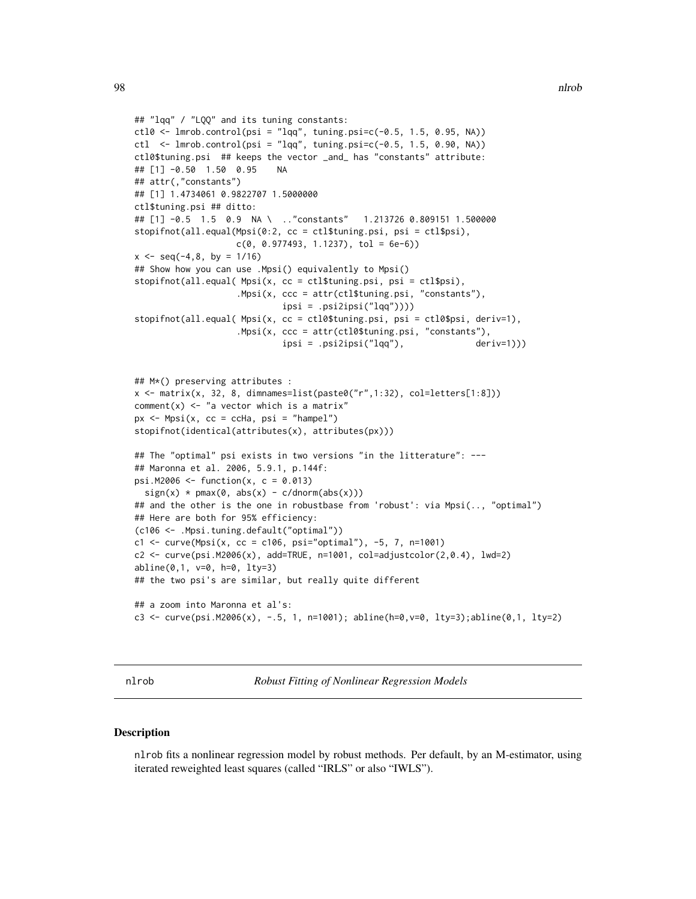```
## "lqq" / "LQQ" and its tuning constants:
ctl0 <- lmrob.control(psi = "lqq", tuning.psi=c(-0.5, 1.5, 0.95, NA))
ctl \leq 1mrob.control(psi = "lqq", tuning.psi=c(-0.5, 1.5, 0.90, NA))
ctl0$tuning.psi ## keeps the vector _and_ has "constants" attribute:
## [1] -0.50 1.50 0.95 NA
## attr(,"constants")
## [1] 1.4734061 0.9822707 1.5000000
ctl$tuning.psi ## ditto:
## [1] -0.5 1.5 0.9 NA \ .."constants" 1.213726 0.809151 1.500000
stopifnot(all.equal(Mpsi(0:2, cc = ctl$tuning.psi, psi = ctl$psi),
                    c(0, 0.977493, 1.1237), tol = 6e-6))
x \le - seq(-4,8, by = 1/16)
## Show how you can use .Mpsi() equivalently to Mpsi()
stopifnot(all.equal( Mpsi(x, cc = ctl$tuning.psi, psi = ctl$psi),
                    .Mpsi(x, ccc = attr(ctl$tuning.psi, "constants"),
                             ipsi = .psi2ipsi("lqq"))))
stopifnot(all.equal( Mpsi(x, cc = ctl0$tuning.psi, psi = ctl0$psi, deriv=1),
                    .Mpsi(x, ccc = attr(ctl0$tuning.psi, "constants"),
                             ipsi = .psi2ipsi("lqq"), deriv=1)))
## M*() preserving attributes :
x <- matrix(x, 32, 8, dimnames=list(paste0("r",1:32), col=letters[1:8]))
comment(x) \leq "a vector which is a matrix"
px < - Mpsi(x, cc = ccha, psi = "hampel")
stopifnot(identical(attributes(x), attributes(px)))
## The "optimal" psi exists in two versions "in the litterature": ---
## Maronna et al. 2006, 5.9.1, p.144f:
psi.M2006 <- function(x, c = 0.013)
  sign(x) * pmax(\emptyset, abs(x) - c/dnorm(abs(x)))## and the other is the one in robustbase from 'robust': via Mpsi(.., "optimal")
## Here are both for 95% efficiency:
(c106 <- .Mpsi.tuning.default("optimal"))
c1 <- curve(Mpsi(x, cc = c106, psi="optimal"), -5, 7, n=1001)
c2 <- curve(psi.M2006(x), add=TRUE, n=1001, col=adjustcolor(2,0.4), lwd=2)
abline(0,1, v=0, h=0, lty=3)
## the two psi's are similar, but really quite different
## a zoom into Maronna et al's:
c3 <- curve(psi.M2006(x), -.5, 1, n=1001); abline(h=0,v=0, lty=3);abline(0,1, lty=2)
```
<span id="page-97-0"></span>nlrob *Robust Fitting of Nonlinear Regression Models*

## **Description**

nlrob fits a nonlinear regression model by robust methods. Per default, by an M-estimator, using iterated reweighted least squares (called "IRLS" or also "IWLS").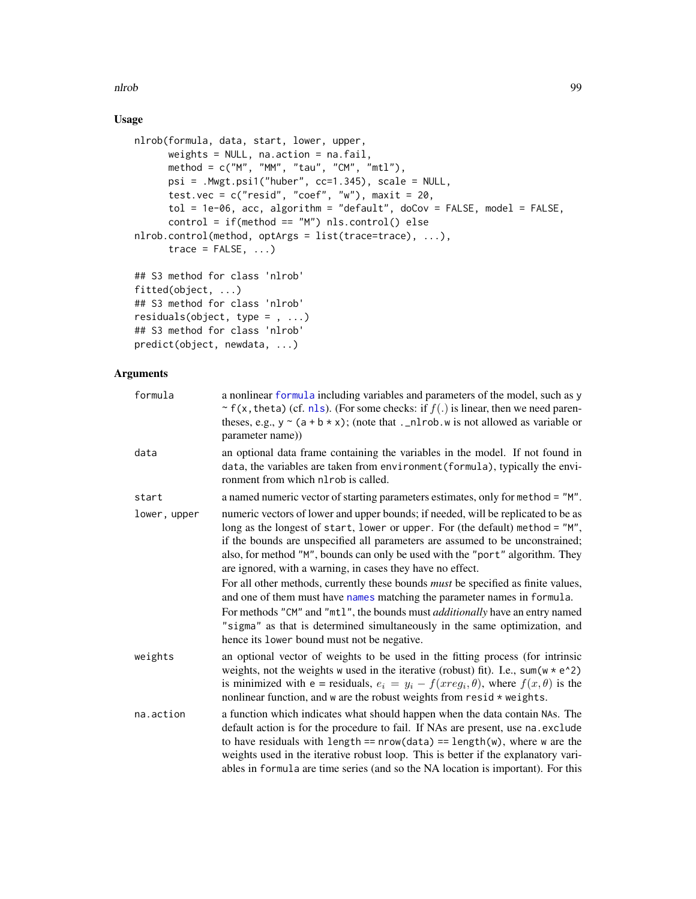nlrob 99

# Usage

```
nlrob(formula, data, start, lower, upper,
     weights = NULL, na.action = na.fail,
     method = c("M", "MM", "tau", "CM", "mtl"),
     psi = .Mwgt.psi1("huber", cc=1.345), scale = NULL,
      test.vec = c("resid", "coef", "w"), maxit = 20,tol = 1e-06, acc, algorithm = "default", doCov = FALSE, model = FALSE,
      control = if(method == "M") nls.configontroll() else
nlrob.control(method, optArgs = list(trace=trace), ...),
      trace = FALSE, ...)## S3 method for class 'nlrob'
fitted(object, ...)
## S3 method for class 'nlrob'
residuals(object, type = , ...)
```

```
## S3 method for class 'nlrob'
predict(object, newdata, ...)
```
## Arguments

| formula      | a nonlinear formula including variables and parameters of the model, such as y<br>~ f(x, theta) (cf. nls). (For some checks: if $f(.)$ is linear, then we need paren-<br>theses, e.g., $y \sim (a + b \times x)$ ; (note that ._nlrob.w is not allowed as variable or<br>parameter name))                                                                                                                                                                                                                                                                                                                                                                                                                                                                                                      |
|--------------|------------------------------------------------------------------------------------------------------------------------------------------------------------------------------------------------------------------------------------------------------------------------------------------------------------------------------------------------------------------------------------------------------------------------------------------------------------------------------------------------------------------------------------------------------------------------------------------------------------------------------------------------------------------------------------------------------------------------------------------------------------------------------------------------|
| data         | an optional data frame containing the variables in the model. If not found in<br>data, the variables are taken from environment (formula), typically the envi-<br>ronment from which nl rob is called.                                                                                                                                                                                                                                                                                                                                                                                                                                                                                                                                                                                         |
| start        | a named numeric vector of starting parameters estimates, only for method = "M".                                                                                                                                                                                                                                                                                                                                                                                                                                                                                                                                                                                                                                                                                                                |
| lower, upper | numeric vectors of lower and upper bounds; if needed, will be replicated to be as<br>long as the longest of start, lower or upper. For (the default) method = "M",<br>if the bounds are unspecified all parameters are assumed to be unconstrained;<br>also, for method "M", bounds can only be used with the "port" algorithm. They<br>are ignored, with a warning, in cases they have no effect.<br>For all other methods, currently these bounds <i>must</i> be specified as finite values,<br>and one of them must have names matching the parameter names in formula.<br>For methods "CM" and "mt1", the bounds must <i>additionally</i> have an entry named<br>"sigma" as that is determined simultaneously in the same optimization, and<br>hence its lower bound must not be negative. |
| weights      | an optional vector of weights to be used in the fitting process (for intrinsic<br>weights, not the weights w used in the iterative (robust) fit). I.e., $sum(w * e^2)$<br>is minimized with $e =$ residuals, $e_i = y_i - f(xreg_i, \theta)$ , where $f(x, \theta)$ is the<br>nonlinear function, and w are the robust weights from $resid * weights$ .                                                                                                                                                                                                                                                                                                                                                                                                                                        |
| na.action    | a function which indicates what should happen when the data contain NAs. The<br>default action is for the procedure to fail. If NAs are present, use na.exclude<br>to have residuals with length == $nrow(data) == length(w)$ , where w are the<br>weights used in the iterative robust loop. This is better if the explanatory vari-<br>ables in formula are time series (and so the NA location is important). For this                                                                                                                                                                                                                                                                                                                                                                      |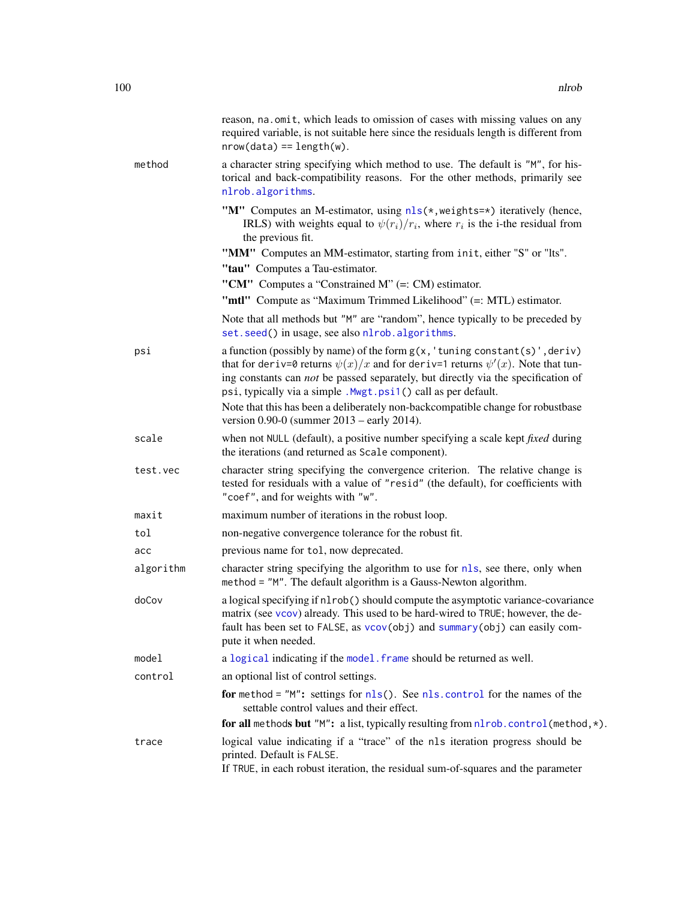|           | reason, na. omit, which leads to omission of cases with missing values on any<br>required variable, is not suitable here since the residuals length is different from<br>$nrow(data) == length(w).$                                                                                                                              |
|-----------|----------------------------------------------------------------------------------------------------------------------------------------------------------------------------------------------------------------------------------------------------------------------------------------------------------------------------------|
| method    | a character string specifying which method to use. The default is "M", for his-<br>torical and back-compatibility reasons. For the other methods, primarily see<br>nlrob.algorithms.                                                                                                                                             |
|           | "M" Computes an M-estimator, using nls(*, weights=*) iteratively (hence,<br>IRLS) with weights equal to $\psi(r_i)/r_i$ , where $r_i$ is the i-the residual from<br>the previous fit.                                                                                                                                            |
|           | "MM" Computes an MM-estimator, starting from init, either "S" or "Its".<br>"tau" Computes a Tau-estimator.                                                                                                                                                                                                                       |
|           | "CM" Computes a "Constrained M" $(=: CM)$ estimator.                                                                                                                                                                                                                                                                             |
|           | "mtl" Compute as "Maximum Trimmed Likelihood" (=: MTL) estimator.                                                                                                                                                                                                                                                                |
|           | Note that all methods but "M" are "random", hence typically to be preceded by<br>set.seed() in usage, see also nlrob.algorithms.                                                                                                                                                                                                 |
| psi       | a function (possibly by name) of the form $g(x, 'tuning constant(s)', deriv)$<br>that for deriv=0 returns $\psi(x)/x$ and for deriv=1 returns $\psi'(x)$ . Note that tun-<br>ing constants can not be passed separately, but directly via the specification of<br>psi, typically via a simple . Mwgt.psi1() call as per default. |
|           | Note that this has been a deliberately non-backcompatible change for robustbase<br>version $0.90-0$ (summer $2013$ – early $2014$ ).                                                                                                                                                                                             |
| scale     | when not NULL (default), a positive number specifying a scale kept <i>fixed</i> during<br>the iterations (and returned as Scale component).                                                                                                                                                                                      |
| test.vec  | character string specifying the convergence criterion. The relative change is<br>tested for residuals with a value of "resid" (the default), for coefficients with<br>"coef", and for weights with "w".                                                                                                                          |
| maxit     | maximum number of iterations in the robust loop.                                                                                                                                                                                                                                                                                 |
| tol       | non-negative convergence tolerance for the robust fit.                                                                                                                                                                                                                                                                           |
| acc       | previous name for tol, now deprecated.                                                                                                                                                                                                                                                                                           |
| algorithm | character string specifying the algorithm to use for nls, see there, only when<br>method = "M". The default algorithm is a Gauss-Newton algorithm.                                                                                                                                                                               |
| doCov     | a logical specifying if nlrob() should compute the asymptotic variance-covariance<br>matrix (see vcov) already. This used to be hard-wired to TRUE; however, the de-<br>fault has been set to FALSE, as vcov(obj) and summary(obj) can easily com-<br>pute it when needed.                                                       |
| model     | a logical indicating if the model. frame should be returned as well.                                                                                                                                                                                                                                                             |
| control   | an optional list of control settings.                                                                                                                                                                                                                                                                                            |
|           | for method = $'M''$ : settings for $nls()$ . See nls. control for the names of the<br>settable control values and their effect.                                                                                                                                                                                                  |
|           | for all methods but "M": a list, typically resulting from $n$ lrob.control(method, *).                                                                                                                                                                                                                                           |
| trace     | logical value indicating if a "trace" of the nls iteration progress should be<br>printed. Default is FALSE.<br>If TRUE, in each robust iteration, the residual sum-of-squares and the parameter                                                                                                                                  |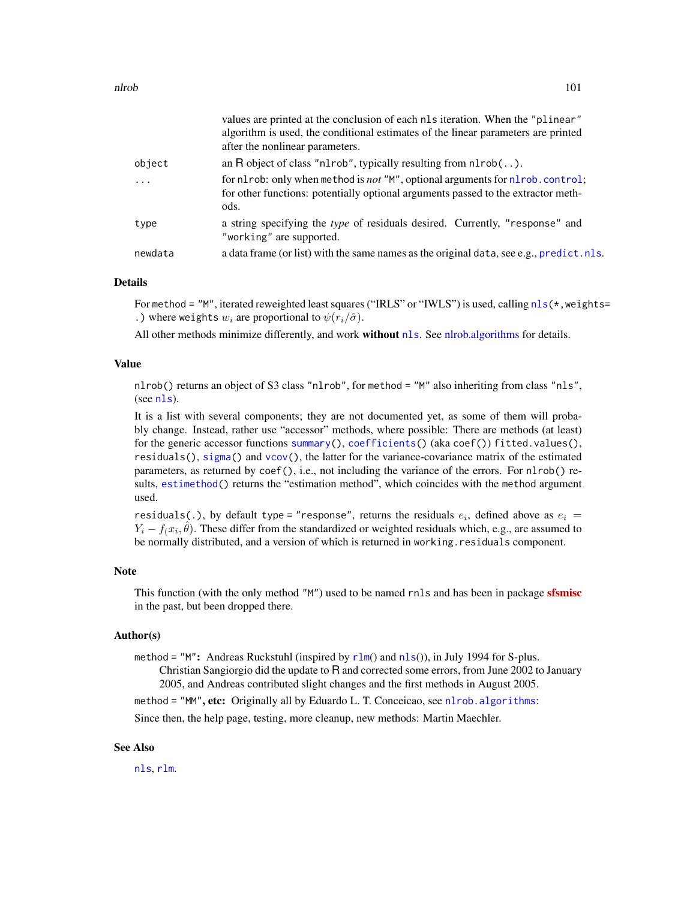|         | values are printed at the conclusion of each nls iteration. When the "plinear"<br>algorithm is used, the conditional estimates of the linear parameters are printed<br>after the nonlinear parameters. |
|---------|--------------------------------------------------------------------------------------------------------------------------------------------------------------------------------------------------------|
| object  | an R object of class "n1rob", typically resulting from $n1rob($ ).                                                                                                                                     |
| .       | for nlrob: only when method is not "M", optional arguments for nlrob.control;<br>for other functions: potentially optional arguments passed to the extractor meth-<br>ods.                             |
| type    | a string specifying the type of residuals desired. Currently, "response" and<br>"working" are supported.                                                                                               |
| newdata | a data frame (or list) with the same names as the original data, see e.g., predict. nls.                                                                                                               |
|         |                                                                                                                                                                                                        |

## Details

For method = "M", iterated reweighted least squares ("IRLS" or "IWLS") is used, calling  $nls(*$  $nls(*$ , weights= .) where weights  $w_i$  are proportional to  $\psi(r_i/\hat{\sigma})$ .

All other methods minimize differently, and work without [nls](#page-0-0). See [nlrob.algorithms](#page-102-0) for details.

#### Value

nlrob() returns an object of S3 class "nlrob", for method = "M" also inheriting from class "nls", (see [nls](#page-0-0)).

It is a list with several components; they are not documented yet, as some of them will probably change. Instead, rather use "accessor" methods, where possible: There are methods (at least) for the generic accessor functions [summary\(](#page-0-0)), [coefficients\(](#page-0-0)) (aka coef()) fitted.values(), residuals(), [sigma\(](#page-145-0)) and  $\vee$ co $\nu$ (), the latter for the variance-covariance matrix of the estimated parameters, as returned by coef(), i.e., not including the variance of the errors. For nlrob() results, [estimethod\(](#page-47-0)) returns the "estimation method", which coincides with the method argument used.

residuals(.), by default type = "response", returns the residuals  $e_i$ , defined above as  $e_i =$  $Y_i - f(x_i, \hat{\theta})$ . These differ from the standardized or weighted residuals which, e.g., are assumed to be normally distributed, and a version of which is returned in working.residuals component.

#### Note

This function (with the only method "M") used to be named rnls and has been in package [sfsmisc](https://CRAN.R-project.org/package=sfsmisc) in the past, but been dropped there.

#### Author(s)

method = "M": Andreas Ruckstuhl (inspired by  $rlm()$  $rlm()$  and  $nls()$  $nls()$ ), in July 1994 for S-plus.

Christian Sangiorgio did the update to R and corrected some errors, from June 2002 to January 2005, and Andreas contributed slight changes and the first methods in August 2005.

method = "MM", etc: Originally all by Eduardo L. T. Conceicao, see nlrob. algorithms:

Since then, the help page, testing, more cleanup, new methods: Martin Maechler.

#### See Also

[nls](#page-0-0), [rlm](#page-0-0).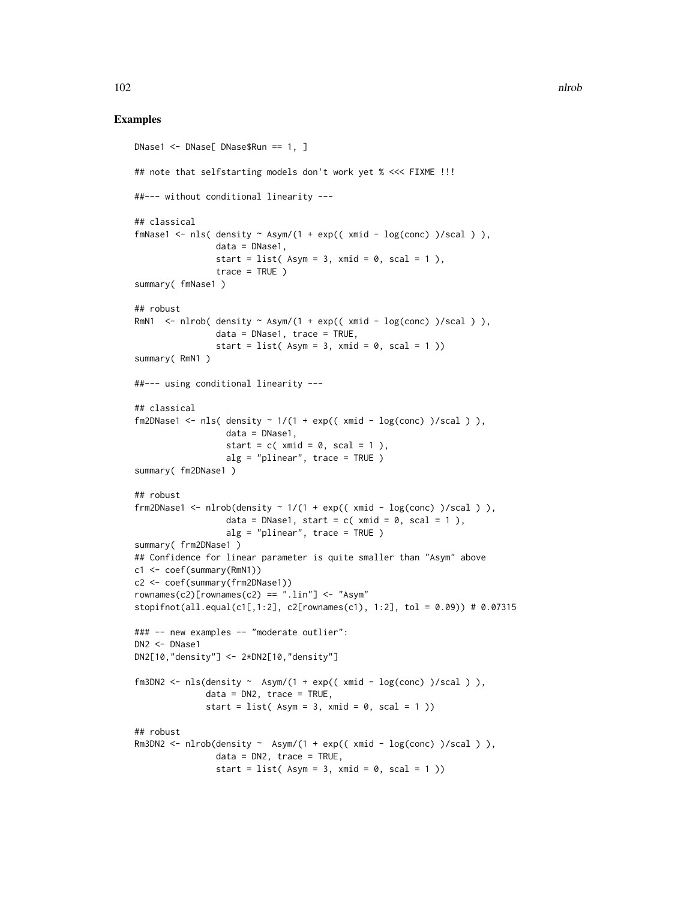### Examples

```
DNase1 <- DNase[ DNase$Run == 1, ]
## note that selfstarting models don't work yet % <<< FIXME !!!
##--- without conditional linearity ---
## classical
fmNase1 <- nls( density \sim Asym/(1 + exp(( xmid - log(conc) )/scal ) ),
                data = DNase1,
                start = list(Asym = 3, xmid = 0, scal = 1),
                trace = TRUE)
summary( fmNase1 )
## robust
RmN1 <- nlrob( density \sim Asym/(1 + exp(( xmid - log(conc) )/scal ) ),
                data = DNase1, trace = TRUE,
                start = list(Asym = 3, xmid = 0, scal = 1))
summary( RmN1 )
##--- using conditional linearity ---
## classical
fm2DNase1 <- nls( density \sim 1/(1 + exp(( xmid - log(conc) )/scal ) ),
                  data = DNase1,
                  start = c( xmid = 0, scal = 1 ),
                  alg = "planear", trace = TRUE)
summary( fm2DNase1 )
## robust
frm2DNase1 <- nlrob(density \sim 1/(1 + exp(( xmid - log(conc) )/scal ) ),
                  data = DNase1, start = c( xmid = 0, scal = 1),
                  alg = "plinear", trace = TRUE )
summary( frm2DNase1 )
## Confidence for linear parameter is quite smaller than "Asym" above
c1 <- coef(summary(RmN1))
c2 <- coef(summary(frm2DNase1))
rownames(c2)[rownames(c2) == ".lin"] <- "Asym"
stopifnot(all.equal(c1[,1:2], c2[rownames(c1), 1:2], tol = 0.09)) # 0.07315
### -- new examples -- "moderate outlier":
DN2 <- DNase1
DN2[10,"density"] <- 2*DN2[10,"density"]
fm3DN2 <- nls(density ~ Asym/(1 + exp(( xmid - log(conc) )/scal ) ),
              data = DN2, trace = TRUE,
              start = list(Asym = 3, xmid = 0, scal = 1))
## robust
Rm3DN2 <- nlrob(density \sim Asym/(1 + exp(( xmid - log(conc) )/scal ) ),
                data = DN2, trace = TRUE,
                start = list(Asym = 3, xmid = 0, scal = 1))
```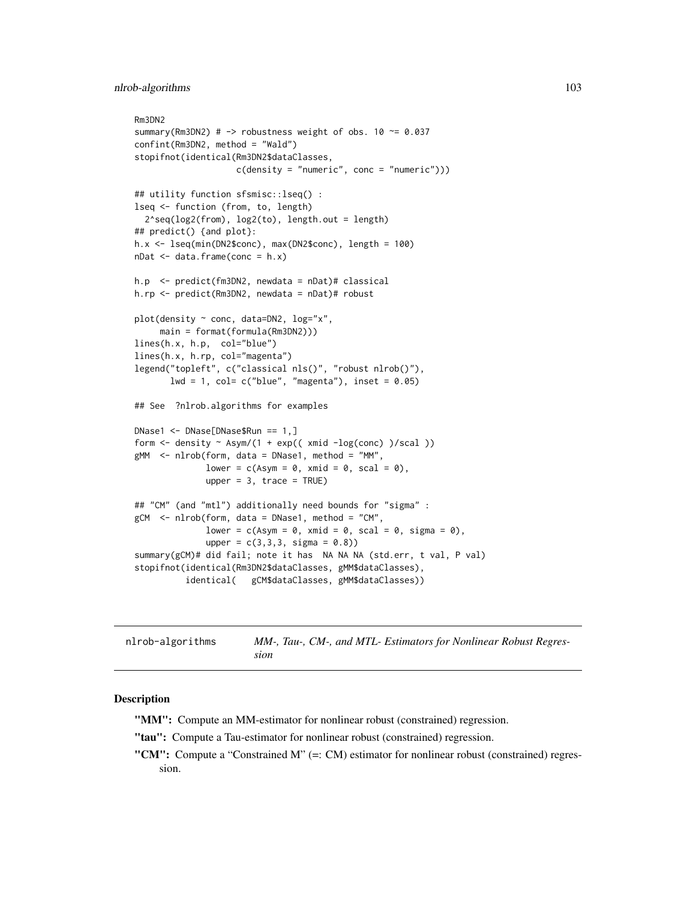```
Rm3DN2
summary(Rm3DN2) # \rightarrow robustness weight of obs. 10 \sim = 0.037
confint(Rm3DN2, method = "Wald")
stopifnot(identical(Rm3DN2$dataClasses,
                    c(density = "numeric", conc = "numeric")))
## utility function sfsmisc::lseq() :
lseq <- function (from, to, length)
  2^seq(log2(from), log2(to), length.out = length)
## predict() {and plot}:
h.x <- lseq(min(DN2$conc), max(DN2$conc), length = 100)
nDat \leq data.frame(conc = h.x)
h.p <- predict(fm3DN2, newdata = nDat)# classical
h.rp <- predict(Rm3DN2, newdata = nDat)# robust
plot(density ~ conc, data=DN2, log="x",
     main = format(formula(Rm3DN2)))
lines(h.x, h.p, col="blue")
lines(h.x, h.rp, col="magenta")
legend("topleft", c("classical nls()", "robust nlrob()"),
       lwd = 1, col = c("blue", "magenta"), insert = 0.05)## See ?nlrob.algorithms for examples
DNase1 <- DNase[DNase$Run == 1,]
form \le density \sim Asym/(1 + exp(( xmid -log(conc) )/scal ))
gMM <- nlrob(form, data = DNase1, method = "MM",
              lower = c(Asym = 0, xmid = 0, scal = 0),
              upper = 3, trace = TRUE)
## "CM" (and "mtl") additionally need bounds for "sigma" :
gCM \leq nlrob(form, data = DNase1, method = "CM",
              lower = c(Asym = 0, xmid = 0, scal = 0, sigma = 0),
              upper = c(3, 3, 3, sigma = 0.8)summary(gCM)# did fail; note it has NA NA NA (std.err, t val, P val)
stopifnot(identical(Rm3DN2$dataClasses, gMM$dataClasses),
          identical( gCM$dataClasses, gMM$dataClasses))
```

| nlrob–algorithms | MM-, Tau-, CM-, and MTL- Estimators for Nonlinear Robust Regres- |
|------------------|------------------------------------------------------------------|
|                  | sıon                                                             |

#### <span id="page-102-0"></span>Description

"MM": Compute an MM-estimator for nonlinear robust (constrained) regression.

"tau": Compute a Tau-estimator for nonlinear robust (constrained) regression.

"CM": Compute a "Constrained M" (=: CM) estimator for nonlinear robust (constrained) regression.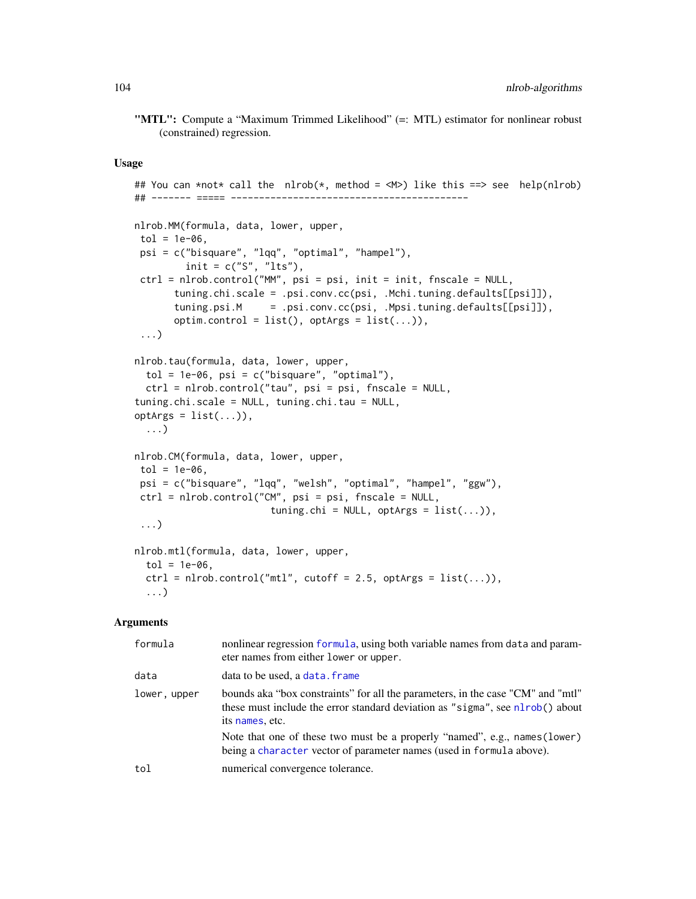"MTL": Compute a "Maximum Trimmed Likelihood" (=: MTL) estimator for nonlinear robust (constrained) regression.

#### Usage

```
## You can *not* call the nlrob(*, method = \langle M \rangle) like this ==> see help(nlrob)
## ------- ===== ------------------------------------------
nlrob.MM(formula, data, lower, upper,
tol = 1e-06,
psi = c("bisquare", "lqq", "optimal", "hampel"),
         init = c("S", "lts"),ctrl = nlrob.control("MM", psi = psi, init = init, fnscale = NULL,
       tuning.chi.scale = .psi.conv.cc(psi, .Mchi.tuning.defaults[[psi]]),
       tuning.psi.M = .psi.conv.cc(psi, .Mpsi.tuning.defaults[[psi]]),
       optim.control = list(), optArgs = list(...)),
 ...)
nlrob.tau(formula, data, lower, upper,
  tol = 1e-06, psi = c("bigquare", "optimal"),ctrl = nlrob.control("tau", psi = psi, fnscale = NULL,
tuning.chi.scale = NULL, tuning.chi.tau = NULL,
optArgs = list(...)),...)
nlrob.CM(formula, data, lower, upper,
tol = 1e-06,
psi = c("bisquare", "lqq", "welsh", "optimal", "hampel", "ggw"),
ctrl = nlrob.control("CM", psi = psi, fnscale = NULL,
                        tuning.chi = NULL, optArgs = list(...)),
 ...)
nlrob.mtl(formula, data, lower, upper,
  tol = 1e-06,
  ctrl = nlrob.contrib('mtl", cutoff = 2.5, optArgs = list(...)),...)
```
#### Arguments

| formula      | nonlinear regression formula, using both variable names from data and param-<br>eter names from either lower or upper.                                                              |
|--------------|-------------------------------------------------------------------------------------------------------------------------------------------------------------------------------------|
| data         | data to be used, a data. frame                                                                                                                                                      |
| lower, upper | bounds aka "box constraints" for all the parameters, in the case "CM" and "mtl"<br>these must include the error standard deviation as "sigma", see nlrob() about<br>its names, etc. |
|              | Note that one of these two must be a properly "named", e.g., names (lower)<br>being a character vector of parameter names (used in formula above).                                  |
| tol          | numerical convergence tolerance.                                                                                                                                                    |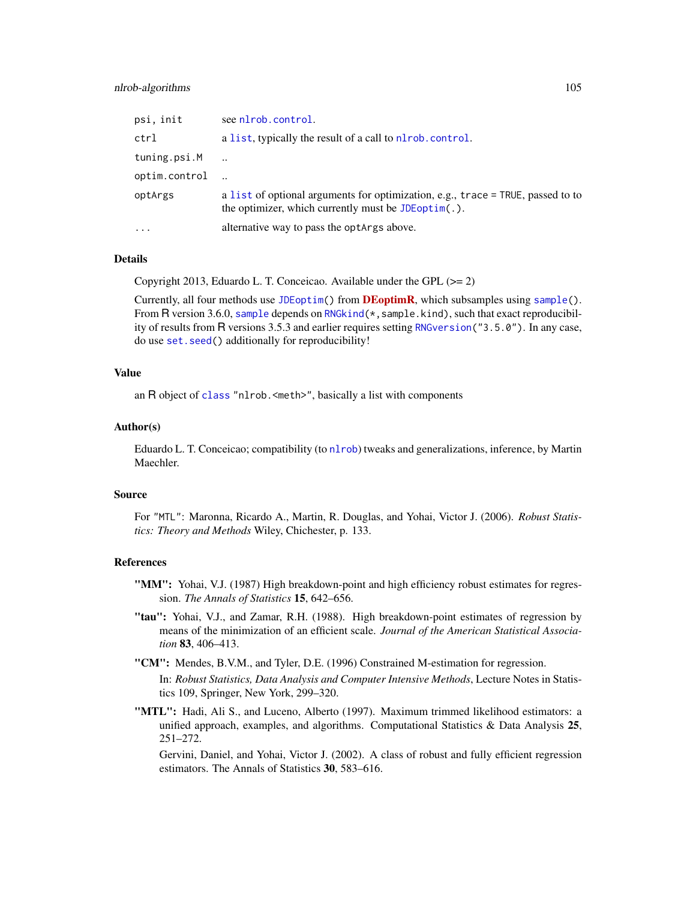## nlrob-algorithms 105

| psi, init     | see nlrob.control.                                                                                                                                |
|---------------|---------------------------------------------------------------------------------------------------------------------------------------------------|
| ctrl          | a list, typically the result of a call to nlrob. control.                                                                                         |
| tuning.psi.M  |                                                                                                                                                   |
| optim.control |                                                                                                                                                   |
| optArgs       | a list of optional arguments for optimization, e.g., trace $=$ TRUE, passed to to<br>the optimizer, which currently must be $JDEop\text{tim}(.).$ |
| $\cdots$      | alternative way to pass the optargs above.                                                                                                        |
|               |                                                                                                                                                   |

## Details

Copyright 2013, Eduardo L. T. Conceicao. Available under the GPL (>= 2)

Currently, all four methods use [JDEoptim\(](#page-0-0)) from **[DEoptimR](https://CRAN.R-project.org/package=DEoptimR)**, which subsamples using [sample\(](#page-0-0)). From R version 3.6.0, [sample](#page-0-0) depends on RNG kind $(*,$  sample.kind), such that exact reproducibility of results from R versions 3.5.3 and earlier requires setting [RNGversion\(](#page-0-0)"3.5.0"). In any case, do use [set.seed\(](#page-0-0)) additionally for reproducibility!

## Value

an R object of [class](#page-0-0) "nlrob.<meth>", basically a list with components

#### Author(s)

Eduardo L. T. Conceicao; compatibility (to [nlrob](#page-97-0)) tweaks and generalizations, inference, by Martin Maechler.

#### Source

For "MTL": Maronna, Ricardo A., Martin, R. Douglas, and Yohai, Victor J. (2006). *Robust Statistics: Theory and Methods* Wiley, Chichester, p. 133.

### References

- "MM": Yohai, V.J. (1987) High breakdown-point and high efficiency robust estimates for regression. *The Annals of Statistics* 15, 642–656.
- "tau": Yohai, V.J., and Zamar, R.H. (1988). High breakdown-point estimates of regression by means of the minimization of an efficient scale. *Journal of the American Statistical Association* 83, 406–413.
- "CM": Mendes, B.V.M., and Tyler, D.E. (1996) Constrained M-estimation for regression. In: *Robust Statistics, Data Analysis and Computer Intensive Methods*, Lecture Notes in Statistics 109, Springer, New York, 299–320.
- "MTL": Hadi, Ali S., and Luceno, Alberto (1997). Maximum trimmed likelihood estimators: a unified approach, examples, and algorithms. Computational Statistics  $\&$  Data Analysis 25, 251–272.

Gervini, Daniel, and Yohai, Victor J. (2002). A class of robust and fully efficient regression estimators. The Annals of Statistics 30, 583–616.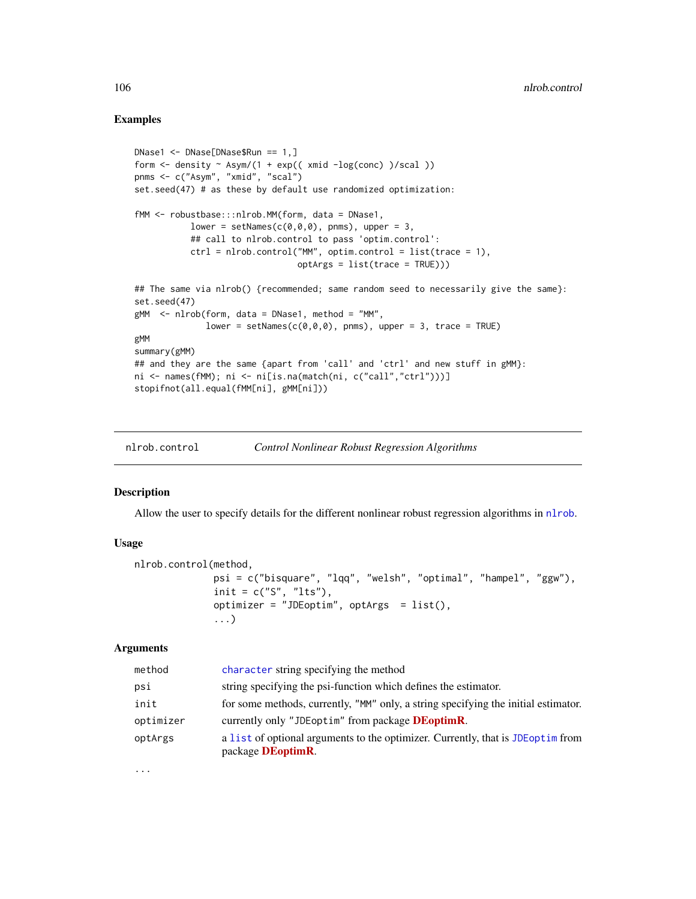## Examples

```
DNase1 <- DNase[DNase$Run == 1,]
form \le density \sim Asym/(1 + exp(( xmid -log(conc) )/scal ))
pnms <- c("Asym", "xmid", "scal")
set.seed(47) # as these by default use randomized optimization:
fMM <- robustbase:::nlrob.MM(form, data = DNase1,
           lower = setNames(c(\emptyset, \emptyset, \emptyset), pnms), upper = 3,
           ## call to nlrob.control to pass 'optim.control':
           ctrl = nlrob.control("MM", optim.control = list(trace = 1),
                                 optArgs = list(trace = TRUE)))
## The same via nlrob() {recommended; same random seed to necessarily give the same}:
set.seed(47)
gMM \leq nlrob(form, data = DNase1, method = "MM",lower = setNames(c(0,0,0), pnms), upper = 3, trace = TRUE)
gMM
summary(gMM)
## and they are the same {apart from 'call' and 'ctrl' and new stuff in gMM}:
ni <- names(fMM); ni <- ni[is.na(match(ni, c("call","ctrl")))]
stopifnot(all.equal(fMM[ni], gMM[ni]))
```
<span id="page-105-0"></span>

| nlrob.control |  |  |  | <b>Control Nonlinear Robust Regression Algorithms</b> |
|---------------|--|--|--|-------------------------------------------------------|
|---------------|--|--|--|-------------------------------------------------------|

## Description

Allow the user to specify details for the different nonlinear robust regression algorithms in [nlrob](#page-97-0).

#### Usage

```
nlrob.control(method,
              psi = c("bisquare", "lqq", "welsh", "optimal", "hampel", "ggw"),
              init = c("S", "lts"),optimizer = "JDEoptim", optArgs = list(),
              ...)
```
## Arguments

| method    | character string specifying the method                                                                         |
|-----------|----------------------------------------------------------------------------------------------------------------|
| psi       | string specifying the psi-function which defines the estimator.                                                |
| init      | for some methods, currently, "MM" only, a string specifying the initial estimator.                             |
| optimizer | currently only "JDE optim" from package <b>DE</b> optim <b>R</b> .                                             |
| optArgs   | a list of optional arguments to the optimizer. Currently, that is JDE optime from<br>package <b>DEoptimR</b> . |

...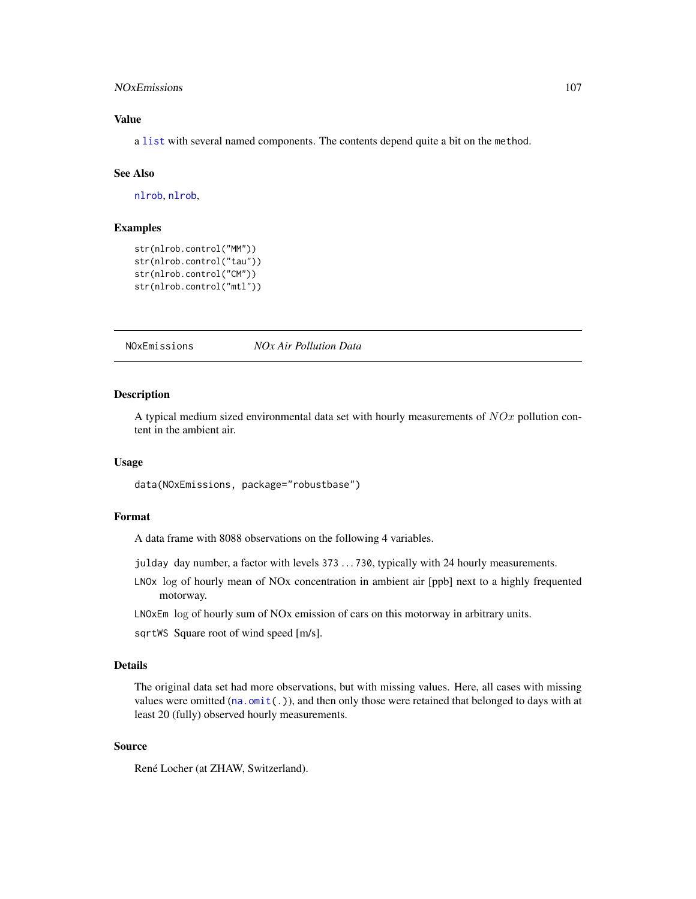## NOxEmissions 107

## Value

a [list](#page-0-0) with several named components. The contents depend quite a bit on the method.

### See Also

[nlrob](#page-97-0), [nlrob](#page-97-0),

## Examples

```
str(nlrob.control("MM"))
str(nlrob.control("tau"))
str(nlrob.control("CM"))
str(nlrob.control("mtl"))
```
NOxEmissions *NOx Air Pollution Data*

### **Description**

A typical medium sized environmental data set with hourly measurements of  $NOx$  pollution content in the ambient air.

## Usage

```
data(NOxEmissions, package="robustbase")
```
#### Format

A data frame with 8088 observations on the following 4 variables.

- julday day number, a factor with levels 373 . . . 730, typically with 24 hourly measurements.
- LNOx log of hourly mean of NOx concentration in ambient air [ppb] next to a highly frequented motorway.

LNOxEm log of hourly sum of NOx emission of cars on this motorway in arbitrary units.

sqrtWS Square root of wind speed [m/s].

### Details

The original data set had more observations, but with missing values. Here, all cases with missing values were omitted ( $na.$  omit $(.)$ ), and then only those were retained that belonged to days with at least 20 (fully) observed hourly measurements.

## Source

René Locher (at ZHAW, Switzerland).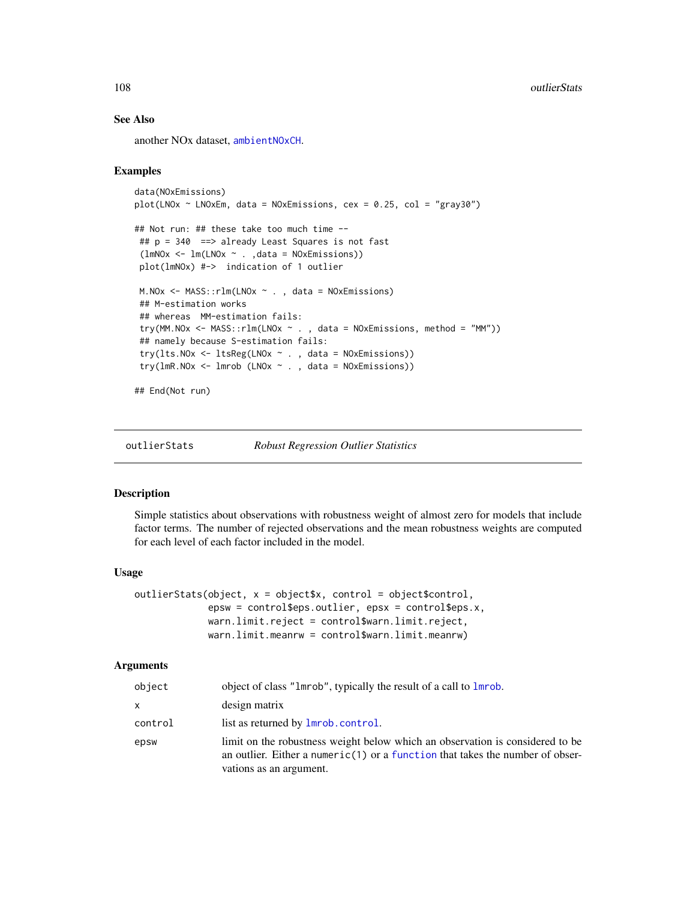### See Also

another NOx dataset, [ambientNOxCH](#page-14-0).

### Examples

```
data(NOxEmissions)
plot(LNOx ~ K. LNOxEm, data = NOxEmissions, cex = 0.25, col = "gray30")## Not run: ## these take too much time --
## p = 340 ==> already Least Squares is not fast
 (lmNOx <- lm(LNOx ~ . ,data = NOxEmissions))
plot(lmNOx) #-> indication of 1 outlier
M.NOx <- MASS::rlm(LNOx ~ . , data = NOxEmissions)
## M-estimation works
## whereas MM-estimation fails:
 try(MM.NOx <- MASS::rlm(LNOx \sim ., data = NOxEmissions, method = "MM"))
 ## namely because S-estimation fails:
 try(lts.NOx <- ltsReg(LNOx ~ . , data = NOxEmissions))
 try(lmR.NOx \leq Imrob (LNOx \sim ., data = NOxEmissions))
```
## End(Not run)

<span id="page-107-0"></span>

outlierStats *Robust Regression Outlier Statistics*

### Description

Simple statistics about observations with robustness weight of almost zero for models that include factor terms. The number of rejected observations and the mean robustness weights are computed for each level of each factor included in the model.

#### Usage

```
outlierStats(object, x = object$x, control = object$control,
             epsw = control$eps.outlier, epsx = control$eps.x,
            warn.limit.reject = control$warn.limit.reject,
            warn.limit.meanrw = control$warn.limit.meanrw)
```
### Arguments

| object  | object of class "1mrob", typically the result of a call to 1mrob.                                                                                                                         |
|---------|-------------------------------------------------------------------------------------------------------------------------------------------------------------------------------------------|
| x       | design matrix                                                                                                                                                                             |
| control | list as returned by <b>lmrob</b> .control.                                                                                                                                                |
| epsw    | limit on the robustness weight below which an observation is considered to be<br>an outlier. Either a numeric(1) or a function that takes the number of obser-<br>vations as an argument. |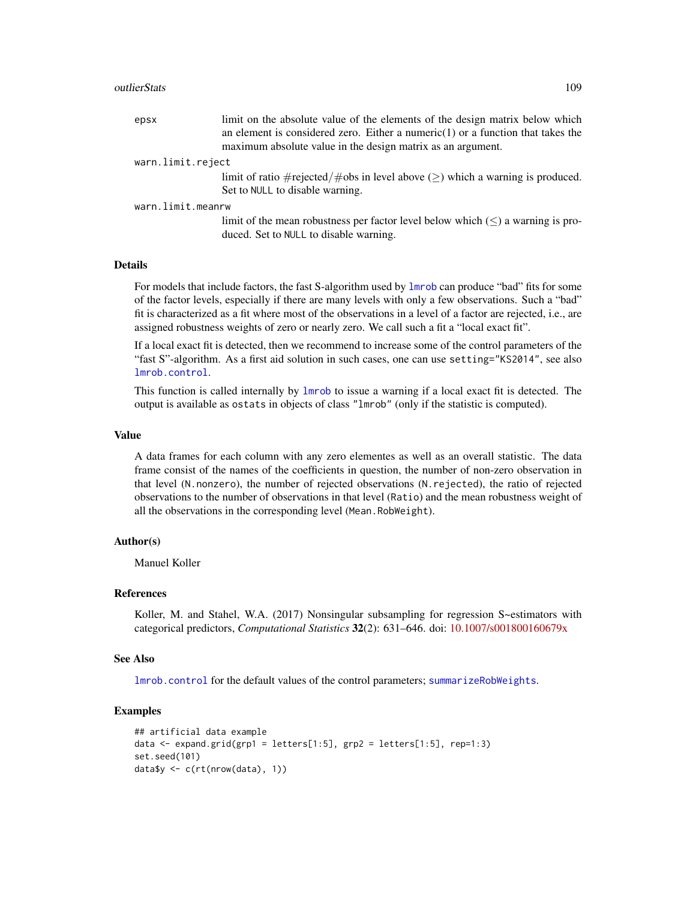#### outlierStats 109

| epsx              | limit on the absolute value of the elements of the design matrix below which<br>an element is considered zero. Either a numeric $(1)$ or a function that takes the<br>maximum absolute value in the design matrix as an argument. |  |
|-------------------|-----------------------------------------------------------------------------------------------------------------------------------------------------------------------------------------------------------------------------------|--|
| warn.limit.reject |                                                                                                                                                                                                                                   |  |
|                   | limit of ratio #rejected/#obs in level above $(\ge)$ which a warning is produced.<br>Set to NULL to disable warning.                                                                                                              |  |
| warn.limit.meanrw |                                                                                                                                                                                                                                   |  |
|                   | limit of the mean robustness per factor level below which $(\leq)$ a warning is pro-<br>duced. Set to NULL to disable warning.                                                                                                    |  |

#### Details

For models that include factors, the fast S-algorithm used by [lmrob](#page-67-0) can produce "bad" fits for some of the factor levels, especially if there are many levels with only a few observations. Such a "bad" fit is characterized as a fit where most of the observations in a level of a factor are rejected, i.e., are assigned robustness weights of zero or nearly zero. We call such a fit a "local exact fit".

If a local exact fit is detected, then we recommend to increase some of the control parameters of the "fast S"-algorithm. As a first aid solution in such cases, one can use setting="KS2014", see also [lmrob.control](#page-75-0).

This function is called internally by [lmrob](#page-67-0) to issue a warning if a local exact fit is detected. The output is available as ostats in objects of class "lmrob" (only if the statistic is computed).

## Value

A data frames for each column with any zero elementes as well as an overall statistic. The data frame consist of the names of the coefficients in question, the number of non-zero observation in that level (N.nonzero), the number of rejected observations (N.rejected), the ratio of rejected observations to the number of observations in that level (Ratio) and the mean robustness weight of all the observations in the corresponding level (Mean.RobWeight).

## Author(s)

Manuel Koller

#### References

Koller, M. and Stahel, W.A. (2017) Nonsingular subsampling for regression S~estimators with categorical predictors, *Computational Statistics* 32(2): 631–646. doi: [10.1007/s001800160679x](https://doi.org/10.1007/s00180-016-0679-x)

#### See Also

[lmrob.control](#page-75-0) for the default values of the control parameters; [summarizeRobWeights](#page-152-0).

```
## artificial data example
data \leq expand.grid(grp1 = letters[1:5], grp2 = letters[1:5], rep=1:3)
set.seed(101)
data$y <- c(rt(nrow(data), 1))
```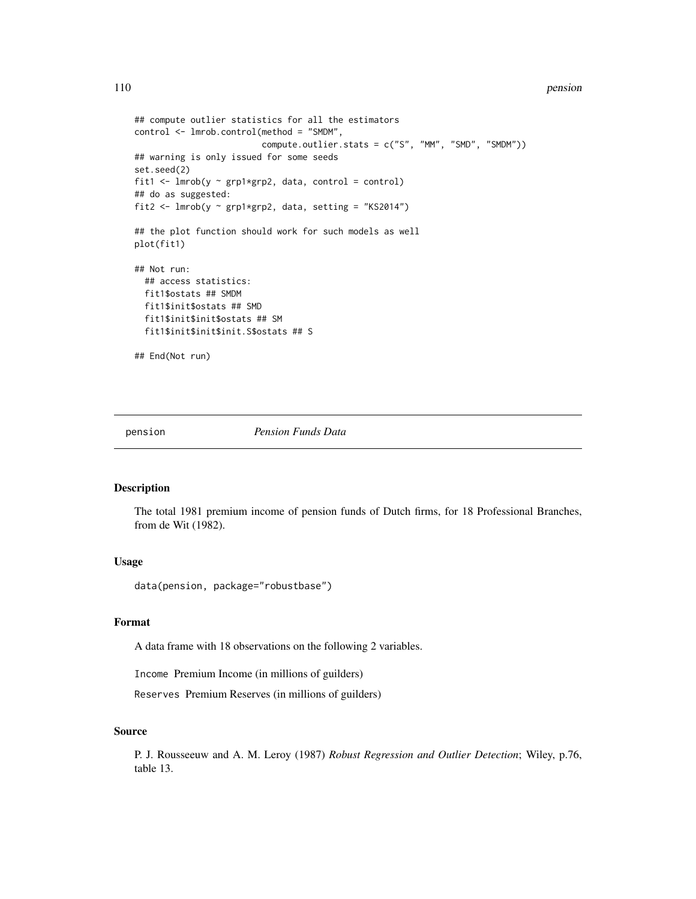```
## compute outlier statistics for all the estimators
control <- lmrob.control(method = "SMDM",
                         compute.outlier.stats = c("S", "MM", "SMD", "SMDM"))
## warning is only issued for some seeds
set.seed(2)
fit1 <- lmrob(y \sim grp1*grp2, data, control = control)## do as suggested:
fit2 <- lmrob(y ~ grp1*grp2, data, setting = "KS2014")
## the plot function should work for such models as well
plot(fit1)
## Not run:
  ## access statistics:
  fit1$ostats ## SMDM
  fit1$init$ostats ## SMD
  fit1$init$init$ostats ## SM
  fit1$init$init$init.S$ostats ## S
## End(Not run)
```
pension *Pension Funds Data*

# Description

The total 1981 premium income of pension funds of Dutch firms, for 18 Professional Branches, from de Wit (1982).

## Usage

data(pension, package="robustbase")

#### Format

A data frame with 18 observations on the following 2 variables.

Income Premium Income (in millions of guilders)

Reserves Premium Reserves (in millions of guilders)

#### Source

P. J. Rousseeuw and A. M. Leroy (1987) *Robust Regression and Outlier Detection*; Wiley, p.76, table 13.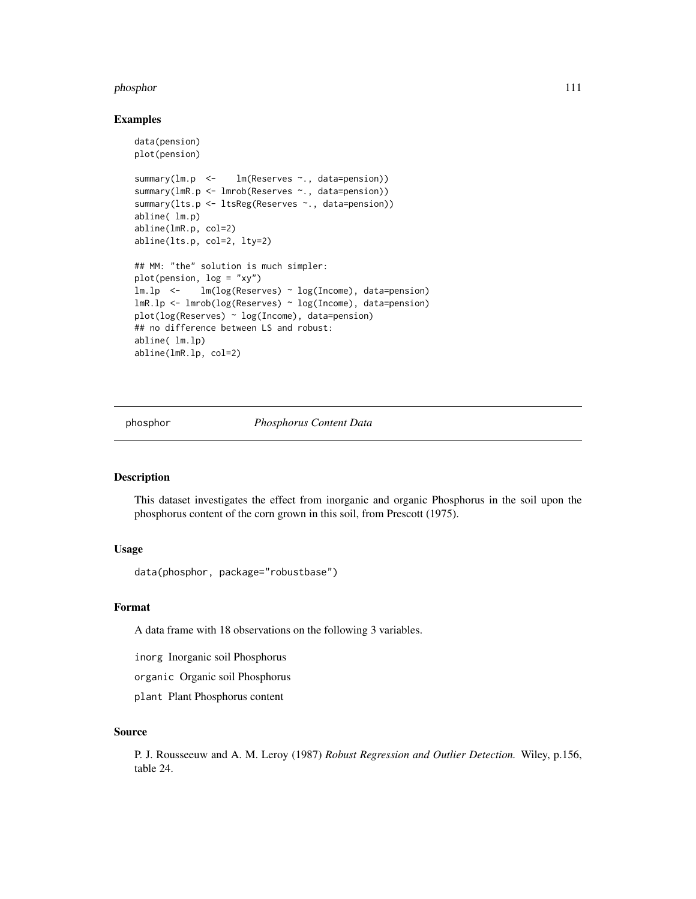#### phosphor that the contract of the contract of the contract of the contract of the contract of the contract of the contract of the contract of the contract of the contract of the contract of the contract of the contract of

#### Examples

```
data(pension)
plot(pension)
summary(lm.p <- lm(Reserves ~., data=pension))
summary(lmR.p <- lmrob(Reserves ~., data=pension))
summary(lts.p <- ltsReg(Reserves ~., data=pension))
abline( lm.p)
abline(lmR.p, col=2)
abline(lts.p, col=2, lty=2)
## MM: "the" solution is much simpler:
plot(pension, log = "xy")
lm.lp <- lm(log(Reserves) ~ log(Income), data=pension)
lmR.lp <- lmrob(log(Reserves) ~ log(Income), data=pension)
plot(log(Reserves) ~ log(Income), data=pension)
## no difference between LS and robust:
abline( lm.lp)
abline(lmR.lp, col=2)
```
phosphor *Phosphorus Content Data*

## Description

This dataset investigates the effect from inorganic and organic Phosphorus in the soil upon the phosphorus content of the corn grown in this soil, from Prescott (1975).

# Usage

```
data(phosphor, package="robustbase")
```
## Format

A data frame with 18 observations on the following 3 variables.

inorg Inorganic soil Phosphorus

organic Organic soil Phosphorus

plant Plant Phosphorus content

## Source

P. J. Rousseeuw and A. M. Leroy (1987) *Robust Regression and Outlier Detection.* Wiley, p.156, table 24.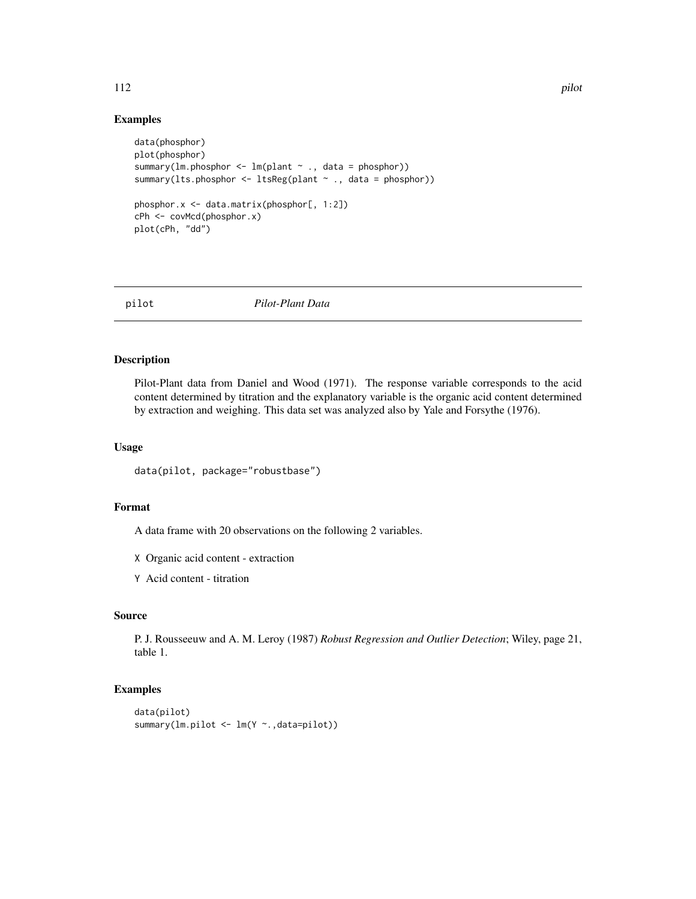## Examples

```
data(phosphor)
plot(phosphor)
summary(lm.phosphor <- lm(plant ~ ., data = phosphor))
summary(lts.phosphor <- ltsReg(plant ~ ., data = phosphor))
phosphor.x <- data.matrix(phosphor[, 1:2])
cPh <- covMcd(phosphor.x)
plot(cPh, "dd")
```
pilot *Pilot-Plant Data*

## Description

Pilot-Plant data from Daniel and Wood (1971). The response variable corresponds to the acid content determined by titration and the explanatory variable is the organic acid content determined by extraction and weighing. This data set was analyzed also by Yale and Forsythe (1976).

## Usage

```
data(pilot, package="robustbase")
```
# Format

A data frame with 20 observations on the following 2 variables.

X Organic acid content - extraction

Y Acid content - titration

## Source

P. J. Rousseeuw and A. M. Leroy (1987) *Robust Regression and Outlier Detection*; Wiley, page 21, table 1.

```
data(pilot)
summary(lm.pilot <- lm(Y ~.,data=pilot))
```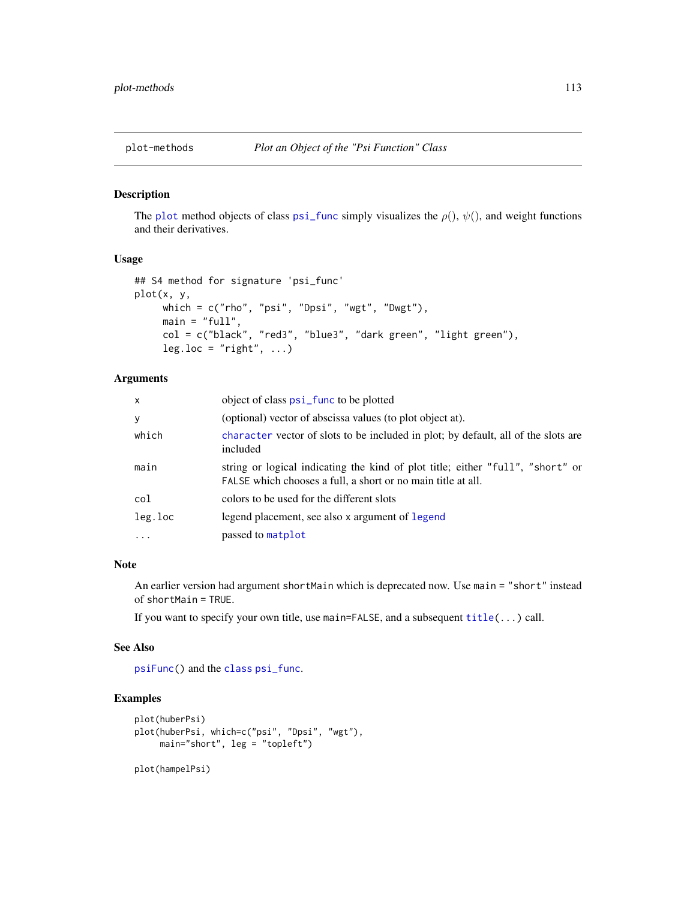<span id="page-112-0"></span>

#### Description

The [plot](#page-0-0) method objects of class [psi\\_func](#page-129-0) simply visualizes the  $\rho(.)$ ,  $\psi(.)$ , and weight functions and their derivatives.

## Usage

```
## S4 method for signature 'psi_func'
plot(x, y,
     which = c("rho", "psi", "Dpsi", "wgt", "Dwgt"),
     main = "full",col = c("black", "red3", "blue3", "dark green", "light green"),
     leg.loc = "right", ...)
```
## Arguments

| $\mathsf{x}$ | object of class <b>psi_func</b> to be plotted                                                                                                  |
|--------------|------------------------------------------------------------------------------------------------------------------------------------------------|
| y            | (optional) vector of abscissa values (to plot object at).                                                                                      |
| which        | character vector of slots to be included in plot; by default, all of the slots are<br>included                                                 |
| main         | string or logical indicating the kind of plot title; either "full", "short" or<br>FALSE which chooses a full, a short or no main title at all. |
| col          | colors to be used for the different slots                                                                                                      |
| leg.loc      | legend placement, see also x argument of legend                                                                                                |
| $\ddotsc$    | passed to matplot                                                                                                                              |

## Note

An earlier version had argument shortMain which is deprecated now. Use main = "short" instead of shortMain = TRUE.

If you want to specify your own title, use main=FALSE, and a subsequent [title\(](#page-0-0)...) call.

#### See Also

[psiFunc\(](#page-128-0)) and the [class](#page-0-0) [psi\\_func](#page-129-0).

```
plot(huberPsi)
plot(huberPsi, which=c("psi", "Dpsi", "wgt"),
    main="short", leg = "topleft")
plot(hampelPsi)
```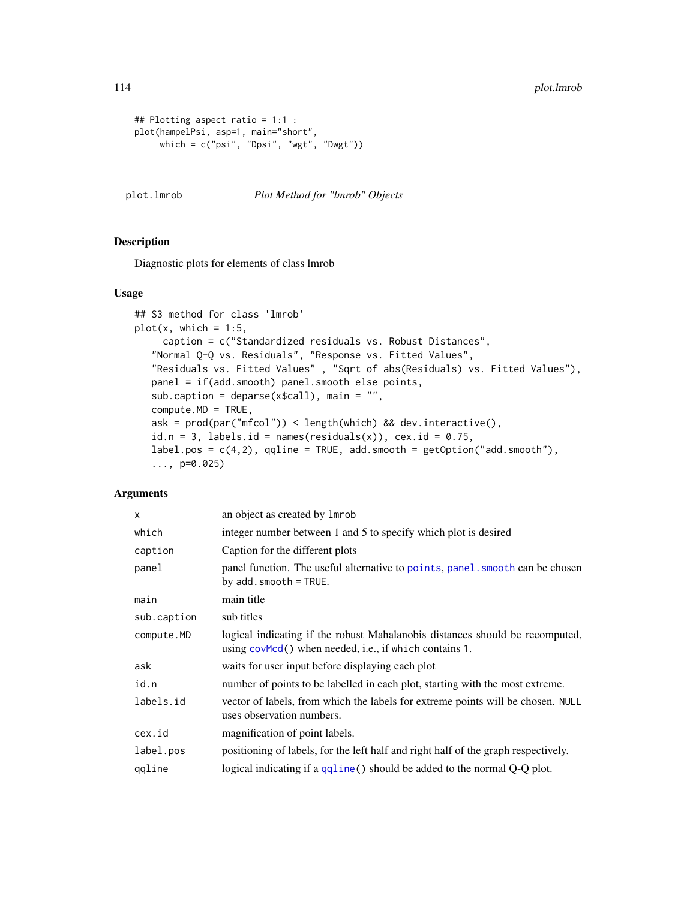```
## Plotting aspect ratio = 1:1 :
plot(hampelPsi, asp=1, main="short",
     which = c("psi", "Dpsi", "wgt", "Dwgt"))
```
## plot.lmrob *Plot Method for "lmrob" Objects*

## Description

Diagnostic plots for elements of class lmrob

#### Usage

```
## S3 method for class 'lmrob'
plot(x, which = 1:5,caption = c("Standardized residuals vs. Robust Distances",
   "Normal Q-Q vs. Residuals", "Response vs. Fitted Values",
   "Residuals vs. Fitted Values" , "Sqrt of abs(Residuals) vs. Fitted Values"),
   panel = if(add.smooth) panel.smooth else points,
   sub.caption = deparse(x$call), main = "",
   compute.MD = TRUE,
   ask = prod(par("mfcol")) < length(which) && dev.interactive(),
   id.n = 3, labels.id = names(residuals(x)), cex.id = 0.75,
   label.pos = c(4,2), qqline = TRUE, add.smooth = getOption("add.smooth"),
   \ldots, p=0.025)
```
## Arguments

| X           | an object as created by 1 mrob                                                                                                         |  |
|-------------|----------------------------------------------------------------------------------------------------------------------------------------|--|
| which       | integer number between 1 and 5 to specify which plot is desired                                                                        |  |
| caption     | Caption for the different plots                                                                                                        |  |
| panel       | panel function. The useful alternative to points, panel, smooth can be chosen<br>by $add.smooth = TRUE.$                               |  |
| main        | main title                                                                                                                             |  |
| sub.caption | sub titles                                                                                                                             |  |
| compute.MD  | logical indicating if the robust Mahalanobis distances should be recomputed,<br>using covMcd() when needed, i.e., if which contains 1. |  |
| ask         | waits for user input before displaying each plot                                                                                       |  |
| id.n        | number of points to be labelled in each plot, starting with the most extreme.                                                          |  |
| labels.id   | vector of labels, from which the labels for extreme points will be chosen. NULL<br>uses observation numbers.                           |  |
| cex.id      | magnification of point labels.                                                                                                         |  |
| label.pos   | positioning of labels, for the left half and right half of the graph respectively.                                                     |  |
| qqline      | logical indicating if a qqline() should be added to the normal Q-Q plot.                                                               |  |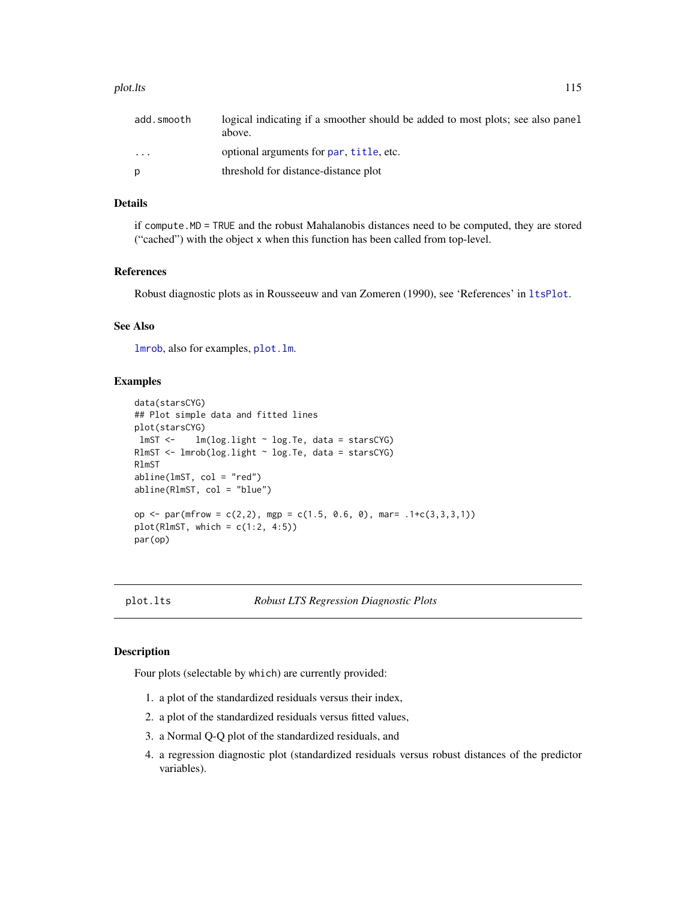#### plot.lts the contract of the contract of the contract of the contract of the contract of the contract of the contract of the contract of the contract of the contract of the contract of the contract of the contract of the c

| add.smooth | logical indicating if a smoother should be added to most plots; see also panel<br>above. |
|------------|------------------------------------------------------------------------------------------|
| $\cdot$    | optional arguments for par, title, etc.                                                  |
| p          | threshold for distance-distance plot                                                     |

### Details

if compute.MD = TRUE and the robust Mahalanobis distances need to be computed, they are stored ("cached") with the object x when this function has been called from top-level.

### References

Robust diagnostic plots as in Rousseeuw and van Zomeren (1990), see 'References' in [ltsPlot](#page-114-0).

## See Also

[lmrob](#page-67-0), also for examples, [plot.lm](#page-0-0).

# Examples

```
data(starsCYG)
## Plot simple data and fitted lines
plot(starsCYG)
lmST <- lm(log.light ~ log.Te, data = starsCYG)
RlmST <- lmrob(log.light ~ log.Te, data = starsCYG)
RlmST
abline(lmST, col = "red")abline(RlmST, col = "blue")
op \le- par(mfrow = c(2,2), mgp = c(1.5, 0.6, 0), mar= .1+c(3,3,3,1))
plot(RlmST, which = c(1:2, 4:5))par(op)
```
plot.lts *Robust LTS Regression Diagnostic Plots*

## <span id="page-114-0"></span>Description

Four plots (selectable by which) are currently provided:

- 1. a plot of the standardized residuals versus their index,
- 2. a plot of the standardized residuals versus fitted values,
- 3. a Normal Q-Q plot of the standardized residuals, and
- 4. a regression diagnostic plot (standardized residuals versus robust distances of the predictor variables).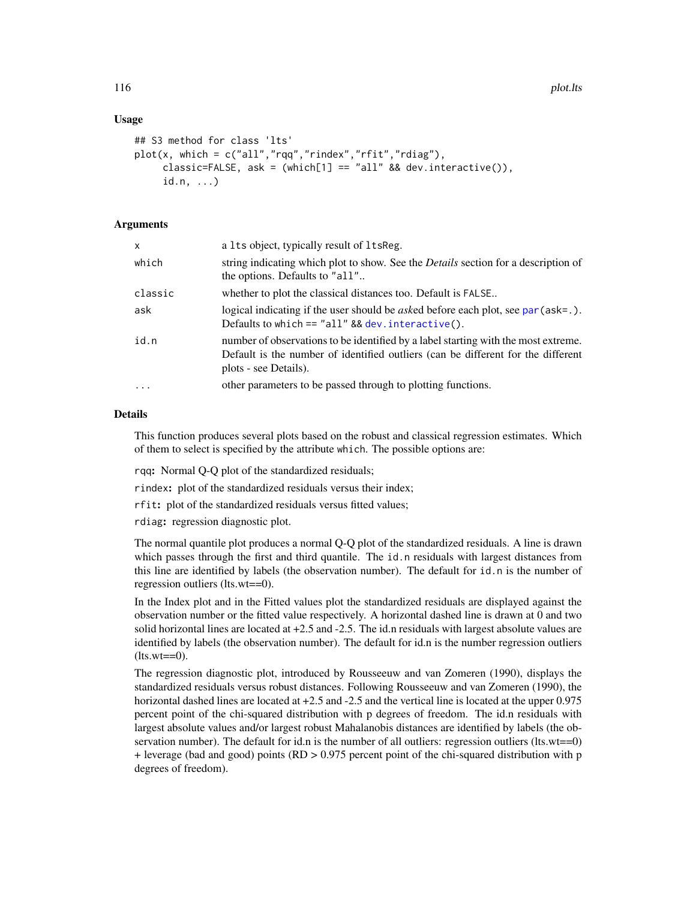## Usage

```
## S3 method for class 'lts'
plot(x, which = c("all", "rqq", "rindex", "rfit", "rdiag"),classic=FALSE, ask = (\text{which}[1] == "all" & \text{dev}.\text{interactive}(),id.n, ...)
```
## Arguments

| X       | a 1ts object, typically result of 1tsReg.                                                                                                                                                       |
|---------|-------------------------------------------------------------------------------------------------------------------------------------------------------------------------------------------------|
| which   | string indicating which plot to show. See the <i>Details</i> section for a description of<br>the options. Defaults to "all"                                                                     |
| classic | whether to plot the classical distances too. Default is FALSE                                                                                                                                   |
| ask     | logical indicating if the user should be <i>asked</i> before each plot, see par ( $ask = .$ ).<br>Defaults to which $==$ "all" && dev. interactive().                                           |
| id.n    | number of observations to be identified by a label starting with the most extreme.<br>Default is the number of identified outliers (can be different for the different<br>plots - see Details). |
| $\cdot$ | other parameters to be passed through to plotting functions.                                                                                                                                    |

## Details

This function produces several plots based on the robust and classical regression estimates. Which of them to select is specified by the attribute which. The possible options are:

rqq: Normal Q-Q plot of the standardized residuals;

rindex: plot of the standardized residuals versus their index;

rfit: plot of the standardized residuals versus fitted values;

rdiag: regression diagnostic plot.

The normal quantile plot produces a normal Q-Q plot of the standardized residuals. A line is drawn which passes through the first and third quantile. The id.n residuals with largest distances from this line are identified by labels (the observation number). The default for id.n is the number of regression outliers (lts.wt==0).

In the Index plot and in the Fitted values plot the standardized residuals are displayed against the observation number or the fitted value respectively. A horizontal dashed line is drawn at 0 and two solid horizontal lines are located at +2.5 and -2.5. The id.n residuals with largest absolute values are identified by labels (the observation number). The default for id.n is the number regression outliers  $(lts.wt==0).$ 

The regression diagnostic plot, introduced by Rousseeuw and van Zomeren (1990), displays the standardized residuals versus robust distances. Following Rousseeuw and van Zomeren (1990), the horizontal dashed lines are located at  $+2.5$  and  $-2.5$  and the vertical line is located at the upper 0.975 percent point of the chi-squared distribution with p degrees of freedom. The id.n residuals with largest absolute values and/or largest robust Mahalanobis distances are identified by labels (the observation number). The default for id.n is the number of all outliers: regression outliers (lts.wt==0) + leverage (bad and good) points (RD > 0.975 percent point of the chi-squared distribution with p degrees of freedom).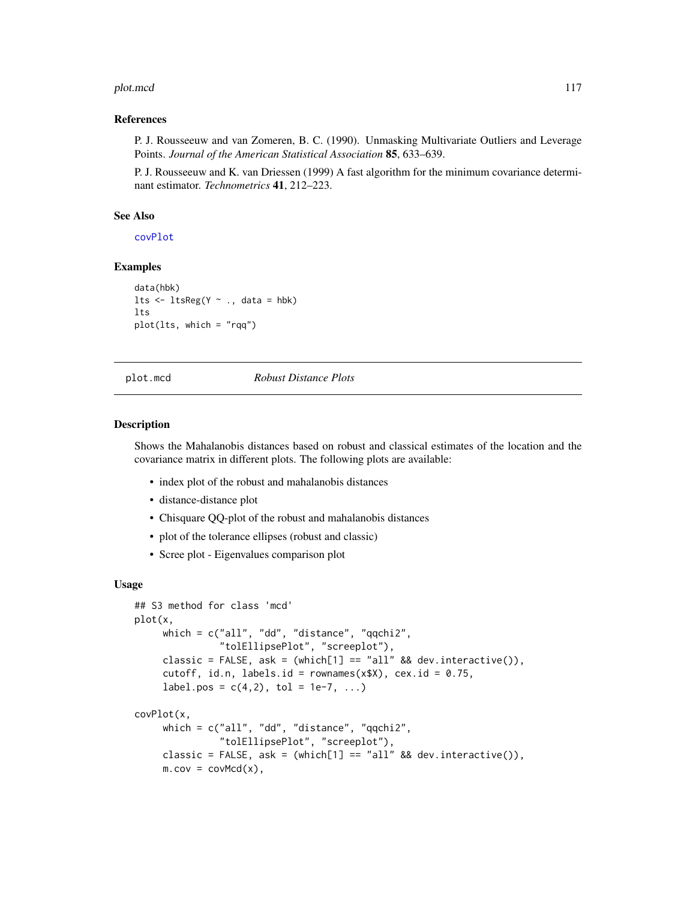#### plot.mcd 117

## References

P. J. Rousseeuw and van Zomeren, B. C. (1990). Unmasking Multivariate Outliers and Leverage Points. *Journal of the American Statistical Association* 85, 633–639.

P. J. Rousseeuw and K. van Driessen (1999) A fast algorithm for the minimum covariance determinant estimator. *Technometrics* 41, 212–223.

## See Also

[covPlot](#page-116-0)

# Examples

```
data(hbk)
lts \leq ltsReg(Y \sim ., data = hbk)
lts
plot(lts, which = "rqq")
```
plot.mcd *Robust Distance Plots*

#### <span id="page-116-0"></span>Description

Shows the Mahalanobis distances based on robust and classical estimates of the location and the covariance matrix in different plots. The following plots are available:

- index plot of the robust and mahalanobis distances
- distance-distance plot
- Chisquare QQ-plot of the robust and mahalanobis distances
- plot of the tolerance ellipses (robust and classic)
- Scree plot Eigenvalues comparison plot

## Usage

```
## S3 method for class 'mcd'
plot(x,
     which = c("all", "dd", "distance", "qqchi2",
                "tolEllipsePlot", "screeplot"),
     classic = FALSE, ask = (\text{which}[1] == "all" & \text{dev}.\text{interface}));cutoff, id.n, labels.id = rownames(x$X), cex.id = 0.75,
     label.pos = c(4,2), tol = 1e-7, ...)
covPlot(x,
     which = c("all", "dd", "distance", "qqchi2","tolEllipsePlot", "screeplot"),
     classic = FALSE, ask = (\text{which}[1] == "all" & \text{dev}.\text{interactive}(),m.cov = covMed(x),
```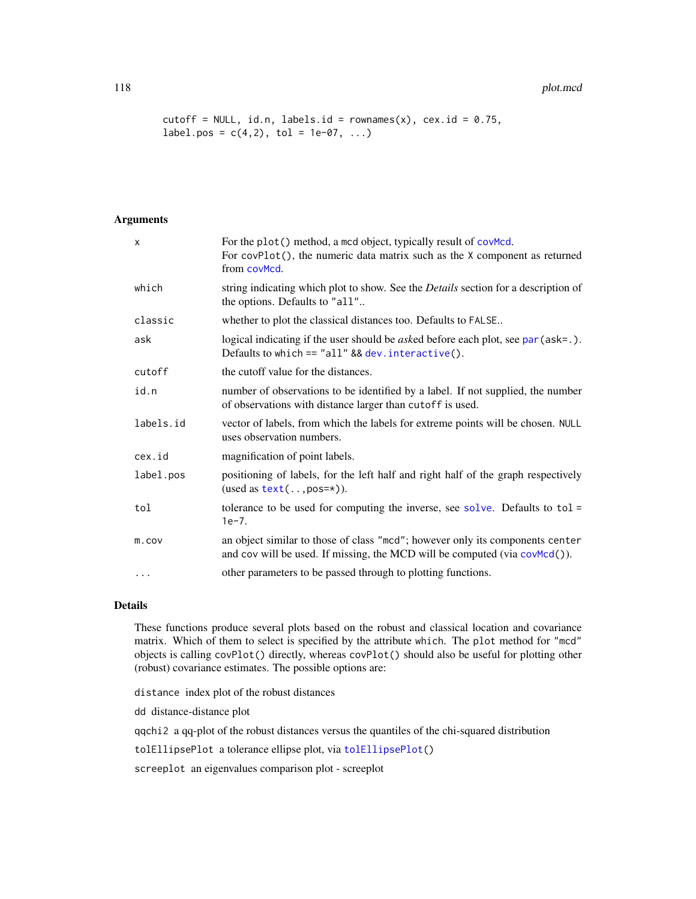#### 118 plot.mcd

```
cutoff = NULL, id.n, labels.id = rownames(x), cex.id = 0.75,
label.pos = c(4,2), tol = 1e-07, ...)
```
# Arguments

| X         | For the plot() method, a mcd object, typically result of covMcd.<br>For covPlot(), the numeric data matrix such as the X component as returned<br>from covMcd. |
|-----------|----------------------------------------------------------------------------------------------------------------------------------------------------------------|
| which     | string indicating which plot to show. See the <i>Details</i> section for a description of<br>the options. Defaults to "all"                                    |
| classic   | whether to plot the classical distances too. Defaults to FALSE                                                                                                 |
| ask       | logical indicating if the user should be <i>asked</i> before each plot, see par (ask=.).<br>Defaults to which $==$ "all" && dev. interactive().                |
| cutoff    | the cutoff value for the distances.                                                                                                                            |
| id.n      | number of observations to be identified by a label. If not supplied, the number<br>of observations with distance larger than cutoff is used.                   |
| labels.id | vector of labels, from which the labels for extreme points will be chosen. NULL<br>uses observation numbers.                                                   |
| cex.id    | magnification of point labels.                                                                                                                                 |
| label.pos | positioning of labels, for the left half and right half of the graph respectively<br>(used as $text(, pos=*)$ ).                                               |
| tol       | tolerance to be used for computing the inverse, see solve. Defaults to $tol =$<br>$1e-7.$                                                                      |
| m.cov     | an object similar to those of class "mcd"; however only its components center<br>and cov will be used. If missing, the MCD will be computed (via covMcd()).    |
| .         | other parameters to be passed through to plotting functions.                                                                                                   |

# Details

These functions produce several plots based on the robust and classical location and covariance matrix. Which of them to select is specified by the attribute which. The plot method for "mcd" objects is calling covPlot() directly, whereas covPlot() should also be useful for plotting other (robust) covariance estimates. The possible options are:

distance index plot of the robust distances

dd distance-distance plot

qqchi2 a qq-plot of the robust distances versus the quantiles of the chi-squared distribution

tolEllipsePlot a tolerance ellipse plot, via [tolEllipsePlot\(](#page-161-0))

screeplot an eigenvalues comparison plot - screeplot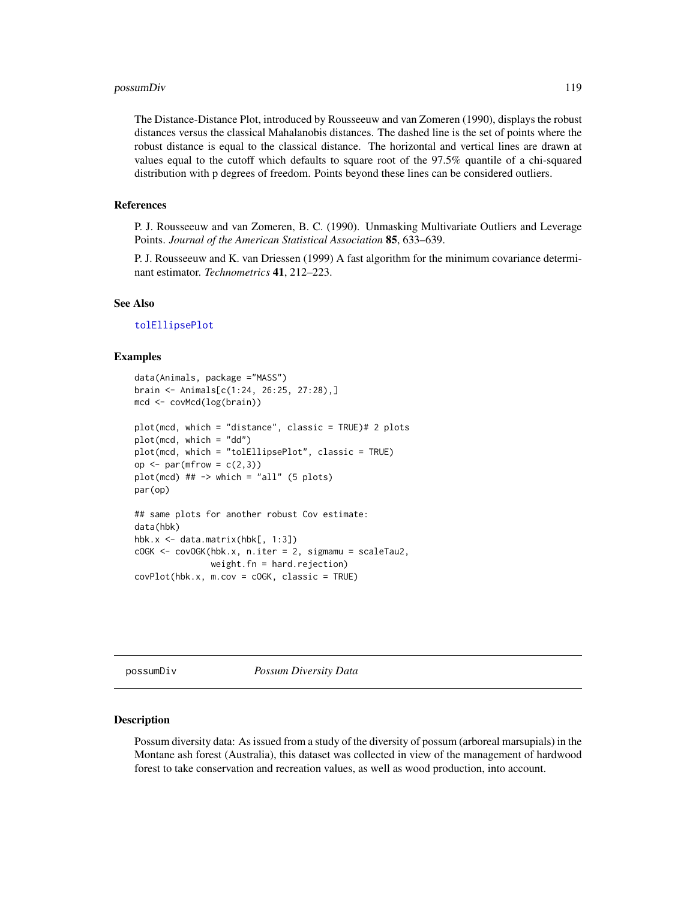## possumDiv 119

The Distance-Distance Plot, introduced by Rousseeuw and van Zomeren (1990), displays the robust distances versus the classical Mahalanobis distances. The dashed line is the set of points where the robust distance is equal to the classical distance. The horizontal and vertical lines are drawn at values equal to the cutoff which defaults to square root of the 97.5% quantile of a chi-squared distribution with p degrees of freedom. Points beyond these lines can be considered outliers.

# References

P. J. Rousseeuw and van Zomeren, B. C. (1990). Unmasking Multivariate Outliers and Leverage Points. *Journal of the American Statistical Association* 85, 633–639.

P. J. Rousseeuw and K. van Driessen (1999) A fast algorithm for the minimum covariance determinant estimator. *Technometrics* 41, 212–223.

## See Also

[tolEllipsePlot](#page-161-0)

## Examples

```
data(Animals, package ="MASS")
brain <- Animals[c(1:24, 26:25, 27:28),]
mcd <- covMcd(log(brain))
plot(mcd, which = "distance", classic = TRUE)# 2 plots
plot(mcd, which = "dd")
plot(mcd, which = "tolEllipsePlot", classic = TRUE)
op \leq par(mfrow = c(2,3))
plot(mcd) ## \rightarrow which = "all" (5 plots)
par(op)
## same plots for another robust Cov estimate:
data(hbk)
hbk.x \leq data.matrix(hbk[, 1:3])
cOGK <- covOGK(hbk.x, n.iter = 2, sigmamu = scaleTau2,
               weight.fn = hard(rejection)covPlot(hbk.x, m.cov = cOGK, classic = TRUE)
```
possumDiv *Possum Diversity Data*

#### **Description**

Possum diversity data: As issued from a study of the diversity of possum (arboreal marsupials) in the Montane ash forest (Australia), this dataset was collected in view of the management of hardwood forest to take conservation and recreation values, as well as wood production, into account.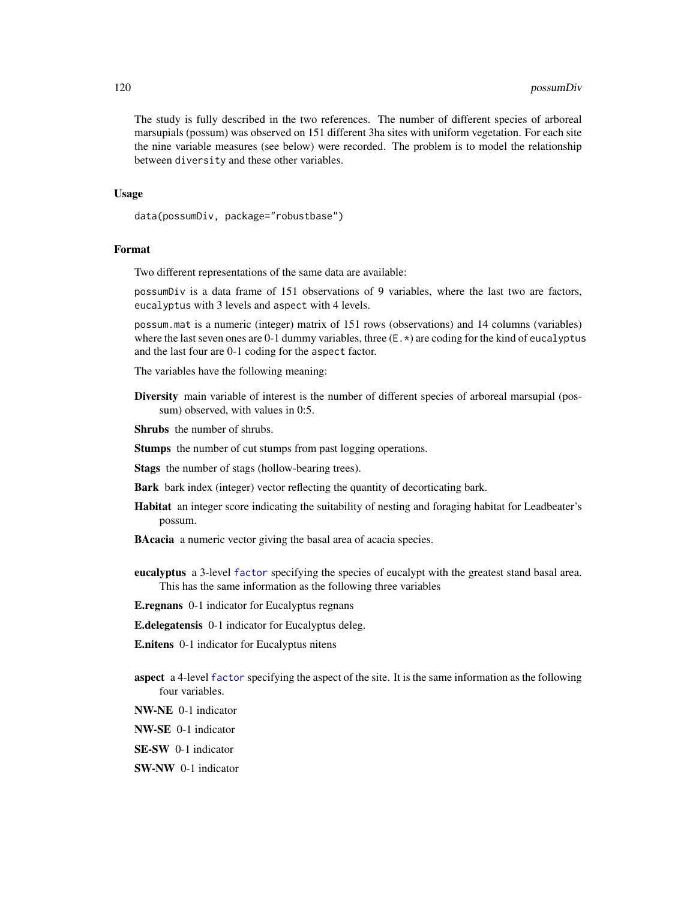The study is fully described in the two references. The number of different species of arboreal marsupials (possum) was observed on 151 different 3ha sites with uniform vegetation. For each site the nine variable measures (see below) were recorded. The problem is to model the relationship between diversity and these other variables.

## Usage

```
data(possumDiv, package="robustbase")
```
# Format

Two different representations of the same data are available:

possumDiv is a data frame of 151 observations of 9 variables, where the last two are factors, eucalyptus with 3 levels and aspect with 4 levels.

possum.mat is a numeric (integer) matrix of 151 rows (observations) and 14 columns (variables) where the last seven ones are 0-1 dummy variables, three  $(E,*)$  are coding for the kind of eucalyptus and the last four are 0-1 coding for the aspect factor.

The variables have the following meaning:

Diversity main variable of interest is the number of different species of arboreal marsupial (possum) observed, with values in 0:5.

Shrubs the number of shrubs.

Stumps the number of cut stumps from past logging operations.

Stags the number of stags (hollow-bearing trees).

Bark bark index (integer) vector reflecting the quantity of decorticating bark.

- Habitat an integer score indicating the suitability of nesting and foraging habitat for Leadbeater's possum.
- **BAcacia** a numeric vector giving the basal area of acacia species.
- eucalyptus a 3-level [factor](#page-0-0) specifying the species of eucalypt with the greatest stand basal area. This has the same information as the following three variables

E.regnans 0-1 indicator for Eucalyptus regnans

E.delegatensis 0-1 indicator for Eucalyptus deleg.

E.nitens 0-1 indicator for Eucalyptus nitens

- aspect a 4-level [factor](#page-0-0) specifying the aspect of the site. It is the same information as the following four variables.
- NW-NE 0-1 indicator

NW-SE 0-1 indicator

SE-SW 0-1 indicator

# SW-NW 0-1 indicator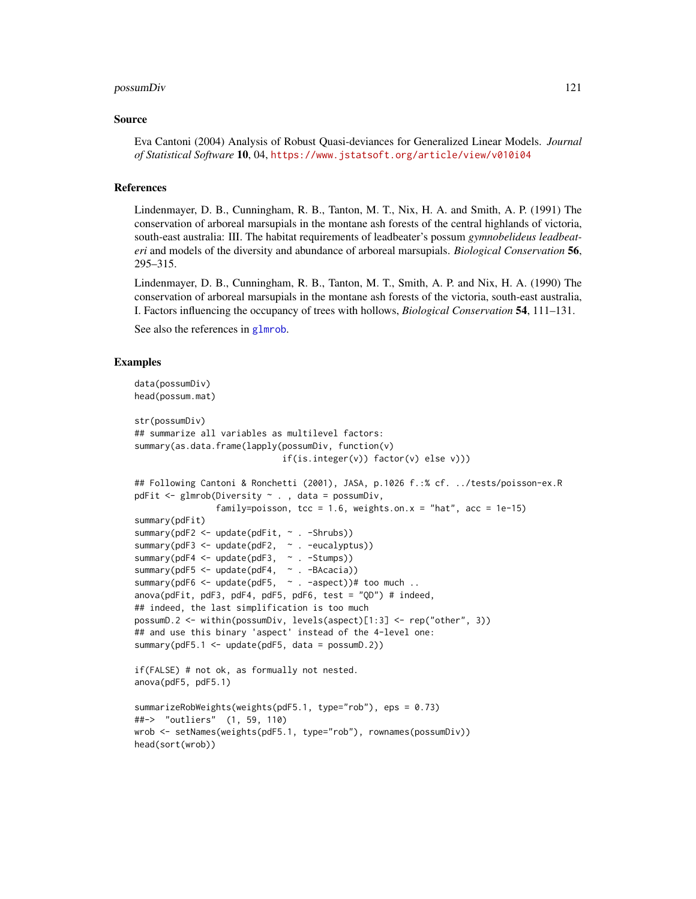#### possumDiv 121

#### Source

Eva Cantoni (2004) Analysis of Robust Quasi-deviances for Generalized Linear Models. *Journal of Statistical Software* 10, 04, <https://www.jstatsoft.org/article/view/v010i04>

## References

Lindenmayer, D. B., Cunningham, R. B., Tanton, M. T., Nix, H. A. and Smith, A. P. (1991) The conservation of arboreal marsupials in the montane ash forests of the central highlands of victoria, south-east australia: III. The habitat requirements of leadbeater's possum *gymnobelideus leadbeateri* and models of the diversity and abundance of arboreal marsupials. *Biological Conservation* 56, 295–315.

Lindenmayer, D. B., Cunningham, R. B., Tanton, M. T., Smith, A. P. and Nix, H. A. (1990) The conservation of arboreal marsupials in the montane ash forests of the victoria, south-east australia, I. Factors influencing the occupancy of trees with hollows, *Biological Conservation* 54, 111–131.

See also the references in [glmrob](#page-52-0).

```
data(possumDiv)
head(possum.mat)
str(possumDiv)
## summarize all variables as multilevel factors:
summary(as.data.frame(lapply(possumDiv, function(v)
                             if(is.integer(v)) factor(v) else v)))
## Following Cantoni & Ronchetti (2001), JASA, p.1026 f.:% cf. ../tests/poisson-ex.R
pdFit <- glmrob(Diversity ~ . , data = possumDiv,
                family=poisson, tcc = 1.6, weights.on.x = "hat", acc = 1e-15)
summary(pdFit)
summary(pdF2 <- update(pdFit, ~ . -Shrubs))
summary(pdF3 <- update(pdF2, \sim . -eucalyptus))
summary(pdF4 <- update(pdF3, ~ . -Stumps))
summary(pdF5 <- update(pdF4, ~ . -BAcacia))
summary(pdF6 <- update(pdF5, \sim . -aspect))# too much ..
anova(pdFit, pdF3, pdF4, pdF5, pdF6, test = "QD") # indeed,
## indeed, the last simplification is too much
possumD.2 <- within(possumDiv, levels(aspect)[1:3] <- rep("other", 3))
## and use this binary 'aspect' instead of the 4-level one:
summary(pdF5.1 <- update(pdF5, data = possumD.2))
if(FALSE) # not ok, as formually not nested.
anova(pdF5, pdF5.1)
summarizeRobWeights(weights(pdF5.1, type="rob"), eps = 0.73)
##-> "outliers" (1, 59, 110)
wrob <- setNames(weights(pdF5.1, type="rob"), rownames(possumDiv))
head(sort(wrob))
```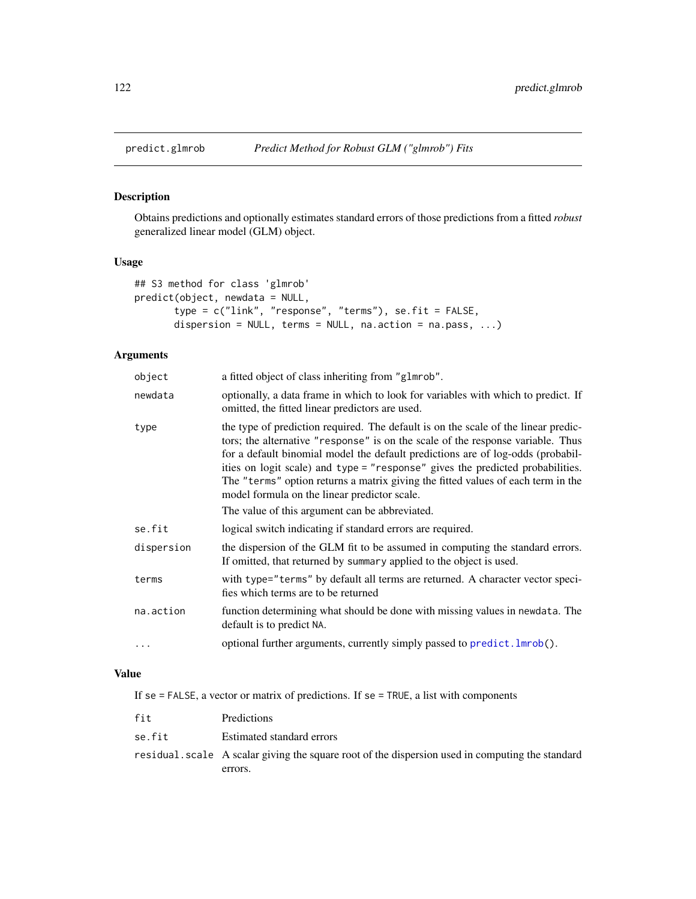# Description

Obtains predictions and optionally estimates standard errors of those predictions from a fitted *robust* generalized linear model (GLM) object.

# Usage

```
## S3 method for class 'glmrob'
predict(object, newdata = NULL,
       type = c("link", "response", "terms"), se.fit = FALSE,
       dispersion = NULL, terms = NULL, na.action = na.pass, ...)
```
# Arguments

| object     | a fitted object of class inheriting from "glmrob".                                                                                                                                                                                                                                                                                                                                                                                                                                                                               |
|------------|----------------------------------------------------------------------------------------------------------------------------------------------------------------------------------------------------------------------------------------------------------------------------------------------------------------------------------------------------------------------------------------------------------------------------------------------------------------------------------------------------------------------------------|
| newdata    | optionally, a data frame in which to look for variables with which to predict. If<br>omitted, the fitted linear predictors are used.                                                                                                                                                                                                                                                                                                                                                                                             |
| type       | the type of prediction required. The default is on the scale of the linear predic-<br>tors; the alternative "response" is on the scale of the response variable. Thus<br>for a default binomial model the default predictions are of log-odds (probabil-<br>ities on logit scale) and type = "response" gives the predicted probabilities.<br>The "terms" option returns a matrix giving the fitted values of each term in the<br>model formula on the linear predictor scale.<br>The value of this argument can be abbreviated. |
| se.fit     | logical switch indicating if standard errors are required.                                                                                                                                                                                                                                                                                                                                                                                                                                                                       |
| dispersion | the dispersion of the GLM fit to be assumed in computing the standard errors.<br>If omitted, that returned by summary applied to the object is used.                                                                                                                                                                                                                                                                                                                                                                             |
| terms      | with type="terms" by default all terms are returned. A character vector speci-<br>fies which terms are to be returned                                                                                                                                                                                                                                                                                                                                                                                                            |
| na.action  | function determining what should be done with missing values in newdata. The<br>default is to predict NA.                                                                                                                                                                                                                                                                                                                                                                                                                        |
| $\cdots$   | optional further arguments, currently simply passed to predict. lmrob().                                                                                                                                                                                                                                                                                                                                                                                                                                                         |
|            |                                                                                                                                                                                                                                                                                                                                                                                                                                                                                                                                  |

# Value

If se = FALSE, a vector or matrix of predictions. If se = TRUE, a list with components

| fit    | Predictions                                                                                      |
|--------|--------------------------------------------------------------------------------------------------|
| se.fit | Estimated standard errors                                                                        |
|        | residual, scale A scalar giving the square root of the dispersion used in computing the standard |
|        | errors.                                                                                          |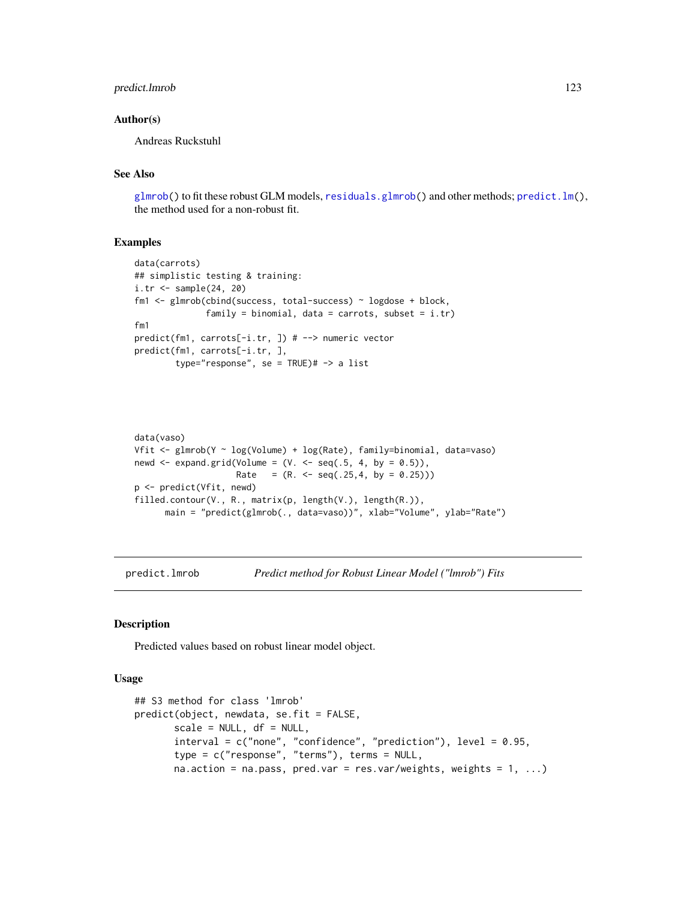## predict.lmrob 123

## Author(s)

Andreas Ruckstuhl

# See Also

[glmrob\(](#page-52-0)) to fit these robust GLM models, [residuals.glmrob\(](#page-138-0)) and other methods; [predict.lm\(](#page-0-0)), the method used for a non-robust fit.

#### Examples

```
data(carrots)
## simplistic testing & training:
i.tr <- sample(24, 20)
fm1 <- glmrob(cbind(success, total-success) ~ logdose + block,
              family = binomial, data = carrots, subset = i.tr)
fm1
predict(fm1, carrots[-i.tr, ]) # --> numeric vector
predict(fm1, carrots[-i.tr, ],
        type="response", se = TRUE)# -> a list
```

```
data(vaso)
Vfit <- glmrob(Y ~ log(Volume) + log(Rate), family=binomial, data=vaso)
newd \leq expand.grid(Volume = (V. \leq seq(.5, 4, by = 0.5)),
                    Rate = (R. < - seq(.25,4, by = 0.25)))
p <- predict(Vfit, newd)
filled.contour(V., R., matrix(p, length(V.), length(R.)),
      main = "predict(glmrob(., data=vaso))", xlab="Volume", ylab="Rate")
```
<span id="page-122-0"></span>predict.lmrob *Predict method for Robust Linear Model ("lmrob") Fits*

## Description

Predicted values based on robust linear model object.

#### Usage

```
## S3 method for class 'lmrob'
predict(object, newdata, se.fit = FALSE,
       scale = NULL, df = NULL,interval = c("none", "confidence", "prediction"), level = 0.95,type = c("response", "terms"), terms = NULL,
       na.action = na.pass, pred.var = res.var/weights, weights = 1, ...)
```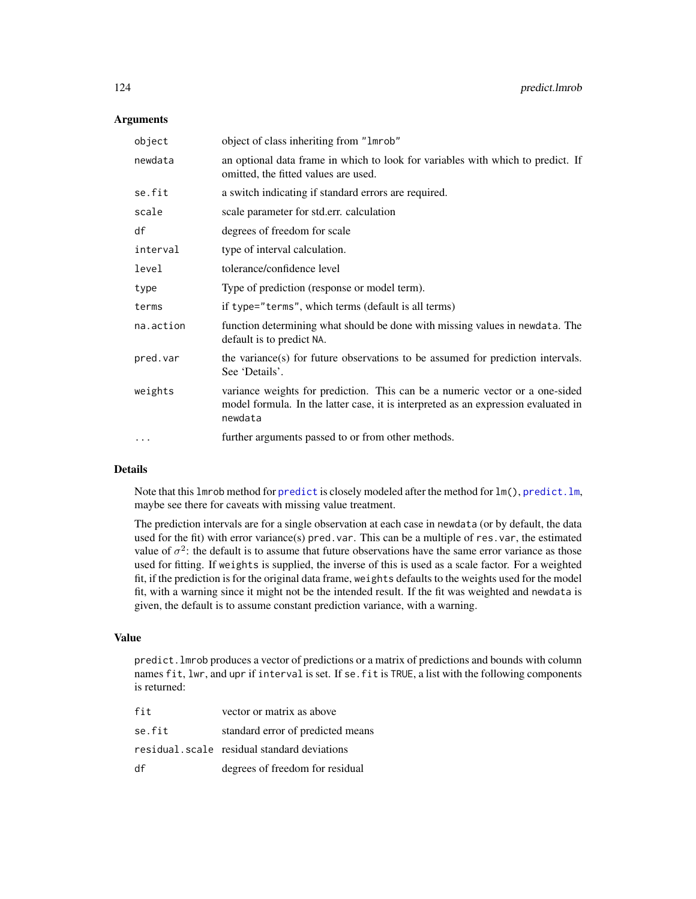## **Arguments**

| object    | object of class inheriting from "1mrob"                                                                                                                                       |
|-----------|-------------------------------------------------------------------------------------------------------------------------------------------------------------------------------|
| newdata   | an optional data frame in which to look for variables with which to predict. If<br>omitted, the fitted values are used.                                                       |
| se.fit    | a switch indicating if standard errors are required.                                                                                                                          |
| scale     | scale parameter for std.err. calculation                                                                                                                                      |
| df        | degrees of freedom for scale                                                                                                                                                  |
| interval  | type of interval calculation.                                                                                                                                                 |
| level     | tolerance/confidence level                                                                                                                                                    |
| type      | Type of prediction (response or model term).                                                                                                                                  |
| terms     | if type="terms", which terms (default is all terms)                                                                                                                           |
| na.action | function determining what should be done with missing values in newdata. The<br>default is to predict NA.                                                                     |
| pred.var  | the variance(s) for future observations to be assumed for prediction intervals.<br>See 'Details'.                                                                             |
| weights   | variance weights for prediction. This can be a numeric vector or a one-sided<br>model formula. In the latter case, it is interpreted as an expression evaluated in<br>newdata |
| $\cdot$   | further arguments passed to or from other methods.                                                                                                                            |

## Details

Note that this lmrob method for [predict](#page-0-0) is closely modeled after the method for lm(), [predict.lm](#page-0-0), maybe see there for caveats with missing value treatment.

The prediction intervals are for a single observation at each case in newdata (or by default, the data used for the fit) with error variance(s) pred. var. This can be a multiple of res. var, the estimated value of  $\sigma^2$ : the default is to assume that future observations have the same error variance as those used for fitting. If weights is supplied, the inverse of this is used as a scale factor. For a weighted fit, if the prediction is for the original data frame, weights defaults to the weights used for the model fit, with a warning since it might not be the intended result. If the fit was weighted and newdata is given, the default is to assume constant prediction variance, with a warning.

#### Value

predict.lmrob produces a vector of predictions or a matrix of predictions and bounds with column names fit, lwr, and upr if interval is set. If se. fit is TRUE, a list with the following components is returned:

| fit    | vector or matrix as above                   |
|--------|---------------------------------------------|
| se.fit | standard error of predicted means           |
|        | residual.scale residual standard deviations |
| df     | degrees of freedom for residual             |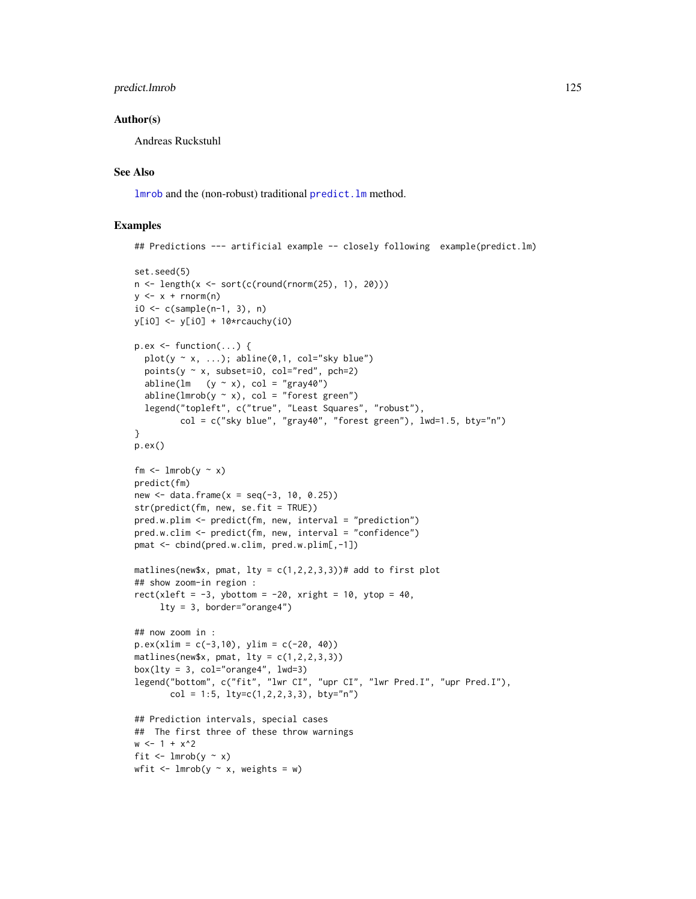## predict.lmrob 125

## Author(s)

Andreas Ruckstuhl

# See Also

[lmrob](#page-67-0) and the (non-robust) traditional [predict.lm](#page-0-0) method.

```
## Predictions --- artificial example -- closely following example(predict.lm)
set.seed(5)
n \leftarrow \text{length}(x \leftarrow \text{sort}(c(\text{round}(rnorm(25), 1), 20)))y \leq -x + \text{rnorm}(n)i0 \leq c (sample(n-1, 3), n)
y[i0] \leftarrow y[i0] + 10*rcauchy(i0)
p.ex \leftarrow function(...) {
  plot(y \sim x, ...); abline(0,1, col="sky blue")
  points(y \sim x, subset=i0, col="red", pch=2)
  abline(lm (y \sim x), col = "gray40")
  abline(lmrob(y \sim x), col = "forest green")
  legend("topleft", c("true", "Least Squares", "robust"),
         col = c("sky blue", "gray40", "forest green"), lwd=1.5, bty="n")}
p.ex()
fm \leftarrow lmrob(y \sim x)
predict(fm)
new \le data.frame(x = seq(-3, 10, 0.25))
str(predict(fm, new, se.fit = TRUE))
pred.w.plim <- predict(fm, new, interval = "prediction")
pred.w.clim <- predict(fm, new, interval = "confidence")
pmat <- cbind(pred.w.clim, pred.w.plim[,-1])
matlines(new$x, pmat, lty = c(1,2,2,3,3))# add to first plot
## show zoom-in region :
rect(xleft = -3, ybottom = -20, xright = 10, ytop = 40,
     lty = 3, border="orange4")
## now zoom in :
p.ex(xlim = c(-3,10), ylim = c(-20, 40))matlines(new$x, pmat, lty = c(1,2,2,3,3))
box(lty = 3, col="orange4", lwd=3)legend("bottom", c("fit", "lwr CI", "upr CI", "lwr Pred.I", "upr Pred.I"),
       col = 1:5, lty=c(1,2,2,3,3), bty="n")
## Prediction intervals, special cases
## The first three of these throw warnings
w < -1 + x^2fit \leftarrow lmrob(y \sim x)
wfit \le lmrob(y \sim x, weights = w)
```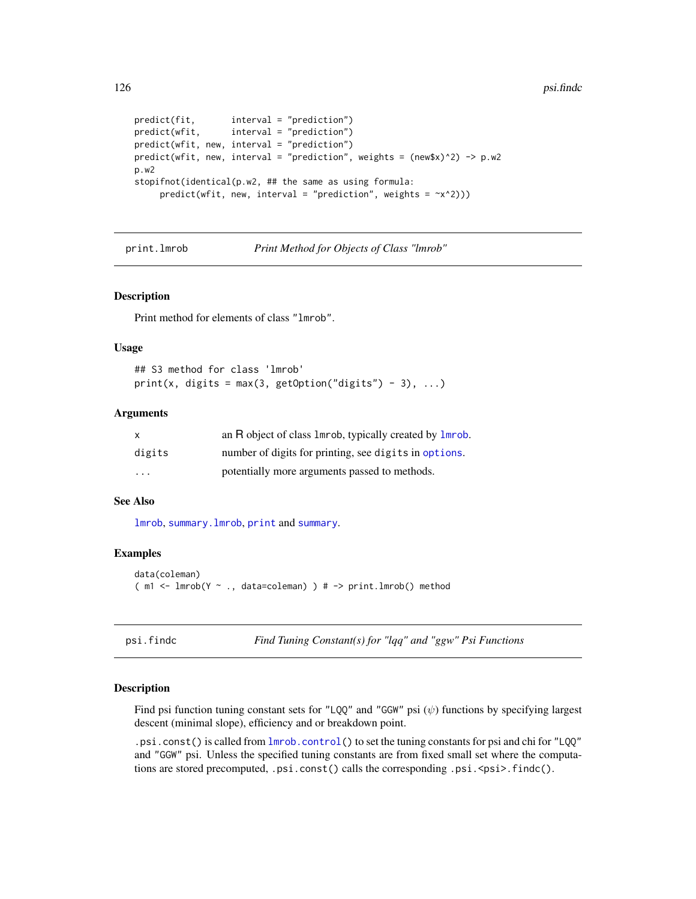```
predict(fit, interval = "prediction")
predict(wfit, interval = "prediction")
predict(wfit, new, interval = "prediction")
predict(wfit, new, interval = "prediction", weights = (new $x)<sup>2</sup>) -> p.w2
p.w2
stopifnot(identical(p.w2, ## the same as using formula:
     predict(wfit, new, interval = "prediction", weights = -x^2)))
```
print.lmrob *Print Method for Objects of Class "lmrob"*

#### Description

Print method for elements of class "lmrob".

#### Usage

```
## S3 method for class 'lmrob'
print(x, digits = max(3, getOption("digits") - 3), ...)
```
#### Arguments

| X                       | an R object of class 1mrob, typically created by 1mrob. |
|-------------------------|---------------------------------------------------------|
| digits                  | number of digits for printing, see digits in options.   |
| $\cdot$ $\cdot$ $\cdot$ | potentially more arguments passed to methods.           |

# See Also

[lmrob](#page-67-0), [summary.lmrob](#page-155-0), [print](#page-0-0) and [summary](#page-0-0).

## Examples

```
data(coleman)
(m1 <- lmrob(Y \sim ., data=coleman) ) # -> print.lmrob() method
```
psi.findc *Find Tuning Constant(s) for "lqq" and "ggw" Psi Functions*

#### Description

Find psi function tuning constant sets for "LQQ" and "GGW" psi  $(\psi)$  functions by specifying largest descent (minimal slope), efficiency and or breakdown point.

.psi.const() is called from [lmrob.control\(](#page-75-0)) to set the tuning constants for psi and chi for "LQQ" and "GGW" psi. Unless the specified tuning constants are from fixed small set where the computations are stored precomputed, .psi.const() calls the corresponding .psi.<psi>.findc().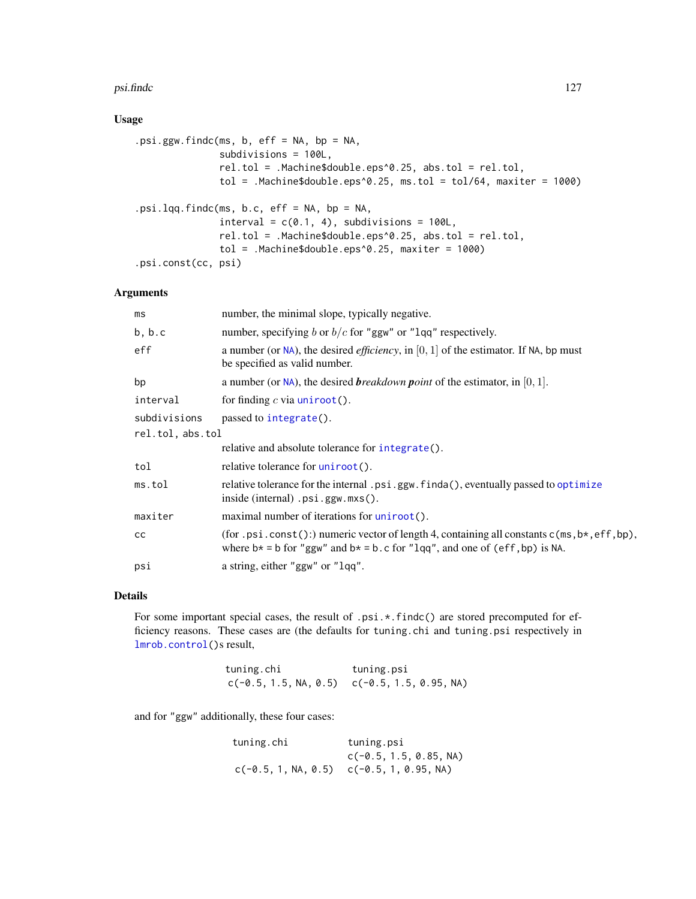#### psi.findc 127

# Usage

```
.psi.ggw.findc(ms, b, eff = NA, bp = NA,
              subdivisions = 100L,
              rel.tol = .Machine$double.eps^0.25, abs.tol = rel.tol,
              tol = .Machine$double.eps^0.25, ms.tol = tol/64, maxiter = 1000)
.psi.lqq.findc(ms, b.c, eff = NA, bp = NA,
              interval = c(0.1, 4), subdivisions = 100L,
              rel.tol = .Machine$double.eps^0.25, abs.tol = rel.tol,
              tol = .Machine$double.eps^0.25, maxiter = 1000)
.psi.const(cc, psi)
```
# Arguments

| number, the minimal slope, typically negative.                                                                                                                                     |  |  |
|------------------------------------------------------------------------------------------------------------------------------------------------------------------------------------|--|--|
| number, specifying b or $b/c$ for "ggw" or "lqq" respectively.                                                                                                                     |  |  |
| a number (or NA), the desired <i>efficiency</i> , in $[0, 1]$ of the estimator. If NA, bp must<br>be specified as valid number.                                                    |  |  |
| a number (or $NA$ ), the desired <i>breakdown point</i> of the estimator, in [0, 1].                                                                                               |  |  |
| for finding $c$ via uniroot().                                                                                                                                                     |  |  |
| passed to integrate().                                                                                                                                                             |  |  |
| rel.tol, abs.tol                                                                                                                                                                   |  |  |
| relative and absolute tolerance for integrate().                                                                                                                                   |  |  |
| relative tolerance for uniroot().                                                                                                                                                  |  |  |
| relative tolerance for the internal .psi.ggw.finda(), eventually passed to optimize<br>$inside (internal) .psi. ggw.mxs()$ .                                                       |  |  |
| maximal number of iterations for uniroot().                                                                                                                                        |  |  |
| (for .psi.const():) numeric vector of length 4, containing all constants $c(m, b*, eff, bp)$ ,<br>where $b* = b$ for "ggw" and $b* = b$ . c for "lqq", and one of (eff, bp) is NA. |  |  |
| a string, either "ggw" or "lqq".                                                                                                                                                   |  |  |
|                                                                                                                                                                                    |  |  |

## Details

For some important special cases, the result of .psi.\*.findc() are stored precomputed for efficiency reasons. These cases are (the defaults for tuning.chi and tuning.psi respectively in [lmrob.control\(](#page-75-0))s result,

| tuning.chi | tuning.psi                                       |
|------------|--------------------------------------------------|
|            | $c(-0.5, 1.5, NA, 0.5)$ $c(-0.5, 1.5, 0.95, NA)$ |

and for "ggw" additionally, these four cases:

| tuning.chi | tuning.psi                                   |
|------------|----------------------------------------------|
|            | $c(-0.5, 1.5, 0.85, NA)$                     |
|            | $c(-0.5, 1, NA, 0.5)$ $c(-0.5, 1, 0.95, NA)$ |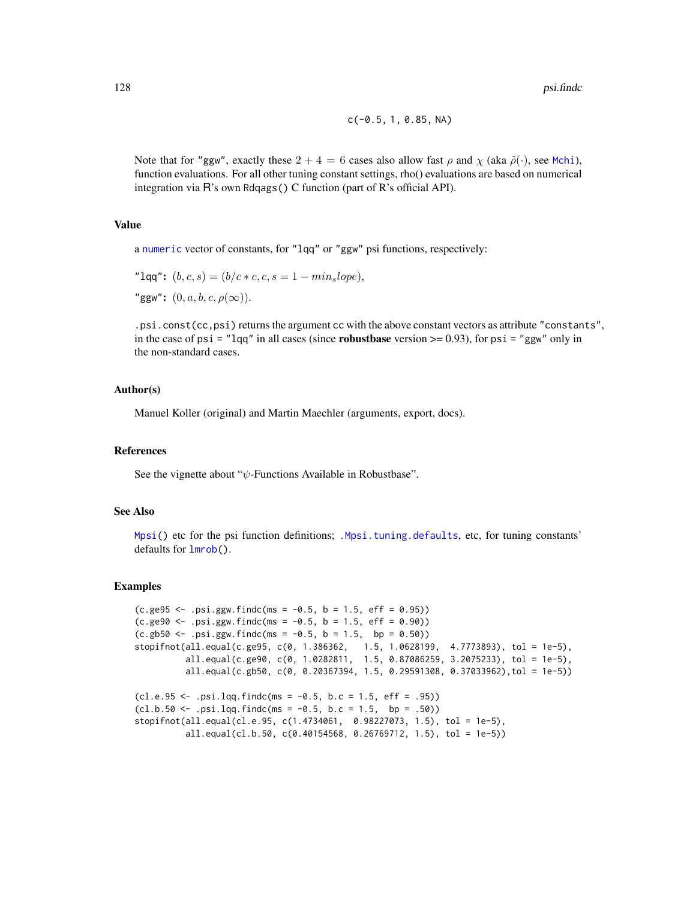$$
c(-0.5, 1, 0.85, NA)
$$

Note that for "ggw", exactly these  $2 + 4 = 6$  cases also allow fast  $\rho$  and  $\chi$  (aka  $\tilde{\rho}(\cdot)$ , see [Mchi](#page-94-0)), function evaluations. For all other tuning constant settings, rho() evaluations are based on numerical integration via R's own Rdqags() C function (part of R's official API).

## Value

a [numeric](#page-0-0) vector of constants, for "lqq" or "ggw" psi functions, respectively:

"lqq":  $(b, c, s) = (b/c * c, c, s = 1 - min_slope),$ "ggw":  $(0, a, b, c, \rho(\infty))$ .

.psi.const(cc,psi) returns the argument cc with the above constant vectors as attribute "constants", in the case of psi = "lqq" in all cases (since **robustbase** version  $\geq$  0.93), for psi = "ggw" only in the non-standard cases.

#### Author(s)

Manuel Koller (original) and Martin Maechler (arguments, export, docs).

#### References

See the vignette about " $\psi$ -Functions Available in Robustbase".

## See Also

[Mpsi\(](#page-94-1)) etc for the psi function definitions; [.Mpsi.tuning.defaults](#page-75-1), etc, for tuning constants' defaults for [lmrob\(](#page-67-0)).

```
(c.ge95 \le .psi.ggw.findc(ms = -0.5, b = 1.5, eff = 0.95))(c.ge90 \le .psi).ggw.findc(ms = -0.5, b = 1.5, eff = 0.90))
(c.gb50 < - .psi.ggw.findc(ms = -0.5, b = 1.5, bp = 0.50))stopifnot(all.equal(c.ge95, c(0, 1.386362, 1.5, 1.0628199, 4.7773893), tol = 1e-5),
          all.equal(c.ge90, c(0, 1.0282811, 1.5, 0.87086259, 3.2075233), tol = 1e-5),
         all.equal(c.gb50, c(0, 0.20367394, 1.5, 0.29591308, 0.37033962),tol = 1e-5))
(cl.e.95 < - .psi.lqq.findc(ms = -0.5, b.c = 1.5, eff = .95))(cl.b.50 \leq .psi.1qq.findc(msg = -0.5, b.c = 1.5, bp = .50))stopifnot(all.equal(cl.e.95, c(1.4734061, 0.98227073, 1.5), tol = 1e-5),
         all.equal(cl.b.50, c(0.40154568, 0.26769712, 1.5), tol = 1e-5))
```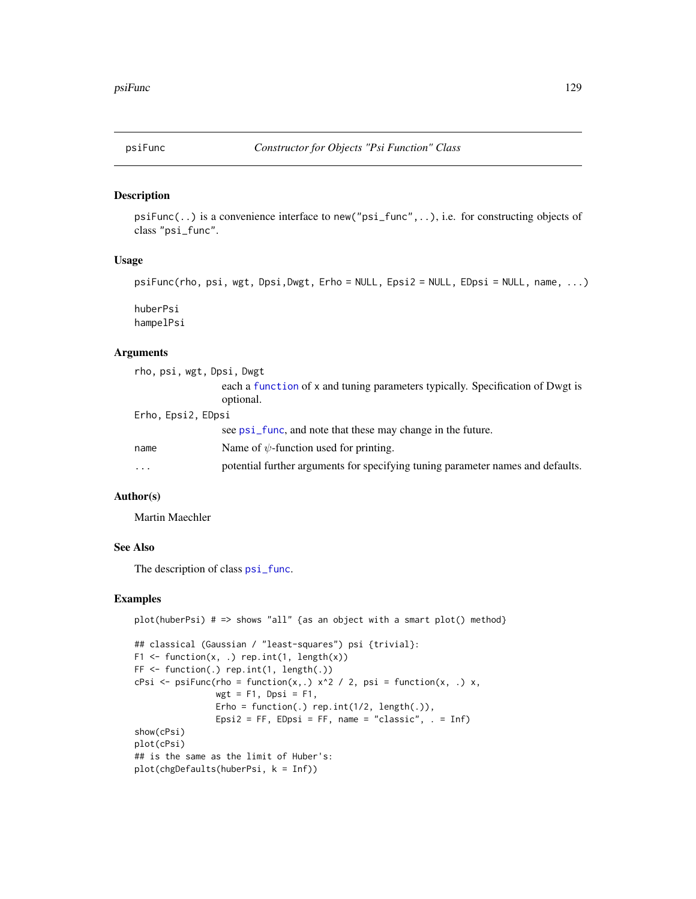<span id="page-128-0"></span>

#### Description

psiFunc(..) is a convenience interface to new("psi\_func",..), i.e. for constructing objects of class "psi\_func".

## Usage

```
psiFunc(rho, psi, wgt, Dpsi,Dwgt, Erho = NULL, Epsi2 = NULL, EDpsi = NULL, name, ...)
```
huberPsi hampelPsi

## Arguments

| rho, psi, wgt, Dpsi, Dwgt |                                                                                             |
|---------------------------|---------------------------------------------------------------------------------------------|
|                           | each a function of x and tuning parameters typically. Specification of Dwgt is<br>optional. |
| Erho, Epsi2, EDpsi        |                                                                                             |
|                           | see psi_func, and note that these may change in the future.                                 |
| name                      | Name of $\psi$ -function used for printing.                                                 |
| $\cdot$                   | potential further arguments for specifying tuning parameter names and defaults.             |

## Author(s)

Martin Maechler

# See Also

The description of class [psi\\_func](#page-129-0).

```
plot(huberPsi) # => shows "all" {as an object with a smart plot() method}
## classical (Gaussian / "least-squares") psi {trivial}:
F1 \leftarrow function(x, .) rep.int(1, length(x))
FF <- function(.) rep.int(1, length(.))
cPsi \leq psiFunc(rho = function(x, .) x^2 / 2, psi = function(x, .) x,
                wgt = F1, Dpsi = F1,
                Erho = function(.) rep.int(1/2, \text{length}(.)),Epsi2 = FF, EDpsi = FF, name = "classic", . = Inf)
show(cPsi)
plot(cPsi)
## is the same as the limit of Huber's:
plot(chgDefaults(huberPsi, k = Inf))
```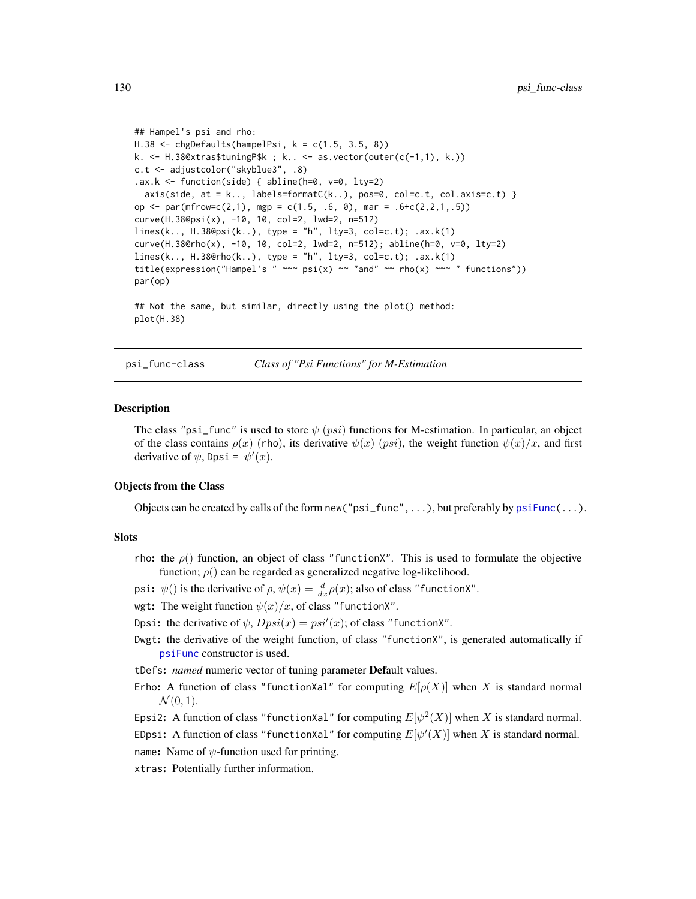```
## Hampel's psi and rho:
H.38 <- chgDefaults(hampelPsi, k = c(1.5, 3.5, 8))
k. <- H.38@xtras$tuningP$k ; k.. <- as.vector(outer(c(-1,1), k.))
c.t <- adjustcolor("skyblue3", .8)
ax.k \leftarrow function(side) \{ abline(h=0, v=0, lty=2)axis(side, at = k.., labels=formatC(k..), pos=0, col=c.t, col-axis=c.t)op \le par(mfrow=c(2,1), mgp = c(1.5, .6, 0), mar = .6+c(2,2,1,.5))
curve(H.38@psi(x), -10, 10, col=2, lwd=2, n=512)
lines(k., H.38@psi(k..), type = "h", lty=3, col=c.t); .ax.k(1)curve(H.38@rho(x), -10, 10, col=2, lwd=2, n=512); abline(h=0, v=0, lty=2)
lines(k.., H.38@rho(k..), type = "h", lty=3, col=c.t); .ax.k(1)
title(expression("Hampel's " \sim \pi psi(x) \sim "and" \sim rho(x) \sim " functions"))
par(op)
## Not the same, but similar, directly using the plot() method:
plot(H.38)
```
<span id="page-129-0"></span>

psi\_func-class *Class of "Psi Functions" for M-Estimation*

#### Description

The class "psi\_func" is used to store  $\psi$  (*psi*) functions for M-estimation. In particular, an object of the class contains  $\rho(x)$  (rho), its derivative  $\psi(x)$  (psi), the weight function  $\psi(x)/x$ , and first derivative of  $\psi$ , Dpsi =  $\psi'(x)$ .

#### Objects from the Class

Objects can be created by calls of the form new (" $psi$ ", ...), but preferably by  $psi$ "...).

## **Slots**

- rho: the  $\rho()$  function, an object of class "functionX". This is used to formulate the objective function;  $\rho()$  can be regarded as generalized negative log-likelihood.
- psi:  $\psi()$  is the derivative of  $\rho, \psi(x) = \frac{d}{dx} \rho(x)$ ; also of class "functionX".
- wgt: The weight function  $\psi(x)/x$ , of class "functionX".
- Dpsi: the derivative of  $\psi$ ,  $Dpsi(x) = psi'(x)$ ; of class "functionX".
- Dwgt: the derivative of the weight function, of class "functionX", is generated automatically if [psiFunc](#page-128-0) constructor is used.
- tDefs: *named* numeric vector of tuning parameter Default values.
- Erho: A function of class "functionXal" for computing  $E[\rho(X)]$  when X is standard normal  $\mathcal{N}(0,1)$ .

Epsi2: A function of class "functionXal" for computing  $E[\psi^2(X)]$  when X is standard normal.

EDpsi: A function of class "functionXal" for computing  $E[\psi'(X)]$  when X is standard normal.

name: Name of  $\psi$ -function used for printing.

xtras: Potentially further information.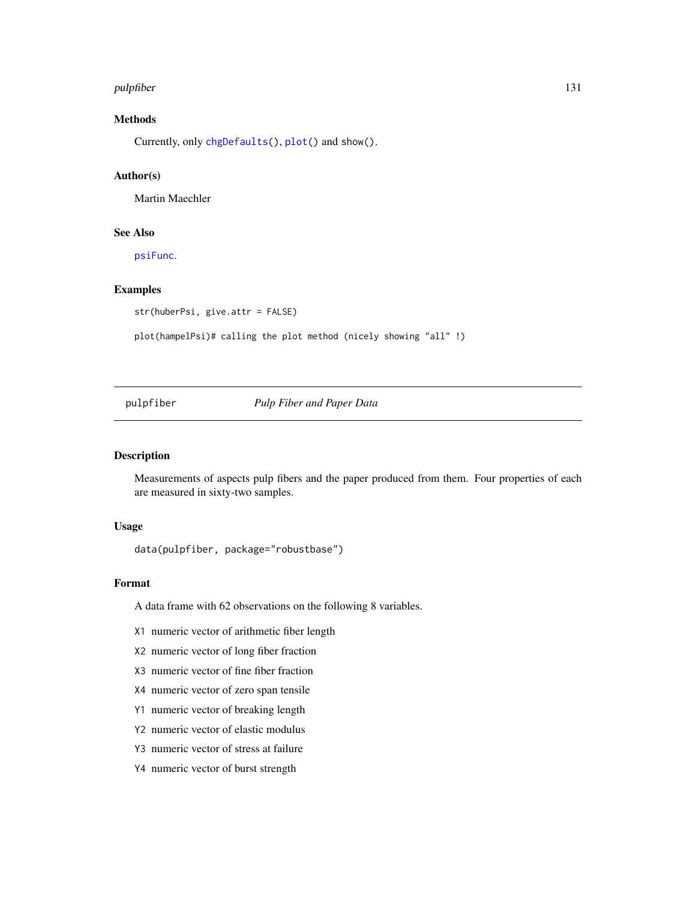#### pulpfiber 131

# Methods

Currently, only [chgDefaults\(](#page-28-0)), [plot\(](#page-112-0)) and show().

# Author(s)

Martin Maechler

# See Also

[psiFunc](#page-128-0).

## Examples

str(huberPsi, give.attr = FALSE)

plot(hampelPsi)# calling the plot method (nicely showing "all" !)

pulpfiber *Pulp Fiber and Paper Data*

## Description

Measurements of aspects pulp fibers and the paper produced from them. Four properties of each are measured in sixty-two samples.

#### Usage

data(pulpfiber, package="robustbase")

# Format

A data frame with 62 observations on the following 8 variables.

X1 numeric vector of arithmetic fiber length

- X2 numeric vector of long fiber fraction
- X3 numeric vector of fine fiber fraction
- X4 numeric vector of zero span tensile
- Y1 numeric vector of breaking length
- Y2 numeric vector of elastic modulus
- Y3 numeric vector of stress at failure
- Y4 numeric vector of burst strength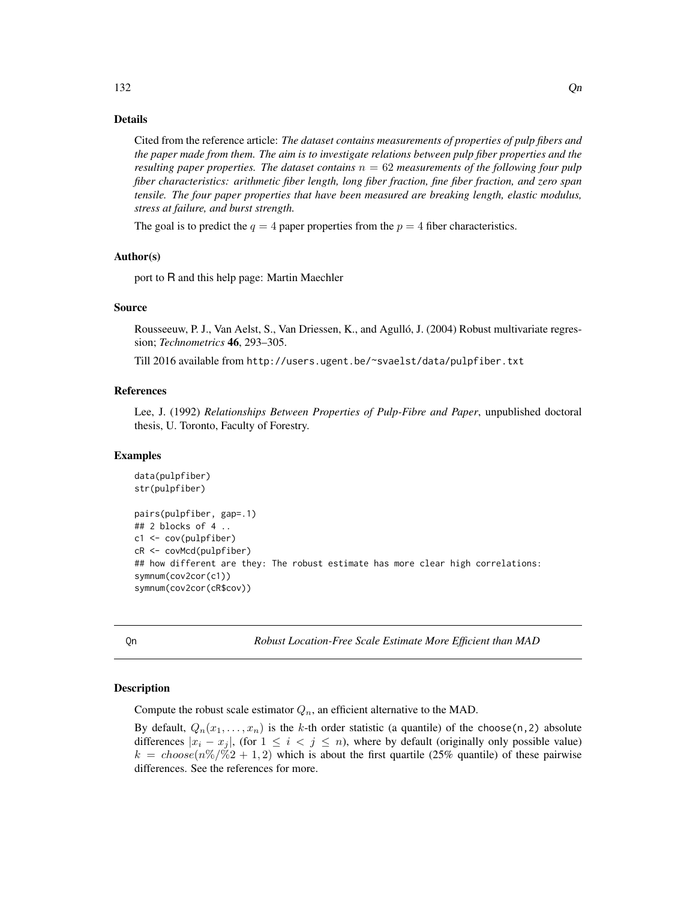## Details

Cited from the reference article: *The dataset contains measurements of properties of pulp fibers and the paper made from them. The aim is to investigate relations between pulp fiber properties and the resulting paper properties. The dataset contains*  $n = 62$  *measurements of the following four pulp fiber characteristics: arithmetic fiber length, long fiber fraction, fine fiber fraction, and zero span tensile. The four paper properties that have been measured are breaking length, elastic modulus, stress at failure, and burst strength.*

The goal is to predict the  $q = 4$  paper properties from the  $p = 4$  fiber characteristics.

#### Author(s)

port to R and this help page: Martin Maechler

#### Source

Rousseeuw, P. J., Van Aelst, S., Van Driessen, K., and Agulló, J. (2004) Robust multivariate regression; *Technometrics* 46, 293–305.

Till 2016 available from http://users.ugent.be/~svaelst/data/pulpfiber.txt

## References

Lee, J. (1992) *Relationships Between Properties of Pulp-Fibre and Paper*, unpublished doctoral thesis, U. Toronto, Faculty of Forestry.

#### Examples

```
data(pulpfiber)
str(pulpfiber)
pairs(pulpfiber, gap=.1)
## 2 blocks of 4 ..
c1 <- cov(pulpfiber)
cR <- covMcd(pulpfiber)
## how different are they: The robust estimate has more clear high correlations:
symnum(cov2cor(c1))
symnum(cov2cor(cR$cov))
```
<span id="page-131-0"></span>Qn *Robust Location-Free Scale Estimate More Efficient than MAD*

## **Description**

Compute the robust scale estimator  $Q_n$ , an efficient alternative to the MAD.

By default,  $Q_n(x_1,...,x_n)$  is the k-th order statistic (a quantile) of the choose(n, 2) absolute differences  $|x_i - x_j|$ , (for  $1 \le i < j \le n$ ), where by default (originally only possible value)  $k = choose(n\%/\%2 + 1, 2)$  which is about the first quartile (25% quantile) of these pairwise differences. See the references for more.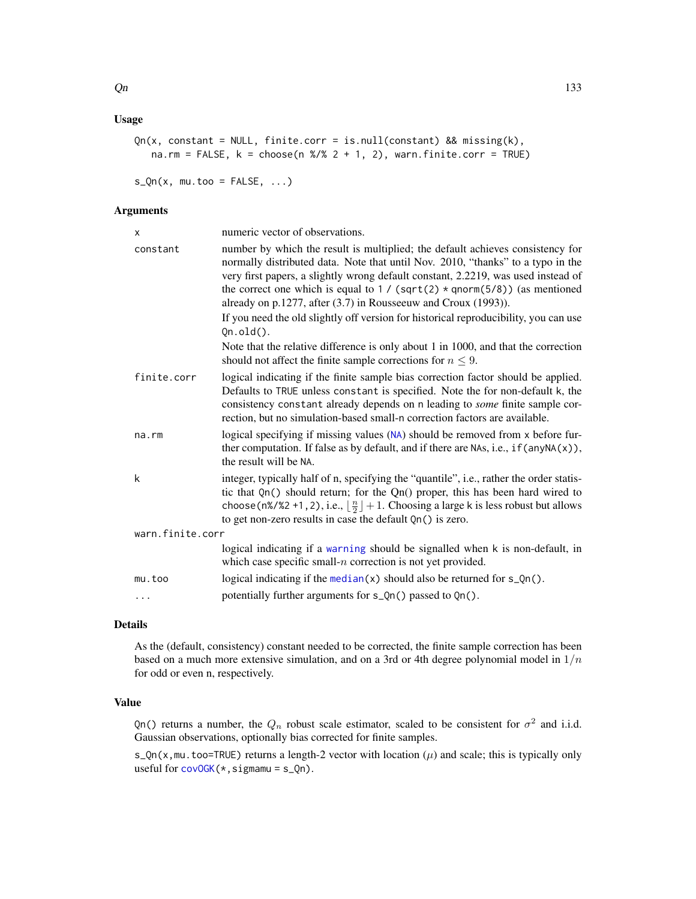## Usage

```
Qn(x, constant = NULL, finite.corr = is.null(constant) && missing(k),
   na.rm = FALSE, k = \text{choose}(n \frac{2}{3} \cdot 2 + 1, 2), warn.finite.corr = TRUE)
```
 $s_Qn(x, mu.too = FALSE, ...)$ 

# Arguments

| X                | numeric vector of observations.                                                                                                                                                                                                                                                                                                                                                                             |
|------------------|-------------------------------------------------------------------------------------------------------------------------------------------------------------------------------------------------------------------------------------------------------------------------------------------------------------------------------------------------------------------------------------------------------------|
| constant         | number by which the result is multiplied; the default achieves consistency for<br>normally distributed data. Note that until Nov. 2010, "thanks" to a typo in the<br>very first papers, a slightly wrong default constant, 2.2219, was used instead of<br>the correct one which is equal to $1 / (sqrt(2) * qnorm(5/8))$ (as mentioned<br>already on $p.1277$ , after (3.7) in Rousseeuw and Croux (1993)). |
|                  | If you need the old slightly off version for historical reproducibility, you can use<br>$Qn.old()$ .                                                                                                                                                                                                                                                                                                        |
|                  | Note that the relative difference is only about 1 in 1000, and that the correction<br>should not affect the finite sample corrections for $n \leq 9$ .                                                                                                                                                                                                                                                      |
| finite.corr      | logical indicating if the finite sample bias correction factor should be applied.<br>Defaults to TRUE unless constant is specified. Note the for non-default k, the<br>consistency constant already depends on n leading to <i>some</i> finite sample cor-<br>rection, but no simulation-based small-n correction factors are available.                                                                    |
| na.rm            | logical specifying if missing values (NA) should be removed from x before fur-<br>ther computation. If false as by default, and if there are NAs, i.e., $if$ (any NA $(x)$ ),<br>the result will be NA.                                                                                                                                                                                                     |
| k                | integer, typically half of n, specifying the "quantile", i.e., rather the order statis-<br>tic that $Qn()$ should return; for the $Qn()$ proper, this has been hard wired to<br>choose (n%/%2 +1, 2), i.e., $\lfloor \frac{n}{2} \rfloor + 1$ . Choosing a large k is less robust but allows<br>to get non-zero results in case the default Qn() is zero.                                                   |
| warn.finite.corr |                                                                                                                                                                                                                                                                                                                                                                                                             |
|                  | logical indicating if a warning should be signalled when k is non-default, in<br>which case specific small- $n$ correction is not yet provided.                                                                                                                                                                                                                                                             |
| mu.too           | logical indicating if the median(x) should also be returned for $s_Qn($ .                                                                                                                                                                                                                                                                                                                                   |
| $\cdots$         | potentially further arguments for s_Qn() passed to Qn().                                                                                                                                                                                                                                                                                                                                                    |
|                  |                                                                                                                                                                                                                                                                                                                                                                                                             |

# Details

As the (default, consistency) constant needed to be corrected, the finite sample correction has been based on a much more extensive simulation, and on a 3rd or 4th degree polynomial model in  $1/n$ for odd or even n, respectively.

# Value

Qn() returns a number, the  $Q_n$  robust scale estimator, scaled to be consistent for  $\sigma^2$  and i.i.d. Gaussian observations, optionally bias corrected for finite samples.

s\_Qn(x,mu.too=TRUE) returns a length-2 vector with location  $(\mu)$  and scale; this is typically only useful for  $covOGK(*,sigma) = s_Qn$  $covOGK(*,sigma) = s_Qn$ .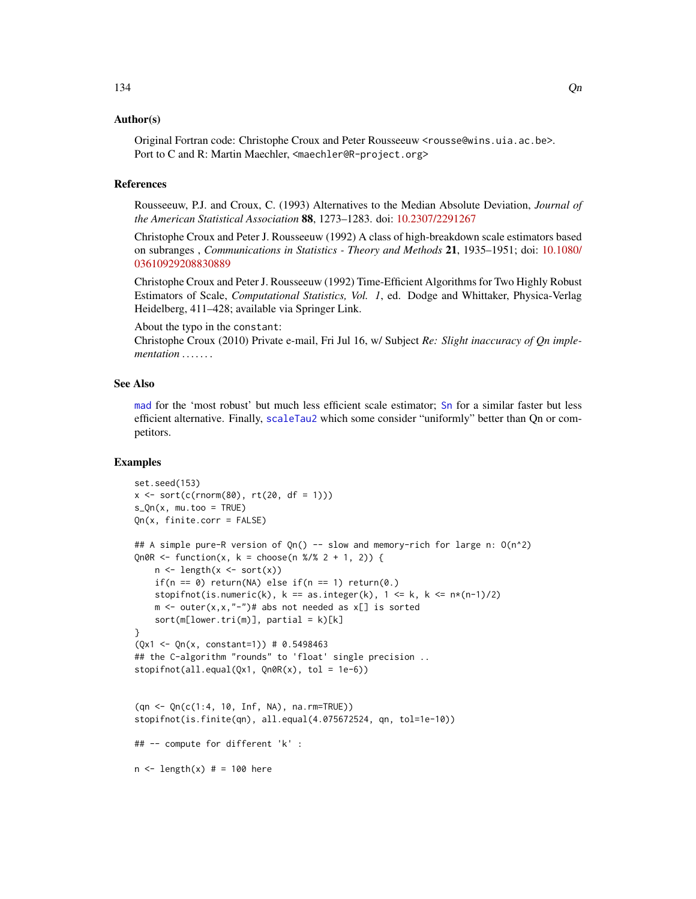# Author(s)

Original Fortran code: Christophe Croux and Peter Rousseeuw <rousse@wins.uia.ac.be>. Port to C and R: Martin Maechler, <maechler@R-project.org>

## References

Rousseeuw, P.J. and Croux, C. (1993) Alternatives to the Median Absolute Deviation, *Journal of the American Statistical Association* 88, 1273–1283. doi: [10.2307/2291267](https://doi.org/10.2307/2291267)

Christophe Croux and Peter J. Rousseeuw (1992) A class of high-breakdown scale estimators based on subranges , *Communications in Statistics - Theory and Methods* 21, 1935–1951; doi: [10.1080/](https://doi.org/10.1080/03610929208830889) [03610929208830889](https://doi.org/10.1080/03610929208830889)

Christophe Croux and Peter J. Rousseeuw (1992) Time-Efficient Algorithms for Two Highly Robust Estimators of Scale, *Computational Statistics, Vol. 1*, ed. Dodge and Whittaker, Physica-Verlag Heidelberg, 411–428; available via Springer Link.

About the typo in the constant:

Christophe Croux (2010) Private e-mail, Fri Jul 16, w/ Subject *Re: Slight inaccuracy of Qn implementation . . . . . .* .

#### See Also

[mad](#page-0-0) for the 'most robust' but much less efficient scale estimator; [Sn](#page-147-0) for a similar faster but less efficient alternative. Finally, [scaleTau2](#page-142-0) which some consider "uniformly" better than Qn or competitors.

```
set.seed(153)
x \le -\text{sort}(c(\text{rnorm}(80), \text{rt}(20, df = 1)))s_Qn(x, mu.too = TRUE)Qn(x, finite.corr = FALSE)
## A simple pure-R version of Qn() -- slow and memory-rich for large n: O(n^2)
Qn0R <- function(x, k = choose(n %/% 2 + 1, 2)) {
    n \leftarrow length(x \leftarrow sort(x))
    if(n == 0) return(NA) else if(n == 1) return(0.)
    stopifnot(is.numeric(k), k == as.integer(k), 1 \le k, k \le n*(n-1)/2)
    m \le - outer(x,x,"-")# abs not needed as x[] is sorted
    sort(m[lower.tri(m)], partial = k)[k]}
(Qx1 \leq Qn(x, constant=1)) # 0.5498463
## the C-algorithm "rounds" to 'float' single precision ..
stopifnot(all.equals(Qx1, Qn0R(x), tol = 1e-6))(qn <- Qn(c(1:4, 10, Inf, NA), na.rm=TRUE))
stopifnot(is.finite(qn), all.equal(4.075672524, qn, tol=1e-10))
## -- compute for different 'k' :
n \leq -\text{length}(x) # = 100 here
```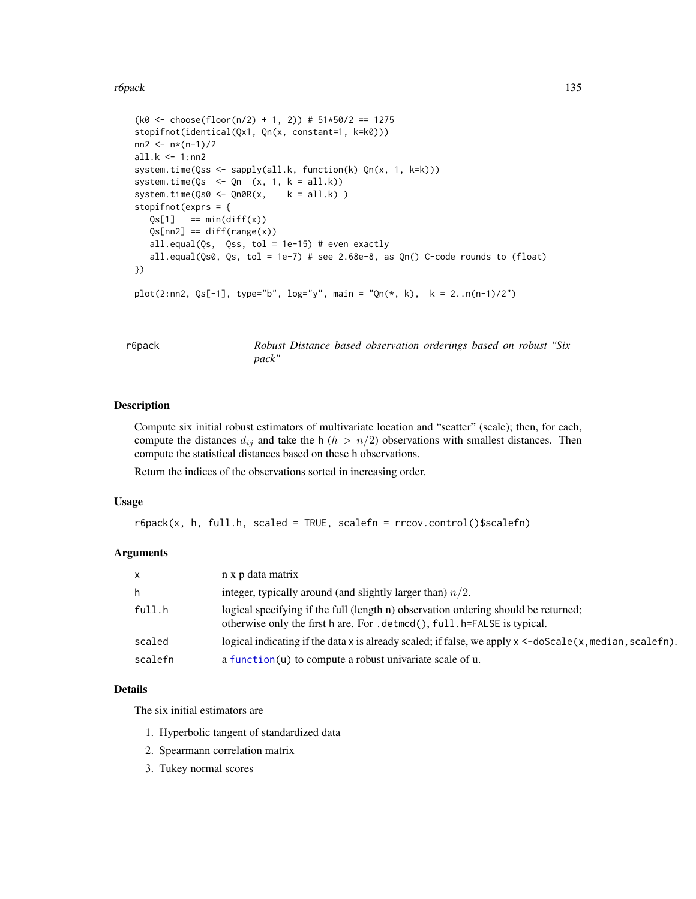#### r6pack 135

```
(k0 \le - \text{choose (floor(n/2) + 1, 2)}) # 51*50/2 == 1275
stopifnot(identical(Qx1, Qn(x, constant=1, k=k0)))
nn2 < - n*(n-1)/2all.k <- 1:nn2
system.time(Qss <- sapply(all.k, function(k) Qn(x, 1, k=k)))
system.time(Qs \leq Qn (x, 1, k = all.k))
system.time(Qs0 \leq Qn0R(x, k = all.k))
stopifnot(exprs = {
   Qs[1] == min(diff(x))Qs[nn2] == diff(range(x))all.equal(Qs, Qss, tol = 1e-15) # even exactly
   all.equal(Qs0, Qs, tol = 1e-7) # see 2.68e-8, as Qn() C-code rounds to (float)
})
plot(2:nn2, Qs[-1], type="b", log="y", main = "Qn(*, k), k = 2..n(n-1)/2")
```
r6pack *Robust Distance based observation orderings based on robust "Six pack"*

# Description

Compute six initial robust estimators of multivariate location and "scatter" (scale); then, for each, compute the distances  $d_{ij}$  and take the h ( $h > n/2$ ) observations with smallest distances. Then compute the statistical distances based on these h observations.

Return the indices of the observations sorted in increasing order.

#### Usage

```
r6pack(x, h, full.h, scaled = TRUE, scalefn = rrcov.control()$scalefn)
```
#### Arguments

| $\mathsf{x}$ | n x p data matrix                                                                                                                                               |
|--------------|-----------------------------------------------------------------------------------------------------------------------------------------------------------------|
| h            | integer, typically around (and slightly larger than) $n/2$ .                                                                                                    |
| full.h       | logical specifying if the full (length n) observation ordering should be returned;<br>otherwise only the first h are. For . detmod(), full. h=FALSE is typical. |
| scaled       | logical indicating if the data x is already scaled; if false, we apply $x < -d$ oscale $(x, \text{median}, \text{scalefn})$ .                                   |
| scalefn      | a function(u) to compute a robust univariate scale of u.                                                                                                        |

#### Details

The six initial estimators are

- 1. Hyperbolic tangent of standardized data
- 2. Spearmann correlation matrix
- 3. Tukey normal scores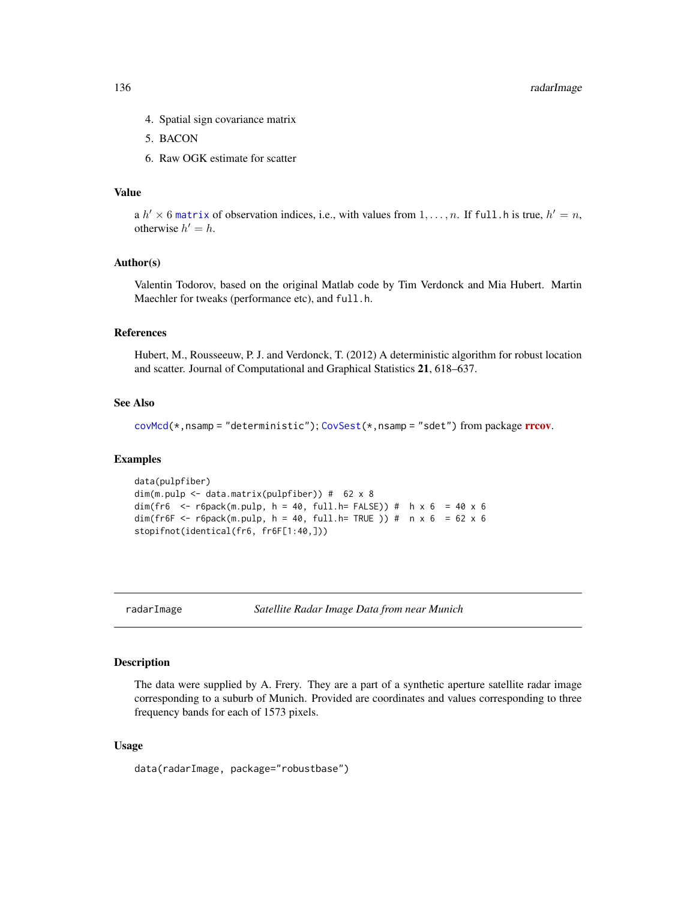- 4. Spatial sign covariance matrix
- 5. BACON
- 6. Raw OGK estimate for scatter

## Value

a  $h' \times 6$  [matrix](#page-0-0) of observation indices, i.e., with values from  $1, \ldots, n$ . If full .h is true,  $h' = n$ , otherwise  $h' = h$ .

#### Author(s)

Valentin Todorov, based on the original Matlab code by Tim Verdonck and Mia Hubert. Martin Maechler for tweaks (performance etc), and full.h.

#### References

Hubert, M., Rousseeuw, P. J. and Verdonck, T. (2012) A deterministic algorithm for robust location and scatter. Journal of Computational and Graphical Statistics 21, 618–637.

## See Also

```
covMcd(CovSest(rrcov.
```
#### Examples

```
data(pulpfiber)
dim(m.pulp <- data.matrix(pulpfiber)) # 62 x 8
dim(fr6 <- r6pack(m.pulp, h = 40, full.h= FALSE)) # h x 6 = 40 x 6
dim(fr6F <- r6pack(m.pulp, h = 40, full.h= TRUE )) # n x 6 = 62 x 6
stopifnot(identical(fr6, fr6F[1:40,]))
```
radarImage *Satellite Radar Image Data from near Munich*

#### Description

The data were supplied by A. Frery. They are a part of a synthetic aperture satellite radar image corresponding to a suburb of Munich. Provided are coordinates and values corresponding to three frequency bands for each of 1573 pixels.

## Usage

data(radarImage, package="robustbase")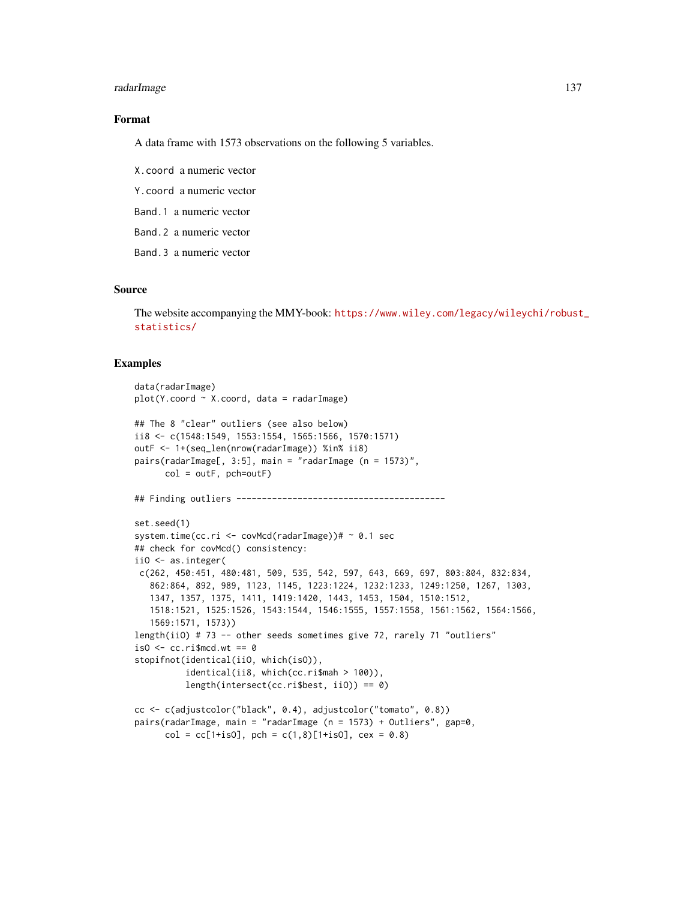## radarImage 137

# Format

A data frame with 1573 observations on the following 5 variables.

X.coord a numeric vector

Y.coord a numeric vector

Band.1 a numeric vector

Band.2 a numeric vector

Band.3 a numeric vector

## Source

The website accompanying the MMY-book: [https://www.wiley.com/legacy/wileychi/robust](https://www.wiley.com/legacy/wileychi/robust_statistics/)\_ [statistics/](https://www.wiley.com/legacy/wileychi/robust_statistics/)

```
data(radarImage)
plot(Y.cord ~ x.cord, data = radarImage)## The 8 "clear" outliers (see also below)
ii8 <- c(1548:1549, 1553:1554, 1565:1566, 1570:1571)
outF <- 1+(seq_len(nrow(radarImage)) %in% ii8)
pairs(radarImage[, 3:5], main = "radarImage (n = 1573)",
      col = outF, pch=outF)
## Finding outliers -----------------------------------------
set.seed(1)
system.time(cc.ri <- covMcd(radarImage))# ~ 0.1 sec
## check for covMcd() consistency:
iiO <- as.integer(
c(262, 450:451, 480:481, 509, 535, 542, 597, 643, 669, 697, 803:804, 832:834,
  862:864, 892, 989, 1123, 1145, 1223:1224, 1232:1233, 1249:1250, 1267, 1303,
  1347, 1357, 1375, 1411, 1419:1420, 1443, 1453, 1504, 1510:1512,
  1518:1521, 1525:1526, 1543:1544, 1546:1555, 1557:1558, 1561:1562, 1564:1566,
  1569:1571, 1573))
length(iiO) # 73 -- other seeds sometimes give 72, rarely 71 "outliers"
iso \leftarrow cc.riformed.wt == 0stopifnot(identical(iiO, which(isO)),
          identical(ii8, which(cc.ri$mah > 100)),
          length(intersect(cc.ri$best, iiO)) == 0)
cc <- c(adjustcolor("black", 0.4), adjustcolor("tomato", 0.8))
pairs(radarImage, main = "radarImage (n = 1573) + Outliers", gap=0,
     col = cc[1+is0], pch = c(1,8)[1+is0], cex = 0.8)
```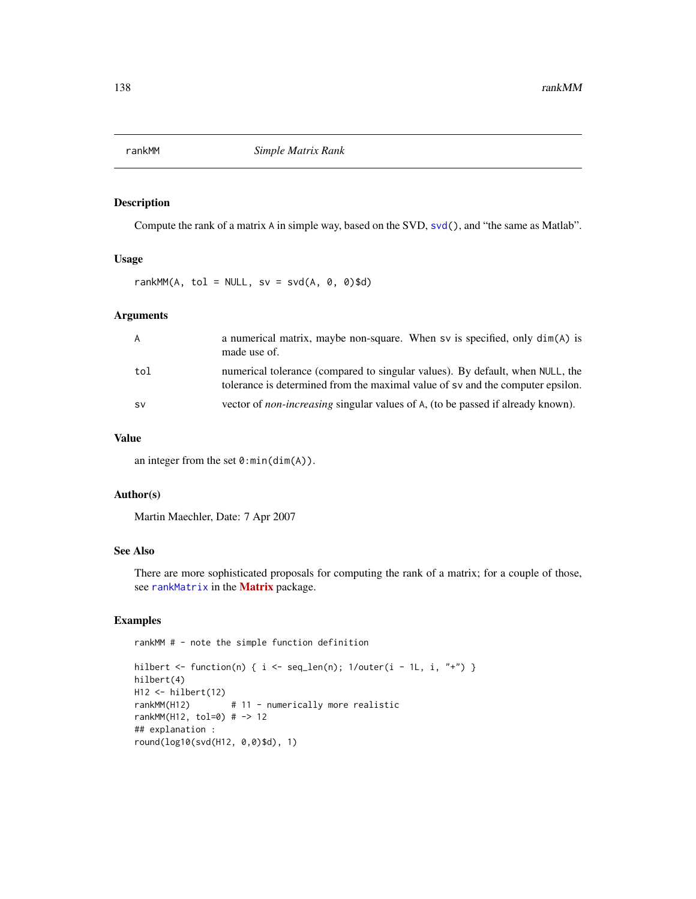#### Description

Compute the rank of a matrix A in simple way, based on the SVD, [svd\(](#page-0-0)), and "the same as Matlab".

## Usage

rankMM(A, tol = NULL,  $sv = svd(A, 0, 0)$ \$d)

# Arguments

| A   | a numerical matrix, maybe non-square. When sv is specified, only $dim(A)$ is<br>made use of.                                                                    |
|-----|-----------------------------------------------------------------------------------------------------------------------------------------------------------------|
| tol | numerical tolerance (compared to singular values). By default, when NULL, the<br>tolerance is determined from the maximal value of sv and the computer epsilon. |
| .sv | vector of <i>non-increasing</i> singular values of A, (to be passed if already known).                                                                          |

# Value

an integer from the set  $0:min(dim(A))$ .

## Author(s)

Martin Maechler, Date: 7 Apr 2007

# See Also

There are more sophisticated proposals for computing the rank of a matrix; for a couple of those, see [rankMatrix](#page-0-0) in the [Matrix](https://CRAN.R-project.org/package=Matrix) package.

## Examples

rankMM # - note the simple function definition

```
hilbert <- function(n) { i <- seq_len(n); 1/outer(i - 1L, i, "+") }
hilbert(4)
H12 <- hilbert(12)
rankMM(H12) # 11 - numerically more realistic
rankMM(H12, tol=0) # -> 12
## explanation :
round(log10(svd(H12, 0,0)$d), 1)
```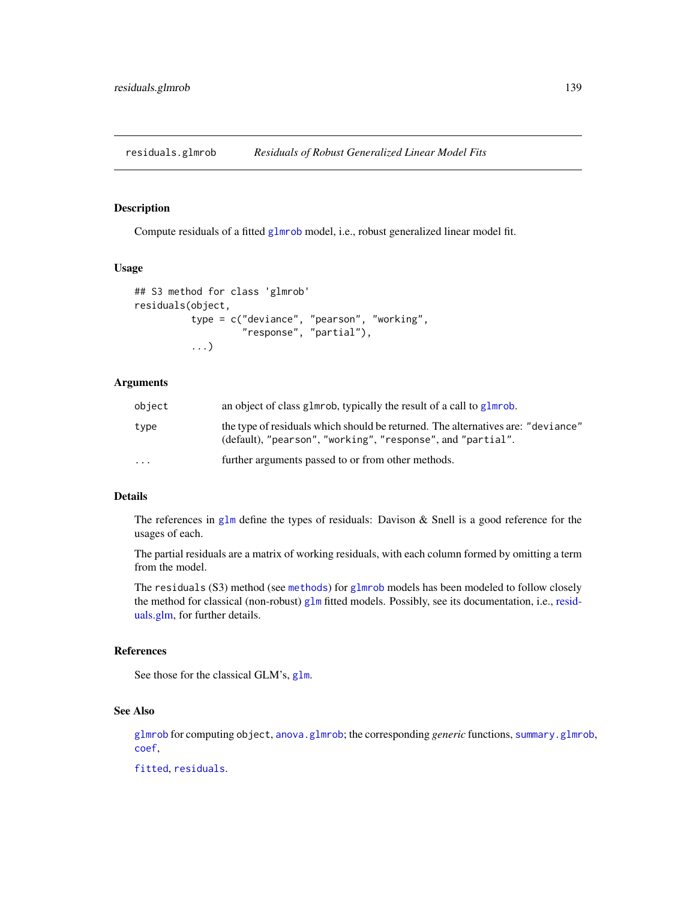<span id="page-138-0"></span>residuals.glmrob *Residuals of Robust Generalized Linear Model Fits*

## Description

Compute residuals of a fitted [glmrob](#page-52-0) model, i.e., robust generalized linear model fit.

# Usage

```
## S3 method for class 'glmrob'
residuals(object,
          type = c("deviance", "pearson", "working",
                   "response", "partial"),
          ...)
```
# **Arguments**

| object   | an object of class glmrob, typically the result of a call to glmrob.                                                                            |
|----------|-------------------------------------------------------------------------------------------------------------------------------------------------|
| type     | the type of residuals which should be returned. The alternatives are: "deviance"<br>(default), "pearson", "working", "response", and "partial". |
| $\cdots$ | further arguments passed to or from other methods.                                                                                              |

## Details

The references in [glm](#page-0-0) define the types of residuals: Davison  $\&$  Snell is a good reference for the usages of each.

The partial residuals are a matrix of working residuals, with each column formed by omitting a term from the model.

The residuals (S3) method (see [methods](#page-0-0)) for [glmrob](#page-52-0) models has been modeled to follow closely the method for classical (non-robust) [glm](#page-0-0) fitted models. Possibly, see its documentation, i.e., [resid](#page-0-0)[uals.glm,](#page-0-0) for further details.

## References

See those for the classical GLM's, [glm](#page-0-0).

# See Also

[glmrob](#page-52-0) for computing object, [anova.glmrob](#page-18-0); the corresponding *generic* functions, [summary.glmrob](#page-154-0), [coef](#page-0-0),

[fitted](#page-0-0), [residuals](#page-0-0).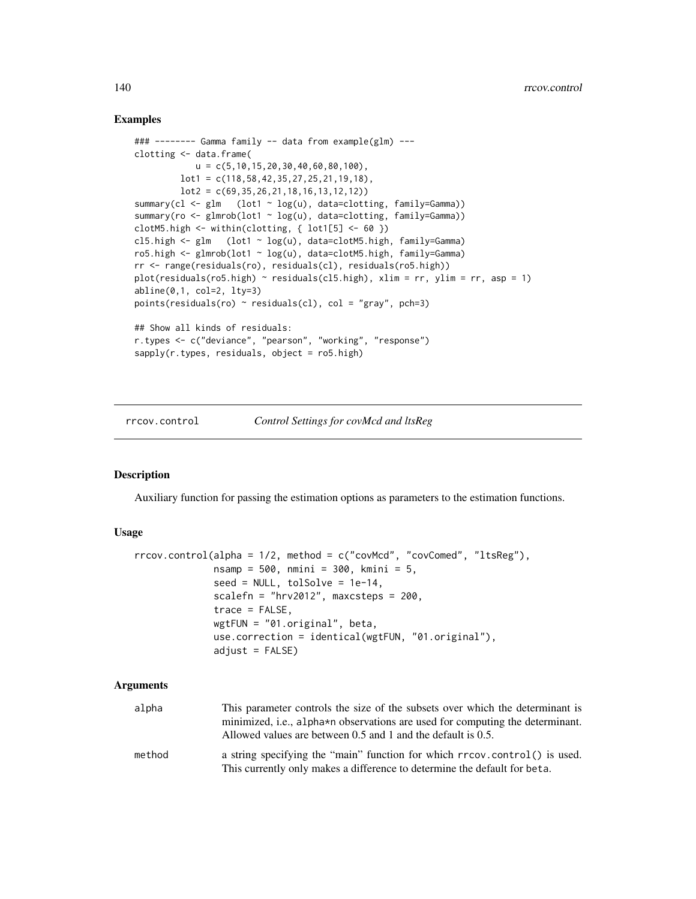## Examples

```
### -------- Gamma family -- data from example(glm) ---
clotting <- data.frame(
           u = c(5, 10, 15, 20, 30, 40, 60, 80, 100),
         lot1 = c(118,58,42,35,27,25,21,19,18),
         lot2 = c(69, 35, 26, 21, 18, 16, 13, 12, 12))summary(cl <- glm (lot1 ~ log(u), data=clotting, family=Gamma))
summary(ro <- glmrob(lot1 ~ log(u), data=clotting, family=Gamma))
clotM5.high \le within(clotting, { lot1[5] \le 60 })
cl5.high <- glm (lot1 ~ log(u), data=clotM5.high, family=Gamma)
ro5.high <- glmrob(lot1 ~ log(u), data=clotM5.high, family=Gamma)
rr <- range(residuals(ro), residuals(cl), residuals(ro5.high))
plot(residuals(ro5.high) ~ residuals(cl5.high), xlim = rr, ylim = rr, asp = 1)
abline(0,1, col=2, lty=3)points(residuals(ro) \sim residuals(cl), col = "gray", pch=3)
## Show all kinds of residuals:
r.types <- c("deviance", "pearson", "working", "response")
sapply(r.types, residuals, object = ro5.high)
```
rrcov.control *Control Settings for covMcd and ltsReg*

# Description

Auxiliary function for passing the estimation options as parameters to the estimation functions.

#### Usage

```
rrcov.control(alpha = 1/2, method = c("covMcd", "covComed", "ltsReg"),
              nsamp = 500, nmini = 300, kmini = 5,
              seed = NULL, tolSolve = 1e-14,
              scalefn = "hrv2012", maxcsteps = 200,
              trace = FALSE,
              wgtFUN = "01.original", beta,
              use.correction = identical(wgtFUN, "01.original"),
              adjust = FALSE)
```
## Arguments

| alpha  | This parameter controls the size of the subsets over which the determinant is<br>minimized, i.e., alpha*n observations are used for computing the determinant.<br>Allowed values are between 0.5 and 1 and the default is 0.5. |
|--------|--------------------------------------------------------------------------------------------------------------------------------------------------------------------------------------------------------------------------------|
| method | a string specifying the "main" function for which rrcov.control() is used.<br>This currently only makes a difference to determine the default for beta.                                                                        |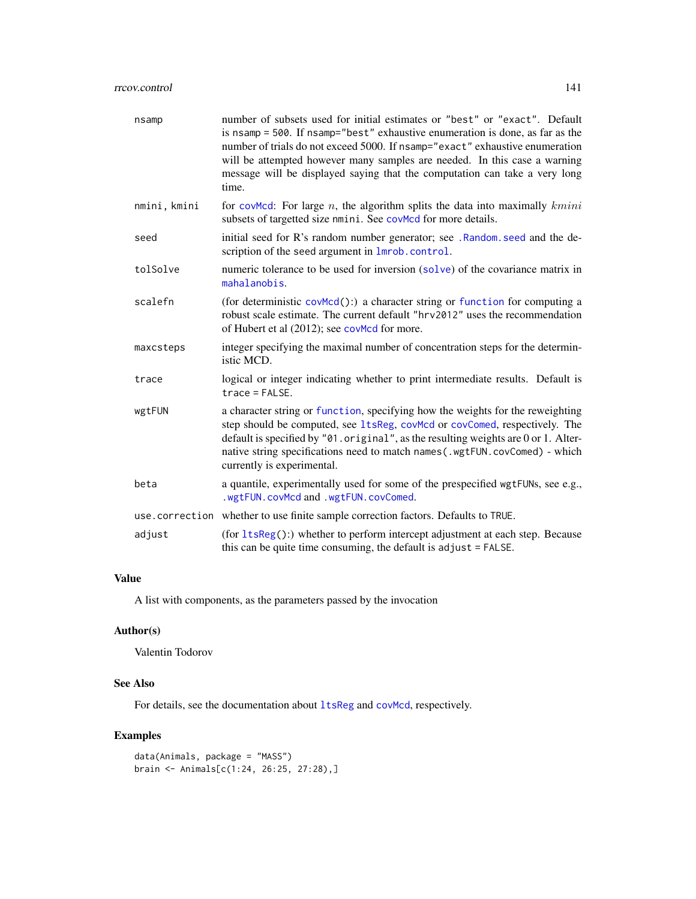# rrcov.control 141

| nsamp        | number of subsets used for initial estimates or "best" or "exact". Default<br>is nsamp = 500. If nsamp="best" exhaustive enumeration is done, as far as the<br>number of trials do not exceed 5000. If nsamp="exact" exhaustive enumeration<br>will be attempted however many samples are needed. In this case a warning<br>message will be displayed saying that the computation can take a very long<br>time. |
|--------------|-----------------------------------------------------------------------------------------------------------------------------------------------------------------------------------------------------------------------------------------------------------------------------------------------------------------------------------------------------------------------------------------------------------------|
| nmini, kmini | for coval For large $n$ , the algorithm splits the data into maximally $kmin$<br>subsets of targetted size nmini. See covMcd for more details.                                                                                                                                                                                                                                                                  |
| seed         | initial seed for R's random number generator; see . Random seed and the de-<br>scription of the seed argument in lmrob.control.                                                                                                                                                                                                                                                                                 |
| tolSolve     | numeric tolerance to be used for inversion (solve) of the covariance matrix in<br>mahalanobis.                                                                                                                                                                                                                                                                                                                  |
| scalefn      | (for deterministic covMcd():) a character string or function for computing a<br>robust scale estimate. The current default "hrv2012" uses the recommendation<br>of Hubert et al (2012); see covMcd for more.                                                                                                                                                                                                    |
| maxcsteps    | integer specifying the maximal number of concentration steps for the determin-<br>istic MCD.                                                                                                                                                                                                                                                                                                                    |
| trace        | logical or integer indicating whether to print intermediate results. Default is<br>$trace = FALSE.$                                                                                                                                                                                                                                                                                                             |
| wgtFUN       | a character string or function, specifying how the weights for the reweighting<br>step should be computed, see 1tsReg, covMcd or covComed, respectively. The<br>default is specified by $"01.$ original", as the resulting weights are 0 or 1. Alter-<br>native string specifications need to match names (.wgtFUN.covComed) - which<br>currently is experimental.                                              |
| beta         | a quantile, experimentally used for some of the prespecified wgtFUNs, see e.g.,<br>.wgtFUN.covMcd and .wgtFUN.covComed.                                                                                                                                                                                                                                                                                         |
|              | use.correction whether to use finite sample correction factors. Defaults to TRUE.                                                                                                                                                                                                                                                                                                                               |
| adjust       | (for $ltsReg$ ):) whether to perform intercept adjustment at each step. Because<br>this can be quite time consuming, the default is adjust = FALSE.                                                                                                                                                                                                                                                             |

# Value

A list with components, as the parameters passed by the invocation

# Author(s)

Valentin Todorov

## See Also

For details, see the documentation about  $l$ tsReg and [covMcd](#page-36-0), respectively.

```
data(Animals, package = "MASS")
brain <- Animals[c(1:24, 26:25, 27:28),]
```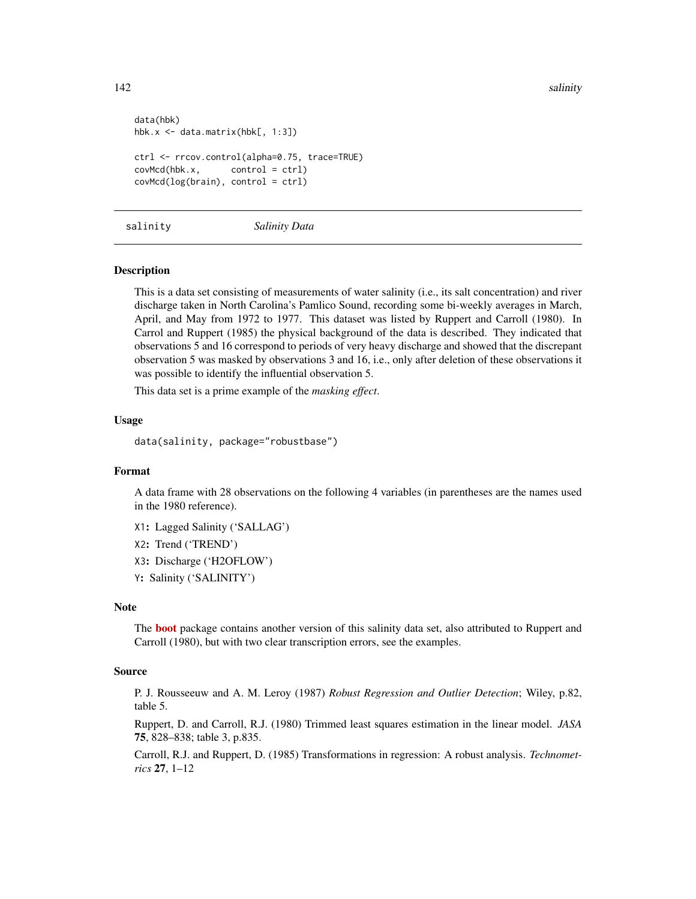```
data(hbk)
hbk.x <- data.matrix(hbk[, 1:3])
ctrl <- rrcov.control(alpha=0.75, trace=TRUE)
covMcd(hbk.x, control = ctrl)
covMcd(log(brain), control = ctrl)
```
#### salinity *Salinity Data*

## **Description**

This is a data set consisting of measurements of water salinity (i.e., its salt concentration) and river discharge taken in North Carolina's Pamlico Sound, recording some bi-weekly averages in March, April, and May from 1972 to 1977. This dataset was listed by Ruppert and Carroll (1980). In Carrol and Ruppert (1985) the physical background of the data is described. They indicated that observations 5 and 16 correspond to periods of very heavy discharge and showed that the discrepant observation 5 was masked by observations 3 and 16, i.e., only after deletion of these observations it was possible to identify the influential observation 5.

This data set is a prime example of the *masking effect*.

## Usage

data(salinity, package="robustbase")

## Format

A data frame with 28 observations on the following 4 variables (in parentheses are the names used in the 1980 reference).

X1: Lagged Salinity ('SALLAG')

X2: Trend ('TREND')

X3: Discharge ('H2OFLOW')

Y: Salinity ('SALINITY')

#### Note

The **[boot](https://CRAN.R-project.org/package=boot)** package contains another version of this salinity data set, also attributed to Ruppert and Carroll (1980), but with two clear transcription errors, see the examples.

## Source

P. J. Rousseeuw and A. M. Leroy (1987) *Robust Regression and Outlier Detection*; Wiley, p.82, table 5.

Ruppert, D. and Carroll, R.J. (1980) Trimmed least squares estimation in the linear model. *JASA* 75, 828–838; table 3, p.835.

Carroll, R.J. and Ruppert, D. (1985) Transformations in regression: A robust analysis. *Technometrics* 27, 1–12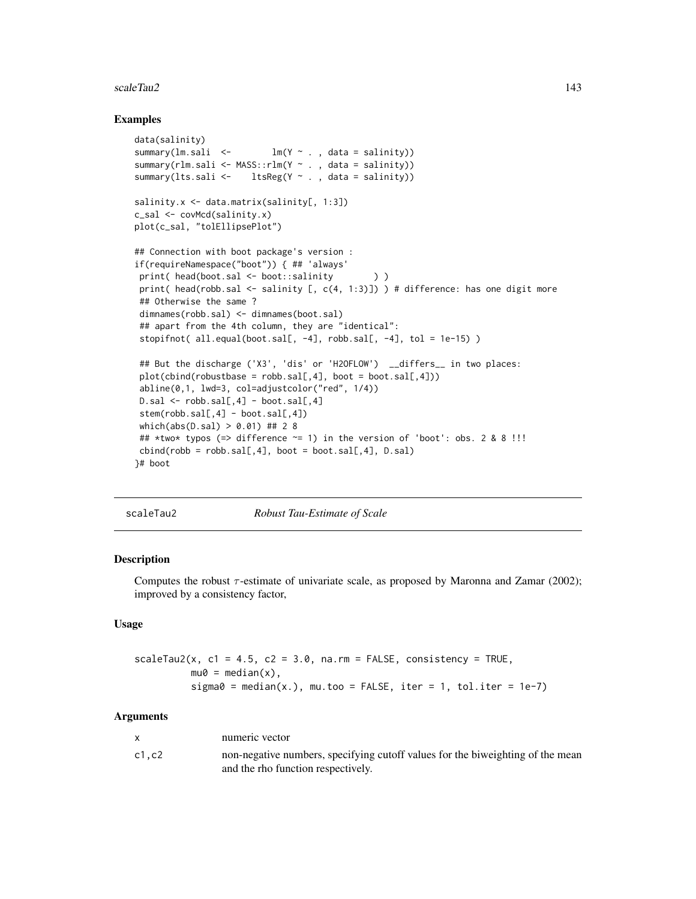#### scaleTau2 143

## Examples

```
data(salinity)
summary(lm.sali < - lm(Y \sim . , data = salinity))
summary(rlm.sali <- MASS::rlm(Y \sim ., data = salinity))
summary(lts.sali <- ltsReg(Y ~ ., data = salinity))
salinity.x <- data.matrix(salinity[, 1:3])
c_sal <- covMcd(salinity.x)
plot(c_sal, "tolEllipsePlot")
## Connection with boot package's version :
if(requireNamespace("boot")) { ## 'always'
print( head(boot.sal <- boot::salinity ) )
print( head(robb.sal <- salinity [, c(4, 1:3)]) ) # difference: has one digit more
## Otherwise the same ?
dimnames(robb.sal) <- dimnames(boot.sal)
 ## apart from the 4th column, they are "identical":
stopifnot( all.equal(boot.sal[, -4], robb.sal[, -4], tol = 1e-15) )
 ## But the discharge ('X3', 'dis' or 'H2OFLOW') __differs__ in two places:
 plot(cbind(robustbase = robb.sal[, 4], boot = boot.sal[, 4]))abline(0,1, lwd=3, col=adjustcolor("red", 1/4))
 D.sal \leftarrow robb.sal[, 4] - boot.sal[, 4]stem(robb.sal[,4] - boot.sal[,4])
which(abs(D.sal) > 0.01) ## 2 8
 ## *two* typos (=> difference ~= 1) in the version of 'boot': obs. 2 & 8 !!!
cbind(robb = robb.sal[, 4], boot = boot.sal[, 4], D.sal)}# boot
```
<span id="page-142-0"></span>

scaleTau2 *Robust Tau-Estimate of Scale*

#### Description

Computes the robust  $\tau$ -estimate of univariate scale, as proposed by Maronna and Zamar (2002); improved by a consistency factor,

## Usage

```
scaleTau2(x, c1 = 4.5, c2 = 3.0, na.rm = FALSE, consistency = TRUE,mu0 = median(x),
         sigma = median(x.), mu.too = FALSE, iter = 1, tol.iter = 1e-7)
```
#### Arguments

|       | numeric vector                                                                                                       |
|-------|----------------------------------------------------------------------------------------------------------------------|
| c1.c2 | non-negative numbers, specifying cutoff values for the biweighting of the mean<br>and the rho function respectively. |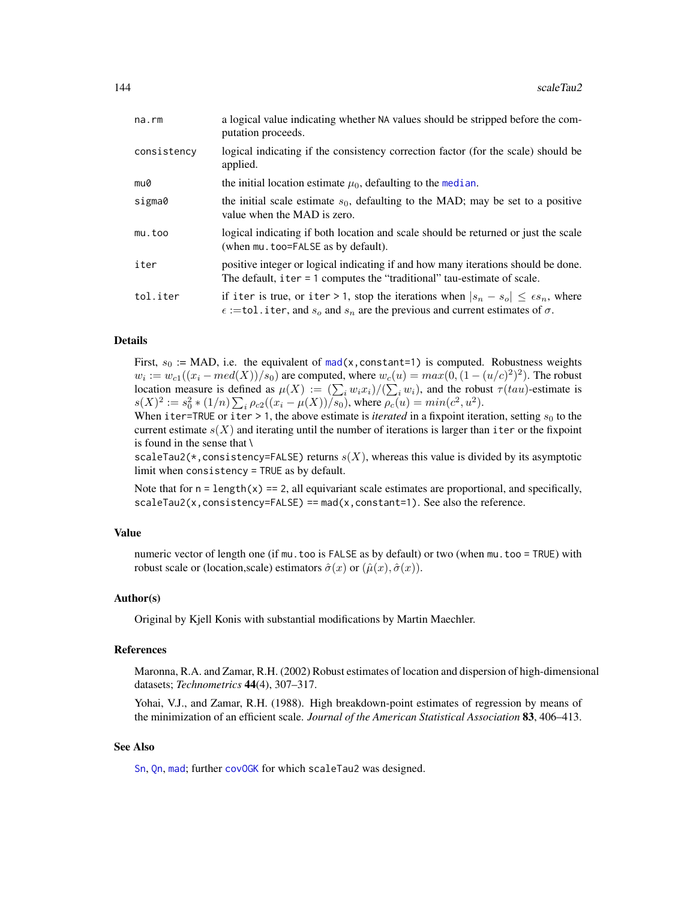| na.rm       | a logical value indicating whether NA values should be stripped before the com-<br>putation proceeds.                                                                                             |
|-------------|---------------------------------------------------------------------------------------------------------------------------------------------------------------------------------------------------|
| consistency | logical indicating if the consistency correction factor (for the scale) should be<br>applied.                                                                                                     |
| mu0         | the initial location estimate $\mu_0$ , defaulting to the median.                                                                                                                                 |
| sigma0      | the initial scale estimate $s_0$ , defaulting to the MAD; may be set to a positive<br>value when the MAD is zero.                                                                                 |
| mu.too      | logical indicating if both location and scale should be returned or just the scale<br>(when mu. too=FALSE as by default).                                                                         |
| iter        | positive integer or logical indicating if and how many iterations should be done.<br>The default, iter $= 1$ computes the "traditional" tau-estimate of scale.                                    |
| tol.iter    | if iter is true, or iter > 1, stop the iterations when $ s_n - s_o  \leq \epsilon s_n$ , where<br>$\epsilon$ :=tol.iter, and $s_o$ and $s_n$ are the previous and current estimates of $\sigma$ . |

## Details

First,  $s_0 := \text{MAD}$ , i.e. the equivalent of [mad\(](#page-0-0)x, constant=1) is computed. Robustness weights  $w_i := w_{c1}((x_i - med(X))/s_0)$  are computed, where  $w_c(u) = max(0, (1 - (u/c)^2)^2)$ . The robust location measure is defined as  $\mu(X) := (\sum_i w_i x_i)/(\sum_i w_i)$ , and the robust  $\tau(tau)$ -estimate is  $s(X)^2 := s_0^2 * (1/n) \sum_i \rho_{c2}((x_i - \mu(X))/s_0)$ , where  $\rho_c(u) = min(c^2, u^2)$ .

When iter=TRUE or iter > 1, the above estimate is *iterated* in a fixpoint iteration, setting  $s_0$  to the current estimate  $s(X)$  and iterating until the number of iterations is larger than iter or the fixpoint is found in the sense that \

scaleTau2(\*, consistency=FALSE) returns  $s(X)$ , whereas this value is divided by its asymptotic limit when consistency = TRUE as by default.

Note that for  $n = \text{length}(x) = 2$ , all equivariant scale estimates are proportional, and specifically,  $scaleTau2(x, consistency=FALSE) == mad(x, constant=1)$ . See also the reference.

### Value

numeric vector of length one (if mu.too is FALSE as by default) or two (when mu.too = TRUE) with robust scale or (location,scale) estimators  $\hat{\sigma}(x)$  or  $(\hat{\mu}(x), \hat{\sigma}(x))$ .

## Author(s)

Original by Kjell Konis with substantial modifications by Martin Maechler.

#### References

Maronna, R.A. and Zamar, R.H. (2002) Robust estimates of location and dispersion of high-dimensional datasets; *Technometrics* 44(4), 307–317.

Yohai, V.J., and Zamar, R.H. (1988). High breakdown-point estimates of regression by means of the minimization of an efficient scale. *Journal of the American Statistical Association* 83, 406–413.

## See Also

[Sn](#page-147-0), [Qn](#page-131-0), [mad](#page-0-0); further [covOGK](#page-40-0) for which scaleTau2 was designed.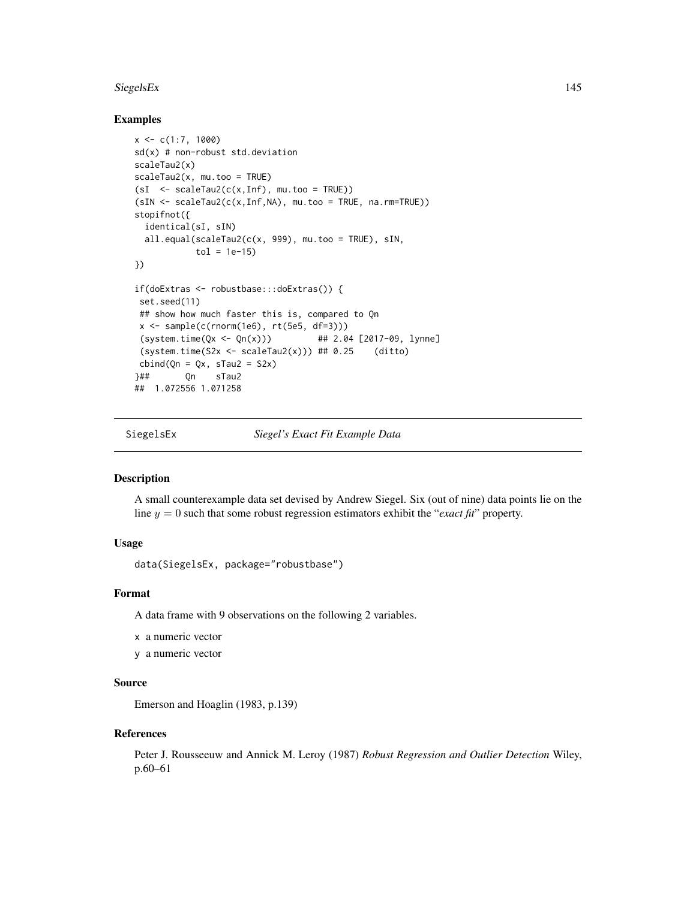#### <span id="page-144-0"></span>SiegelsEx 145

# Examples

```
x \leq c(1:7, 1000)sd(x) # non-robust std.deviation
scaleTau2(x)
scaleTau2(x, mu.too = TRUE)
(sI \leq - scaleTau2(c(x,Inf), mu.too = TRUE))(sIN <- scaleTau2(c(x,Inf,NA), mu.too = TRUE, na.rm=TRUE))
stopifnot({
  identical(sI, sIN)
  all.equal(scaleTau2(c(x, 999), mu.too = TRUE), sIN,
            tol = 1e-15})
if(doExtras <- robustbase:::doExtras()) {
 set.seed(11)
 ## show how much faster this is, compared to Qn
 x \leftarrow sample(c(rnorm(1e6), rt(5e5, df=3)))(system.time(Qx \leq Qn(x))) ## 2.04 [2017-09, lynne]
 (system.time(S2x \leq scaleTau2(x))) # 0.25 (ditto)
 cbind(Qn = Qx, sTau2 = S2x)}## Qn sTau2
## 1.072556 1.071258
```
SiegelsEx *Siegel's Exact Fit Example Data*

#### Description

A small counterexample data set devised by Andrew Siegel. Six (out of nine) data points lie on the line  $y = 0$  such that some robust regression estimators exhibit the "*exact fit*" property.

# Usage

data(SiegelsEx, package="robustbase")

# Format

A data frame with 9 observations on the following 2 variables.

x a numeric vector

y a numeric vector

# Source

Emerson and Hoaglin (1983, p.139)

#### References

Peter J. Rousseeuw and Annick M. Leroy (1987) *Robust Regression and Outlier Detection* Wiley, p.60–61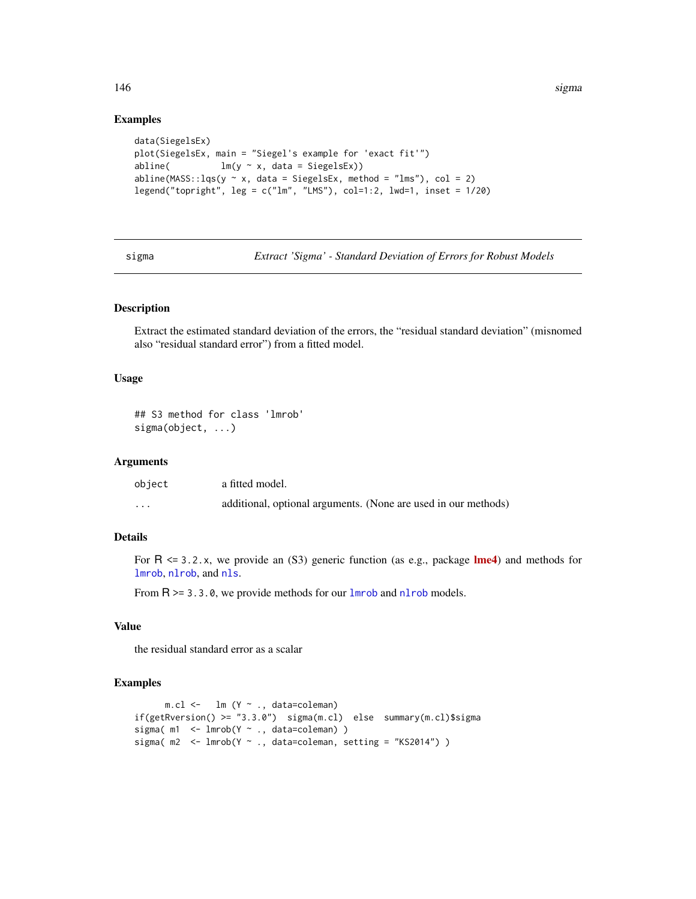# Examples

```
data(SiegelsEx)
plot(SiegelsEx, main = "Siegel's example for 'exact fit'")
abline( lm(y \sim x, data = SiegelsEx))
abline(MASS::lqs(y \sim x, data = SiegelsEx, method = "lms"), col = 2)legend("topright", leg = c("lm", "LMS"), col=1:2, lwd=1, inset = 1/20)
```
<span id="page-145-0"></span>sigma *Extract 'Sigma' - Standard Deviation of Errors for Robust Models*

# Description

Extract the estimated standard deviation of the errors, the "residual standard deviation" (misnomed also "residual standard error") from a fitted model.

# Usage

```
## S3 method for class 'lmrob'
sigma(object, ...)
```
# Arguments

| object   | a fitted model.                                                |
|----------|----------------------------------------------------------------|
| $\cdots$ | additional, optional arguments. (None are used in our methods) |

# Details

For  $R \le 3.2.x$ , we provide an (S3) generic function (as e.g., package **[lme4](https://CRAN.R-project.org/package=lme4)**) and methods for [lmrob](#page-67-0), [nlrob](#page-97-0), and [nls](#page-0-0).

From  $R \ge 3.3.0$ , we provide methods for our [lmrob](#page-67-0) and [nlrob](#page-97-0) models.

#### Value

the residual standard error as a scalar

#### Examples

```
m.cl <- lm (Y \sim ., data=coleman)
if(getRversion() >= "3.3.0") sigma(m.cl) else summary(m.cl)$sigma
sigma(m1 <- lmrob(Y \sim ., data=coleman))
sigma(m2 < -1mrob(Y \sim., data=coleman, setting = "KS2014"))
```
<span id="page-145-1"></span>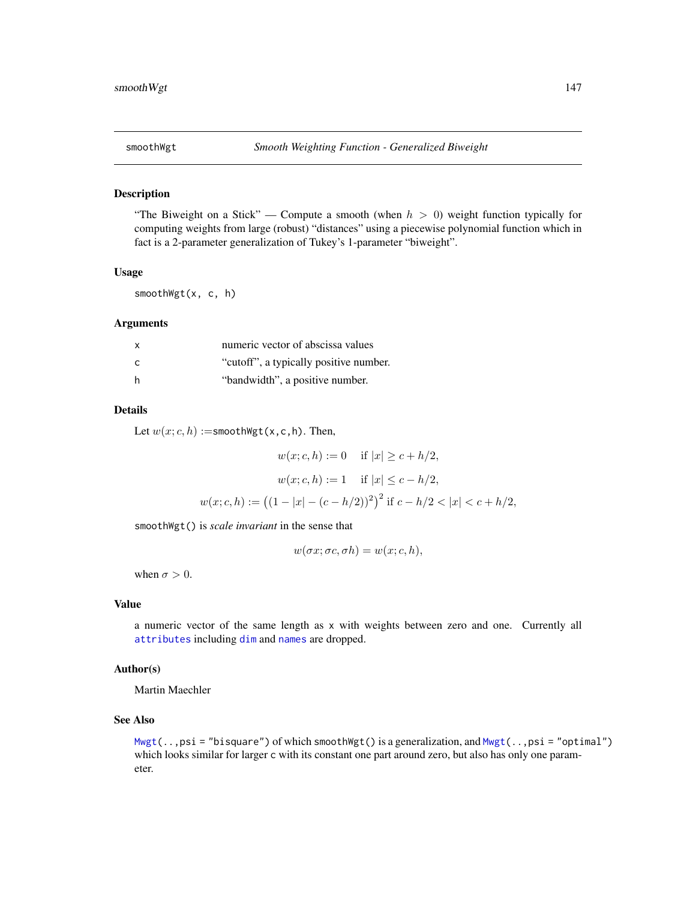<span id="page-146-0"></span>

# Description

"The Biweight on a Stick" — Compute a smooth (when  $h > 0$ ) weight function typically for computing weights from large (robust) "distances" using a piecewise polynomial function which in fact is a 2-parameter generalization of Tukey's 1-parameter "biweight".

#### Usage

smoothWgt(x, c, h)

#### Arguments

| <b>X</b>     | numeric vector of abscissa values      |
|--------------|----------------------------------------|
| $\mathsf{C}$ | "cutoff", a typically positive number. |
| -h           | "bandwidth", a positive number.        |

#### Details

Let  $w(x; c, h) :=$ smoothWgt(x,c,h). Then,

$$
w(x; c, h) := 0 \quad \text{if } |x| \ge c + h/2,
$$
  

$$
w(x; c, h) := 1 \quad \text{if } |x| \le c - h/2,
$$
  

$$
w(x; c, h) := ((1 - |x| - (c - h/2))^2)^2 \text{ if } c - h/2 < |x| < c + h/2,
$$

smoothWgt() is *scale invariant* in the sense that

 $w(\sigma x; \sigma c, \sigma h) = w(x; c, h),$ 

when  $\sigma > 0$ .

# Value

a numeric vector of the same length as x with weights between zero and one. Currently all [attributes](#page-0-0) including [dim](#page-0-0) and [names](#page-0-0) are dropped.

# Author(s)

Martin Maechler

# See Also

[Mwgt\(](#page-94-0)..,psi = "bisquare") of which smoothWgt() is a generalization, and [Mwgt\(](#page-94-0)..,psi = "optimal") which looks similar for larger c with its constant one part around zero, but also has only one parameter.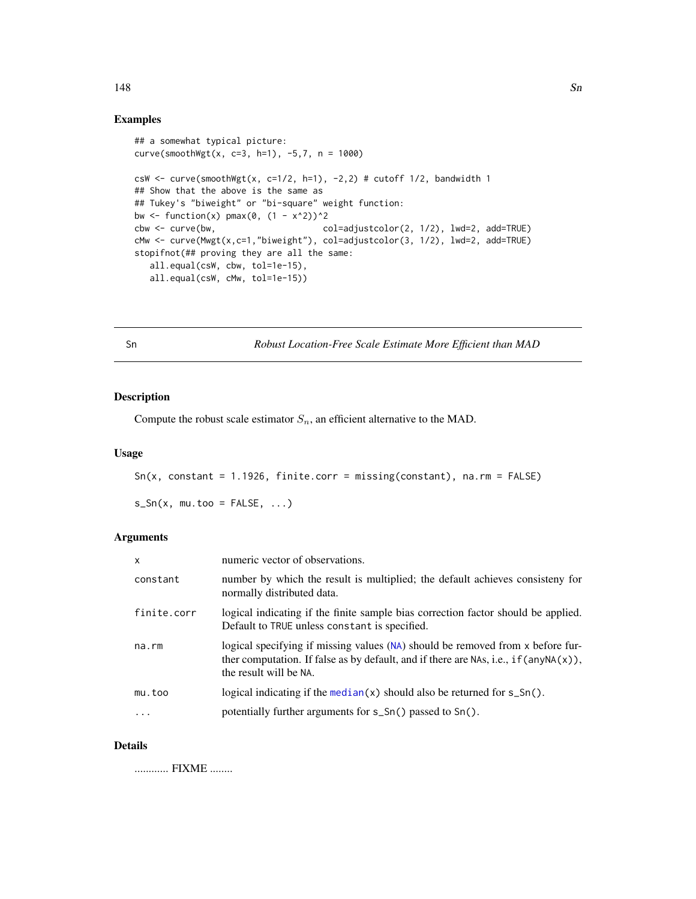#### Examples

```
## a somewhat typical picture:
curve(smoothWgt(x, c=3, h=1), -5,7, n = 1000)
csW <- curve(smoothWgt(x, c=1/2, h=1), -2,2) # cutoff 1/2, bandwidth 1
## Show that the above is the same as
## Tukey's "biweight" or "bi-square" weight function:
bw \leftarrow function(x) pmax(0, (1 - x^2))^2
cbw <- curve(bw, col=adjustcolor(2, 1/2), lwd=2, add=TRUE)
cMw <- curve(Mwgt(x,c=1,"biweight"), col=adjustcolor(3, 1/2), lwd=2, add=TRUE)
stopifnot(## proving they are all the same:
  all.equal(csW, cbw, tol=1e-15),
  all.equal(csW, cMw, tol=1e-15))
```
<span id="page-147-0"></span>Sn *Robust Location-Free Scale Estimate More Efficient than MAD*

# Description

Compute the robust scale estimator  $S_n$ , an efficient alternative to the MAD.

# Usage

 $Sn(x, constant = 1.1926, finite.corr = missing(constant), na.rm = FALSE)$ 

 $s_S(n(x, mu.too = FALSE, ...))$ 

# Arguments

| x           | numeric vector of observations.                                                                                                                                                                            |
|-------------|------------------------------------------------------------------------------------------------------------------------------------------------------------------------------------------------------------|
| constant    | number by which the result is multiplied; the default achieves consisteny for<br>normally distributed data.                                                                                                |
| finite.corr | logical indicating if the finite sample bias correction factor should be applied.<br>Default to TRUE unless constant is specified.                                                                         |
| na.rm       | logical specifying if missing values (NA) should be removed from x before fur-<br>ther computation. If false as by default, and if there are NAs, i.e., if $(\text{anyNA}(x))$ ,<br>the result will be NA. |
| mu.too      | logical indicating if the median( $x$ ) should also be returned for $s\_Sn()$ .                                                                                                                            |
| $\cdot$     | potentially further arguments for s_Sn() passed to Sn().                                                                                                                                                   |
|             |                                                                                                                                                                                                            |

# Details

............ FIXME ........

#### <span id="page-147-1"></span>148 Sn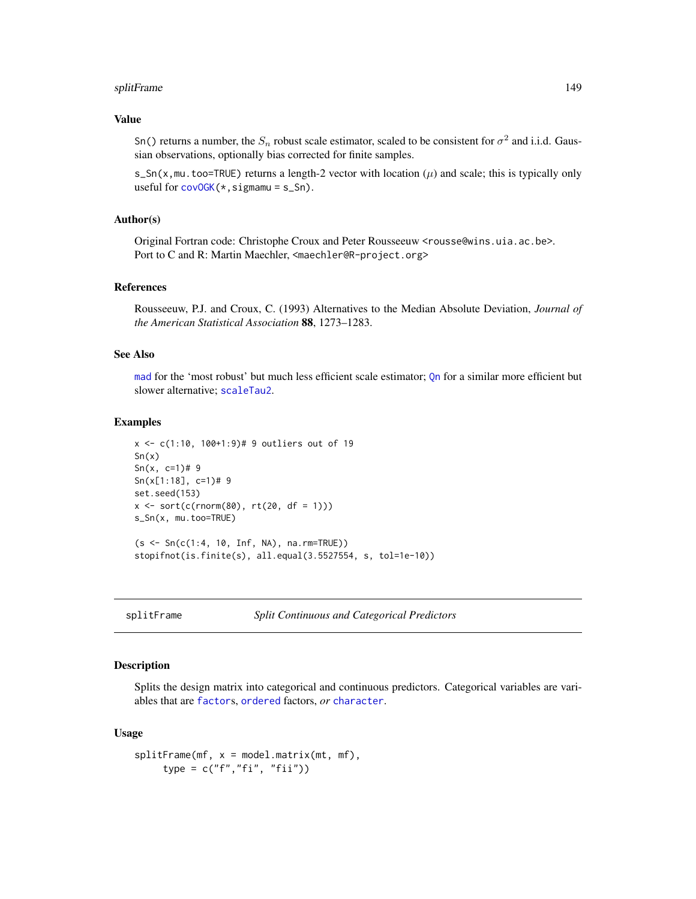#### <span id="page-148-0"></span>splitFrame 149

# Value

Sn() returns a number, the  $S_n$  robust scale estimator, scaled to be consistent for  $\sigma^2$  and i.i.d. Gaussian observations, optionally bias corrected for finite samples.

s\_Sn(x,mu.too=TRUE) returns a length-2 vector with location  $(\mu)$  and scale; this is typically only useful for  $covOGK(*,sigma) = s_Sn$  $covOGK(*,sigma) = s_Sn$ .

# Author(s)

Original Fortran code: Christophe Croux and Peter Rousseeuw <rousse@wins.uia.ac.be>. Port to C and R: Martin Maechler, <maechler@R-project.org>

#### References

Rousseeuw, P.J. and Croux, C. (1993) Alternatives to the Median Absolute Deviation, *Journal of the American Statistical Association* 88, 1273–1283.

# See Also

[mad](#page-0-0) for the 'most robust' but much less efficient scale estimator; [Qn](#page-131-0) for a similar more efficient but slower alternative; [scaleTau2](#page-142-0).

#### Examples

```
x <- c(1:10, 100+1:9)# 9 outliers out of 19
Sn(x)Sn(x, c=1)# 9
Sn(x[1:18], c=1)# 9
set.seed(153)
x \le sort(c(rnorm(80), rt(20, df = 1)))
s_Sn(x, mu.too=TRUE)
(s <- Sn(c(1:4, 10, Inf, NA), na.rm=TRUE))
stopifnot(is.finite(s), all.equal(3.5527554, s, tol=1e-10))
```
splitFrame *Split Continuous and Categorical Predictors*

# Description

Splits the design matrix into categorical and continuous predictors. Categorical variables are variables that are [factor](#page-0-0)s, [ordered](#page-0-0) factors, *or* [character](#page-0-0).

#### Usage

```
splitFrame(mf, x = model.matrix(mt, mf),type = c("f","fi", "fii"))
```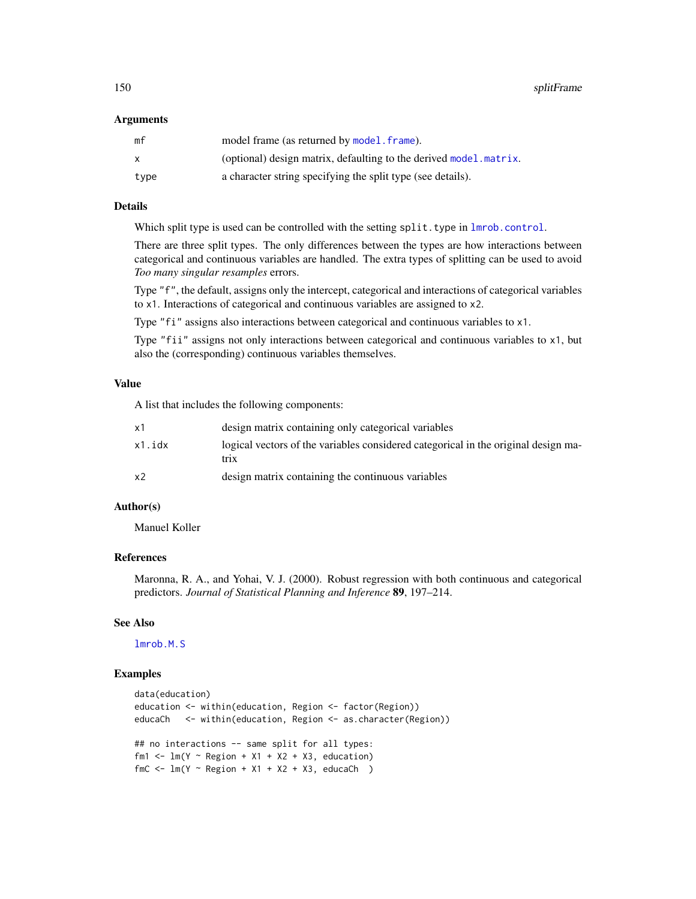#### <span id="page-149-0"></span>Arguments

| mf   | model frame (as returned by model. frame).                        |
|------|-------------------------------------------------------------------|
| X    | (optional) design matrix, defaulting to the derived model matrix. |
| type | a character string specifying the split type (see details).       |

# Details

Which split type is used can be controlled with the setting  $split.type in Imrob.control.$ 

There are three split types. The only differences between the types are how interactions between categorical and continuous variables are handled. The extra types of splitting can be used to avoid *Too many singular resamples* errors.

Type "f", the default, assigns only the intercept, categorical and interactions of categorical variables to x1. Interactions of categorical and continuous variables are assigned to x2.

Type "fi" assigns also interactions between categorical and continuous variables to x1.

Type "fii" assigns not only interactions between categorical and continuous variables to x1, but also the (corresponding) continuous variables themselves.

## Value

A list that includes the following components:

| x1             | design matrix containing only categorical variables                                        |
|----------------|--------------------------------------------------------------------------------------------|
| x1.idx         | logical vectors of the variables considered categorical in the original design ma-<br>trix |
| x <sub>2</sub> | design matrix containing the continuous variables                                          |

# Author(s)

Manuel Koller

# References

Maronna, R. A., and Yohai, V. J. (2000). Robust regression with both continuous and categorical predictors. *Journal of Statistical Planning and Inference* 89, 197–214.

# See Also

[lmrob.M.S](#page-83-0)

# Examples

```
data(education)
education <- within(education, Region <- factor(Region))
educaCh <- within(education, Region <- as.character(Region))
## no interactions -- same split for all types:
fm1 <- lm(Y \sim Region + X1 + X2 + X3, education)
fmc \leftarrow Im(Y \sim Region + X1 + X2 + X3, educach)
```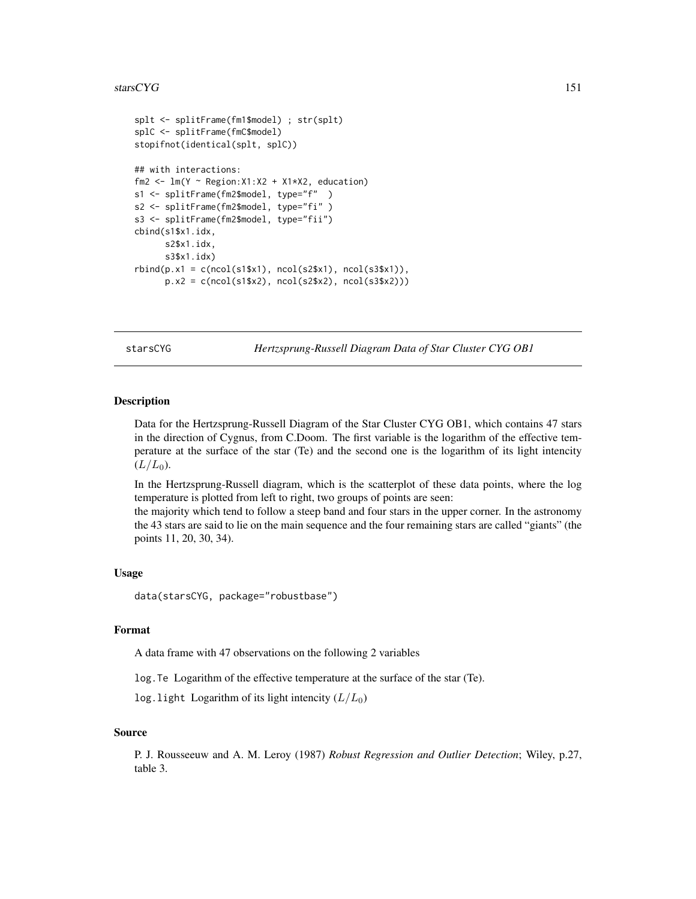#### <span id="page-150-0"></span>stars $CYG$  151

```
splt <- splitFrame(fm1$model) ; str(splt)
splC <- splitFrame(fmC$model)
stopifnot(identical(splt, splC))
## with interactions:
fm2 <- lm(Y \sim Region:X1:X2 + X1*X2, education)s1 <- splitFrame(fm2$model, type="f" )
s2 <- splitFrame(fm2$model, type="fi" )
s3 <- splitFrame(fm2$model, type="fii")
cbind(s1$x1.idx,
     s2$x1.idx,
     s3$x1.idx)
rbind(p.x1 = c(ncol(s1$x1), ncol(s2$x1), ncol(s3$x1)),p.x2 = c(ncol(s1$x2), ncol(s2$x2), ncol(s3$x2)))
```
starsCYG *Hertzsprung-Russell Diagram Data of Star Cluster CYG OB1*

# **Description**

Data for the Hertzsprung-Russell Diagram of the Star Cluster CYG OB1, which contains 47 stars in the direction of Cygnus, from C.Doom. The first variable is the logarithm of the effective temperature at the surface of the star (Te) and the second one is the logarithm of its light intencity  $(L/L_0)$ .

In the Hertzsprung-Russell diagram, which is the scatterplot of these data points, where the log temperature is plotted from left to right, two groups of points are seen:

the majority which tend to follow a steep band and four stars in the upper corner. In the astronomy the 43 stars are said to lie on the main sequence and the four remaining stars are called "giants" (the points 11, 20, 30, 34).

#### Usage

```
data(starsCYG, package="robustbase")
```
# Format

A data frame with 47 observations on the following 2 variables

log.Te Logarithm of the effective temperature at the surface of the star (Te).

log.light Logarithm of its light intencity  $(L/L_0)$ 

#### Source

P. J. Rousseeuw and A. M. Leroy (1987) *Robust Regression and Outlier Detection*; Wiley, p.27, table 3.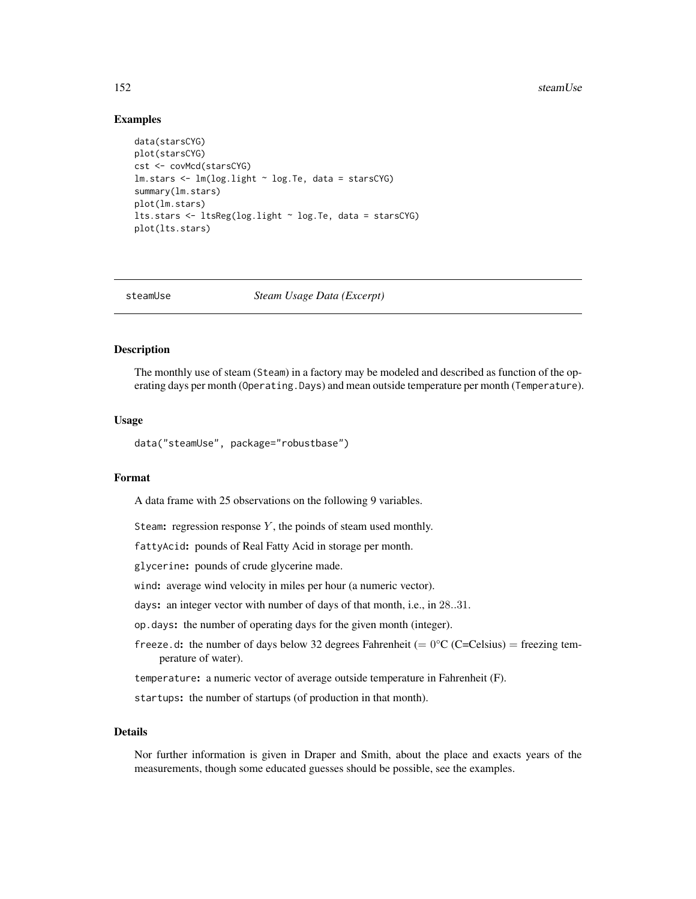# <span id="page-151-0"></span>Examples

```
data(starsCYG)
plot(starsCYG)
cst <- covMcd(starsCYG)
lm.stars <- lm(log.light ~ log.Te, data = starsCYG)
summary(lm.stars)
plot(lm.stars)
lts.stars <- ltsReg(log.light ~ log.Te, data = starsCYG)
plot(lts.stars)
```
steamUse *Steam Usage Data (Excerpt)*

# **Description**

The monthly use of steam (Steam) in a factory may be modeled and described as function of the operating days per month (Operating.Days) and mean outside temperature per month (Temperature).

#### Usage

data("steamUse", package="robustbase")

# Format

A data frame with 25 observations on the following 9 variables.

Steam: regression response  $Y$ , the poinds of steam used monthly.

fattyAcid: pounds of Real Fatty Acid in storage per month.

glycerine: pounds of crude glycerine made.

wind: average wind velocity in miles per hour (a numeric vector).

days: an integer vector with number of days of that month, i.e., in 28..31.

op.days: the number of operating days for the given month (integer).

freeze.d: the number of days below 32 degrees Fahrenheit (=  $0^{\circ}$ C (C=Celsius) = freezing temperature of water).

temperature: a numeric vector of average outside temperature in Fahrenheit (F).

startups: the number of startups (of production in that month).

# Details

Nor further information is given in Draper and Smith, about the place and exacts years of the measurements, though some educated guesses should be possible, see the examples.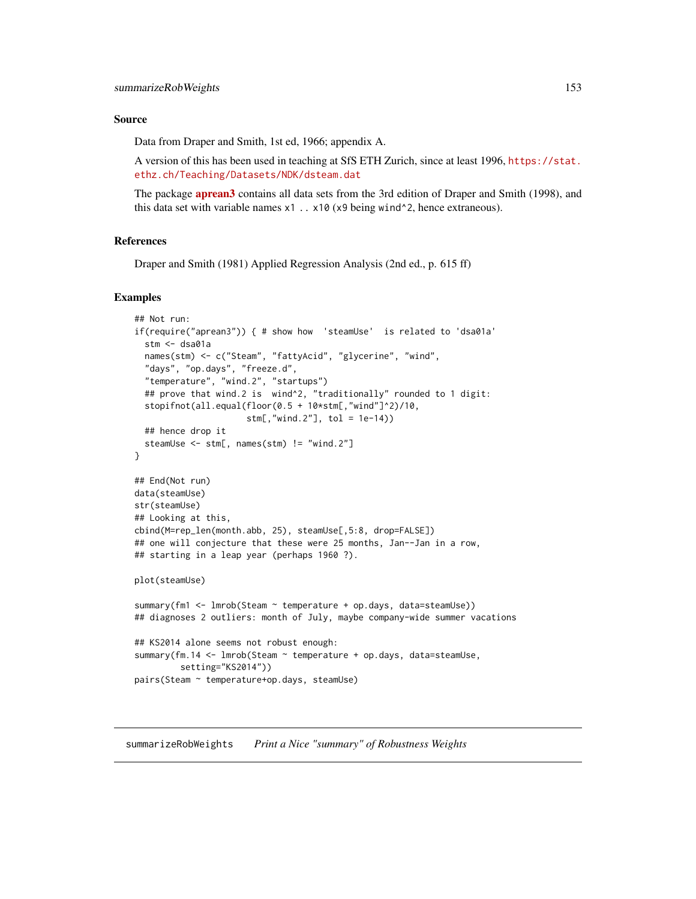#### <span id="page-152-0"></span>Source

Data from Draper and Smith, 1st ed, 1966; appendix A.

A version of this has been used in teaching at SfS ETH Zurich, since at least 1996, [https://stat.](https://stat.ethz.ch/Teaching/Datasets/NDK/dsteam.dat) [ethz.ch/Teaching/Datasets/NDK/dsteam.dat](https://stat.ethz.ch/Teaching/Datasets/NDK/dsteam.dat)

The package **[aprean3](https://CRAN.R-project.org/package=aprean3)** contains all data sets from the 3rd edition of Draper and Smith (1998), and this data set with variable names  $x1$ ..  $x10$  ( $x9$  being wind<sup> $\lambda$ </sup>2, hence extraneous).

# References

Draper and Smith (1981) Applied Regression Analysis (2nd ed., p. 615 ff)

# Examples

```
## Not run:
if(require("aprean3")) { # show how 'steamUse' is related to 'dsa01a'
 stm <- dsa01a
 names(stm) <- c("Steam", "fattyAcid", "glycerine", "wind",
 "days", "op.days", "freeze.d",
 "temperature", "wind.2", "startups")
 ## prove that wind.2 is wind^2, "traditionally" rounded to 1 digit:
 stopifnot(all.equal(floor(0.5 + 10*stm[,"wind"]^2)/10,
                      stm[,"wind.2"], tol = 1e-14))
 ## hence drop it
 steamUse <- stm[, names(stm) != "wind.2"]
}
## End(Not run)
data(steamUse)
str(steamUse)
## Looking at this,
cbind(M=rep_len(month.abb, 25), steamUse[,5:8, drop=FALSE])
## one will conjecture that these were 25 months, Jan--Jan in a row,
## starting in a leap year (perhaps 1960 ?).
plot(steamUse)
summary(fm1 <- lmrob(Steam ~ temperature + op.days, data=steamUse))
## diagnoses 2 outliers: month of July, maybe company-wide summer vacations
## KS2014 alone seems not robust enough:
summary(fm.14 <- lmrob(Steam ~ temperature + op.days, data=steamUse,
        setting="KS2014"))
pairs(Steam ~ temperature+op.days, steamUse)
```
summarizeRobWeights *Print a Nice "summary" of Robustness Weights*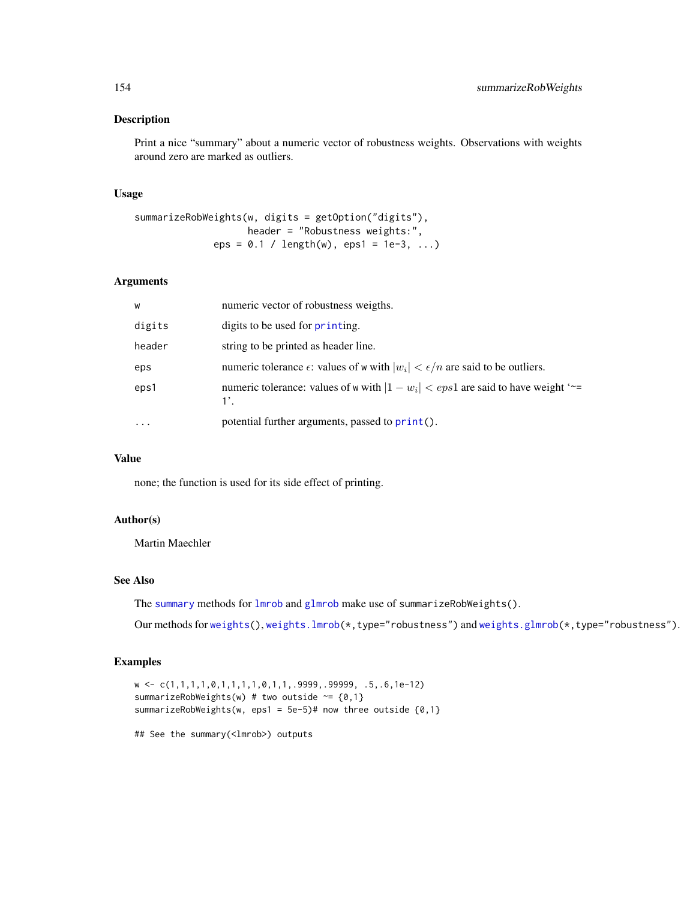# <span id="page-153-0"></span>Description

Print a nice "summary" about a numeric vector of robustness weights. Observations with weights around zero are marked as outliers.

# Usage

```
summarizeRobWeights(w, digits = getOption("digits"),
                   header = "Robustness weights:",
             eps = 0.1 / length(w),eps1 = 1e-3, ...)
```
# Arguments

| W         | numeric vector of robustness weigths.                                                               |
|-----------|-----------------------------------------------------------------------------------------------------|
| digits    | digits to be used for printing.                                                                     |
| header    | string to be printed as header line.                                                                |
| eps       | numeric tolerance $\epsilon$ : values of w with $ w_i  < \epsilon/n$ are said to be outliers.       |
| eps1      | numeric tolerance: values of w with $ 1 - w_i  < eps1$ are said to have weight '~=<br>$1^{\circ}$ . |
| $\ddotsc$ | potential further arguments, passed to print().                                                     |

#### Value

none; the function is used for its side effect of printing.

# Author(s)

Martin Maechler

# See Also

The [summary](#page-0-0) methods for [lmrob](#page-67-0) and [glmrob](#page-52-0) make use of summarizeRobWeights().

Our methods for [weights\(](#page-0-0)), [weights.lmrob\(](#page-168-0)\*,type="robustness") and [weights.glmrob\(](#page-168-1)\*,type="robustness").

# Examples

```
w <- c(1,1,1,1,0,1,1,1,1,0,1,1,.9999,.99999, .5,.6,1e-12)
summarizeRobWeights(w) # two outside \sim = \{0,1\}summarizeRobWeights(w, eps1 = 5e-5)# now three outside {0,1}
```
## See the summary(<lmrob>) outputs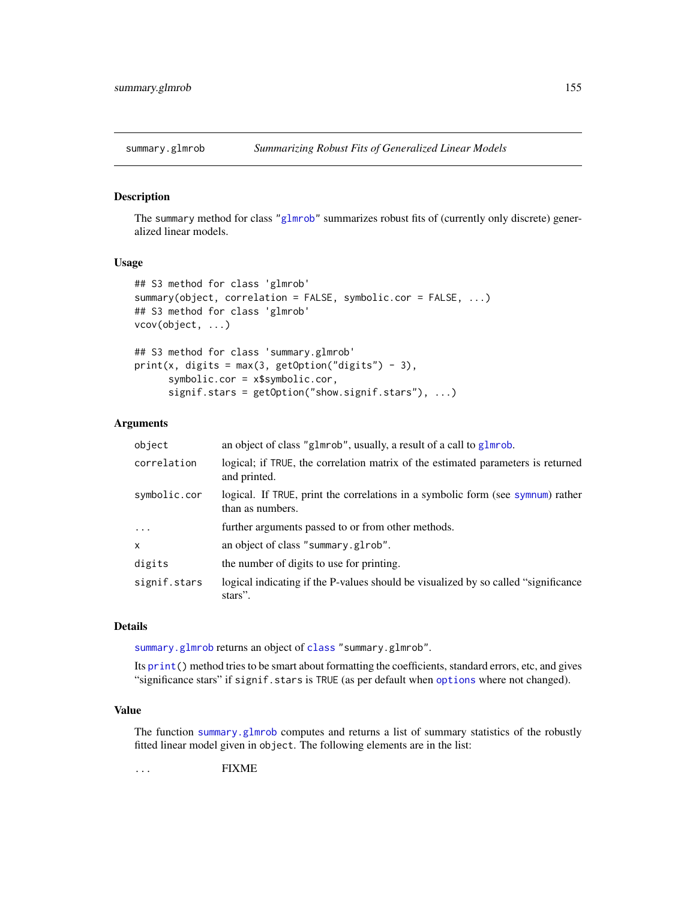<span id="page-154-1"></span><span id="page-154-0"></span>

#### Description

The summary method for class ["glmrob"](#page-52-0) summarizes robust fits of (currently only discrete) generalized linear models.

# Usage

```
## S3 method for class 'glmrob'
summary(object, correlation = FALSE, symbolic.cor = FALSE, ...)
## S3 method for class 'glmrob'
vcov(object, ...)
## S3 method for class 'summary.glmrob'
print(x, digits = max(3, getOption("digits") - 3),symbolic.cor = x$symbolic.cor,
     signif.stars = getOption("show.signif.stars"), ...)
```
#### Arguments

| object       | an object of class "g1mrob", usually, a result of a call to g1mrob.                                 |
|--------------|-----------------------------------------------------------------------------------------------------|
| correlation  | logical; if TRUE, the correlation matrix of the estimated parameters is returned<br>and printed.    |
| symbolic.cor | logical. If TRUE, print the correlations in a symbolic form (see symnum) rather<br>than as numbers. |
| $\cdots$     | further arguments passed to or from other methods.                                                  |
| $\mathsf{x}$ | an object of class "summary.glrob".                                                                 |
| digits       | the number of digits to use for printing.                                                           |
| signif.stars | logical indicating if the P-values should be visualized by so called "significance"<br>stars".      |

#### Details

[summary.glmrob](#page-154-0) returns an object of [class](#page-0-0) "summary.glmrob".

Its [print\(](#page-0-0)) method tries to be smart about formatting the coefficients, standard errors, etc, and gives "significance stars" if signif.stars is TRUE (as per default when [options](#page-0-0) where not changed).

# Value

The function [summary.glmrob](#page-154-0) computes and returns a list of summary statistics of the robustly fitted linear model given in object. The following elements are in the list:

... FIXME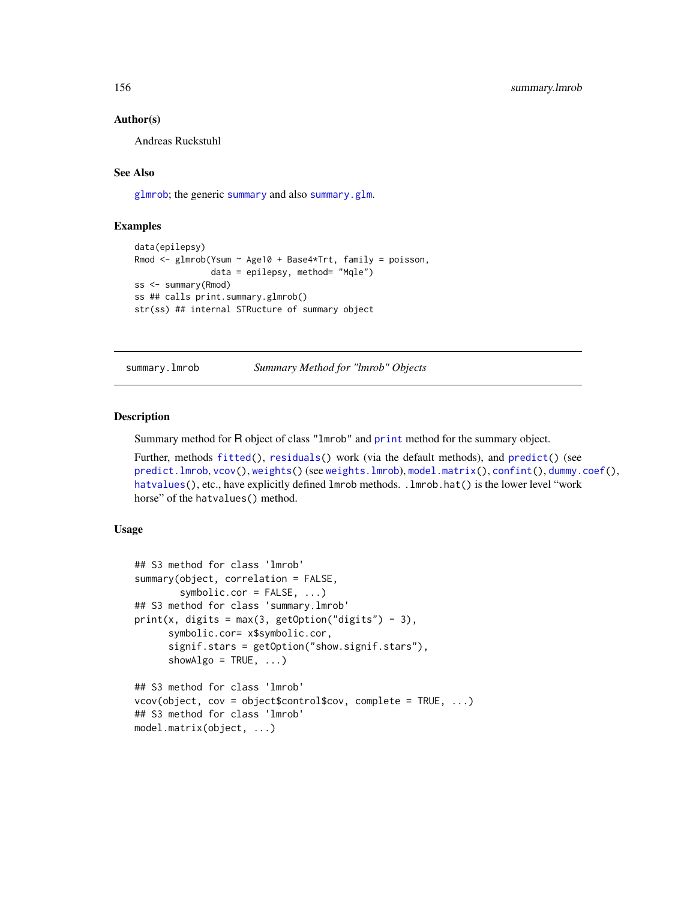# Author(s)

Andreas Ruckstuhl

# See Also

[glmrob](#page-52-0); the generic [summary](#page-0-0) and also [summary.glm](#page-0-0).

# **Examples**

```
data(epilepsy)
Rmod <- glmrob(Ysum ~ Age10 + Base4*Trt, family = poisson,
               data = epilepsy, method= "Mqle")
ss <- summary(Rmod)
ss ## calls print.summary.glmrob()
str(ss) ## internal STRucture of summary object
```
summary.lmrob *Summary Method for "lmrob" Objects*

# Description

Summary method for R object of class "lmrob" and [print](#page-0-0) method for the summary object.

Further, methods [fitted\(](#page-0-0)), [residuals\(](#page-0-0)) work (via the default methods), and [predict\(](#page-0-0)) (see [predict.lmrob](#page-122-0), [vcov\(](#page-0-0)), [weights\(](#page-0-0)) (see [weights.lmrob](#page-168-0)), [model.matrix\(](#page-0-0)), [confint\(](#page-0-0)), [dummy.coef\(](#page-0-0)), [hatvalues\(](#page-0-0)), etc., have explicitly defined lmrob methods. . lmrob.hat() is the lower level "work horse" of the hatvalues() method.

# Usage

```
## S3 method for class 'lmrob'
summary(object, correlation = FALSE,
        symbolic.cor = FALSE, ...)
## S3 method for class 'summary.lmrob'
print(x, digits = max(3, getOption("digits") - 3),symbolic.cor= x$symbolic.cor,
      signif.stars = getOption("show.signif.stars"),
      showAlgo = TRUE, ...)
## S3 method for class 'lmrob'
vcov(\text{object}, \text{cov} = \text{object}\text{format}, \text{conv})## S3 method for class 'lmrob'
model.matrix(object, ...)
```
<span id="page-155-0"></span>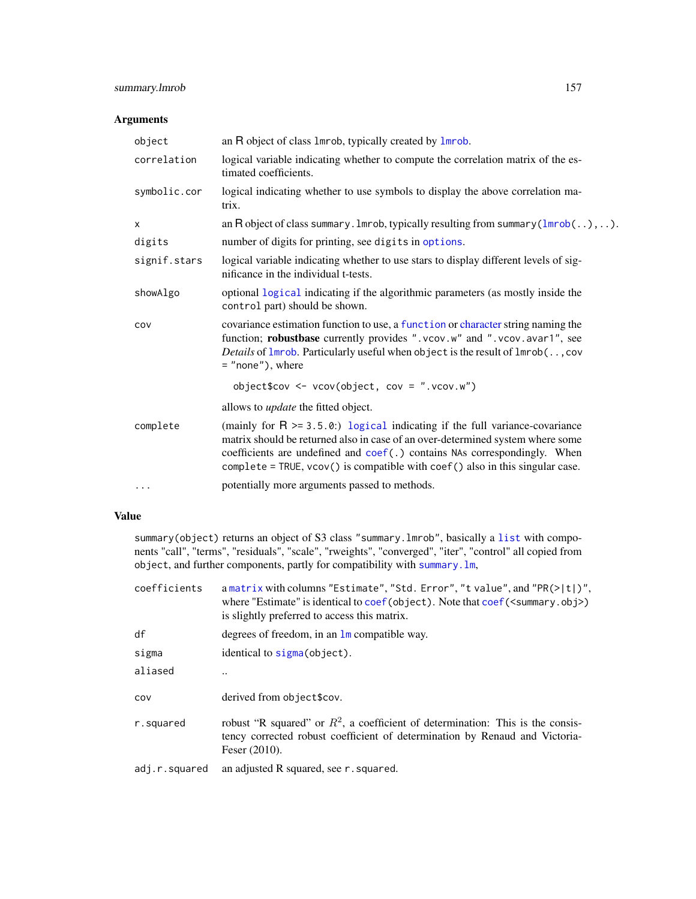# <span id="page-156-0"></span>summary.lmrob 157

# Arguments

| object       | an R object of class 1mrob, typically created by 1mrob.                                                                                                                                                                                                                                                                            |
|--------------|------------------------------------------------------------------------------------------------------------------------------------------------------------------------------------------------------------------------------------------------------------------------------------------------------------------------------------|
| correlation  | logical variable indicating whether to compute the correlation matrix of the es-<br>timated coefficients.                                                                                                                                                                                                                          |
| symbolic.cor | logical indicating whether to use symbols to display the above correlation ma-<br>trix.                                                                                                                                                                                                                                            |
| x            | an R object of class summary . Imrob, typically resulting from summary $(lmrob(),)$                                                                                                                                                                                                                                                |
| digits       | number of digits for printing, see digits in options.                                                                                                                                                                                                                                                                              |
| signif.stars | logical variable indicating whether to use stars to display different levels of sig-<br>nificance in the individual t-tests.                                                                                                                                                                                                       |
| showAlgo     | optional logical indicating if the algorithmic parameters (as mostly inside the<br>control part) should be shown.                                                                                                                                                                                                                  |
| COV          | covariance estimation function to use, a function or character string naming the<br>function; robustbase currently provides ".vcov.w" and ".vcov.avar1", see<br>Details of Imrob. Particularly useful when object is the result of Imrob(, cov<br>$=$ "none"), where                                                               |
|              | object\$cov <- vcov(object, cov = ".vcov.w")                                                                                                                                                                                                                                                                                       |
|              | allows to <i>update</i> the fitted object.                                                                                                                                                                                                                                                                                         |
| complete     | (mainly for $R \ge 3.5.0$ ) logical indicating if the full variance-covariance<br>matrix should be returned also in case of an over-determined system where some<br>coefficients are undefined and coef(.) contains NAs correspondingly. When<br>$complete = TRUE, vcov()$ is compatible with $coef()$ also in this singular case. |
| $\cdots$     | potentially more arguments passed to methods.                                                                                                                                                                                                                                                                                      |

# Value

summary(object) returns an object of S3 class "summary.lmrob", basically a [list](#page-0-0) with components "call", "terms", "residuals", "scale", "rweights", "converged", "iter", "control" all copied from object, and further components, partly for compatibility with [summary.lm](#page-0-0),

| coefficients  | a matrix with columns "Estimate", "Std. Error", "t value", and "PR $(>  t )$ ",<br>where "Estimate" is identical to coef (object). Note that $\cos f(\sin \theta x)$ , obj>)<br>is slightly preferred to access this matrix. |
|---------------|------------------------------------------------------------------------------------------------------------------------------------------------------------------------------------------------------------------------------|
| df            | degrees of freedom, in an $\text{Im}$ compatible way.                                                                                                                                                                        |
| sigma         | identical to sigma (object).                                                                                                                                                                                                 |
| aliased       |                                                                                                                                                                                                                              |
| COV           | derived from object\$cov.                                                                                                                                                                                                    |
| r.squared     | robust "R squared" or $R^2$ , a coefficient of determination: This is the consis-<br>tency corrected robust coefficient of determination by Renaud and Victoria-<br>Feser $(2010)$ .                                         |
| adj.r.squared | an adjusted R squared, see r . squared.                                                                                                                                                                                      |
|               |                                                                                                                                                                                                                              |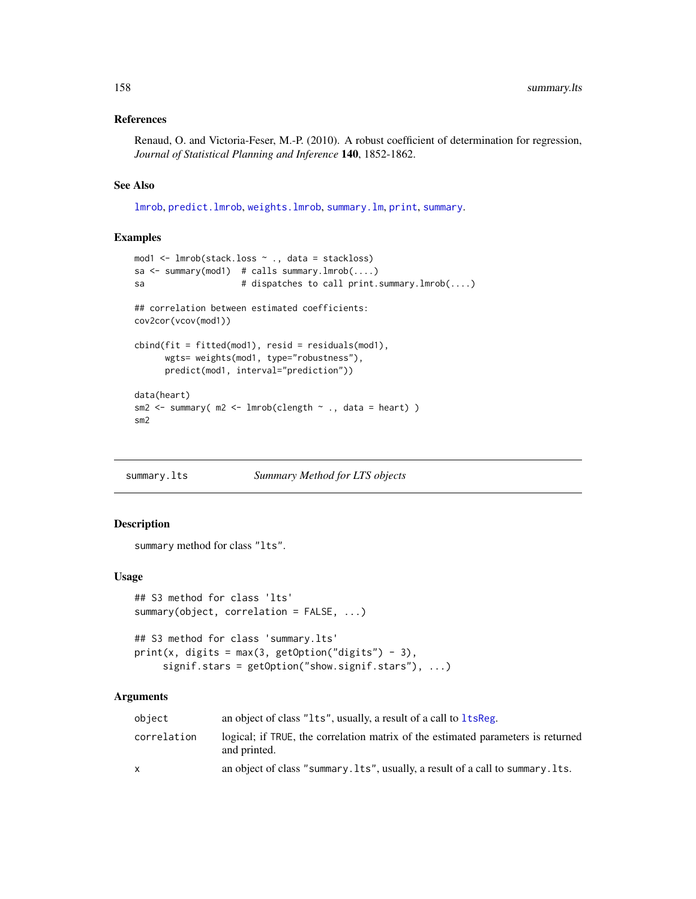# <span id="page-157-0"></span>References

Renaud, O. and Victoria-Feser, M.-P. (2010). A robust coefficient of determination for regression, *Journal of Statistical Planning and Inference* 140, 1852-1862.

# See Also

[lmrob](#page-67-0), [predict.lmrob](#page-122-0), [weights.lmrob](#page-168-0), [summary.lm](#page-0-0), [print](#page-0-0), [summary](#page-0-0).

# Examples

```
mod1 <- lmrob(stack.loss ~ ., data = stackloss)
sa <- summary(mod1) # calls summary.lmrob(....)
sa # dispatches to call print.summary.lmrob(....)
## correlation between estimated coefficients:
cov2cor(vcov(mod1))
cbind(fit = fitted(mod1), resid = residuals(mod1),
     wgts= weights(mod1, type="robustness"),
     predict(mod1, interval="prediction"))
data(heart)
sm2 <- summary( m2 <- lmrob(clength ~ ., data = heart) )
sm2
```
summary.lts *Summary Method for LTS objects*

# Description

summary method for class "lts".

#### Usage

```
## S3 method for class 'lts'
summary(object, correlation = FALSE, ...)
## S3 method for class 'summary.lts'
print(x, digits = max(3, getOption("digits") - 3),
```
# signif.stars = getOption("show.signif.stars"), ...)

# Arguments

| object      | an object of class "1ts", usually, a result of a call to 1tsReg.                                 |
|-------------|--------------------------------------------------------------------------------------------------|
| correlation | logical; if TRUE, the correlation matrix of the estimated parameters is returned<br>and printed. |
| x           | an object of class "summary. Its", usually, a result of a call to summary. Its.                  |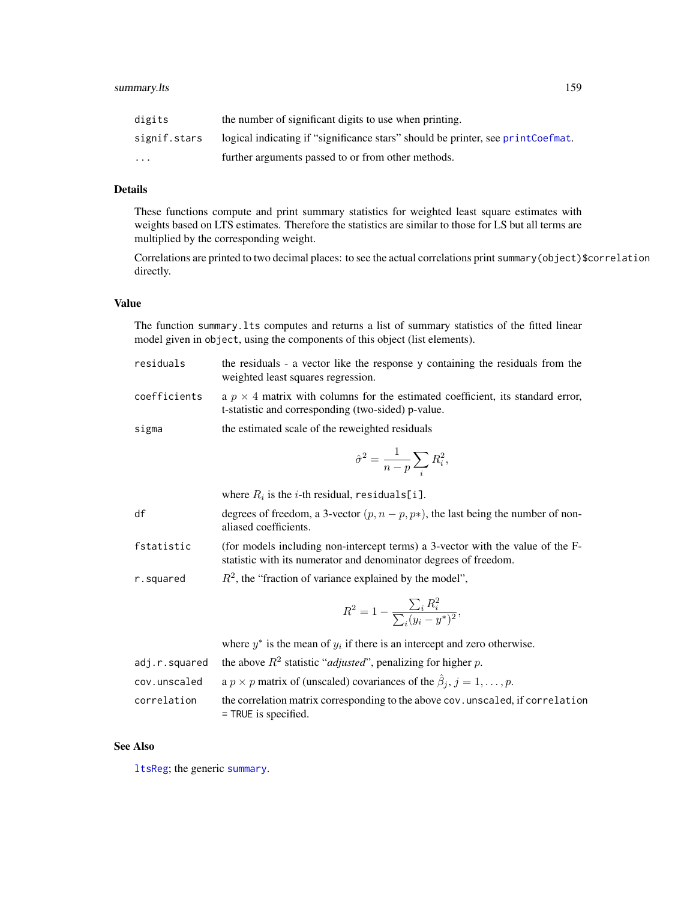<span id="page-158-0"></span>

| digits                  | the number of significant digits to use when printing.                          |
|-------------------------|---------------------------------------------------------------------------------|
| signif.stars            | logical indicating if "significance stars" should be printer, see printCoefmat. |
| $\cdot$ $\cdot$ $\cdot$ | further arguments passed to or from other methods.                              |

# Details

These functions compute and print summary statistics for weighted least square estimates with weights based on LTS estimates. Therefore the statistics are similar to those for LS but all terms are multiplied by the corresponding weight.

Correlations are printed to two decimal places: to see the actual correlations print summary(object)\$correlation directly.

#### Value

The function summary.lts computes and returns a list of summary statistics of the fitted linear model given in object, using the components of this object (list elements).

| residuals                   | the residuals - a vector like the response y containing the residuals from the<br>weighted least squares regression.                        |
|-----------------------------|---------------------------------------------------------------------------------------------------------------------------------------------|
| coefficients                | a $p \times 4$ matrix with columns for the estimated coefficient, its standard error,<br>t-statistic and corresponding (two-sided) p-value. |
| $\sim$ $\sim$ $\sim$ $\sim$ | the estimated seeds of the rewaighted residuals                                                                                             |

sigma the estimated scale of the reweighted residuals

$$
\hat{\sigma}^2 = \frac{1}{n-p} \sum_i R_i^2,
$$

where  $R_i$  is the *i*-th residual, residuals[i]. df degrees of freedom, a 3-vector  $(p, n - p, p*)$ , the last being the number of nonaliased coefficients.

- fstatistic (for models including non-intercept terms) a 3-vector with the value of the Fstatistic with its numerator and denominator degrees of freedom.
- r.squared  $R<sup>2</sup>$ , the "fraction of variance explained by the model",

$$
R^{2} = 1 - \frac{\sum_{i} R_{i}^{2}}{\sum_{i} (y_{i} - y^{*})^{2}},
$$

where  $y^*$  is the mean of  $y_i$  if there is an intercept and zero otherwise.

|              | adj.r.squared the above $R^2$ statistic " <i>adjusted</i> ", penalizing for higher p.                     |
|--------------|-----------------------------------------------------------------------------------------------------------|
| cov.unscaled | a $p \times p$ matrix of (unscaled) covariances of the $\hat{\beta}_i$ , $j = 1, , p$ .                   |
| correlation  | the correlation matrix corresponding to the above cov. unscaled, if correlation<br>$=$ TRUE is specified. |

#### See Also

[ltsReg](#page-87-0); the generic [summary](#page-0-0).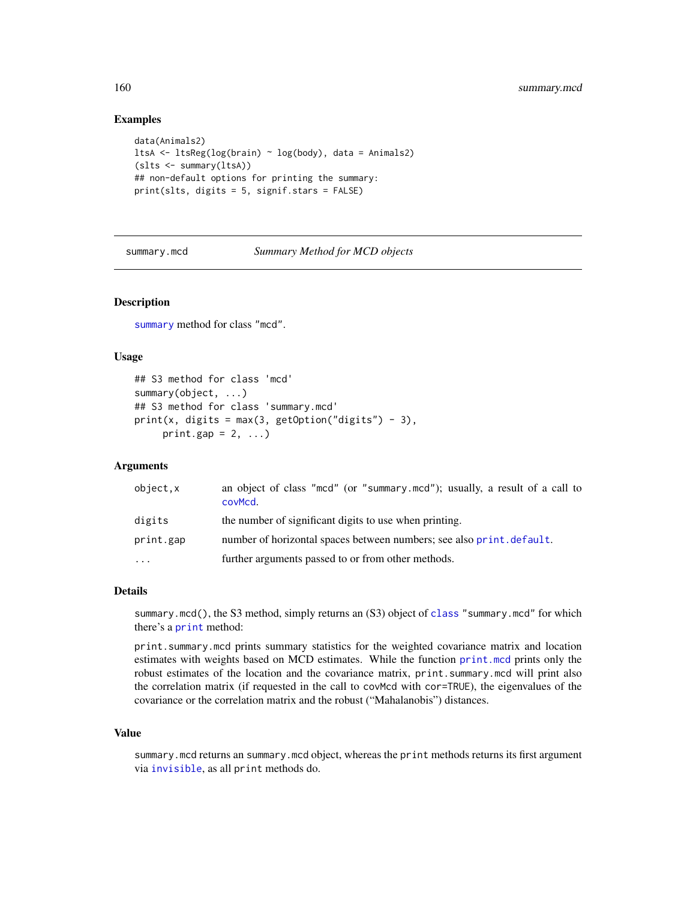# <span id="page-159-0"></span>Examples

```
data(Animals2)
ltsA <- ltsReg(log(brain) ~ log(body), data = Animals2)
(slts <- summary(ltsA))
## non-default options for printing the summary:
print(slts, digits = 5, signif.stars = FALSE)
```
summary.mcd *Summary Method for MCD objects*

# Description

[summary](#page-0-0) method for class "mcd".

# Usage

```
## S3 method for class 'mcd'
summary(object, ...)
## S3 method for class 'summary.mcd'
print(x, digits = max(3, getOption("digits") - 3),print.gap = 2, ...)
```
# Arguments

| object.x  | an object of class "mcd" (or "summary.mcd"); usually, a result of a call to<br>covMcd. |
|-----------|----------------------------------------------------------------------------------------|
| digits    | the number of significant digits to use when printing.                                 |
| print.gap | number of horizontal spaces between numbers; see also print. default.                  |
| $\cdots$  | further arguments passed to or from other methods.                                     |

#### Details

summary.mcd(), the S3 method, simply returns an (S3) object of [class](#page-0-0) "summary.mcd" for which there's a [print](#page-0-0) method:

print.summary.mcd prints summary statistics for the weighted covariance matrix and location estimates with weights based on MCD estimates. While the function [print.mcd](#page-36-1) prints only the robust estimates of the location and the covariance matrix, print. summary.mcd will print also the correlation matrix (if requested in the call to covMcd with cor=TRUE), the eigenvalues of the covariance or the correlation matrix and the robust ("Mahalanobis") distances.

# Value

summary.mcd returns an summary.mcd object, whereas the print methods returns its first argument via [invisible](#page-0-0), as all print methods do.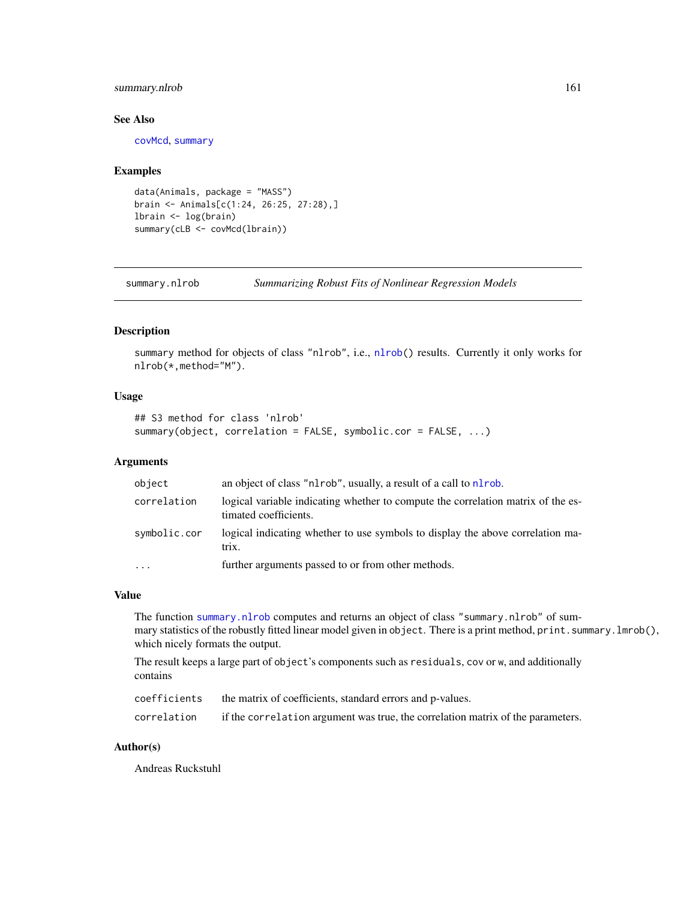# <span id="page-160-1"></span>summary.nlrob 161

#### See Also

[covMcd](#page-36-0), [summary](#page-0-0)

#### Examples

```
data(Animals, package = "MASS")
brain <- Animals[c(1:24, 26:25, 27:28),]
lbrain <- log(brain)
summary(cLB <- covMcd(lbrain))
```
<span id="page-160-0"></span>summary.nlrob *Summarizing Robust Fits of Nonlinear Regression Models*

# Description

summary method for objects of class "nlrob", i.e., [nlrob\(](#page-97-0)) results. Currently it only works for nlrob(\*,method="M").

# Usage

```
## S3 method for class 'nlrob'
summary(object, correlation = FALSE, symbolic.cor = FALSE, ...)
```
# Arguments

| object       | an object of class "nl rob", usually, a result of a call to nl rob.                                       |
|--------------|-----------------------------------------------------------------------------------------------------------|
| correlation  | logical variable indicating whether to compute the correlation matrix of the es-<br>timated coefficients. |
| symbolic.cor | logical indicating whether to use symbols to display the above correlation ma-<br>trix.                   |
| $\ddotsc$    | further arguments passed to or from other methods.                                                        |

#### Value

The function [summary.nlrob](#page-160-0) computes and returns an object of class "summary.nlrob" of summary statistics of the robustly fitted linear model given in object. There is a print method, print.summary.lmrob(), which nicely formats the output.

The result keeps a large part of object's components such as residuals, cov or w, and additionally contains

| coefficients | the matrix of coefficients, standard errors and p-values.                       |
|--------------|---------------------------------------------------------------------------------|
| correlation  | if the correlation argument was true, the correlation matrix of the parameters. |

# Author(s)

Andreas Ruckstuhl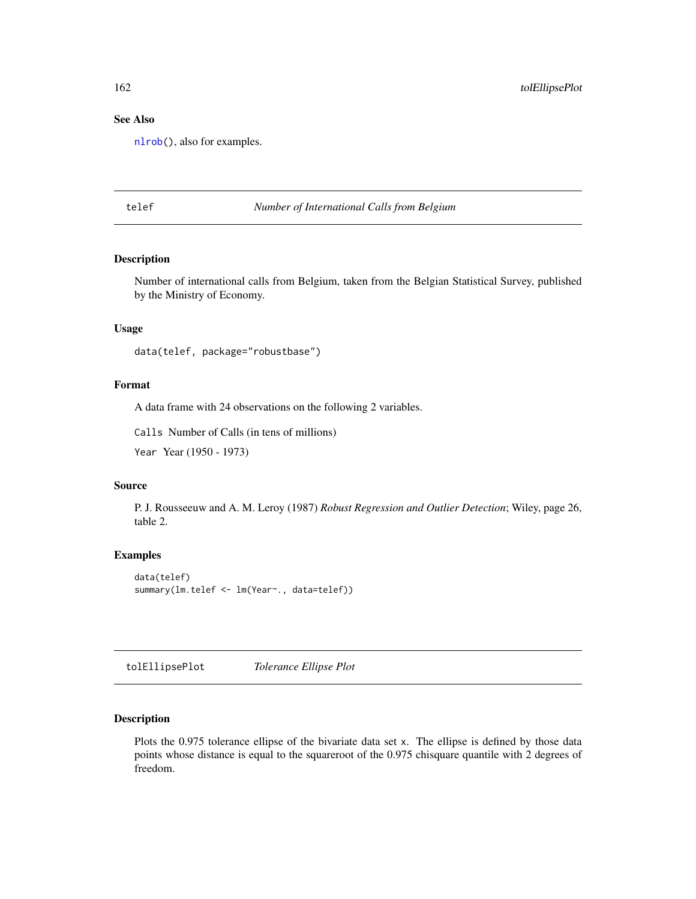# See Also

[nlrob\(](#page-97-0)), also for examples.

telef *Number of International Calls from Belgium*

# Description

Number of international calls from Belgium, taken from the Belgian Statistical Survey, published by the Ministry of Economy.

# Usage

```
data(telef, package="robustbase")
```
#### Format

A data frame with 24 observations on the following 2 variables.

Calls Number of Calls (in tens of millions)

Year Year (1950 - 1973)

# Source

P. J. Rousseeuw and A. M. Leroy (1987) *Robust Regression and Outlier Detection*; Wiley, page 26, table 2.

# Examples

```
data(telef)
summary(lm.telef <- lm(Year~., data=telef))
```
tolEllipsePlot *Tolerance Ellipse Plot*

#### Description

Plots the 0.975 tolerance ellipse of the bivariate data set x. The ellipse is defined by those data points whose distance is equal to the squareroot of the 0.975 chisquare quantile with 2 degrees of freedom.

<span id="page-161-0"></span>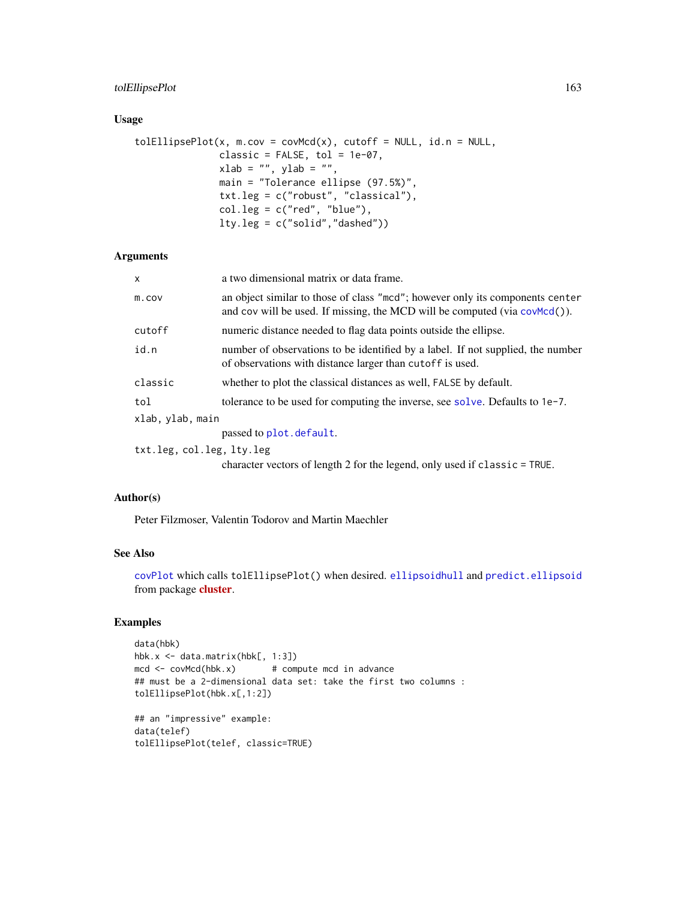# <span id="page-162-0"></span>tolEllipsePlot 163

# Usage

```
toIEllipsePlot(x, m.cov = covMcd(x), cutoff = NULL, id.n = NULL,
               classic = FALSE, tol = 1e-07,xlab = "", ylab = "",
               main = "Tolerance ellipse (97.5%)",
               txt.leg = c("robust", "classical"),
               col.leg = c("red", "blue"),lty.leg = c("solid","dashed"))
```
# Arguments

| x                         | a two dimensional matrix or data frame.                                                                                                                     |
|---------------------------|-------------------------------------------------------------------------------------------------------------------------------------------------------------|
| m.cov                     | an object similar to those of class "mcd"; however only its components center<br>and cov will be used. If missing, the MCD will be computed (via covMcd()). |
| cutoff                    | numeric distance needed to flag data points outside the ellipse.                                                                                            |
| id.n                      | number of observations to be identified by a label. If not supplied, the number<br>of observations with distance larger than cutoff is used.                |
| classic                   | whether to plot the classical distances as well, FALSE by default.                                                                                          |
| tol                       | tolerance to be used for computing the inverse, see solve. Defaults to $1e-7$ .                                                                             |
| xlab, ylab, main          |                                                                                                                                                             |
|                           | passed to plot. default.                                                                                                                                    |
| txt.leg, col.leg, lty.leg |                                                                                                                                                             |

character vectors of length 2 for the legend, only used if classic = TRUE.

#### Author(s)

Peter Filzmoser, Valentin Todorov and Martin Maechler

# See Also

[covPlot](#page-116-0) which calls tolEllipsePlot() when desired. [ellipsoidhull](#page-0-0) and [predict.ellipsoid](#page-0-0) from package **[cluster](https://CRAN.R-project.org/package=cluster)**.

# Examples

```
data(hbk)
hbk.x <- data.matrix(hbk[, 1:3])
mcd \le -\text{covMed}(hbk.x) # compute mcd in advance
## must be a 2-dimensional data set: take the first two columns :
tolEllipsePlot(hbk.x[,1:2])
## an "impressive" example:
data(telef)
tolEllipsePlot(telef, classic=TRUE)
```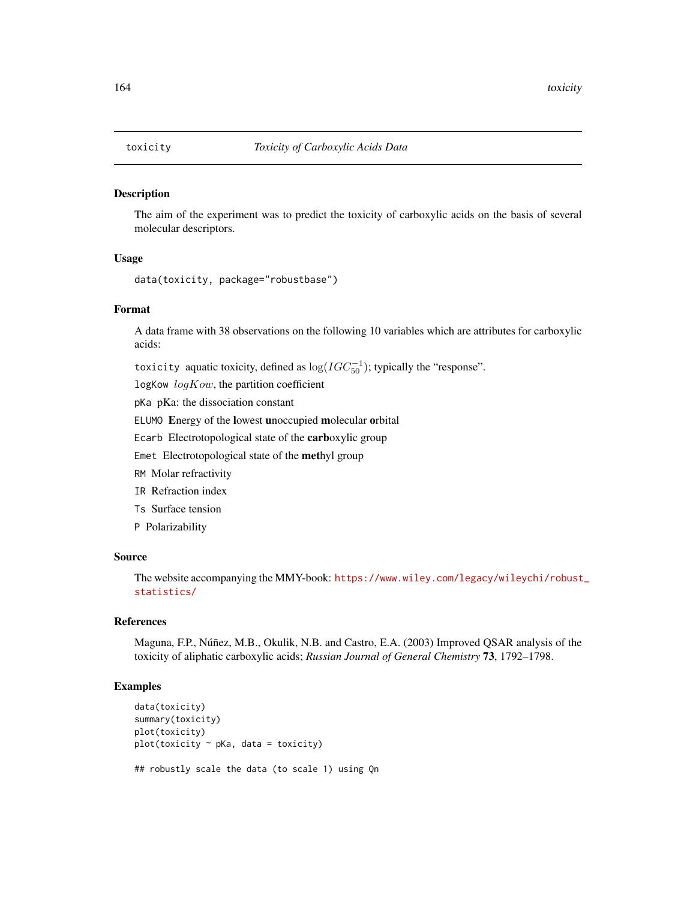<span id="page-163-0"></span>

# Description

The aim of the experiment was to predict the toxicity of carboxylic acids on the basis of several molecular descriptors.

# Usage

```
data(toxicity, package="robustbase")
```
#### Format

A data frame with 38 observations on the following 10 variables which are attributes for carboxylic acids:

toxicity aquatic toxicity, defined as  $log(IGC_{50}^{-1})$ ; typically the "response".

logKow  $logKow$ , the partition coefficient

pKa pKa: the dissociation constant

ELUMO Energy of the lowest unoccupied molecular orbital

Ecarb Electrotopological state of the carboxylic group

Emet Electrotopological state of the methyl group

RM Molar refractivity

- IR Refraction index
- Ts Surface tension

P Polarizability

#### Source

The website accompanying the MMY-book: [https://www.wiley.com/legacy/wileychi/robust](https://www.wiley.com/legacy/wileychi/robust_statistics/)\_ [statistics/](https://www.wiley.com/legacy/wileychi/robust_statistics/)

# References

Maguna, F.P., Núñez, M.B., Okulik, N.B. and Castro, E.A. (2003) Improved QSAR analysis of the toxicity of aliphatic carboxylic acids; *Russian Journal of General Chemistry* 73, 1792–1798.

## Examples

```
data(toxicity)
summary(toxicity)
plot(toxicity)
plot(toxicity ~ pKa, data = toxicity)## robustly scale the data (to scale 1) using Qn
```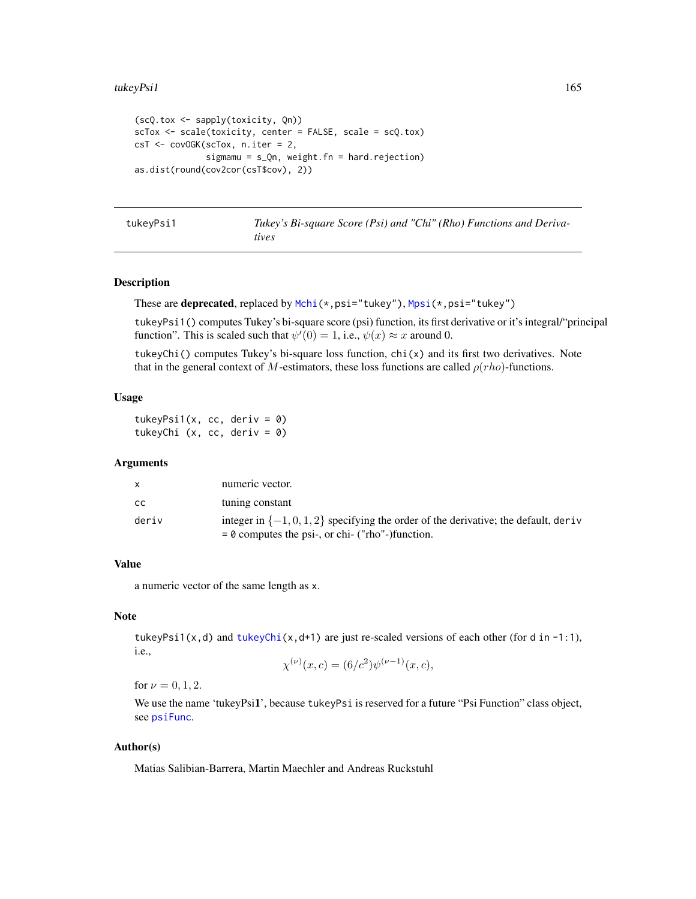```
(scQ.tox <- sapply(toxicity, Qn))
scTox <- scale(toxicity, center = FALSE, scale = scQ.tox)
csT <- covOGK(scTox, n.iter = 2,
              sigmamu = s_Qn, weight.fn = hard.rejection)
as.dist(round(cov2cor(csT$cov), 2))
```

|  | tukeyPsi1 |  |  |
|--|-----------|--|--|
|--|-----------|--|--|

Tukey's Bi-square Score (Psi) and "Chi" (Rho) Functions and Deriva*tives*

# <span id="page-164-0"></span>Description

These are deprecated, replaced by [Mchi\(](#page-94-0)\*,psi="tukey"), [Mpsi\(](#page-94-1)\*,psi="tukey")

tukeyPsi1() computes Tukey's bi-square score (psi) function, its first derivative or it's integral/"principal function". This is scaled such that  $\psi'(0) = 1$ , i.e.,  $\psi(x) \approx x$  around 0.

tukeyChi() computes Tukey's bi-square loss function,  $\text{chi}(x)$  and its first two derivatives. Note that in the general context of M-estimators, these loss functions are called  $\rho(rho)$ -functions.

# Usage

tukeyPsi1(x, cc, deriv =  $0$ ) tukeyChi (x, cc, deriv = 0)

# Arguments

|       | numeric vector.                                                                                                                               |
|-------|-----------------------------------------------------------------------------------------------------------------------------------------------|
| CC.   | tuning constant                                                                                                                               |
| deriv | integer in $\{-1, 0, 1, 2\}$ specifying the order of the derivative; the default, deriv<br>$= 0$ computes the psi-, or chi- ("rho"-)function. |

# Value

a numeric vector of the same length as x.

# Note

tukeyPsi1(x,d) and [tukeyChi\(](#page-164-0)x,d+1) are just re-scaled versions of each other (for d in -1:1), i.e., (ν)

$$
\chi^{(\nu)}(x,c) = (6/c^2)\psi^{(\nu-1)}(x,c),
$$

for  $\nu = 0, 1, 2$ .

We use the name 'tukeyPsi1', because tukeyPsi is reserved for a future "Psi Function" class object, see [psiFunc](#page-128-0).

# Author(s)

Matias Salibian-Barrera, Martin Maechler and Andreas Ruckstuhl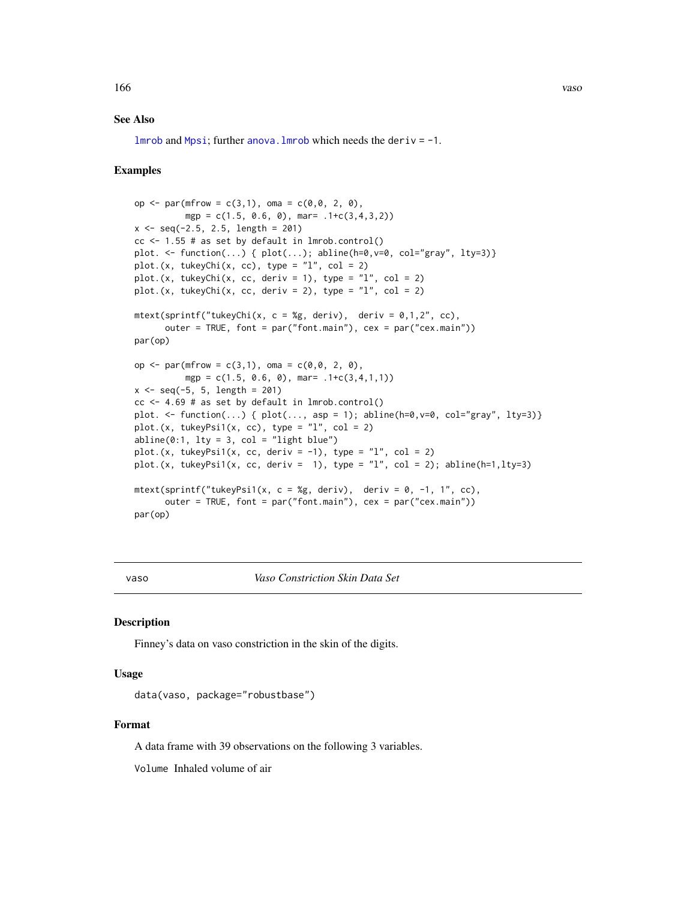# <span id="page-165-0"></span>See Also

 $lmrob$  and [Mpsi](#page-94-1); further anova. Imrob which needs the deriv =  $-1$ .

# Examples

```
op \leq par(mfrow = c(3,1), oma = c(0,0, 2, 0),
          mgp = c(1.5, 0.6, 0), \text{mar} = .1+c(3,4,3,2))x \leq -\text{seq}(-2.5, 2.5, \text{length} = 201)cc \le 1.55 # as set by default in lmrob.control()
plot. <- function(...) { plot(...); abline(h=0,v=0, col="gray", lty=3)}
plot.(x, tukeyChi(x, cc), type = "l", col = 2)plot.(x, tukeyChi(x, cc, deriv = 1), type = "1", col = 2)plot.(x, tukeyChi(x, cc, deriv = 2), type = "1", col = 2)mtext{text(sprintf("tukeyChi(x, c = %g, deriv), deriv = 0,1,2", cc),outer = TRUE, font = par("font.main"), cex = par("cex.main"))
par(op)
op <- par(mfrow = c(3,1), oma = c(0,0, 2, 0),
          mgp = c(1.5, 0.6, 0), mar= .1+c(3,4,1,1)x \le - seq(-5, 5, length = 201)
cc \le 4.69 # as set by default in lmrob.control()
plot. <- function(...) { plot(..., asp = 1); abline(h=0,v=0, col="gray", lty=3)}
plot.(x, tukeyPsi1(x, cc), type = "1", col = 2)abline(0:1, 1ty = 3, col = "light blue")plot.(x, tukeyPsi1(x, cc, deriv = -1), type = "l", col = 2)
plot.(x, tukeyPsi1(x, cc, deriv = 1), type = "l", col = 2); abline(h=1,lty=3)
mtext{text(sprintf("tukeyPsi(x, c = %g, deriv), deriv = 0, -1, 1", cc),outer = TRUE, font = par("font.main"), cex = par("cex.main"))
par(op)
```
vaso *Vaso Constriction Skin Data Set*

#### Description

Finney's data on vaso constriction in the skin of the digits.

#### Usage

data(vaso, package="robustbase")

#### Format

A data frame with 39 observations on the following 3 variables.

Volume Inhaled volume of air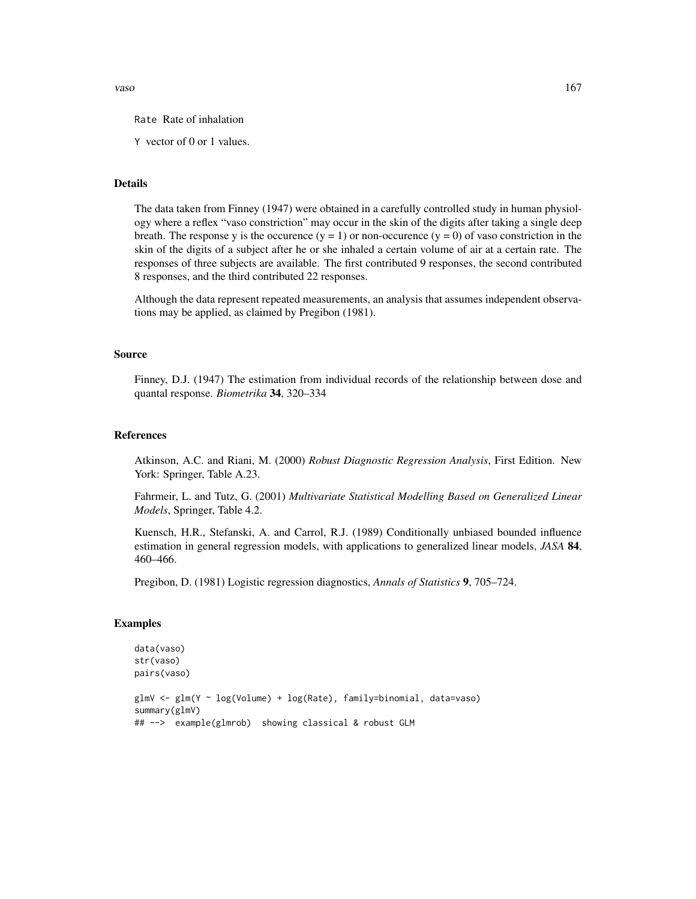vaso and the contract of the contract of the contract of the contract of the contract of the contract of the contract of the contract of the contract of the contract of the contract of the contract of the contract of the c

Rate Rate of inhalation

Y vector of 0 or 1 values.

# Details

The data taken from Finney (1947) were obtained in a carefully controlled study in human physiology where a reflex "vaso constriction" may occur in the skin of the digits after taking a single deep breath. The response y is the occurence  $(y = 1)$  or non-occurence  $(y = 0)$  of vaso constriction in the skin of the digits of a subject after he or she inhaled a certain volume of air at a certain rate. The responses of three subjects are available. The first contributed 9 responses, the second contributed 8 responses, and the third contributed 22 responses.

Although the data represent repeated measurements, an analysis that assumes independent observations may be applied, as claimed by Pregibon (1981).

# Source

Finney, D.J. (1947) The estimation from individual records of the relationship between dose and quantal response. *Biometrika* 34, 320–334

#### References

Atkinson, A.C. and Riani, M. (2000) *Robust Diagnostic Regression Analysis*, First Edition. New York: Springer, Table A.23.

Fahrmeir, L. and Tutz, G. (2001) *Multivariate Statistical Modelling Based on Generalized Linear Models*, Springer, Table 4.2.

Kuensch, H.R., Stefanski, A. and Carrol, R.J. (1989) Conditionally unbiased bounded influence estimation in general regression models, with applications to generalized linear models, *JASA* 84, 460–466.

Pregibon, D. (1981) Logistic regression diagnostics, *Annals of Statistics* 9, 705–724.

# Examples

```
data(vaso)
str(vaso)
pairs(vaso)
glmV <- glm(Y ~ log(Volume) + log(Rate), family=binomial, data=vaso)
summary(glmV)
## --> example(glmrob) showing classical & robust GLM
```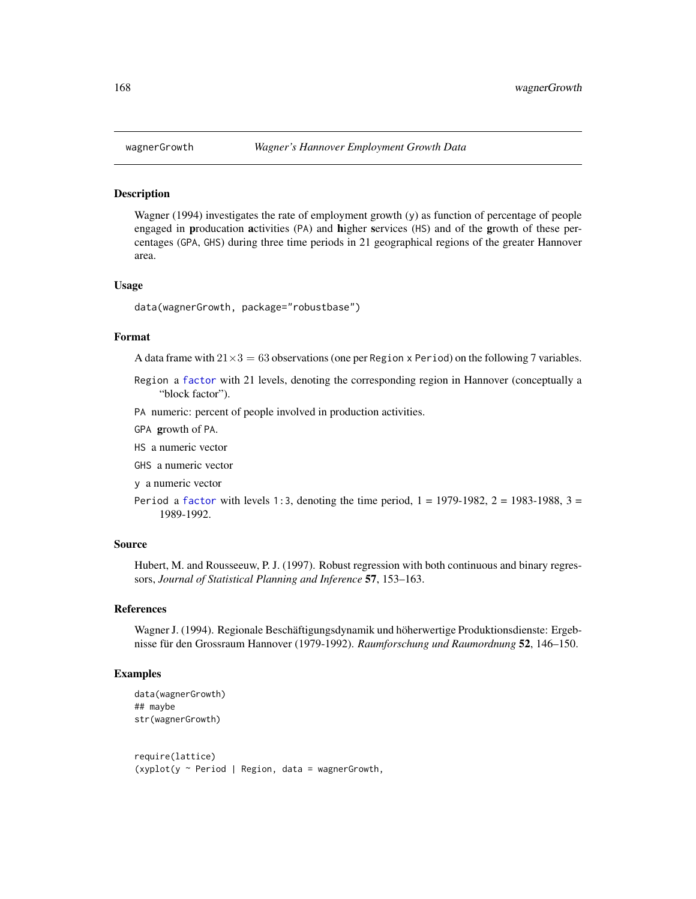<span id="page-167-0"></span>

### **Description**

Wagner (1994) investigates the rate of employment growth (y) as function of percentage of people engaged in producation activities (PA) and higher services (HS) and of the growth of these percentages (GPA, GHS) during three time periods in 21 geographical regions of the greater Hannover area.

#### Usage

data(wagnerGrowth, package="robustbase")

# Format

A data frame with  $21 \times 3 = 63$  observations (one per Region x Period) on the following 7 variables.

- Region a [factor](#page-0-0) with 21 levels, denoting the corresponding region in Hannover (conceptually a "block factor").
- PA numeric: percent of people involved in production activities.
- GPA growth of PA.
- HS a numeric vector
- GHS a numeric vector
- y a numeric vector
- Period a [factor](#page-0-0) with levels 1:3, denoting the time period,  $1 = 1979-1982$ ,  $2 = 1983-1988$ ,  $3 = 1983-1988$ 1989-1992.

#### Source

Hubert, M. and Rousseeuw, P. J. (1997). Robust regression with both continuous and binary regressors, *Journal of Statistical Planning and Inference* 57, 153–163.

# References

Wagner J. (1994). Regionale Beschäftigungsdynamik und höherwertige Produktionsdienste: Ergebnisse für den Grossraum Hannover (1979-1992). *Raumforschung und Raumordnung* 52, 146–150.

# Examples

```
data(wagnerGrowth)
## maybe
str(wagnerGrowth)
require(lattice)
```
 $(xyplot(y \sim Period \mid Region, data = wagnerGrowth,$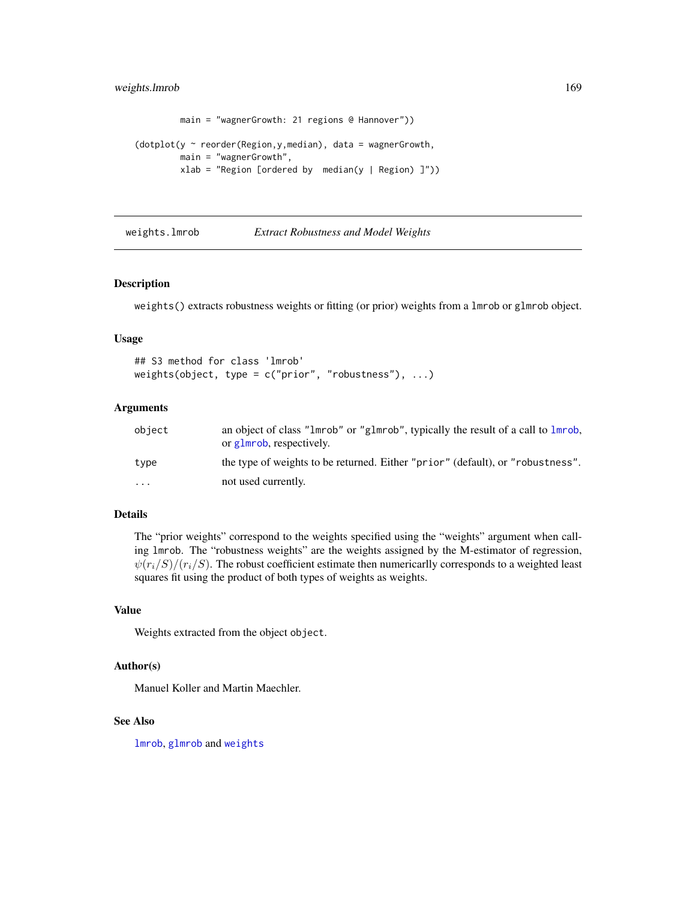# <span id="page-168-2"></span>weights.lmrob 169

```
main = "wagnerGrowth: 21 regions @ Hannover"))
(dotplot(y \sim reorder(Region, y, median), data = wagerGrowth,main = "wagnerGrowth",
        xlab = "Region [ordered by median(y | Region)]")
```
<span id="page-168-0"></span>weights.lmrob *Extract Robustness and Model Weights*

# <span id="page-168-1"></span>Description

weights() extracts robustness weights or fitting (or prior) weights from a lmrob or glmrob object.

#### Usage

```
## S3 method for class 'lmrob'
weights(object, type = c("prior", "robustness"), ...)
```
# Arguments

| object   | an object of class "1mrob" or "g1mrob", typically the result of a call to 1mrob,<br>or glmrob, respectively. |
|----------|--------------------------------------------------------------------------------------------------------------|
| type     | the type of weights to be returned. Either "prior" (default), or "robustness".                               |
| $\cdots$ | not used currently.                                                                                          |

# Details

The "prior weights" correspond to the weights specified using the "weights" argument when calling lmrob. The "robustness weights" are the weights assigned by the M-estimator of regression,  $\psi(r_i/S)/(r_i/S)$ . The robust coefficient estimate then numericarlly corresponds to a weighted least squares fit using the product of both types of weights as weights.

# Value

Weights extracted from the object object.

# Author(s)

Manuel Koller and Martin Maechler.

# See Also

[lmrob](#page-67-0), [glmrob](#page-52-0) and [weights](#page-0-0)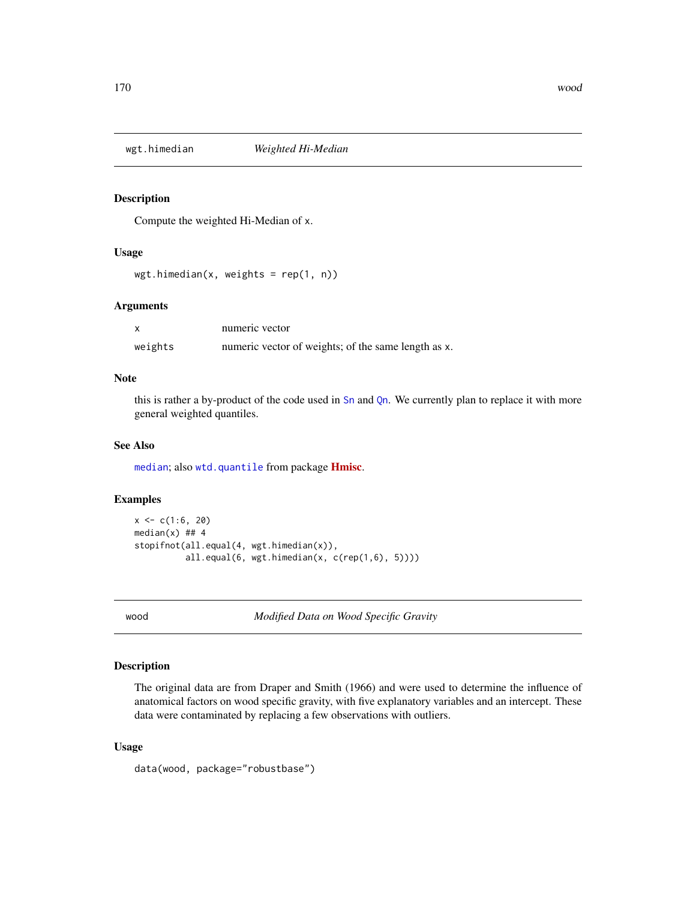<span id="page-169-0"></span>

# Description

Compute the weighted Hi-Median of x.

# Usage

 $wgt.himedian(x, weights = rep(1, n))$ 

# Arguments

|         | numeric vector                                      |
|---------|-----------------------------------------------------|
| weights | numeric vector of weights; of the same length as x. |

# Note

this is rather a by-product of the code used in [Sn](#page-147-0) and [Qn](#page-131-0). We currently plan to replace it with more general weighted quantiles.

#### See Also

[median](#page-0-0); also [wtd.quantile](#page-0-0) from package **[Hmisc](https://CRAN.R-project.org/package=Hmisc)**.

# Examples

```
x \leq c(1:6, 20)median(x) ## 4
stopifnot(all.equal(4, wgt.himedian(x)),
          all.equal(6, wgt.himedian(x, c(rep(1,6), 5))))
```
wood *Modified Data on Wood Specific Gravity*

#### Description

The original data are from Draper and Smith (1966) and were used to determine the influence of anatomical factors on wood specific gravity, with five explanatory variables and an intercept. These data were contaminated by replacing a few observations with outliers.

# Usage

data(wood, package="robustbase")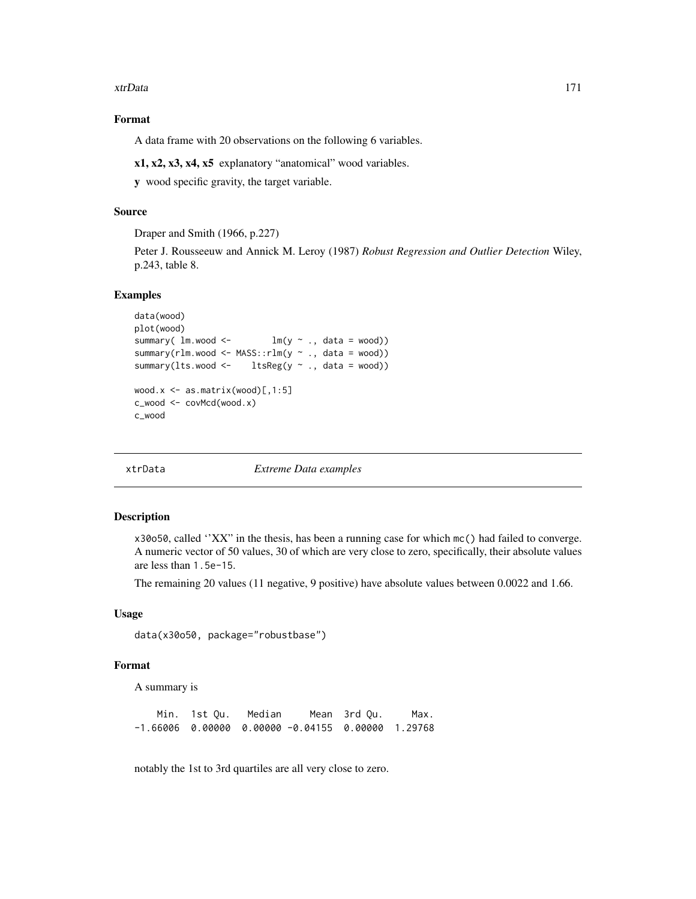#### <span id="page-170-0"></span>xtrData 171

# Format

A data frame with 20 observations on the following 6 variables.

x1, x2, x3, x4, x5 explanatory "anatomical" wood variables.

y wood specific gravity, the target variable.

# Source

Draper and Smith (1966, p.227)

Peter J. Rousseeuw and Annick M. Leroy (1987) *Robust Regression and Outlier Detection* Wiley, p.243, table 8.

# Examples

```
data(wood)
plot(wood)
summary( lm.wood <- lm(y \sim ., data = wood))
summary(rlm.wood <- MASS::rlm(y ~ ., data = wood))
summary(lts.wood <- ltsReg(y ~ ., data = wood))
wood.x \leq -as.matrix(wood)[,1:5]c_wood <- covMcd(wood.x)
c_wood
```
xtrData *Extreme Data examples*

# Description

x30o50, called ''XX" in the thesis, has been a running case for which mc() had failed to converge. A numeric vector of 50 values, 30 of which are very close to zero, specifically, their absolute values are less than 1.5e-15.

The remaining 20 values (11 negative, 9 positive) have absolute values between 0.0022 and 1.66.

# Usage

```
data(x30o50, package="robustbase")
```
# Format

A summary is

Min. 1st Qu. Median Mean 3rd Qu. Max. -1.66006 0.00000 0.00000 -0.04155 0.00000 1.29768

notably the 1st to 3rd quartiles are all very close to zero.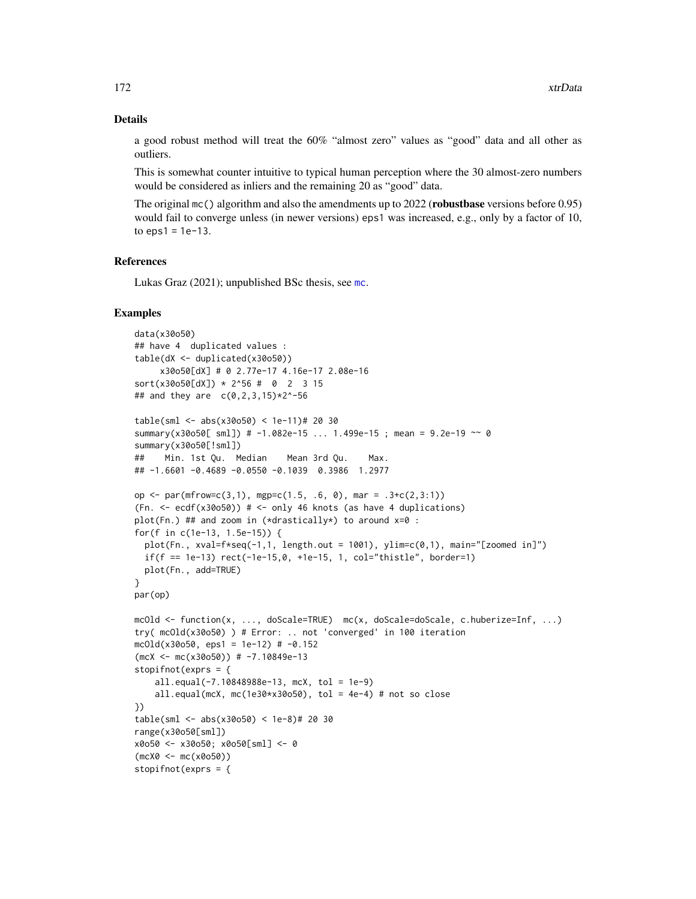#### Details

a good robust method will treat the 60% "almost zero" values as "good" data and all other as outliers.

This is somewhat counter intuitive to typical human perception where the 30 almost-zero numbers would be considered as inliers and the remaining 20 as "good" data.

The original mc() algorithm and also the amendments up to 2022 (robustbase versions before 0.95) would fail to converge unless (in newer versions) eps1 was increased, e.g., only by a factor of 10, to  $eps1 = 1e-13$ .

# References

Lukas Graz (2021); unpublished BSc thesis, see [mc](#page-91-0).

#### Examples

```
data(x30o50)
## have 4 duplicated values :
table(dX <- duplicated(x30o50))
     x30o50[dX] # 0 2.77e-17 4.16e-17 2.08e-16
sort(x30050[dX]) * 2^56 # 0 2 3 15## and they are c(0,2,3,15)*2^-56
table(sml <- abs(x30o50) < 1e-11)# 20 30
summary(x30o50[ sml]) # -1.082e-15 ... 1.499e-15 ; mean = 9.2e-19 ~~ 0
summary(x30o50[!sml])
## Min. 1st Qu. Median Mean 3rd Qu. Max.
## -1.6601 -0.4689 -0.0550 -0.1039 0.3986 1.2977
op <- par(mfrow=c(3,1), mgp=c(1.5, .6, 0), mar = .3+c(2,3:1))
(Fn. < -ecdf(x30050)) # <- only 46 knots (as have 4 duplications)
plot(Fn.) ## and zoom in (*drastically*) to around x=0 :
for(f in c(1e-13, 1.5e-15)) {
  plot(Fn., xval=f*seq(-1,1, length.out = 1001), ylim=c(0,1), main="[zoomed in]")
  if(f == 1e-13) rect(-1e-15, 0, +1e-15, 1, col='thistle", border=1)plot(Fn., add=TRUE)
}
par(op)
mcOld <- function(x, ..., doScale=TRUE) mc(x, doScale=doScale, c.huberize=Inf, ...)
try( mcOld(x30o50) ) # Error: .. not 'converged' in 100 iteration
mcold(x30050, eps1 = 1e-12) # -0.152(mcX < -mc(x30050)) # -7.10849e-13stopifnot(exprs = {
    all.equal(-7.10848988e-13, mcX, tol = 1e-9)
    all.equal(mcX, mc(1e30*x30o50), tol = 4e-4) # not so close
})
table(sml <- abs(x30o50) < 1e-8)# 20 30
range(x30o50[sml])
x0o50 <- x30o50; x0o50[sml] <- 0
(mcX0 <- mc(x0o50))
stopifnot(exprs = {
```
<span id="page-171-0"></span>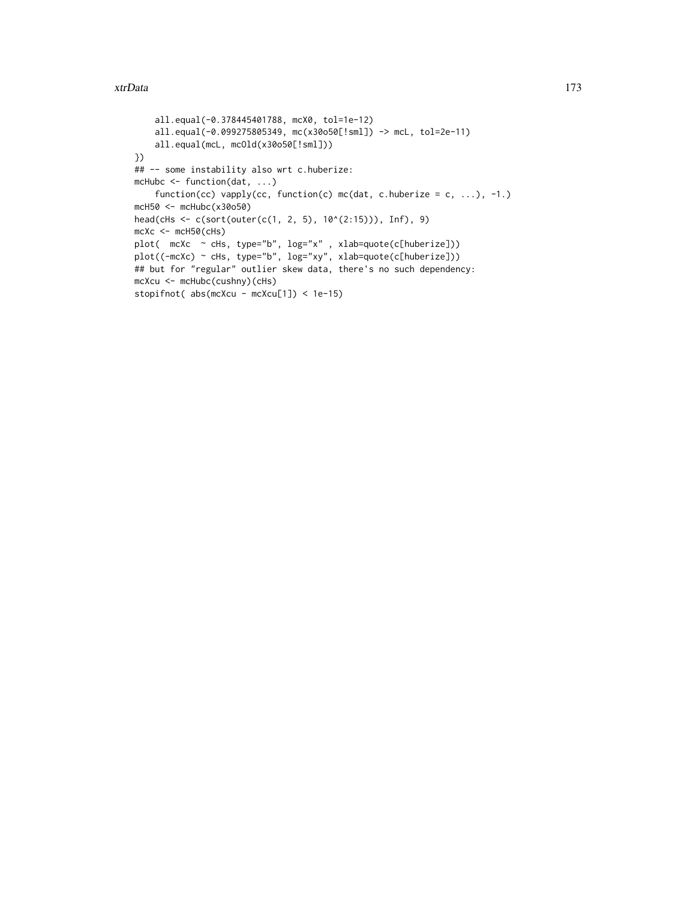#### xtrData 173

```
all.equal(-0.378445401788, mcX0, tol=1e-12)
   all.equal(-0.099275805349, mc(x30o50[!sml]) -> mcL, tol=2e-11)
   all.equal(mcL, mcOld(x30o50[!sml]))
})
## -- some instability also wrt c.huberize:
mcHubc <- function(dat, ...)
    function(cc) vapply(cc, function(c) mc(dat, c.huberize = c, ...), -1.)
mcH50 <- mcHubc(x30o50)
head(cHs <- c(sort(outer(c(1, 2, 5), 10^(2:15))), Inf), 9)
mcXc <- mcH50(cHs)plot( mcXc ~ cHs, type="b", log="x" , xlab=quote(c[huberize]))
plot((-mcXc) ~ cHs, type="b", log="xy", xlab=quote(c[huberize]))
## but for "regular" outlier skew data, there's no such dependency:
mcXcu <- mcHubc(cushny)(cHs)
stopifnot( abs(mcXcu - mcXcu[1]) < 1e-15)
```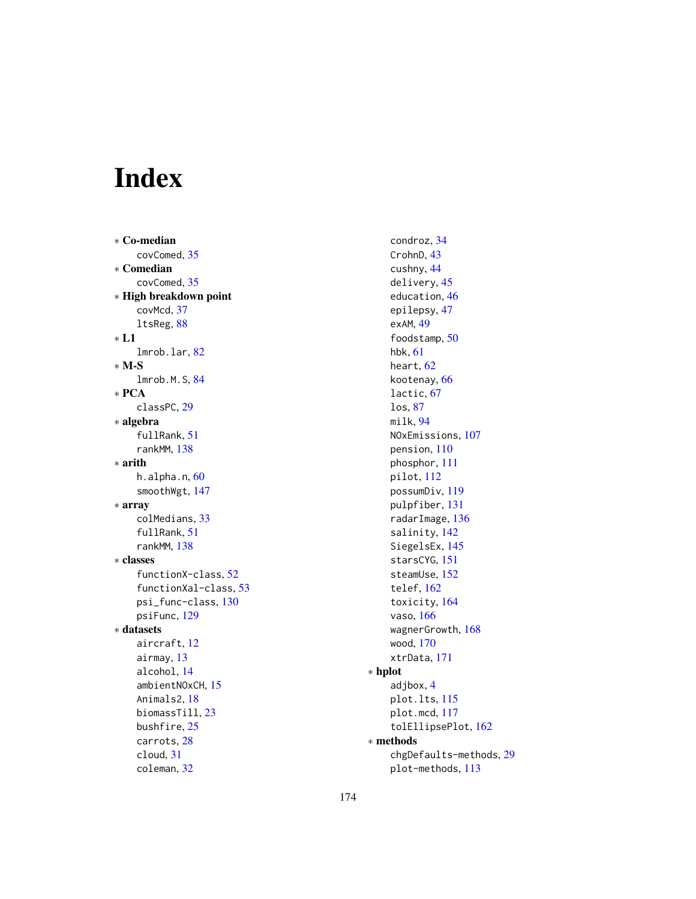# Index

∗ Co-median covComed, [35](#page-34-0) ∗ Comedian covComed, [35](#page-34-0) ∗ High breakdown point covMcd, [37](#page-36-2) ltsReg, [88](#page-87-1) ∗ L1 lmrob.lar, [82](#page-81-0) ∗ M-S lmrob.M.S, [84](#page-83-1) ∗ PCA classPC, [29](#page-28-0) ∗ algebra fullRank, [51](#page-50-0) rankMM, [138](#page-137-0) ∗ arith h.alpha.n, [60](#page-59-0) smoothWgt, [147](#page-146-0) ∗ array colMedians, [33](#page-32-0) fullRank, [51](#page-50-0) rankMM, [138](#page-137-0) ∗ classes functionX-class, [52](#page-51-0) functionXal-class, [53](#page-52-1) psi\_func-class, [130](#page-129-0) psiFunc, [129](#page-128-1) ∗ datasets aircraft, [12](#page-11-0) airmay, [13](#page-12-0) alcohol, [14](#page-13-0) ambientNOxCH, [15](#page-14-0) Animals2, [18](#page-17-0) biomassTill, [23](#page-22-0) bushfire, [25](#page-24-0) carrots, [28](#page-27-0) cloud, [31](#page-30-0) coleman, [32](#page-31-0)

condroz, [34](#page-33-0) CrohnD, [43](#page-42-0) cushny, [44](#page-43-0) delivery, [45](#page-44-0) education, [46](#page-45-0) epilepsy, [47](#page-46-0) exAM, [49](#page-48-0) foodstamp, [50](#page-49-0) hbk, [61](#page-60-0) heart, [62](#page-61-0) kootenay, [66](#page-65-0) lactic, [67](#page-66-0) los, [87](#page-86-0) milk, [94](#page-93-0) NOxEmissions, [107](#page-106-0) pension, [110](#page-109-0) phosphor, [111](#page-110-0) pilot, [112](#page-111-0) possumDiv, [119](#page-118-0) pulpfiber, [131](#page-130-0) radarImage, [136](#page-135-0) salinity, [142](#page-141-0) SiegelsEx, [145](#page-144-0) starsCYG, [151](#page-150-0) steamUse, [152](#page-151-0) telef, [162](#page-161-0) toxicity, [164](#page-163-0) vaso, [166](#page-165-0) wagnerGrowth, [168](#page-167-0) wood, [170](#page-169-0) xtrData, [171](#page-170-0) ∗ hplot adjbox, [4](#page-3-0) plot.lts, [115](#page-114-0) plot.mcd, [117](#page-116-1) tolEllipsePlot, [162](#page-161-0) ∗ methods chgDefaults-methods, [29](#page-28-0) plot-methods, [113](#page-112-0)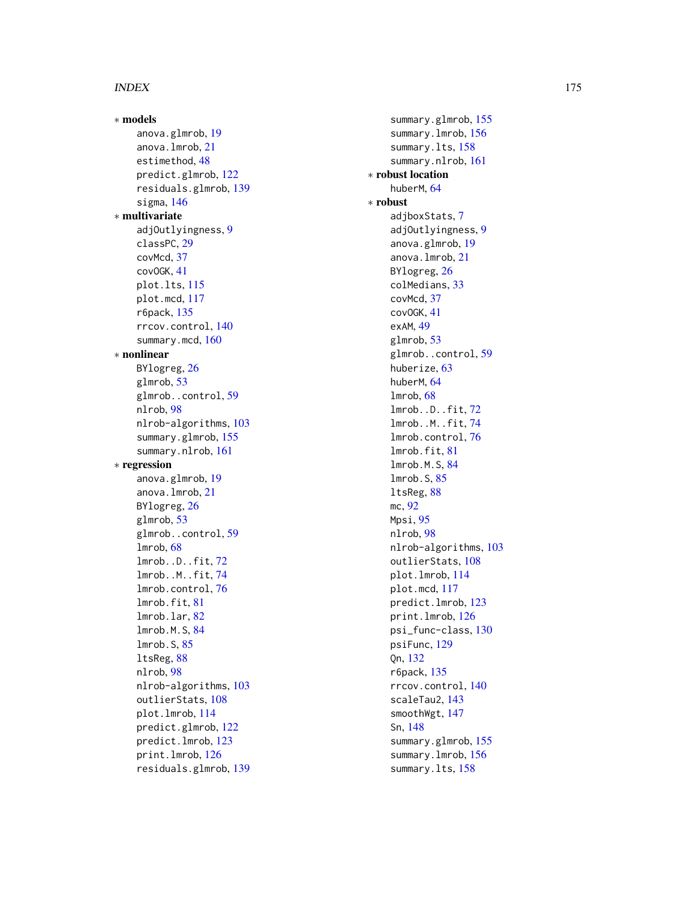∗ models anova.glmrob , [19](#page-18-0) anova.lmrob , [21](#page-20-1) estimethod , [48](#page-47-0) predict.glmrob , [122](#page-121-0) residuals.glmrob , [139](#page-138-0) sigma , [146](#page-145-1) ∗ multivariate adjOutlyingness , [9](#page-8-0) classPC , [29](#page-28-0) covMcd , [37](#page-36-2) covOGK , [41](#page-40-1) plot.lts , [115](#page-114-0) plot.mcd , [117](#page-116-1) r6pack , [135](#page-134-0) rrcov.control , [140](#page-139-0) summary.mcd, [160](#page-159-0) ∗ nonlinear BYlogreg, [26](#page-25-0) glmrob , [53](#page-52-1) glmrob..control , [59](#page-58-0) nlrob , [98](#page-97-1) nlrob-algorithms , [103](#page-102-0) summary.glmrob , [155](#page-154-1) summary.nlrob , [161](#page-160-1) ∗ regression anova.glmrob , [19](#page-18-0) anova.lmrob , [21](#page-20-1) BYlogreg, [26](#page-25-0) glmrob , [53](#page-52-1) glmrob..control , [59](#page-58-0) lmrob , [68](#page-67-1) lmrob..D..fit , [72](#page-71-0) lmrob..M..fit , [74](#page-73-0) lmrob.control, [76](#page-75-1) lmrob.fit , [81](#page-80-0) lmrob.lar , [82](#page-81-0) lmrob.M.S , [84](#page-83-1) lmrob.S , [85](#page-84-0) ltsReg , [88](#page-87-1) nlrob , [98](#page-97-1) nlrob-algorithms , [103](#page-102-0) outlierStats, [108](#page-107-0) plot.lmrob , [114](#page-113-0) predict.glmrob , [122](#page-121-0) predict.lmrob , [123](#page-122-1) print.lmrob , [126](#page-125-0) residuals.glmrob , [139](#page-138-0)

summary.glmrob, [155](#page-154-1) summary.lmrob, [156](#page-155-0) summary.lts, [158](#page-157-0) summary.nlrob , [161](#page-160-1) ∗ robust location huberM, [64](#page-63-0) ∗ robust adjboxStats , [7](#page-6-0) adjOutlyingness , [9](#page-8-0) anova.glmrob , [19](#page-18-0) anova.lmrob , [21](#page-20-1) BYlogreg, [26](#page-25-0) colMedians , [33](#page-32-0) covMcd , [37](#page-36-2) covOGK , [41](#page-40-1) exAM , [49](#page-48-0) glmrob , [53](#page-52-1) glmrob..control, [59](#page-58-0) huberize, [63](#page-62-0) huberM, [64](#page-63-0) lmrob , [68](#page-67-1) lmrob..D..fit , [72](#page-71-0) lmrob..M..fit , [74](#page-73-0) lmrob.control,[76](#page-75-1) lmrob.fit , [81](#page-80-0) lmrob.M.S , [84](#page-83-1) lmrob.S , [85](#page-84-0) ltsReg , [88](#page-87-1) mc , [92](#page-91-1) Mpsi , [95](#page-94-2) nlrob , [98](#page-97-1) nlrob-algorithms , [103](#page-102-0) outlierStats , [108](#page-107-0) plot.lmrob , [114](#page-113-0) plot.mcd , [117](#page-116-1) predict.lmrob , [123](#page-122-1) print.lmrob , [126](#page-125-0) psi\_func-class , [130](#page-129-0) psiFunc , [129](#page-128-1) Qn , [132](#page-131-1) r6pack , [135](#page-134-0) rrcov.control , [140](#page-139-0) scaleTau2 , [143](#page-142-1) smoothWgt , [147](#page-146-0) Sn , [148](#page-147-1) summary.glmrob, [155](#page-154-1) summary.lmrob, [156](#page-155-0) summary.lts, [158](#page-157-0)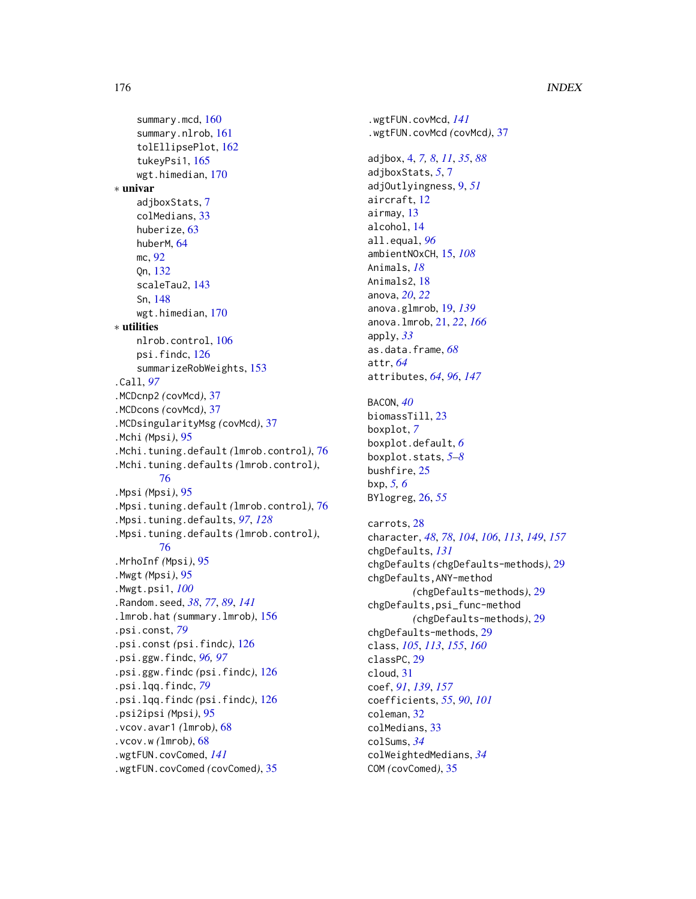summary.mcd, [160](#page-159-0) summary.nlrob, [161](#page-160-1) tolEllipsePlot, [162](#page-161-0) tukeyPsi1, [165](#page-164-1) wgt.himedian, [170](#page-169-0) ∗ univar adjboxStats, [7](#page-6-0) colMedians, [33](#page-32-0) huberize, [63](#page-62-0) huberM, [64](#page-63-0) mc, [92](#page-91-1) Qn, [132](#page-131-1) scaleTau2, [143](#page-142-1) Sn, [148](#page-147-1) wgt.himedian, [170](#page-169-0) ∗ utilities nlrob.control, [106](#page-105-0) psi.findc, [126](#page-125-0) summarizeRobWeights, [153](#page-152-0) .Call, *[97](#page-96-0)* .MCDcnp2 *(*covMcd*)*, [37](#page-36-2) .MCDcons *(*covMcd*)*, [37](#page-36-2) .MCDsingularityMsg *(*covMcd*)*, [37](#page-36-2) .Mchi *(*Mpsi*)*, [95](#page-94-2) .Mchi.tuning.default *(*lmrob.control*)*, [76](#page-75-1) .Mchi.tuning.defaults *(*lmrob.control*)*, [76](#page-75-1) .Mpsi *(*Mpsi*)*, [95](#page-94-2) .Mpsi.tuning.default *(*lmrob.control*)*, [76](#page-75-1) .Mpsi.tuning.defaults, *[97](#page-96-0)*, *[128](#page-127-0)* .Mpsi.tuning.defaults *(*lmrob.control*)*, [76](#page-75-1) .MrhoInf *(*Mpsi*)*, [95](#page-94-2) .Mwgt *(*Mpsi*)*, [95](#page-94-2) .Mwgt.psi1, *[100](#page-99-0)* .Random.seed, *[38](#page-37-0)*, *[77](#page-76-0)*, *[89](#page-88-0)*, *[141](#page-140-0)* .lmrob.hat *(*summary.lmrob*)*, [156](#page-155-0) .psi.const, *[79](#page-78-0)* .psi.const *(*psi.findc*)*, [126](#page-125-0) .psi.ggw.findc, *[96,](#page-95-0) [97](#page-96-0)* .psi.ggw.findc *(*psi.findc*)*, [126](#page-125-0) .psi.lqq.findc, *[79](#page-78-0)* .psi.lqq.findc *(*psi.findc*)*, [126](#page-125-0) .psi2ipsi *(*Mpsi*)*, [95](#page-94-2) .vcov.avar1 *(*lmrob*)*, [68](#page-67-1) .vcov.w *(*lmrob*)*, [68](#page-67-1) .wgtFUN.covComed, *[141](#page-140-0)* .wgtFUN.covComed *(*covComed*)*, [35](#page-34-0)

.wgtFUN.covMcd, *[141](#page-140-0)* .wgtFUN.covMcd *(*covMcd*)*, [37](#page-36-2) adjbox, [4,](#page-3-0) *[7,](#page-6-0) [8](#page-7-0)*, *[11](#page-10-0)*, *[35](#page-34-0)*, *[88](#page-87-1)* adjboxStats, *[5](#page-4-0)*, [7](#page-6-0) adjOutlyingness, [9,](#page-8-0) *[51](#page-50-0)* aircraft, [12](#page-11-0) airmay, [13](#page-12-0) alcohol, [14](#page-13-0) all.equal, *[96](#page-95-0)* ambientNOxCH, [15,](#page-14-0) *[108](#page-107-0)* Animals, *[18](#page-17-0)* Animals2, [18](#page-17-0) anova, *[20](#page-19-0)*, *[22](#page-21-0)* anova.glmrob, [19,](#page-18-0) *[139](#page-138-0)* anova.lmrob, [21,](#page-20-1) *[22](#page-21-0)*, *[166](#page-165-0)* apply, *[33](#page-32-0)* as.data.frame, *[68](#page-67-1)* attr, *[64](#page-63-0)* attributes, *[64](#page-63-0)*, *[96](#page-95-0)*, *[147](#page-146-0)* BACON, *[40](#page-39-0)* biomassTill, [23](#page-22-0) boxplot, *[7](#page-6-0)* boxplot.default, *[6](#page-5-0)* boxplot.stats, *[5](#page-4-0)[–8](#page-7-0)* bushfire, [25](#page-24-0) bxp, *[5,](#page-4-0) [6](#page-5-0)* BYlogreg, [26,](#page-25-0) *[55](#page-54-0)* carrots, [28](#page-27-0) character, *[48](#page-47-0)*, *[78](#page-77-0)*, *[104](#page-103-0)*, *[106](#page-105-0)*, *[113](#page-112-0)*, *[149](#page-148-0)*, *[157](#page-156-0)* chgDefaults, *[131](#page-130-0)* chgDefaults *(*chgDefaults-methods*)*, [29](#page-28-0) chgDefaults,ANY-method *(*chgDefaults-methods*)*, [29](#page-28-0) chgDefaults,psi\_func-method *(*chgDefaults-methods*)*, [29](#page-28-0) chgDefaults-methods, [29](#page-28-0) class, *[105](#page-104-0)*, *[113](#page-112-0)*, *[155](#page-154-1)*, *[160](#page-159-0)* classPC, [29](#page-28-0) cloud, [31](#page-30-0) coef, *[91](#page-90-0)*, *[139](#page-138-0)*, *[157](#page-156-0)* coefficients, *[55](#page-54-0)*, *[90](#page-89-0)*, *[101](#page-100-0)* coleman, [32](#page-31-0) colMedians, [33](#page-32-0) colSums, *[34](#page-33-0)* colWeightedMedians, *[34](#page-33-0)* COM *(*covComed*)*, [35](#page-34-0)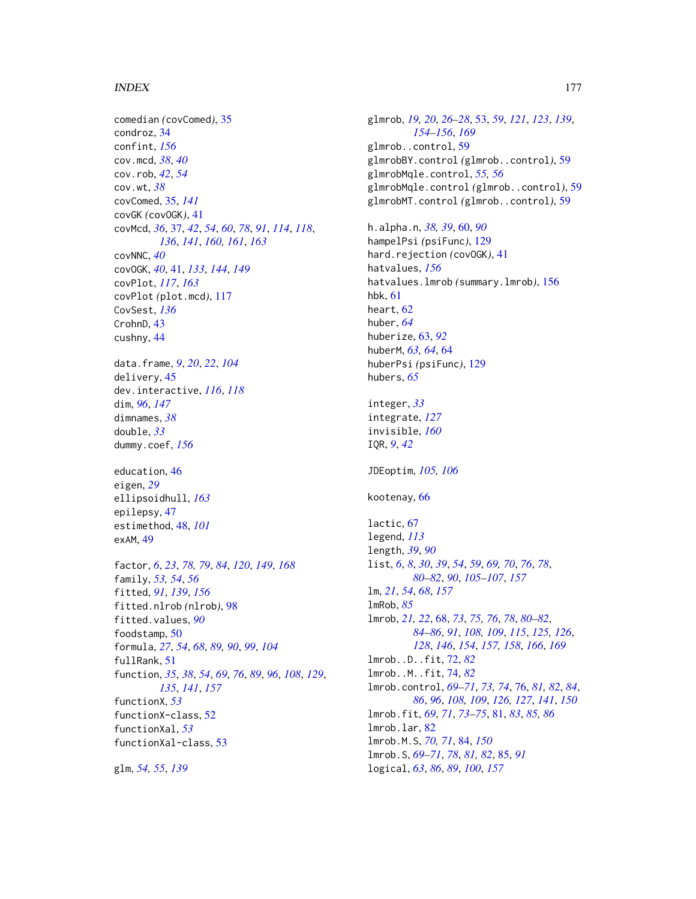comedian *(*covComed*)*, [35](#page-34-0) condroz, [34](#page-33-0) confint, *[156](#page-155-0)* cov.mcd, *[38](#page-37-0)*, *[40](#page-39-0)* cov.rob, *[42](#page-41-0)*, *[54](#page-53-0)* cov.wt, *[38](#page-37-0)* covComed, [35,](#page-34-0) *[141](#page-140-0)* covGK *(*covOGK*)*, [41](#page-40-1) covMcd, *[36](#page-35-0)*, [37,](#page-36-2) *[42](#page-41-0)*, *[54](#page-53-0)*, *[60](#page-59-0)*, *[78](#page-77-0)*, *[91](#page-90-0)*, *[114](#page-113-0)*, *[118](#page-117-0)*, *[136](#page-135-0)*, *[141](#page-140-0)*, *[160,](#page-159-0) [161](#page-160-1)*, *[163](#page-162-0)* covNNC, *[40](#page-39-0)* covOGK, *[40](#page-39-0)*, [41,](#page-40-1) *[133](#page-132-0)*, *[144](#page-143-0)*, *[149](#page-148-0)* covPlot, *[117](#page-116-1)*, *[163](#page-162-0)* covPlot *(*plot.mcd*)*, [117](#page-116-1) CovSest, *[136](#page-135-0)* CrohnD, [43](#page-42-0) cushny, [44](#page-43-0) data.frame, *[9](#page-8-0)*, *[20](#page-19-0)*, *[22](#page-21-0)*, *[104](#page-103-0)* delivery, [45](#page-44-0) dev.interactive, *[116](#page-115-0)*, *[118](#page-117-0)* dim, *[96](#page-95-0)*, *[147](#page-146-0)* dimnames, *[38](#page-37-0)* double, *[33](#page-32-0)* dummy.coef, *[156](#page-155-0)* education, [46](#page-45-0) eigen, *[29](#page-28-0)* ellipsoidhull, *[163](#page-162-0)* epilepsy, [47](#page-46-0) estimethod, [48,](#page-47-0) *[101](#page-100-0)* exAM, [49](#page-48-0) factor, *[6](#page-5-0)*, *[23](#page-22-0)*, *[78,](#page-77-0) [79](#page-78-0)*, *[84](#page-83-1)*, *[120](#page-119-0)*, *[149](#page-148-0)*, *[168](#page-167-0)* family, *[53,](#page-52-1) [54](#page-53-0)*, *[56](#page-55-0)* fitted, *[91](#page-90-0)*, *[139](#page-138-0)*, *[156](#page-155-0)* fitted.nlrob *(*nlrob*)*, [98](#page-97-1) fitted.values, *[90](#page-89-0)* foodstamp, [50](#page-49-0) formula, *[27](#page-26-0)*, *[54](#page-53-0)*, *[68](#page-67-1)*, *[89,](#page-88-0) [90](#page-89-0)*, *[99](#page-98-0)*, *[104](#page-103-0)* fullRank, [51](#page-50-0) function, *[35](#page-34-0)*, *[38](#page-37-0)*, *[54](#page-53-0)*, *[69](#page-68-0)*, *[76](#page-75-1)*, *[89](#page-88-0)*, *[96](#page-95-0)*, *[108](#page-107-0)*, *[129](#page-128-1)*, *[135](#page-134-0)*, *[141](#page-140-0)*, *[157](#page-156-0)* functionX, *[53](#page-52-1)* functionX-class, [52](#page-51-0) functionXal, *[53](#page-52-1)* functionXal-class, [53](#page-52-1)

glm, *[54,](#page-53-0) [55](#page-54-0)*, *[139](#page-138-0)*

glmrob, *[19,](#page-18-0) [20](#page-19-0)*, *[26](#page-25-0)[–28](#page-27-0)*, [53,](#page-52-1) *[59](#page-58-0)*, *[121](#page-120-0)*, *[123](#page-122-1)*, *[139](#page-138-0)*, *[154](#page-153-0)[–156](#page-155-0)*, *[169](#page-168-2)* glmrob..control, [59](#page-58-0) glmrobBY.control *(*glmrob..control*)*, [59](#page-58-0) glmrobMqle.control, *[55,](#page-54-0) [56](#page-55-0)* glmrobMqle.control *(*glmrob..control*)*, [59](#page-58-0) glmrobMT.control *(*glmrob..control*)*, [59](#page-58-0)

h.alpha.n, *[38,](#page-37-0) [39](#page-38-0)*, [60,](#page-59-0) *[90](#page-89-0)* hampelPsi *(*psiFunc*)*, [129](#page-128-1) hard.rejection *(*covOGK*)*, [41](#page-40-1) hatvalues, *[156](#page-155-0)* hatvalues.lmrob *(*summary.lmrob*)*, [156](#page-155-0) hbk, [61](#page-60-0) heart, [62](#page-61-0) huber, *[64](#page-63-0)* huberize, [63,](#page-62-0) *[92](#page-91-1)* huberM, *[63,](#page-62-0) [64](#page-63-0)*, [64](#page-63-0) huberPsi *(*psiFunc*)*, [129](#page-128-1) hubers, *[65](#page-64-0)* integer, *[33](#page-32-0)* integrate, *[127](#page-126-0)* invisible, *[160](#page-159-0)* IQR, *[9](#page-8-0)*, *[42](#page-41-0)* JDEoptim, *[105,](#page-104-0) [106](#page-105-0)* kootenay, [66](#page-65-0) lactic, [67](#page-66-0) legend, *[113](#page-112-0)* length, *[39](#page-38-0)*, *[90](#page-89-0)* list, *[6](#page-5-0)*, *[8](#page-7-0)*, *[30](#page-29-0)*, *[39](#page-38-0)*, *[54](#page-53-0)*, *[59](#page-58-0)*, *[69,](#page-68-0) [70](#page-69-0)*, *[76](#page-75-1)*, *[78](#page-77-0)*, *[80](#page-79-0)[–82](#page-81-0)*, *[90](#page-89-0)*, *[105](#page-104-0)[–107](#page-106-0)*, *[157](#page-156-0)* lm, *[21](#page-20-1)*, *[54](#page-53-0)*, *[68](#page-67-1)*, *[157](#page-156-0)* lmRob, *[85](#page-84-0)* lmrob, *[21,](#page-20-1) [22](#page-21-0)*, [68,](#page-67-1) *[73](#page-72-0)*, *[75,](#page-74-0) [76](#page-75-1)*, *[78](#page-77-0)*, *[80](#page-79-0)[–82](#page-81-0)*, *[84](#page-83-1)[–86](#page-85-0)*, *[91](#page-90-0)*, *[108,](#page-107-0) [109](#page-108-0)*, *[115](#page-114-0)*, *[125,](#page-124-0) [126](#page-125-0)*, *[128](#page-127-0)*, *[146](#page-145-1)*, *[154](#page-153-0)*, *[157,](#page-156-0) [158](#page-157-0)*, *[166](#page-165-0)*, *[169](#page-168-2)* lmrob..D..fit, [72,](#page-71-0) *[82](#page-81-0)* lmrob..M..fit, [74,](#page-73-0) *[82](#page-81-0)* lmrob.control, *[69](#page-68-0)[–71](#page-70-0)*, *[73,](#page-72-0) [74](#page-73-0)*, [76,](#page-75-1) *[81,](#page-80-0) [82](#page-81-0)*, *[84](#page-83-1)*, *[86](#page-85-0)*, *[96](#page-95-0)*, *[108,](#page-107-0) [109](#page-108-0)*, *[126,](#page-125-0) [127](#page-126-0)*, *[141](#page-140-0)*, *[150](#page-149-0)* lmrob.fit, *[69](#page-68-0)*, *[71](#page-70-0)*, *[73](#page-72-0)[–75](#page-74-0)*, [81,](#page-80-0) *[83](#page-82-0)*, *[85,](#page-84-0) [86](#page-85-0)* lmrob.lar, [82](#page-81-0) lmrob.M.S, *[70,](#page-69-0) [71](#page-70-0)*, [84,](#page-83-1) *[150](#page-149-0)* lmrob.S, *[69](#page-68-0)[–71](#page-70-0)*, *[78](#page-77-0)*, *[81,](#page-80-0) [82](#page-81-0)*, [85,](#page-84-0) *[91](#page-90-0)* logical, *[63](#page-62-0)*, *[86](#page-85-0)*, *[89](#page-88-0)*, *[100](#page-99-0)*, *[157](#page-156-0)*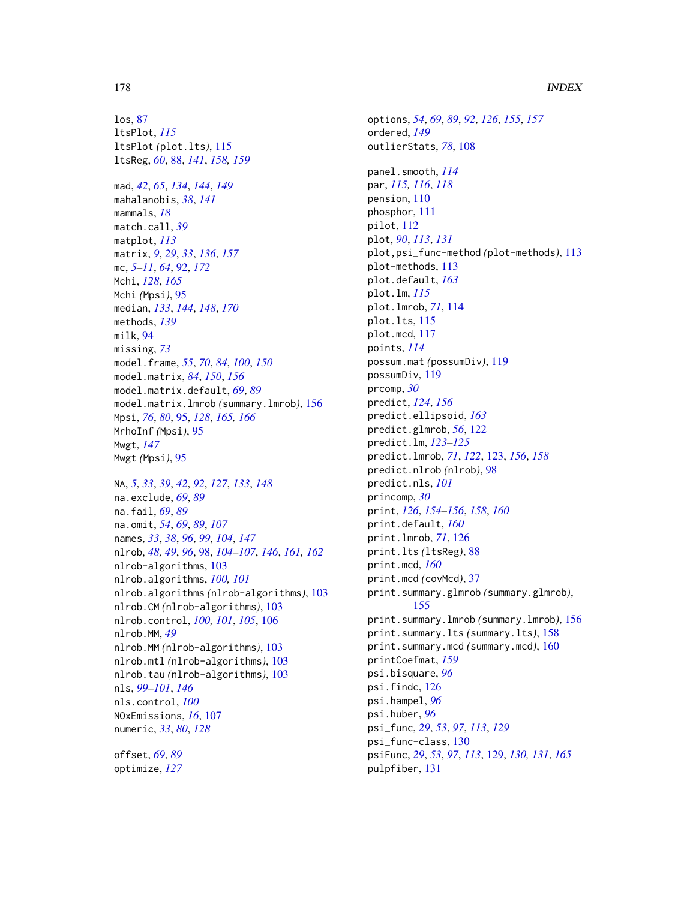los, [87](#page-86-0) ltsPlot, *[115](#page-114-0)* ltsPlot *(*plot.lts*)*, [115](#page-114-0) ltsReg, *[60](#page-59-0)*, [88,](#page-87-1) *[141](#page-140-0)*, *[158,](#page-157-0) [159](#page-158-0)* mad, *[42](#page-41-0)*, *[65](#page-64-0)*, *[134](#page-133-0)*, *[144](#page-143-0)*, *[149](#page-148-0)* mahalanobis, *[38](#page-37-0)*, *[141](#page-140-0)* mammals, *[18](#page-17-0)* match.call, *[39](#page-38-0)* matplot, *[113](#page-112-0)* matrix, *[9](#page-8-0)*, *[29](#page-28-0)*, *[33](#page-32-0)*, *[136](#page-135-0)*, *[157](#page-156-0)* mc, *[5](#page-4-0)[–11](#page-10-0)*, *[64](#page-63-0)*, [92,](#page-91-1) *[172](#page-171-0)* Mchi, *[128](#page-127-0)*, *[165](#page-164-1)* Mchi *(*Mpsi*)*, [95](#page-94-2) median, *[133](#page-132-0)*, *[144](#page-143-0)*, *[148](#page-147-1)*, *[170](#page-169-0)* methods, *[139](#page-138-0)* milk, [94](#page-93-0) missing, *[73](#page-72-0)* model.frame, *[55](#page-54-0)*, *[70](#page-69-0)*, *[84](#page-83-1)*, *[100](#page-99-0)*, *[150](#page-149-0)* model.matrix, *[84](#page-83-1)*, *[150](#page-149-0)*, *[156](#page-155-0)* model.matrix.default, *[69](#page-68-0)*, *[89](#page-88-0)* model.matrix.lmrob *(*summary.lmrob*)*, [156](#page-155-0) Mpsi, *[76](#page-75-1)*, *[80](#page-79-0)*, [95,](#page-94-2) *[128](#page-127-0)*, *[165,](#page-164-1) [166](#page-165-0)*

Mwgt *(*Mpsi*)*, [95](#page-94-2) NA, *[5](#page-4-0)*, *[33](#page-32-0)*, *[39](#page-38-0)*, *[42](#page-41-0)*, *[92](#page-91-1)*, *[127](#page-126-0)*, *[133](#page-132-0)*, *[148](#page-147-1)* na.exclude, *[69](#page-68-0)*, *[89](#page-88-0)* na.fail, *[69](#page-68-0)*, *[89](#page-88-0)* na.omit, *[54](#page-53-0)*, *[69](#page-68-0)*, *[89](#page-88-0)*, *[107](#page-106-0)* names, *[33](#page-32-0)*, *[38](#page-37-0)*, *[96](#page-95-0)*, *[99](#page-98-0)*, *[104](#page-103-0)*, *[147](#page-146-0)* nlrob, *[48,](#page-47-0) [49](#page-48-0)*, *[96](#page-95-0)*, [98,](#page-97-1) *[104–](#page-103-0)[107](#page-106-0)*, *[146](#page-145-1)*, *[161,](#page-160-1) [162](#page-161-0)* nlrob-algorithms, [103](#page-102-0) nlrob.algorithms, *[100,](#page-99-0) [101](#page-100-0)* nlrob.algorithms *(*nlrob-algorithms*)*, [103](#page-102-0) nlrob.CM *(*nlrob-algorithms*)*, [103](#page-102-0) nlrob.control, *[100,](#page-99-0) [101](#page-100-0)*, *[105](#page-104-0)*, [106](#page-105-0) nlrob.MM, *[49](#page-48-0)* nlrob.MM *(*nlrob-algorithms*)*, [103](#page-102-0) nlrob.mtl *(*nlrob-algorithms*)*, [103](#page-102-0) nlrob.tau *(*nlrob-algorithms*)*, [103](#page-102-0) nls, *[99](#page-98-0)[–101](#page-100-0)*, *[146](#page-145-1)* nls.control, *[100](#page-99-0)* NOxEmissions, *[16](#page-15-0)*, [107](#page-106-0) numeric, *[33](#page-32-0)*, *[80](#page-79-0)*, *[128](#page-127-0)* offset, *[69](#page-68-0)*, *[89](#page-88-0)*

optimize, *[127](#page-126-0)*

MrhoInf *(*Mpsi*)*, [95](#page-94-2)

Mwgt, *[147](#page-146-0)*

options, *[54](#page-53-0)*, *[69](#page-68-0)*, *[89](#page-88-0)*, *[92](#page-91-1)*, *[126](#page-125-0)*, *[155](#page-154-1)*, *[157](#page-156-0)* ordered, *[149](#page-148-0)* outlierStats, *[78](#page-77-0)*, [108](#page-107-0) panel.smooth, *[114](#page-113-0)* par, *[115,](#page-114-0) [116](#page-115-0)*, *[118](#page-117-0)* pension, [110](#page-109-0) phosphor, [111](#page-110-0) pilot, [112](#page-111-0) plot, *[90](#page-89-0)*, *[113](#page-112-0)*, *[131](#page-130-0)* plot,psi\_func-method *(*plot-methods*)*, [113](#page-112-0) plot-methods, [113](#page-112-0) plot.default, *[163](#page-162-0)* plot.lm, *[115](#page-114-0)* plot.lmrob, *[71](#page-70-0)*, [114](#page-113-0) plot.lts, [115](#page-114-0) plot.mcd, [117](#page-116-1) points, *[114](#page-113-0)* possum.mat *(*possumDiv*)*, [119](#page-118-0) possumDiv, [119](#page-118-0) prcomp, *[30](#page-29-0)* predict, *[124](#page-123-0)*, *[156](#page-155-0)* predict.ellipsoid, *[163](#page-162-0)* predict.glmrob, *[56](#page-55-0)*, [122](#page-121-0) predict.lm, *[123](#page-122-1)[–125](#page-124-0)* predict.lmrob, *[71](#page-70-0)*, *[122](#page-121-0)*, [123,](#page-122-1) *[156](#page-155-0)*, *[158](#page-157-0)* predict.nlrob *(*nlrob*)*, [98](#page-97-1) predict.nls, *[101](#page-100-0)* princomp, *[30](#page-29-0)* print, *[126](#page-125-0)*, *[154](#page-153-0)[–156](#page-155-0)*, *[158](#page-157-0)*, *[160](#page-159-0)* print.default, *[160](#page-159-0)* print.lmrob, *[71](#page-70-0)*, [126](#page-125-0) print.lts *(*ltsReg*)*, [88](#page-87-1) print.mcd, *[160](#page-159-0)* print.mcd *(*covMcd*)*, [37](#page-36-2) print.summary.glmrob *(*summary.glmrob*)*, [155](#page-154-1) print.summary.lmrob *(*summary.lmrob*)*, [156](#page-155-0) print.summary.lts *(*summary.lts*)*, [158](#page-157-0) print.summary.mcd *(*summary.mcd*)*, [160](#page-159-0) printCoefmat, *[159](#page-158-0)* psi.bisquare, *[96](#page-95-0)* psi.findc, [126](#page-125-0) psi.hampel, *[96](#page-95-0)* psi.huber, *[96](#page-95-0)* psi\_func, *[29](#page-28-0)*, *[53](#page-52-1)*, *[97](#page-96-0)*, *[113](#page-112-0)*, *[129](#page-128-1)* psi\_func-class, [130](#page-129-0) psiFunc, *[29](#page-28-0)*, *[53](#page-52-1)*, *[97](#page-96-0)*, *[113](#page-112-0)*, [129,](#page-128-1) *[130,](#page-129-0) [131](#page-130-0)*, *[165](#page-164-1)* pulpfiber, [131](#page-130-0)